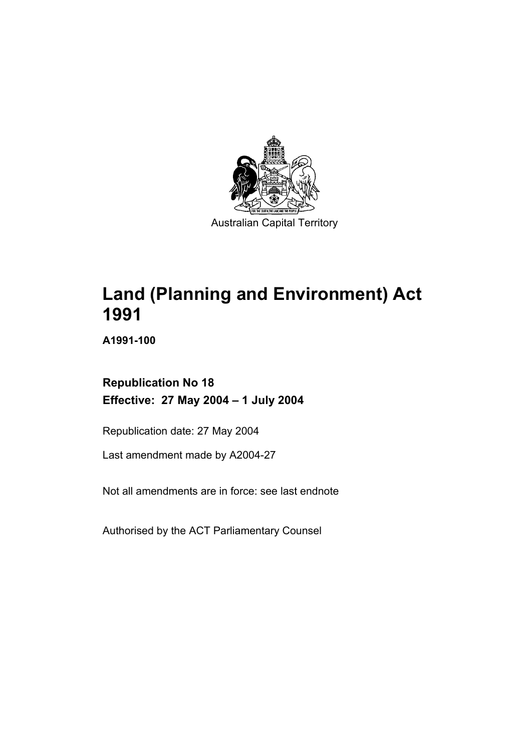

**Land (Planning and Environment) Act 1991** 

**A1991-100** 

**Republication No 18 Effective: 27 May 2004 – 1 July 2004** 

Republication date: 27 May 2004

Last amendment made by A2004-27

Not all amendments are in force: see last endnote

Authorised by the ACT Parliamentary Counsel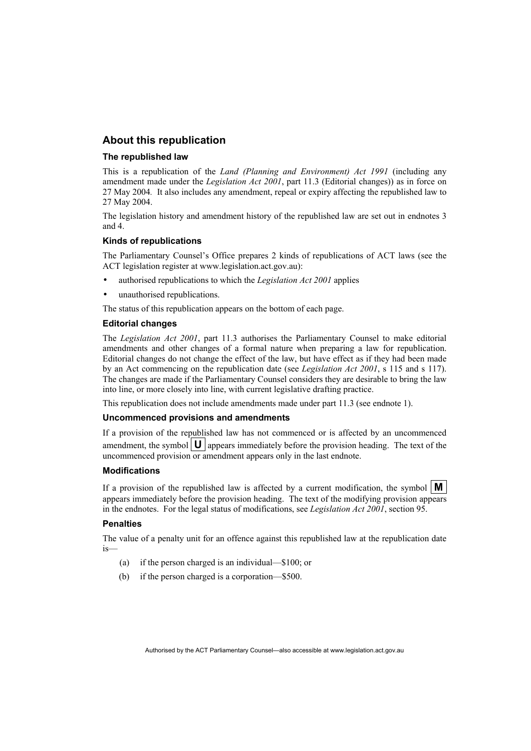## **About this republication**

#### **The republished law**

This is a republication of the *Land (Planning and Environment) Act 1991* (including any amendment made under the *Legislation Act 2001*, part 11.3 (Editorial changes)) as in force on 27 May 2004*.* It also includes any amendment, repeal or expiry affecting the republished law to 27 May 2004.

The legislation history and amendment history of the republished law are set out in endnotes 3 and 4.

#### **Kinds of republications**

The Parliamentary Counsel's Office prepares 2 kinds of republications of ACT laws (see the ACT legislation register at www.legislation.act.gov.au):

- authorised republications to which the *Legislation Act 2001* applies
- unauthorised republications.

The status of this republication appears on the bottom of each page.

#### **Editorial changes**

The *Legislation Act 2001*, part 11.3 authorises the Parliamentary Counsel to make editorial amendments and other changes of a formal nature when preparing a law for republication. Editorial changes do not change the effect of the law, but have effect as if they had been made by an Act commencing on the republication date (see *Legislation Act 2001*, s 115 and s 117). The changes are made if the Parliamentary Counsel considers they are desirable to bring the law into line, or more closely into line, with current legislative drafting practice.

This republication does not include amendments made under part 11.3 (see endnote 1).

#### **Uncommenced provisions and amendments**

If a provision of the republished law has not commenced or is affected by an uncommenced amendment, the symbol  $\mathbf{U}$  appears immediately before the provision heading. The text of the uncommenced provision or amendment appears only in the last endnote.

#### **Modifications**

If a provision of the republished law is affected by a current modification, the symbol  $\mathbf{M}$ appears immediately before the provision heading. The text of the modifying provision appears in the endnotes. For the legal status of modifications, see *Legislation Act 2001*, section 95.

#### **Penalties**

The value of a penalty unit for an offence against this republished law at the republication date is—

- (a) if the person charged is an individual—\$100; or
- (b) if the person charged is a corporation—\$500.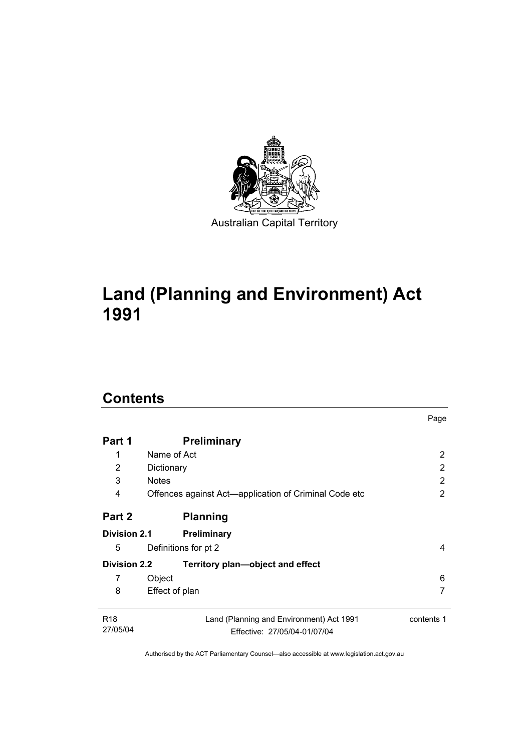

# **Land (Planning and Environment) Act 1991**

# **Contents**

| Name of Act                                                              | 2                                                                |
|--------------------------------------------------------------------------|------------------------------------------------------------------|
| Dictionary                                                               | 2                                                                |
| <b>Notes</b>                                                             | 2                                                                |
| Offences against Act-application of Criminal Code etc                    | 2                                                                |
| <b>Planning</b>                                                          |                                                                  |
| <b>Preliminary</b>                                                       |                                                                  |
| Definitions for pt 2                                                     | 4                                                                |
| Territory plan-object and effect                                         |                                                                  |
| Object                                                                   | 6                                                                |
| Effect of plan                                                           | 7                                                                |
| Land (Planning and Environment) Act 1991<br>Effective: 27/05/04-01/07/04 | contents 1                                                       |
|                                                                          | <b>Preliminary</b><br><b>Division 2.1</b><br><b>Division 2.2</b> |

Page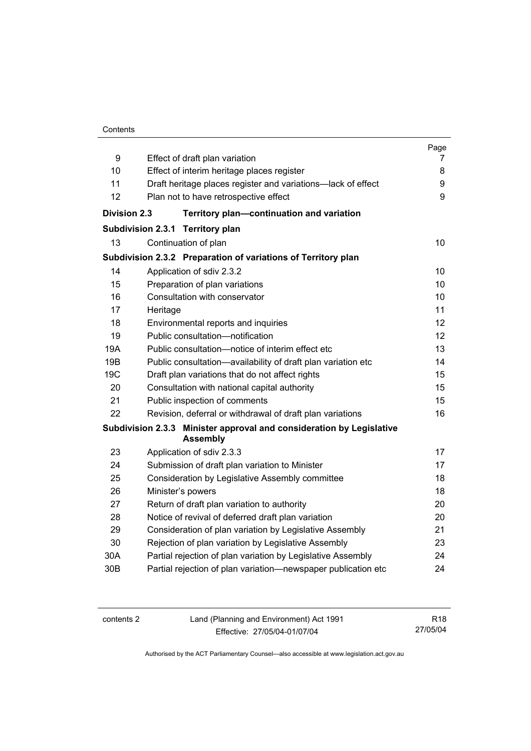### **Contents**

| 9                   | Effect of draft plan variation                                                          | Page<br>7         |
|---------------------|-----------------------------------------------------------------------------------------|-------------------|
| 10                  | Effect of interim heritage places register                                              | 8                 |
| 11                  | Draft heritage places register and variations-lack of effect                            | 9                 |
| 12                  | Plan not to have retrospective effect                                                   | 9                 |
|                     |                                                                                         |                   |
| <b>Division 2.3</b> | Territory plan-continuation and variation                                               |                   |
|                     | <b>Subdivision 2.3.1</b><br><b>Territory plan</b>                                       |                   |
| 13                  | Continuation of plan                                                                    | 10 <sup>1</sup>   |
|                     | Subdivision 2.3.2 Preparation of variations of Territory plan                           |                   |
| 14                  | Application of sdiv 2.3.2                                                               | 10                |
| 15                  | Preparation of plan variations                                                          | 10                |
| 16                  | Consultation with conservator                                                           | 10                |
| 17                  | Heritage                                                                                | 11                |
| 18                  | Environmental reports and inquiries                                                     | 12                |
| 19                  | Public consultation-notification                                                        | $12 \overline{ }$ |
| 19A                 | Public consultation-notice of interim effect etc                                        | 13                |
| 19B                 | Public consultation-availability of draft plan variation etc                            | 14                |
| 19 <sub>C</sub>     | Draft plan variations that do not affect rights                                         | 15                |
| 20                  | Consultation with national capital authority                                            | 15                |
| 21                  | Public inspection of comments                                                           | 15                |
| 22                  | Revision, deferral or withdrawal of draft plan variations                               | 16                |
|                     | Subdivision 2.3.3 Minister approval and consideration by Legislative<br><b>Assembly</b> |                   |
| 23                  | Application of sdiv 2.3.3                                                               | 17                |
| 24                  | Submission of draft plan variation to Minister                                          | 17                |
| 25                  | Consideration by Legislative Assembly committee                                         | 18                |
| 26                  | Minister's powers                                                                       | 18                |
| 27                  | Return of draft plan variation to authority                                             | 20                |
| 28                  | Notice of revival of deferred draft plan variation                                      | 20                |
| 29                  | Consideration of plan variation by Legislative Assembly                                 | 21                |
| 30                  | Rejection of plan variation by Legislative Assembly                                     | 23                |
| 30A                 | Partial rejection of plan variation by Legislative Assembly                             | 24                |
| 30 <sub>B</sub>     | Partial rejection of plan variation-newspaper publication etc                           | 24                |

| contents 2 | Land (Planning and Environment) Act 1991 | R <sub>18</sub> |
|------------|------------------------------------------|-----------------|
|            | Effective: 27/05/04-01/07/04             | 27/05/04        |

Authorised by the ACT Parliamentary Counsel—also accessible at www.legislation.act.gov.au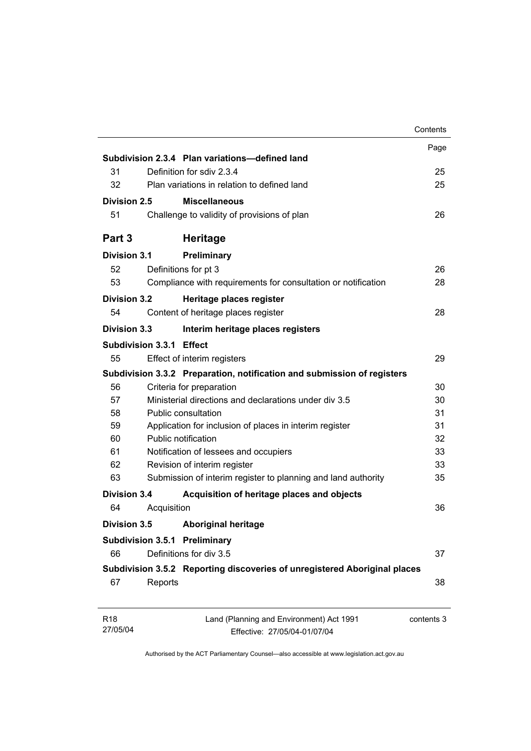|                          |             |                                                                           | Contents   |
|--------------------------|-------------|---------------------------------------------------------------------------|------------|
|                          |             |                                                                           | Page       |
|                          |             | Subdivision 2.3.4 Plan variations-defined land                            |            |
| 31                       |             | Definition for sdiv 2.3.4                                                 | 25         |
| 32                       |             | Plan variations in relation to defined land                               | 25         |
| Division 2.5             |             | <b>Miscellaneous</b>                                                      |            |
| 51                       |             | Challenge to validity of provisions of plan                               | 26         |
| Part 3                   |             | <b>Heritage</b>                                                           |            |
| <b>Division 3.1</b>      |             | Preliminary                                                               |            |
| 52                       |             | Definitions for pt 3                                                      | 26         |
| 53                       |             | Compliance with requirements for consultation or notification             | 28         |
| <b>Division 3.2</b>      |             | Heritage places register                                                  |            |
| 54                       |             | Content of heritage places register                                       | 28         |
| Division 3.3             |             | Interim heritage places registers                                         |            |
| Subdivision 3.3.1 Effect |             |                                                                           |            |
| 55                       |             | Effect of interim registers                                               | 29         |
|                          |             | Subdivision 3.3.2 Preparation, notification and submission of registers   |            |
| 56                       |             | Criteria for preparation                                                  | 30         |
| 57                       |             | Ministerial directions and declarations under div 3.5                     | 30         |
| 58                       |             | <b>Public consultation</b>                                                | 31         |
| 59                       |             | Application for inclusion of places in interim register                   | 31         |
| 60                       |             | Public notification                                                       | 32         |
| 61                       |             | Notification of lessees and occupiers                                     | 33         |
| 62                       |             | Revision of interim register                                              | 33         |
| 63                       |             | Submission of interim register to planning and land authority             | 35         |
| <b>Division 3.4</b>      |             | Acquisition of heritage places and objects                                |            |
| 64                       | Acquisition |                                                                           | 36         |
| Division 3.5             |             | <b>Aboriginal heritage</b>                                                |            |
|                          |             | <b>Subdivision 3.5.1 Preliminary</b>                                      |            |
| 66                       |             | Definitions for div 3.5                                                   | 37         |
|                          |             | Subdivision 3.5.2 Reporting discoveries of unregistered Aboriginal places |            |
| 67                       | Reports     |                                                                           | 38         |
| R <sub>18</sub>          |             | Land (Planning and Environment) Act 1991                                  | contents 3 |
| 27/05/04                 |             | Effective: 27/05/04-01/07/04                                              |            |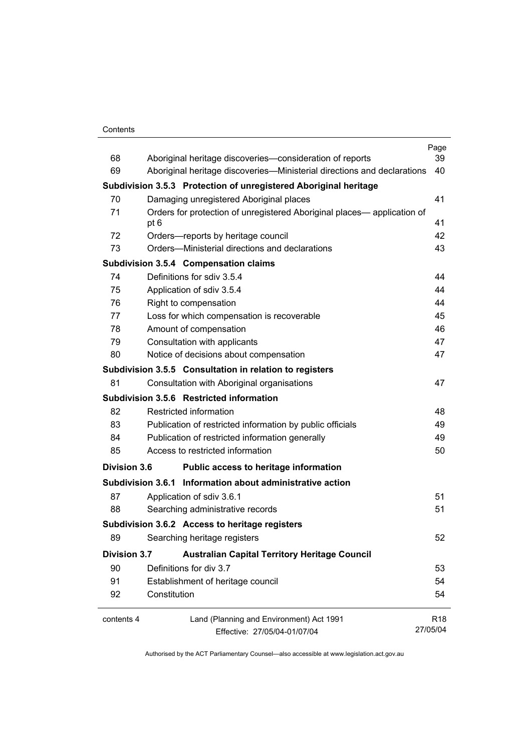#### **Contents**

|                     |              |                                                                         | Page            |
|---------------------|--------------|-------------------------------------------------------------------------|-----------------|
| 68                  |              | Aboriginal heritage discoveries-consideration of reports                | 39              |
| 69                  |              | Aboriginal heritage discoveries—Ministerial directions and declarations | 40              |
|                     |              | Subdivision 3.5.3 Protection of unregistered Aboriginal heritage        |                 |
| 70                  |              | Damaging unregistered Aboriginal places                                 | 41              |
| 71                  | pt 6         | Orders for protection of unregistered Aboriginal places— application of | 41              |
| 72                  |              | Orders-reports by heritage council                                      | 42              |
| 73                  |              | Orders—Ministerial directions and declarations                          | 43              |
|                     |              | Subdivision 3.5.4 Compensation claims                                   |                 |
| 74                  |              | Definitions for sdiv 3.5.4                                              | 44              |
| 75                  |              | Application of sdiv 3.5.4                                               | 44              |
| 76                  |              | Right to compensation                                                   | 44              |
| 77                  |              | Loss for which compensation is recoverable                              | 45              |
| 78                  |              | Amount of compensation                                                  | 46              |
| 79                  |              | Consultation with applicants                                            | 47              |
| 80                  |              | Notice of decisions about compensation                                  | 47              |
|                     |              | Subdivision 3.5.5 Consultation in relation to registers                 |                 |
| 81                  |              | Consultation with Aboriginal organisations                              | 47              |
|                     |              | Subdivision 3.5.6 Restricted information                                |                 |
| 82                  |              | Restricted information                                                  | 48              |
| 83                  |              | Publication of restricted information by public officials               | 49              |
| 84                  |              | Publication of restricted information generally                         | 49              |
| 85                  |              | Access to restricted information                                        | 50              |
| <b>Division 3.6</b> |              | Public access to heritage information                                   |                 |
|                     |              | Subdivision 3.6.1 Information about administrative action               |                 |
| 87                  |              | Application of sdiv 3.6.1                                               | 51              |
| 88                  |              | Searching administrative records                                        | 51              |
|                     |              | Subdivision 3.6.2 Access to heritage registers                          |                 |
| 89                  |              | Searching heritage registers                                            | 52              |
| <b>Division 3.7</b> |              | <b>Australian Capital Territory Heritage Council</b>                    |                 |
| 90                  |              | Definitions for div 3.7                                                 | 53              |
| 91                  |              | Establishment of heritage council                                       | 54              |
| 92                  | Constitution |                                                                         | 54              |
| contents 4          |              | Land (Planning and Environment) Act 1991                                | R <sub>18</sub> |
|                     |              | Effective: 27/05/04-01/07/04                                            | 27/05/04        |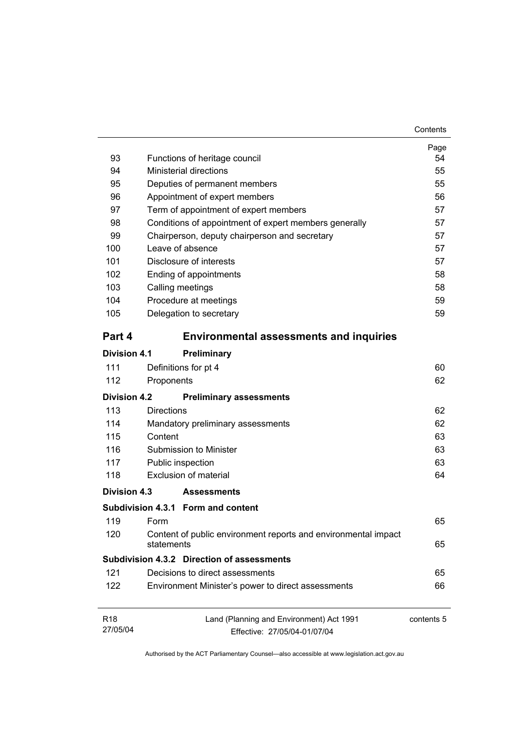| 93                          |                   | Functions of heritage council                                            | Page<br>54 |
|-----------------------------|-------------------|--------------------------------------------------------------------------|------------|
| 94                          |                   | <b>Ministerial directions</b>                                            | 55         |
| 95                          |                   | Deputies of permanent members                                            | 55         |
| 96                          |                   | Appointment of expert members                                            | 56         |
| 97                          |                   | Term of appointment of expert members                                    | 57         |
| 98                          |                   | Conditions of appointment of expert members generally                    | 57         |
| 99                          |                   | Chairperson, deputy chairperson and secretary                            | 57         |
| 100                         |                   | Leave of absence                                                         | 57         |
| 101                         |                   | Disclosure of interests                                                  | 57         |
| 102                         |                   | Ending of appointments                                                   | 58         |
| 103                         |                   | Calling meetings                                                         | 58         |
| 104                         |                   | Procedure at meetings                                                    | 59         |
| 105                         |                   | Delegation to secretary                                                  | 59         |
| Part 4                      |                   | <b>Environmental assessments and inquiries</b>                           |            |
| <b>Division 4.1</b>         |                   | Preliminary                                                              |            |
| 111                         |                   | Definitions for pt 4                                                     | 60         |
| 112                         | Proponents        |                                                                          | 62         |
| Division 4.2                |                   | <b>Preliminary assessments</b>                                           |            |
| 113                         | <b>Directions</b> |                                                                          | 62         |
| 114                         |                   | Mandatory preliminary assessments                                        | 62         |
| 115                         | Content           |                                                                          | 63         |
| 116                         |                   | Submission to Minister                                                   | 63         |
| 117                         |                   | Public inspection                                                        | 63         |
| 118                         |                   | Exclusion of material                                                    | 64         |
| Division 4.3                |                   | <b>Assessments</b>                                                       |            |
|                             |                   | Subdivision 4.3.1 Form and content                                       |            |
| 119                         | Form              |                                                                          | 65         |
| 120                         | statements        | Content of public environment reports and environmental impact           | 65         |
|                             |                   | <b>Subdivision 4.3.2 Direction of assessments</b>                        |            |
| 121                         |                   | Decisions to direct assessments                                          | 65         |
| 122                         |                   | Environment Minister's power to direct assessments                       | 66         |
| R <sub>18</sub><br>27/05/04 |                   | Land (Planning and Environment) Act 1991<br>Effective: 27/05/04-01/07/04 | contents 5 |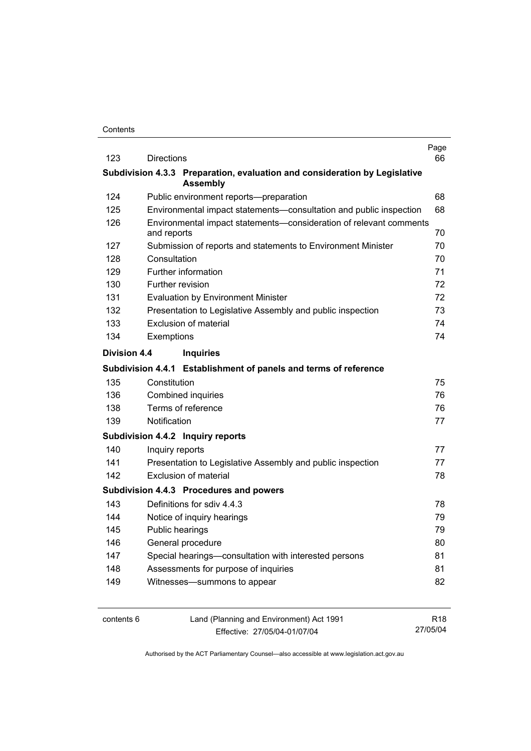| 123                 | <b>Directions</b> |                                                                            | Page<br>66 |
|---------------------|-------------------|----------------------------------------------------------------------------|------------|
|                     |                   | Subdivision 4.3.3 Preparation, evaluation and consideration by Legislative |            |
|                     |                   | <b>Assembly</b>                                                            |            |
| 124                 |                   | Public environment reports--preparation                                    | 68         |
| 125                 |                   | Environmental impact statements-consultation and public inspection         | 68         |
| 126                 | and reports       | Environmental impact statements-consideration of relevant comments         | 70         |
| 127                 |                   | Submission of reports and statements to Environment Minister               | 70         |
| 128                 | Consultation      |                                                                            | 70         |
| 129                 |                   | Further information                                                        | 71         |
| 130                 |                   | Further revision                                                           | 72         |
| 131                 |                   | <b>Evaluation by Environment Minister</b>                                  | 72         |
| 132                 |                   | Presentation to Legislative Assembly and public inspection                 | 73         |
| 133                 |                   | Exclusion of material                                                      | 74         |
| 134                 | Exemptions        |                                                                            | 74         |
| <b>Division 4.4</b> |                   | <b>Inquiries</b>                                                           |            |
|                     |                   | Subdivision 4.4.1 Establishment of panels and terms of reference           |            |
| 135                 | Constitution      |                                                                            | 75         |
| 136                 |                   | <b>Combined inquiries</b>                                                  | 76         |
| 138                 |                   | Terms of reference                                                         | 76         |
| 139                 | Notification      |                                                                            | 77         |
|                     |                   | Subdivision 4.4.2 Inquiry reports                                          |            |
| 140                 | Inquiry reports   |                                                                            | 77         |
| 141                 |                   | Presentation to Legislative Assembly and public inspection                 | 77         |
| 142                 |                   | <b>Exclusion of material</b>                                               | 78         |
|                     |                   | Subdivision 4.4.3 Procedures and powers                                    |            |
| 143                 |                   | Definitions for sdiv 4.4.3                                                 | 78         |
| 144                 |                   | Notice of inquiry hearings                                                 | 79         |
| 145                 |                   | Public hearings                                                            | 79         |
| 146                 |                   | General procedure                                                          | 80         |
| 147                 |                   | Special hearings-consultation with interested persons                      | 81         |
| 148                 |                   | Assessments for purpose of inquiries                                       | 81         |
| 149                 |                   | Witnesses-summons to appear                                                | 82         |
|                     |                   |                                                                            |            |
|                     |                   |                                                                            |            |

contents 6 Land (Planning and Environment) Act 1991 Effective: 27/05/04-01/07/04

R18 27/05/04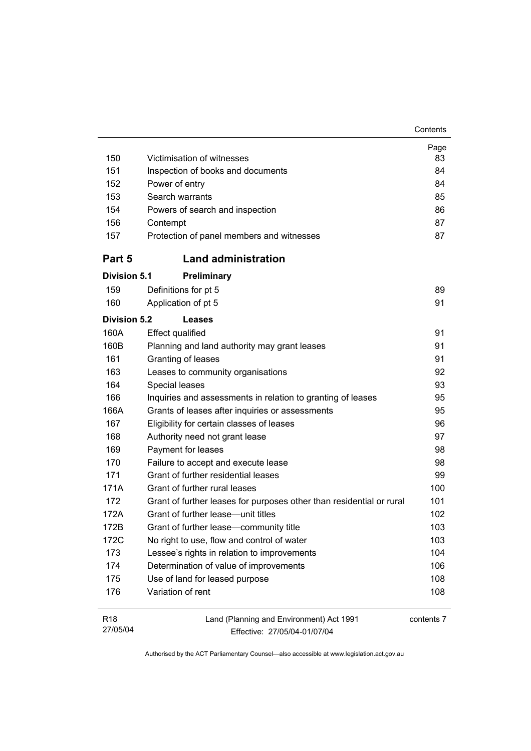| Contents |
|----------|
|----------|

| 150                         | Victimisation of witnesses                                               | Page<br>83 |
|-----------------------------|--------------------------------------------------------------------------|------------|
| 151                         | Inspection of books and documents                                        | 84         |
| 152                         | Power of entry                                                           | 84         |
| 153                         | Search warrants                                                          | 85         |
| 154                         | Powers of search and inspection                                          | 86         |
| 156                         | Contempt                                                                 | 87         |
| 157                         | Protection of panel members and witnesses                                | 87         |
| Part 5                      | <b>Land administration</b>                                               |            |
| <b>Division 5.1</b>         | Preliminary                                                              |            |
| 159                         | Definitions for pt 5                                                     | 89         |
| 160                         | Application of pt 5                                                      | 91         |
| <b>Division 5.2</b>         | Leases                                                                   |            |
| 160A                        | <b>Effect qualified</b>                                                  | 91         |
| 160B                        | Planning and land authority may grant leases                             | 91         |
| 161                         | Granting of leases                                                       | 91         |
| 163                         | Leases to community organisations                                        | 92         |
| 164                         | Special leases                                                           | 93         |
| 166                         | Inquiries and assessments in relation to granting of leases              | 95         |
| 166A                        | Grants of leases after inquiries or assessments                          | 95         |
| 167                         | Eligibility for certain classes of leases                                | 96         |
| 168                         | Authority need not grant lease                                           | 97         |
| 169                         | Payment for leases                                                       | 98         |
| 170                         | Failure to accept and execute lease                                      | 98         |
| 171                         | Grant of further residential leases                                      | 99         |
| 171A                        | Grant of further rural leases                                            | 100        |
| 172                         | Grant of further leases for purposes other than residential or rural     | 101        |
| 172A                        | Grant of further lease-unit titles                                       | 102        |
| 172B                        | Grant of further lease-community title                                   | 103        |
| 172C                        | No right to use, flow and control of water                               | 103        |
| 173                         | Lessee's rights in relation to improvements                              | 104        |
| 174                         | Determination of value of improvements                                   | 106        |
| 175                         | Use of land for leased purpose                                           | 108        |
| 176                         | Variation of rent                                                        | 108        |
| R <sub>18</sub><br>27/05/04 | Land (Planning and Environment) Act 1991<br>Fffective: 27/05/04-01/07/04 | contents 7 |

Effective: 27/05/04-01/07/04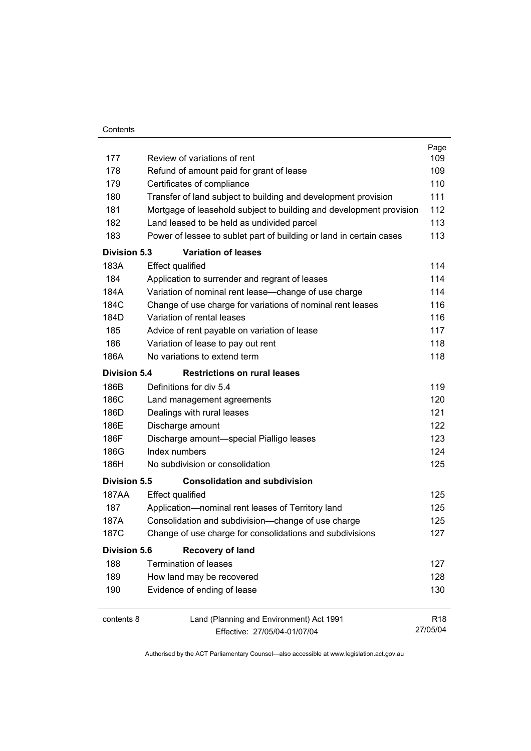| Contents |
|----------|
|          |

|                     |                                                                     | Page            |
|---------------------|---------------------------------------------------------------------|-----------------|
| 177                 | Review of variations of rent                                        | 109             |
| 178                 | Refund of amount paid for grant of lease                            | 109             |
| 179                 | Certificates of compliance                                          | 110             |
| 180                 | Transfer of land subject to building and development provision      | 111             |
| 181                 | Mortgage of leasehold subject to building and development provision | 112             |
| 182                 | Land leased to be held as undivided parcel                          | 113             |
| 183                 | Power of lessee to sublet part of building or land in certain cases | 113             |
| <b>Division 5.3</b> | <b>Variation of leases</b>                                          |                 |
| 183A                | <b>Effect qualified</b>                                             | 114             |
| 184                 | Application to surrender and regrant of leases                      | 114             |
| 184A                | Variation of nominal rent lease-change of use charge                | 114             |
| 184C                | Change of use charge for variations of nominal rent leases          | 116             |
| 184D                | Variation of rental leases                                          | 116             |
| 185                 | Advice of rent payable on variation of lease                        | 117             |
| 186                 | Variation of lease to pay out rent                                  | 118             |
| 186A                | No variations to extend term                                        | 118             |
| <b>Division 5.4</b> | <b>Restrictions on rural leases</b>                                 |                 |
| 186B                | Definitions for div 5.4                                             | 119             |
| 186C                | Land management agreements                                          | 120             |
| 186D                | Dealings with rural leases                                          | 121             |
| 186E                | Discharge amount                                                    | 122             |
| 186F                | Discharge amount-special Pialligo leases                            | 123             |
| 186G                | Index numbers                                                       | 124             |
| 186H                | No subdivision or consolidation                                     | 125             |
| <b>Division 5.5</b> | <b>Consolidation and subdivision</b>                                |                 |
| 187AA               | <b>Effect qualified</b>                                             | 125             |
| 187                 | Application-nominal rent leases of Territory land                   | 125             |
| 187A                | Consolidation and subdivision--change of use charge                 | 125             |
| 187C                | Change of use charge for consolidations and subdivisions            | 127             |
| <b>Division 5.6</b> | <b>Recovery of land</b>                                             |                 |
| 188                 | <b>Termination of leases</b>                                        | 127             |
| 189                 | How land may be recovered                                           | 128             |
| 190                 | Evidence of ending of lease                                         | 130             |
|                     |                                                                     |                 |
| contents 8          | Land (Planning and Environment) Act 1991                            | R <sub>18</sub> |
|                     | Effective: 27/05/04-01/07/04                                        | 27/05/04        |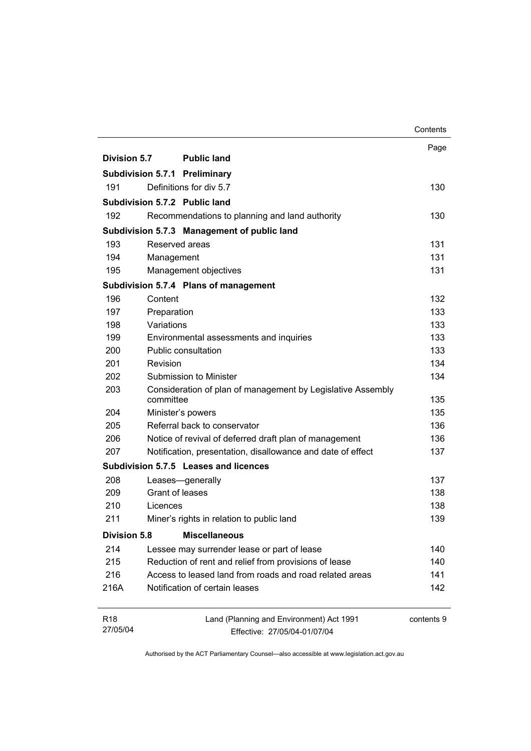|                             |                 |                                                                          | Contents   |
|-----------------------------|-----------------|--------------------------------------------------------------------------|------------|
|                             |                 |                                                                          | Page       |
| Division 5.7                |                 | <b>Public land</b>                                                       |            |
|                             |                 | <b>Subdivision 5.7.1 Preliminary</b>                                     |            |
| 191                         |                 | Definitions for div 5.7                                                  | 130        |
|                             |                 | Subdivision 5.7.2 Public land                                            |            |
| 192                         |                 | Recommendations to planning and land authority                           | 130        |
|                             |                 | Subdivision 5.7.3 Management of public land                              |            |
| 193                         | Reserved areas  |                                                                          | 131        |
| 194                         | Management      |                                                                          | 131        |
| 195                         |                 | Management objectives                                                    | 131        |
|                             |                 | Subdivision 5.7.4 Plans of management                                    |            |
| 196                         | Content         |                                                                          | 132        |
| 197                         | Preparation     |                                                                          | 133        |
| 198                         | Variations      |                                                                          | 133        |
| 199                         |                 | Environmental assessments and inquiries                                  | 133        |
| 200                         |                 | Public consultation                                                      | 133        |
| 201                         | Revision        |                                                                          | 134        |
| 202                         |                 | Submission to Minister                                                   | 134        |
| 203                         | committee       | Consideration of plan of management by Legislative Assembly              | 135        |
| 204                         |                 | Minister's powers                                                        | 135        |
| 205                         |                 | Referral back to conservator                                             | 136        |
| 206                         |                 | Notice of revival of deferred draft plan of management                   | 136        |
| 207                         |                 | Notification, presentation, disallowance and date of effect              | 137        |
|                             |                 | Subdivision 5.7.5 Leases and licences                                    |            |
| 208                         |                 | Leases-generally                                                         | 137        |
| 209                         | Grant of leases |                                                                          | 138        |
| 210                         | Licences        |                                                                          | 138        |
| 211                         |                 | Miner's rights in relation to public land                                | 139        |
| <b>Division 5.8</b>         |                 | <b>Miscellaneous</b>                                                     |            |
| 214                         |                 | Lessee may surrender lease or part of lease                              | 140        |
| 215                         |                 | Reduction of rent and relief from provisions of lease                    | 140        |
| 216                         |                 | Access to leased land from roads and road related areas                  | 141        |
| 216A                        |                 | Notification of certain leases                                           | 142        |
| R <sub>18</sub><br>27/05/04 |                 | Land (Planning and Environment) Act 1991<br>Effective: 27/05/04-01/07/04 | contents 9 |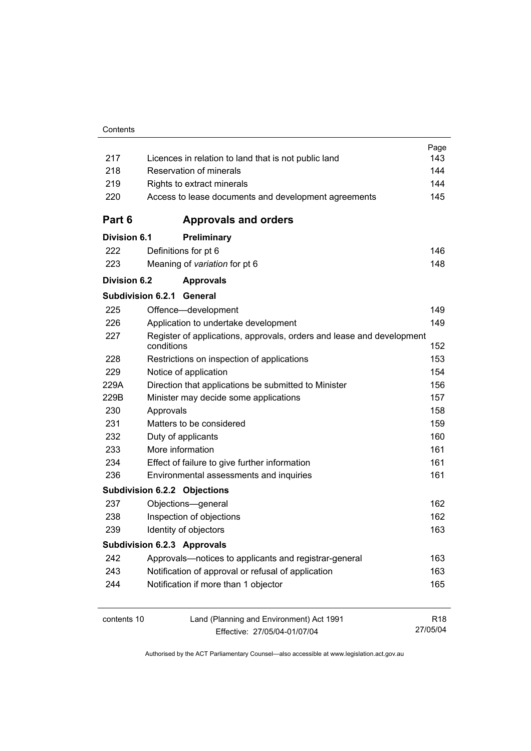|                     |                                                                                     | Page            |
|---------------------|-------------------------------------------------------------------------------------|-----------------|
| 217                 | Licences in relation to land that is not public land                                | 143             |
| 218                 | Reservation of minerals                                                             | 144             |
| 219                 | Rights to extract minerals                                                          | 144             |
| 220                 | Access to lease documents and development agreements                                | 145             |
| Part 6              | <b>Approvals and orders</b>                                                         |                 |
| <b>Division 6.1</b> | Preliminary                                                                         |                 |
| 222                 | Definitions for pt 6                                                                | 146             |
| 223                 | Meaning of variation for pt 6                                                       | 148             |
| Division 6.2        | <b>Approvals</b>                                                                    |                 |
|                     | Subdivision 6.2.1<br>General                                                        |                 |
| 225                 | Offence-development                                                                 | 149             |
| 226                 | Application to undertake development                                                | 149             |
| 227                 | Register of applications, approvals, orders and lease and development<br>conditions | 152             |
| 228                 | Restrictions on inspection of applications                                          | 153             |
| 229                 | Notice of application                                                               | 154             |
| 229A                | Direction that applications be submitted to Minister                                | 156             |
| 229B                | Minister may decide some applications                                               | 157             |
| 230                 | Approvals                                                                           | 158             |
| 231                 | Matters to be considered                                                            | 159             |
| 232                 | Duty of applicants                                                                  | 160             |
| 233                 | More information                                                                    | 161             |
| 234                 | Effect of failure to give further information                                       | 161             |
| 236                 | Environmental assessments and inquiries                                             | 161             |
|                     | <b>Subdivision 6.2.2 Objections</b>                                                 |                 |
| 237                 | Objections-general                                                                  | 162             |
| 238                 | Inspection of objections                                                            | 162             |
| 239                 | Identity of objectors                                                               | 163             |
|                     | <b>Subdivision 6.2.3 Approvals</b>                                                  |                 |
| 242                 | Approvals—notices to applicants and registrar-general                               | 163             |
| 243                 | Notification of approval or refusal of application                                  | 163             |
| 244                 | Notification if more than 1 objector                                                | 165             |
| contents 10         | Land (Planning and Environment) Act 1991                                            | R <sub>18</sub> |
|                     | Fffective: 27/05/04-01/07/04                                                        | 27/05/04        |

Effective: 27/05/04-01/07/04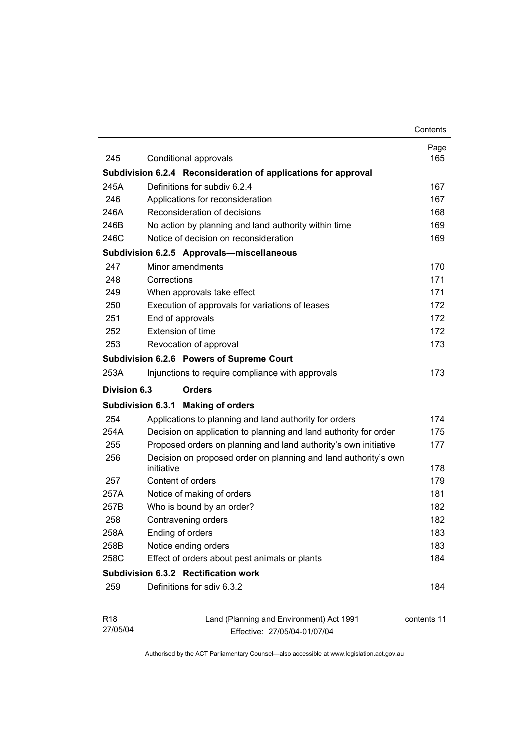|                 |                                                                               | Contents    |
|-----------------|-------------------------------------------------------------------------------|-------------|
|                 |                                                                               | Page        |
| 245             | Conditional approvals                                                         | 165         |
|                 | Subdivision 6.2.4 Reconsideration of applications for approval                |             |
| 245A            | Definitions for subdiv 6.2.4                                                  | 167         |
| 246             | Applications for reconsideration                                              | 167         |
| 246A            | Reconsideration of decisions                                                  | 168         |
| 246B            | No action by planning and land authority within time                          | 169         |
| 246C            | Notice of decision on reconsideration                                         | 169         |
|                 | Subdivision 6.2.5 Approvals-miscellaneous                                     |             |
| 247             | Minor amendments                                                              | 170         |
| 248             | Corrections                                                                   | 171         |
| 249             | When approvals take effect                                                    | 171         |
| 250             | Execution of approvals for variations of leases                               | 172         |
| 251             | End of approvals                                                              | 172         |
| 252             | Extension of time                                                             | 172         |
| 253             | Revocation of approval                                                        | 173         |
|                 | Subdivision 6.2.6 Powers of Supreme Court                                     |             |
| 253A            | Injunctions to require compliance with approvals                              | 173         |
| Division 6.3    | <b>Orders</b>                                                                 |             |
|                 | Subdivision 6.3.1 Making of orders                                            |             |
| 254             | Applications to planning and land authority for orders                        | 174         |
| 254A            | Decision on application to planning and land authority for order              | 175         |
| 255             | Proposed orders on planning and land authority's own initiative               | 177         |
| 256             | Decision on proposed order on planning and land authority's own<br>initiative | 178         |
| 257             | Content of orders                                                             | 179         |
| 257A            | Notice of making of orders                                                    | 181         |
| 257B            | Who is bound by an order?                                                     | 182         |
| 258             | Contravening orders                                                           | 182         |
| 258A            | Ending of orders                                                              | 183         |
| 258B            | Notice ending orders                                                          | 183         |
| 258C            | Effect of orders about pest animals or plants                                 | 184         |
|                 | Subdivision 6.3.2 Rectification work                                          |             |
| 259             | Definitions for sdiv 6.3.2                                                    | 184         |
| R <sub>18</sub> | Land (Planning and Environment) Act 1991                                      | contents 11 |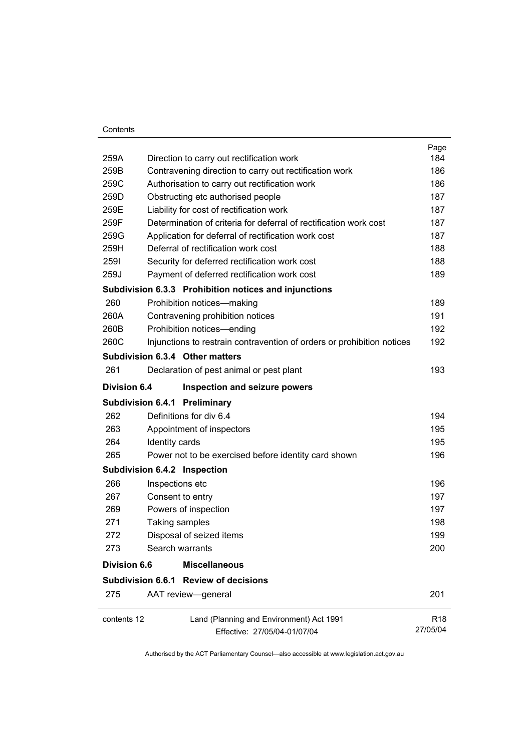#### **Contents**

|                     |                                                                        | Page            |
|---------------------|------------------------------------------------------------------------|-----------------|
| 259A                | Direction to carry out rectification work                              | 184             |
| 259B                | Contravening direction to carry out rectification work                 | 186             |
| 259C                | Authorisation to carry out rectification work                          | 186             |
| 259D                | Obstructing etc authorised people                                      | 187             |
| 259E                | Liability for cost of rectification work                               | 187             |
| 259F                | Determination of criteria for deferral of rectification work cost      | 187             |
| 259G                | Application for deferral of rectification work cost                    | 187             |
| 259H                | Deferral of rectification work cost                                    | 188             |
| 2591                | Security for deferred rectification work cost                          | 188             |
| 259J                | Payment of deferred rectification work cost                            | 189             |
|                     | Subdivision 6.3.3 Prohibition notices and injunctions                  |                 |
| 260                 | Prohibition notices-making                                             | 189             |
| 260A                | Contravening prohibition notices                                       | 191             |
| 260B                | Prohibition notices-ending                                             | 192             |
| 260C                | Injunctions to restrain contravention of orders or prohibition notices | 192             |
|                     | Subdivision 6.3.4 Other matters                                        |                 |
| 261                 | Declaration of pest animal or pest plant                               | 193             |
| <b>Division 6.4</b> | Inspection and seizure powers                                          |                 |
|                     | <b>Subdivision 6.4.1 Preliminary</b>                                   |                 |
| 262                 | Definitions for div 6.4                                                | 194             |
| 263                 | Appointment of inspectors                                              | 195             |
| 264                 | Identity cards                                                         | 195             |
| 265                 | Power not to be exercised before identity card shown                   | 196             |
|                     | Subdivision 6.4.2 Inspection                                           |                 |
| 266                 | Inspections etc                                                        | 196             |
| 267                 | Consent to entry                                                       | 197             |
| 269                 | Powers of inspection                                                   | 197             |
| 271                 | Taking samples                                                         | 198             |
| 272                 | Disposal of seized items                                               | 199             |
| 273                 | Search warrants                                                        | 200             |
| <b>Division 6.6</b> | <b>Miscellaneous</b>                                                   |                 |
|                     | Subdivision 6.6.1 Review of decisions                                  |                 |
| 275                 | AAT review-general                                                     | 201             |
| contents 12         | Land (Planning and Environment) Act 1991                               | R <sub>18</sub> |
|                     | Effective: 27/05/04-01/07/04                                           | 27/05/04        |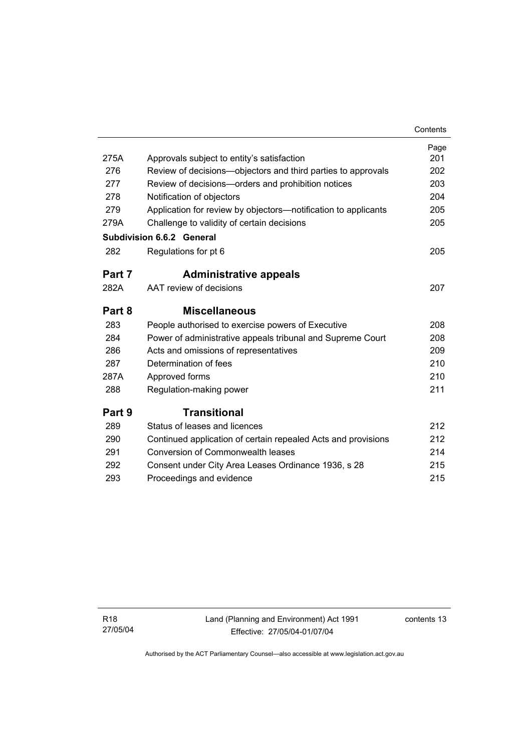|        |                                                                | Contents |
|--------|----------------------------------------------------------------|----------|
|        |                                                                | Page     |
| 275A   | Approvals subject to entity's satisfaction                     | 201      |
| 276    | Review of decisions—objectors and third parties to approvals   | 202      |
| 277    | Review of decisions-orders and prohibition notices             | 203      |
| 278    | Notification of objectors                                      | 204      |
| 279    | Application for review by objectors—notification to applicants | 205      |
| 279A   | Challenge to validity of certain decisions                     | 205      |
|        | <b>Subdivision 6.6.2 General</b>                               |          |
| 282    | Regulations for pt 6                                           | 205      |
| Part 7 | <b>Administrative appeals</b>                                  |          |
| 282A   | AAT review of decisions                                        | 207      |
| Part 8 | <b>Miscellaneous</b>                                           |          |
| 283    | People authorised to exercise powers of Executive              | 208      |
| 284    | Power of administrative appeals tribunal and Supreme Court     | 208      |
| 286    | Acts and omissions of representatives                          | 209      |
| 287    | Determination of fees                                          | 210      |
| 287A   | Approved forms                                                 | 210      |
| 288    | Regulation-making power                                        | 211      |
| Part 9 | <b>Transitional</b>                                            |          |
| 289    | Status of leases and licences                                  | 212      |
| 290    | Continued application of certain repealed Acts and provisions  | 212      |
| 291    | Conversion of Commonwealth leases                              | 214      |
| 292    | Consent under City Area Leases Ordinance 1936, s 28            | 215      |
| 293    | Proceedings and evidence                                       | 215      |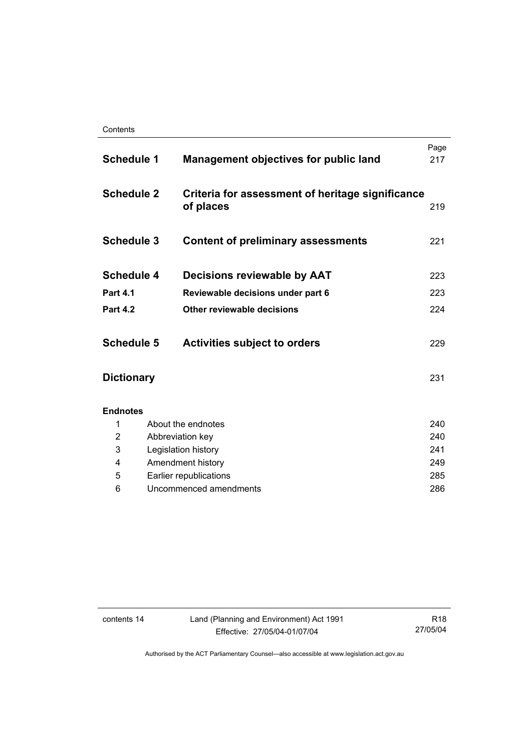| <b>Schedule 1</b> | <b>Management objectives for public land</b>                  | Page<br>217 |
|-------------------|---------------------------------------------------------------|-------------|
| <b>Schedule 2</b> | Criteria for assessment of heritage significance<br>of places | 219         |
| <b>Schedule 3</b> | <b>Content of preliminary assessments</b>                     | 221         |
| <b>Schedule 4</b> | Decisions reviewable by AAT                                   | 223         |
| <b>Part 4.1</b>   | Reviewable decisions under part 6                             | 223         |
| <b>Part 4.2</b>   | Other reviewable decisions                                    | 224         |
| <b>Schedule 5</b> | <b>Activities subject to orders</b>                           | 229         |
| <b>Dictionary</b> |                                                               | 231         |
| <b>Endnotes</b>   |                                                               |             |
| 1                 | About the endnotes                                            | 240         |
| 2                 | Abbreviation key                                              | 240         |
| 3                 | Legislation history                                           | 241         |
| 4                 | Amendment history                                             | 249         |
| 5                 | Earlier republications                                        | 285         |
| 6                 | Uncommenced amendments                                        | 286         |

contents 14 Land (Planning and Environment) Act 1991 Effective: 27/05/04-01/07/04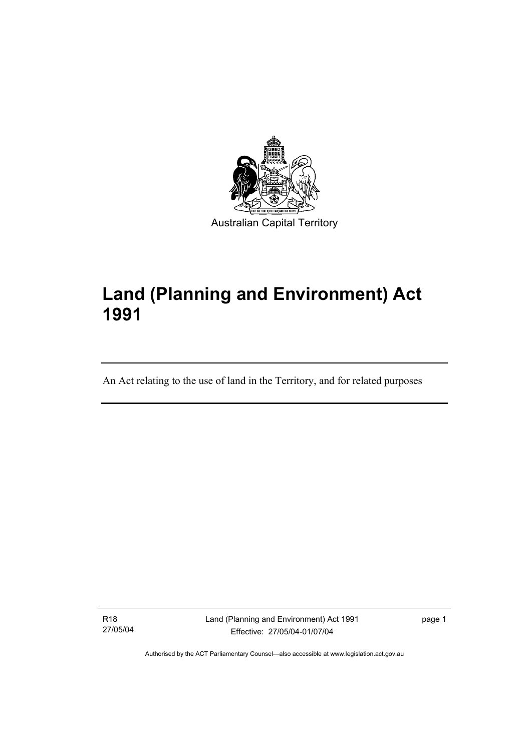

# **Land (Planning and Environment) Act 1991**

An Act relating to the use of land in the Territory, and for related purposes

R18 27/05/04

I

Land (Planning and Environment) Act 1991 Effective: 27/05/04-01/07/04

page 1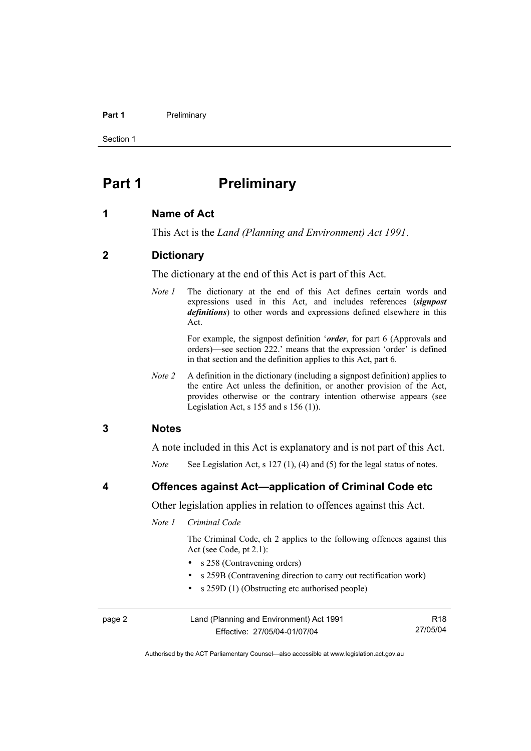#### **Part 1** Preliminary

Section 1

# **Part 1** Preliminary

#### **1 Name of Act**

This Act is the *Land (Planning and Environment) Act 1991*.

### **2 Dictionary**

The dictionary at the end of this Act is part of this Act.

*Note 1* The dictionary at the end of this Act defines certain words and expressions used in this Act, and includes references (*signpost definitions*) to other words and expressions defined elsewhere in this Act.

> For example, the signpost definition '*order*, for part 6 (Approvals and orders)—see section 222.' means that the expression 'order' is defined in that section and the definition applies to this Act, part 6.

*Note 2* A definition in the dictionary (including a signpost definition) applies to the entire Act unless the definition, or another provision of the Act, provides otherwise or the contrary intention otherwise appears (see Legislation Act, s  $155$  and s  $156$  (1)).

#### **3 Notes**

A note included in this Act is explanatory and is not part of this Act.

*Note* See Legislation Act, s 127 (1), (4) and (5) for the legal status of notes.

**4 Offences against Act—application of Criminal Code etc** 

Other legislation applies in relation to offences against this Act.

*Note 1 Criminal Code* 

 The Criminal Code, ch 2 applies to the following offences against this Act (see Code, pt 2.1):

- s 258 (Contravening orders)
- s 259B (Contravening direction to carry out rectification work)
- s 259D (1) (Obstructing etc authorised people)

| page 2 | Land (Planning and Environment) Act 1991 | R18      |
|--------|------------------------------------------|----------|
|        | Effective: 27/05/04-01/07/04             | 27/05/04 |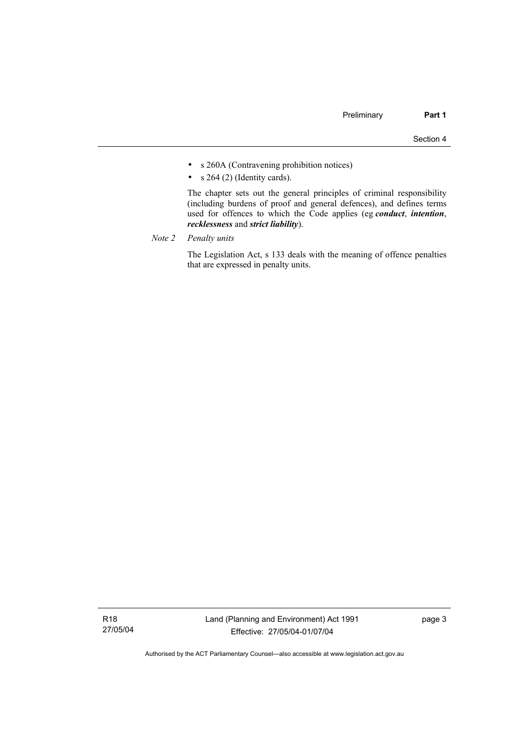- s 260A (Contravening prohibition notices)
- $s$  264 (2) (Identity cards).

 The chapter sets out the general principles of criminal responsibility (including burdens of proof and general defences), and defines terms used for offences to which the Code applies (eg *conduct*, *intention*, *recklessness* and *strict liability*).

*Note 2 Penalty units*

 The Legislation Act, s 133 deals with the meaning of offence penalties that are expressed in penalty units.

R18 27/05/04 page 3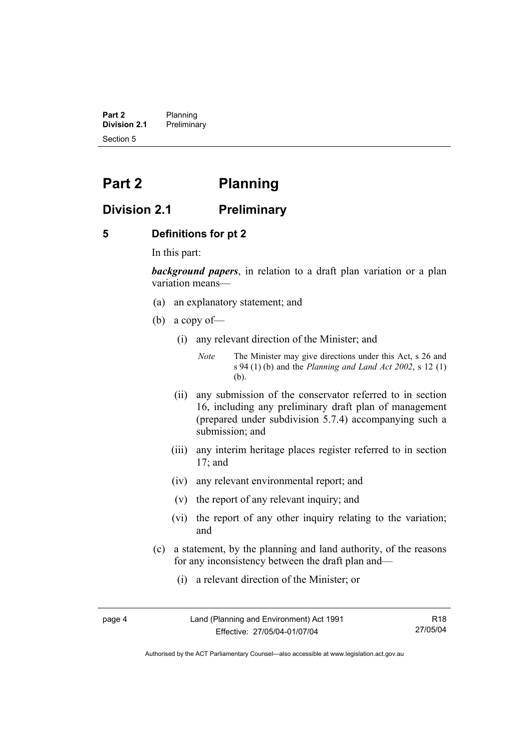**Part 2** Planning<br>**Division 2.1** Prelimina **Division 2.1** Preliminary Section 5

# **Part 2 Planning**

# **Division 2.1 Preliminary**

### **5 Definitions for pt 2**

In this part:

*background papers*, in relation to a draft plan variation or a plan variation means—

- (a) an explanatory statement; and
- (b) a copy of—
	- (i) any relevant direction of the Minister; and

*Note* The Minister may give directions under this Act, s 26 and s 94 (1) (b) and the *Planning and Land Act 2002*, s 12 (1) (b).

- (ii) any submission of the conservator referred to in section 16, including any preliminary draft plan of management (prepared under subdivision 5.7.4) accompanying such a submission; and
- (iii) any interim heritage places register referred to in section 17; and
- (iv) any relevant environmental report; and
- (v) the report of any relevant inquiry; and
- (vi) the report of any other inquiry relating to the variation; and
- (c) a statement, by the planning and land authority, of the reasons for any inconsistency between the draft plan and—
	- (i) a relevant direction of the Minister; or

page 4 Land (Planning and Environment) Act 1991 Effective: 27/05/04-01/07/04

R18 27/05/04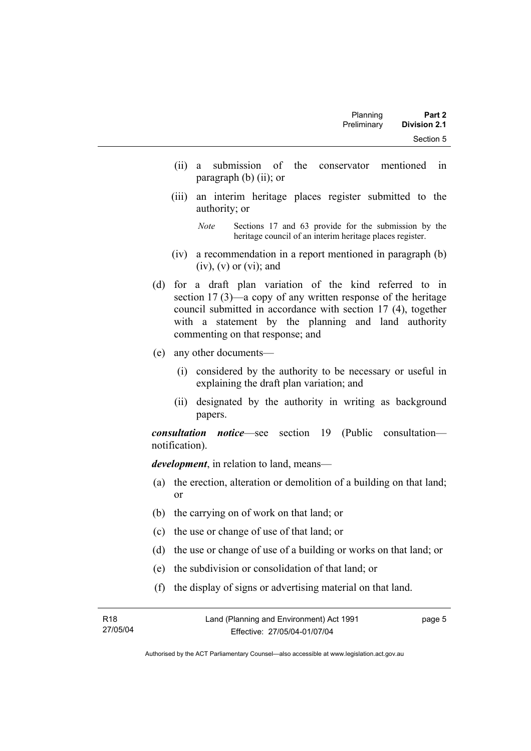| Planning<br>Preliminary | Part 2                           |  |
|-------------------------|----------------------------------|--|
|                         | <b>Division 2.1</b><br>Section 5 |  |

- (ii) a submission of the conservator mentioned in paragraph (b) (ii); or
- (iii) an interim heritage places register submitted to the authority; or

*Note* Sections 17 and 63 provide for the submission by the heritage council of an interim heritage places register.

- (iv) a recommendation in a report mentioned in paragraph (b)  $(iv)$ ,  $(v)$  or  $(vi)$ ; and
- (d) for a draft plan variation of the kind referred to in section 17 (3)—a copy of any written response of the heritage council submitted in accordance with section 17 (4), together with a statement by the planning and land authority commenting on that response; and
- (e) any other documents—
	- (i) considered by the authority to be necessary or useful in explaining the draft plan variation; and
	- (ii) designated by the authority in writing as background papers.

*consultation notice*—see section 19 (Public consultation notification).

*development*, in relation to land, means—

- (a) the erection, alteration or demolition of a building on that land; or
- (b) the carrying on of work on that land; or
- (c) the use or change of use of that land; or
- (d) the use or change of use of a building or works on that land; or
- (e) the subdivision or consolidation of that land; or
- (f) the display of signs or advertising material on that land.

page 5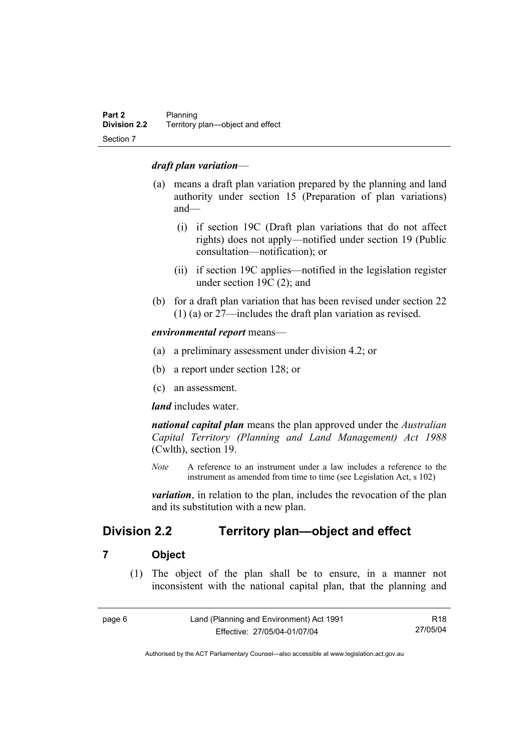## *draft plan variation*—

- (a) means a draft plan variation prepared by the planning and land authority under section 15 (Preparation of plan variations) and—
	- (i) if section 19C (Draft plan variations that do not affect rights) does not apply—notified under section 19 (Public consultation—notification); or
	- (ii) if section 19C applies—notified in the legislation register under section 19C (2); and
- (b) for a draft plan variation that has been revised under section 22 (1) (a) or 27—includes the draft plan variation as revised.

*environmental report* means—

- (a) a preliminary assessment under division 4.2; or
- (b) a report under section 128; or
- (c) an assessment.

*land* includes water.

*national capital plan* means the plan approved under the *Australian Capital Territory (Planning and Land Management) Act 1988* (Cwlth), section 19.

*Note* A reference to an instrument under a law includes a reference to the instrument as amended from time to time (see Legislation Act, s 102)

*variation*, in relation to the plan, includes the revocation of the plan and its substitution with a new plan.

# **Division 2.2 Territory plan—object and effect**

## **7 Object**

 (1) The object of the plan shall be to ensure, in a manner not inconsistent with the national capital plan, that the planning and

| page 6 | Land (Planning and Environment) Act 1991 | R <sub>18</sub> |
|--------|------------------------------------------|-----------------|
|        | Effective: 27/05/04-01/07/04             | 27/05/04        |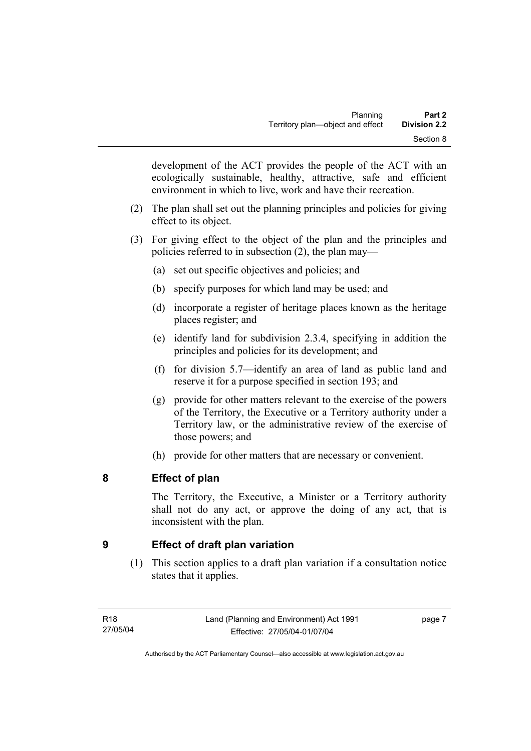development of the ACT provides the people of the ACT with an ecologically sustainable, healthy, attractive, safe and efficient environment in which to live, work and have their recreation.

- (2) The plan shall set out the planning principles and policies for giving effect to its object.
- (3) For giving effect to the object of the plan and the principles and policies referred to in subsection (2), the plan may—
	- (a) set out specific objectives and policies; and
	- (b) specify purposes for which land may be used; and
	- (d) incorporate a register of heritage places known as the heritage places register; and
	- (e) identify land for subdivision 2.3.4, specifying in addition the principles and policies for its development; and
	- (f) for division 5.7—identify an area of land as public land and reserve it for a purpose specified in section 193; and
	- (g) provide for other matters relevant to the exercise of the powers of the Territory, the Executive or a Territory authority under a Territory law, or the administrative review of the exercise of those powers; and
	- (h) provide for other matters that are necessary or convenient.

# **8 Effect of plan**

The Territory, the Executive, a Minister or a Territory authority shall not do any act, or approve the doing of any act, that is inconsistent with the plan.

# **9 Effect of draft plan variation**

 (1) This section applies to a draft plan variation if a consultation notice states that it applies.

page 7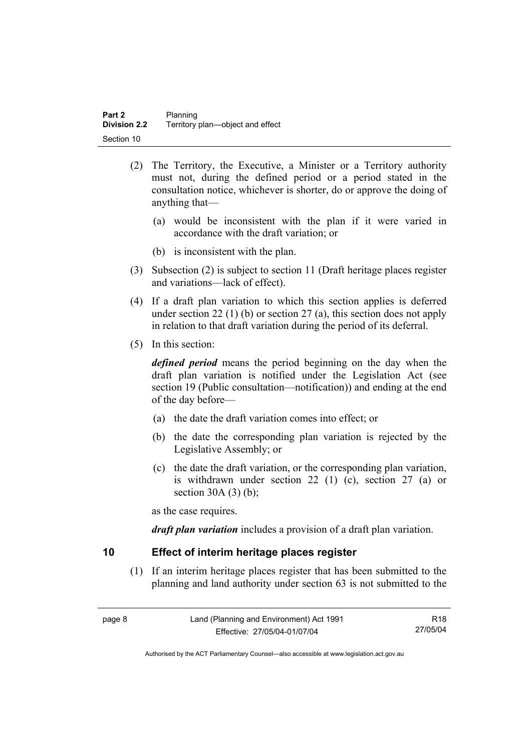- (2) The Territory, the Executive, a Minister or a Territory authority must not, during the defined period or a period stated in the consultation notice, whichever is shorter, do or approve the doing of anything that—
	- (a) would be inconsistent with the plan if it were varied in accordance with the draft variation; or
	- (b) is inconsistent with the plan.
- (3) Subsection (2) is subject to section 11 (Draft heritage places register and variations—lack of effect).
- (4) If a draft plan variation to which this section applies is deferred under section 22 (1) (b) or section 27 (a), this section does not apply in relation to that draft variation during the period of its deferral.
- (5) In this section:

*defined period* means the period beginning on the day when the draft plan variation is notified under the Legislation Act (see section 19 (Public consultation—notification)) and ending at the end of the day before—

- (a) the date the draft variation comes into effect; or
- (b) the date the corresponding plan variation is rejected by the Legislative Assembly; or
- (c) the date the draft variation, or the corresponding plan variation, is withdrawn under section 22 (1) (c), section 27 (a) or section  $30A(3)(b)$ ;

as the case requires.

*draft plan variation* includes a provision of a draft plan variation.

## **10 Effect of interim heritage places register**

 (1) If an interim heritage places register that has been submitted to the planning and land authority under section 63 is not submitted to the

| page 8 | Land (Planning and Environment) Act 1991 | R18      |
|--------|------------------------------------------|----------|
|        | Effective: 27/05/04-01/07/04             | 27/05/04 |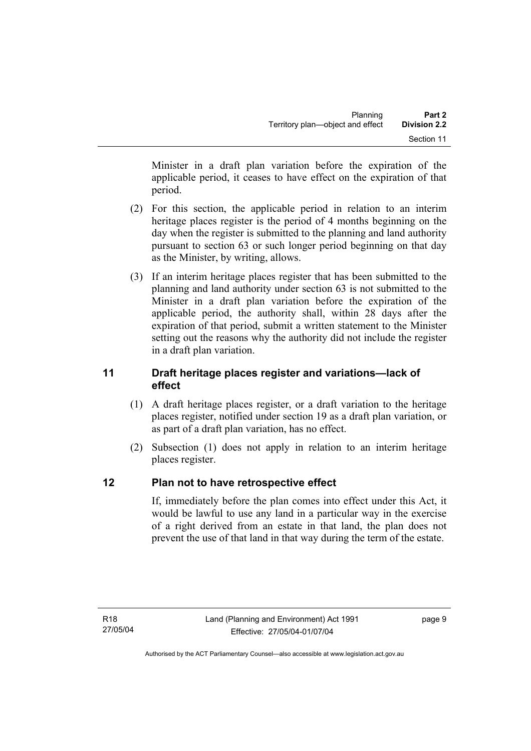Minister in a draft plan variation before the expiration of the applicable period, it ceases to have effect on the expiration of that period.

- (2) For this section, the applicable period in relation to an interim heritage places register is the period of 4 months beginning on the day when the register is submitted to the planning and land authority pursuant to section 63 or such longer period beginning on that day as the Minister, by writing, allows.
- (3) If an interim heritage places register that has been submitted to the planning and land authority under section 63 is not submitted to the Minister in a draft plan variation before the expiration of the applicable period, the authority shall, within 28 days after the expiration of that period, submit a written statement to the Minister setting out the reasons why the authority did not include the register in a draft plan variation.

# **11 Draft heritage places register and variations—lack of effect**

- (1) A draft heritage places register, or a draft variation to the heritage places register, notified under section 19 as a draft plan variation, or as part of a draft plan variation, has no effect.
- (2) Subsection (1) does not apply in relation to an interim heritage places register.

# **12 Plan not to have retrospective effect**

If, immediately before the plan comes into effect under this Act, it would be lawful to use any land in a particular way in the exercise of a right derived from an estate in that land, the plan does not prevent the use of that land in that way during the term of the estate.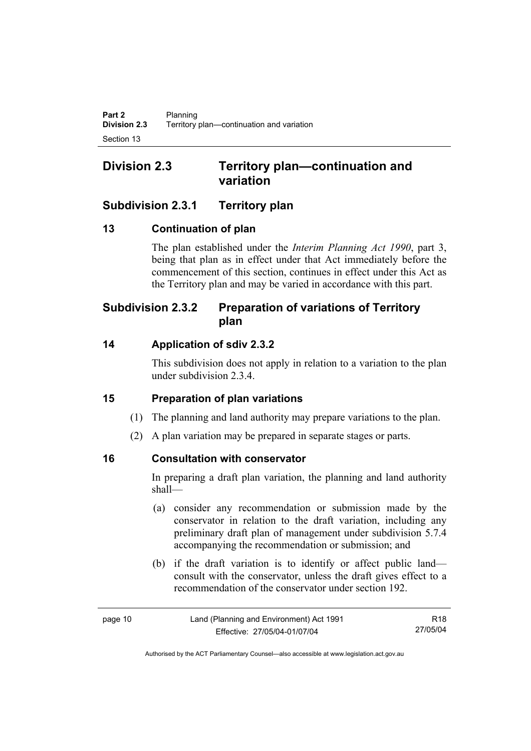# **Division 2.3 Territory plan—continuation and variation**

# **Subdivision 2.3.1 Territory plan**

# **13 Continuation of plan**

The plan established under the *Interim Planning Act 1990*, part 3, being that plan as in effect under that Act immediately before the commencement of this section, continues in effect under this Act as the Territory plan and may be varied in accordance with this part.

# **Subdivision 2.3.2 Preparation of variations of Territory plan**

# **14 Application of sdiv 2.3.2**

This subdivision does not apply in relation to a variation to the plan under subdivision 2.3.4.

# **15 Preparation of plan variations**

- (1) The planning and land authority may prepare variations to the plan.
- (2) A plan variation may be prepared in separate stages or parts.

# **16 Consultation with conservator**

In preparing a draft plan variation, the planning and land authority shall—

- (a) consider any recommendation or submission made by the conservator in relation to the draft variation, including any preliminary draft plan of management under subdivision 5.7.4 accompanying the recommendation or submission; and
- (b) if the draft variation is to identify or affect public land consult with the conservator, unless the draft gives effect to a recommendation of the conservator under section 192.

R18 27/05/04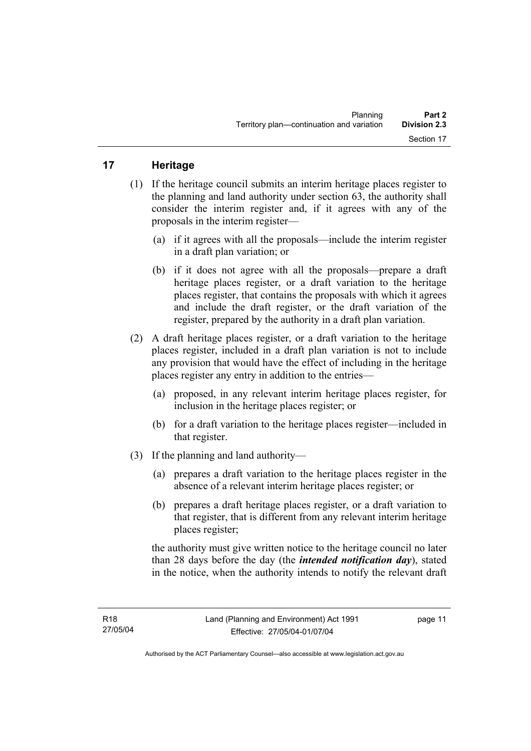# **17 Heritage**

- (1) If the heritage council submits an interim heritage places register to the planning and land authority under section 63, the authority shall consider the interim register and, if it agrees with any of the proposals in the interim register—
	- (a) if it agrees with all the proposals—include the interim register in a draft plan variation; or
	- (b) if it does not agree with all the proposals—prepare a draft heritage places register, or a draft variation to the heritage places register, that contains the proposals with which it agrees and include the draft register, or the draft variation of the register, prepared by the authority in a draft plan variation.
- (2) A draft heritage places register, or a draft variation to the heritage places register, included in a draft plan variation is not to include any provision that would have the effect of including in the heritage places register any entry in addition to the entries—
	- (a) proposed, in any relevant interim heritage places register, for inclusion in the heritage places register; or
	- (b) for a draft variation to the heritage places register—included in that register.
- (3) If the planning and land authority—
	- (a) prepares a draft variation to the heritage places register in the absence of a relevant interim heritage places register; or
	- (b) prepares a draft heritage places register, or a draft variation to that register, that is different from any relevant interim heritage places register;

the authority must give written notice to the heritage council no later than 28 days before the day (the *intended notification day*), stated in the notice, when the authority intends to notify the relevant draft

page 11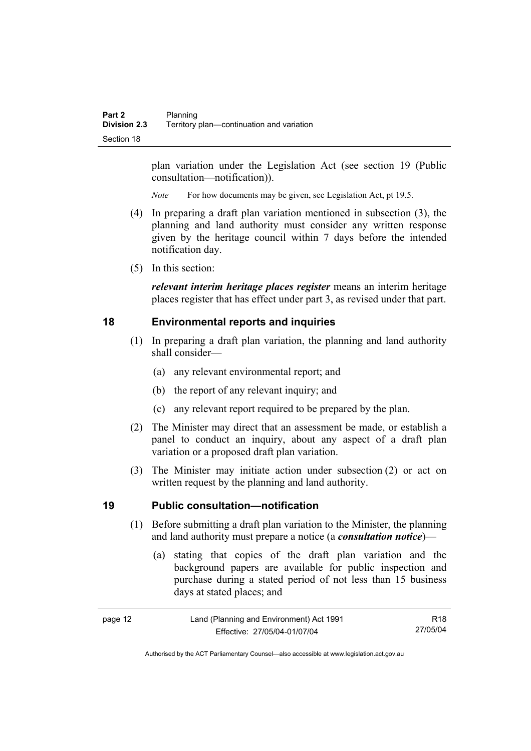plan variation under the Legislation Act (see section 19 (Public consultation—notification)).

*Note* For how documents may be given, see Legislation Act, pt 19.5.

- (4) In preparing a draft plan variation mentioned in subsection (3), the planning and land authority must consider any written response given by the heritage council within 7 days before the intended notification day.
- (5) In this section:

*relevant interim heritage places register* means an interim heritage places register that has effect under part 3, as revised under that part.

## **18 Environmental reports and inquiries**

- (1) In preparing a draft plan variation, the planning and land authority shall consider—
	- (a) any relevant environmental report; and
	- (b) the report of any relevant inquiry; and
	- (c) any relevant report required to be prepared by the plan.
- (2) The Minister may direct that an assessment be made, or establish a panel to conduct an inquiry, about any aspect of a draft plan variation or a proposed draft plan variation.
- (3) The Minister may initiate action under subsection (2) or act on written request by the planning and land authority.

#### **19 Public consultation—notification**

- (1) Before submitting a draft plan variation to the Minister, the planning and land authority must prepare a notice (a *consultation notice*)—
	- (a) stating that copies of the draft plan variation and the background papers are available for public inspection and purchase during a stated period of not less than 15 business days at stated places; and

| page 12 | Land (Planning and Environment) Act 1991 | R <sub>18</sub> |
|---------|------------------------------------------|-----------------|
|         | Effective: 27/05/04-01/07/04             | 27/05/04        |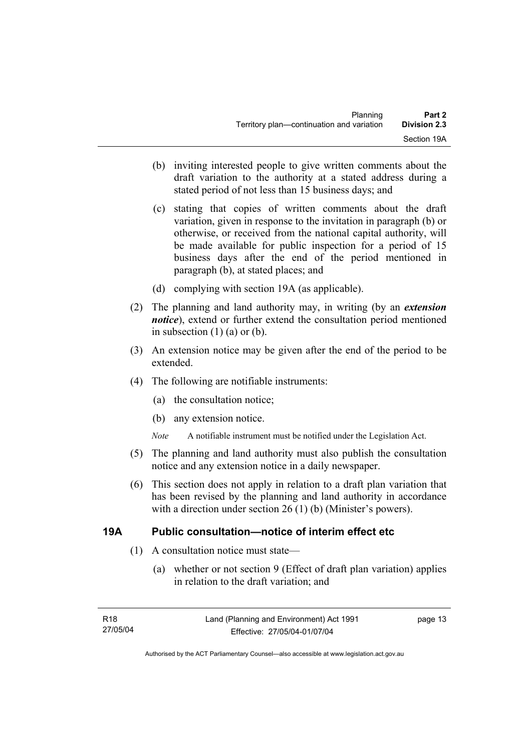- (b) inviting interested people to give written comments about the draft variation to the authority at a stated address during a stated period of not less than 15 business days; and
- (c) stating that copies of written comments about the draft variation, given in response to the invitation in paragraph (b) or otherwise, or received from the national capital authority, will be made available for public inspection for a period of 15 business days after the end of the period mentioned in paragraph (b), at stated places; and
- (d) complying with section 19A (as applicable).
- (2) The planning and land authority may, in writing (by an *extension notice*), extend or further extend the consultation period mentioned in subsection  $(1)$   $(a)$  or  $(b)$ .
- (3) An extension notice may be given after the end of the period to be extended.
- (4) The following are notifiable instruments:
	- (a) the consultation notice;
	- (b) any extension notice.
	- *Note* A notifiable instrument must be notified under the Legislation Act.
- (5) The planning and land authority must also publish the consultation notice and any extension notice in a daily newspaper.
- (6) This section does not apply in relation to a draft plan variation that has been revised by the planning and land authority in accordance with a direction under section 26 (1) (b) (Minister's powers).

## **19A Public consultation—notice of interim effect etc**

- (1) A consultation notice must state—
	- (a) whether or not section 9 (Effect of draft plan variation) applies in relation to the draft variation; and

page 13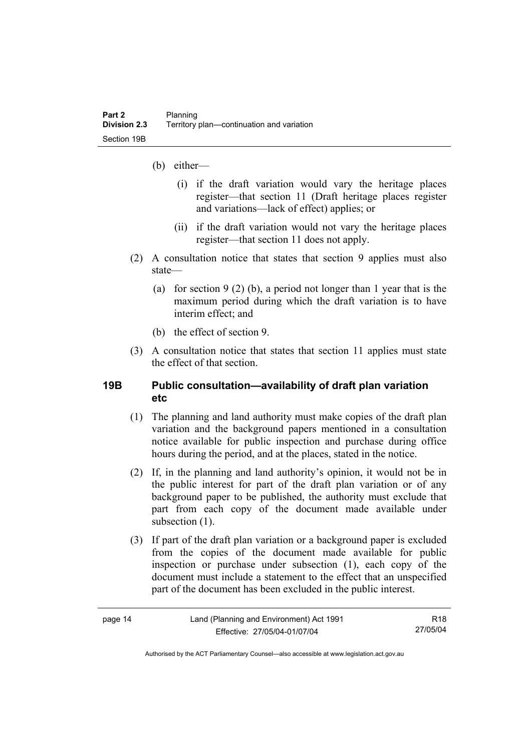- (b) either—
	- (i) if the draft variation would vary the heritage places register—that section 11 (Draft heritage places register and variations—lack of effect) applies; or
	- (ii) if the draft variation would not vary the heritage places register—that section 11 does not apply.
- (2) A consultation notice that states that section 9 applies must also state—
	- (a) for section 9 (2) (b), a period not longer than 1 year that is the maximum period during which the draft variation is to have interim effect; and
	- (b) the effect of section 9.
- (3) A consultation notice that states that section 11 applies must state the effect of that section.

## **19B Public consultation—availability of draft plan variation etc**

- (1) The planning and land authority must make copies of the draft plan variation and the background papers mentioned in a consultation notice available for public inspection and purchase during office hours during the period, and at the places, stated in the notice.
- (2) If, in the planning and land authority's opinion, it would not be in the public interest for part of the draft plan variation or of any background paper to be published, the authority must exclude that part from each copy of the document made available under subsection  $(1)$ .
- (3) If part of the draft plan variation or a background paper is excluded from the copies of the document made available for public inspection or purchase under subsection (1), each copy of the document must include a statement to the effect that an unspecified part of the document has been excluded in the public interest.

| c |  |
|---|--|
|---|--|

R18 27/05/04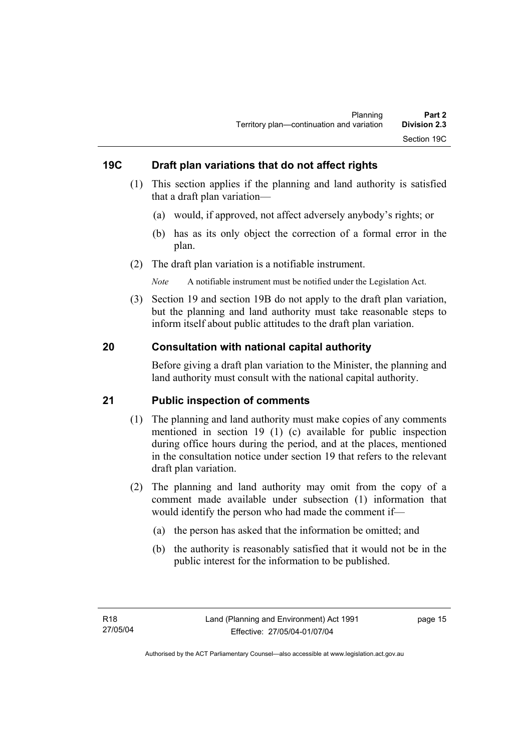# **19C Draft plan variations that do not affect rights**

- (1) This section applies if the planning and land authority is satisfied that a draft plan variation—
	- (a) would, if approved, not affect adversely anybody's rights; or
	- (b) has as its only object the correction of a formal error in the plan.
- (2) The draft plan variation is a notifiable instrument.

*Note* A notifiable instrument must be notified under the Legislation Act.

 (3) Section 19 and section 19B do not apply to the draft plan variation, but the planning and land authority must take reasonable steps to inform itself about public attitudes to the draft plan variation.

# **20 Consultation with national capital authority**

Before giving a draft plan variation to the Minister, the planning and land authority must consult with the national capital authority.

## **21 Public inspection of comments**

- (1) The planning and land authority must make copies of any comments mentioned in section 19 (1) (c) available for public inspection during office hours during the period, and at the places, mentioned in the consultation notice under section 19 that refers to the relevant draft plan variation.
- (2) The planning and land authority may omit from the copy of a comment made available under subsection (1) information that would identify the person who had made the comment if—
	- (a) the person has asked that the information be omitted; and
	- (b) the authority is reasonably satisfied that it would not be in the public interest for the information to be published.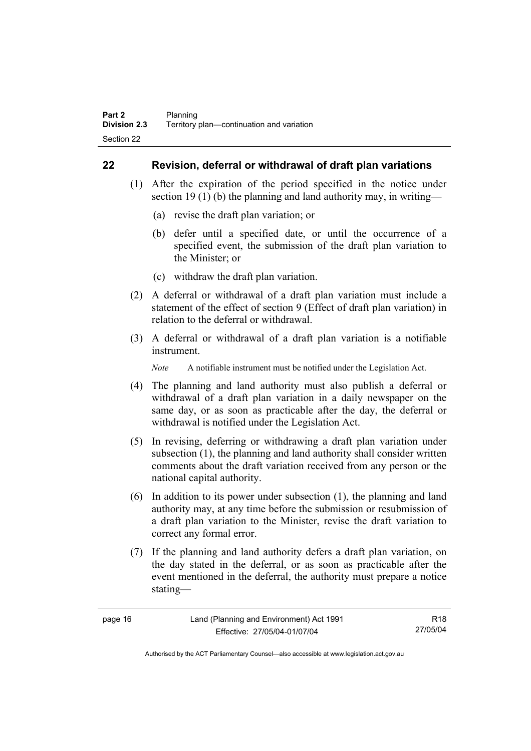## **22 Revision, deferral or withdrawal of draft plan variations**

- (1) After the expiration of the period specified in the notice under section 19 (1) (b) the planning and land authority may, in writing—
	- (a) revise the draft plan variation; or
	- (b) defer until a specified date, or until the occurrence of a specified event, the submission of the draft plan variation to the Minister; or
	- (c) withdraw the draft plan variation.
- (2) A deferral or withdrawal of a draft plan variation must include a statement of the effect of section 9 (Effect of draft plan variation) in relation to the deferral or withdrawal.
- (3) A deferral or withdrawal of a draft plan variation is a notifiable instrument.

*Note* A notifiable instrument must be notified under the Legislation Act.

- (4) The planning and land authority must also publish a deferral or withdrawal of a draft plan variation in a daily newspaper on the same day, or as soon as practicable after the day, the deferral or withdrawal is notified under the Legislation Act.
- (5) In revising, deferring or withdrawing a draft plan variation under subsection (1), the planning and land authority shall consider written comments about the draft variation received from any person or the national capital authority.
- (6) In addition to its power under subsection (1), the planning and land authority may, at any time before the submission or resubmission of a draft plan variation to the Minister, revise the draft variation to correct any formal error.
- (7) If the planning and land authority defers a draft plan variation, on the day stated in the deferral, or as soon as practicable after the event mentioned in the deferral, the authority must prepare a notice stating—

R18 27/05/04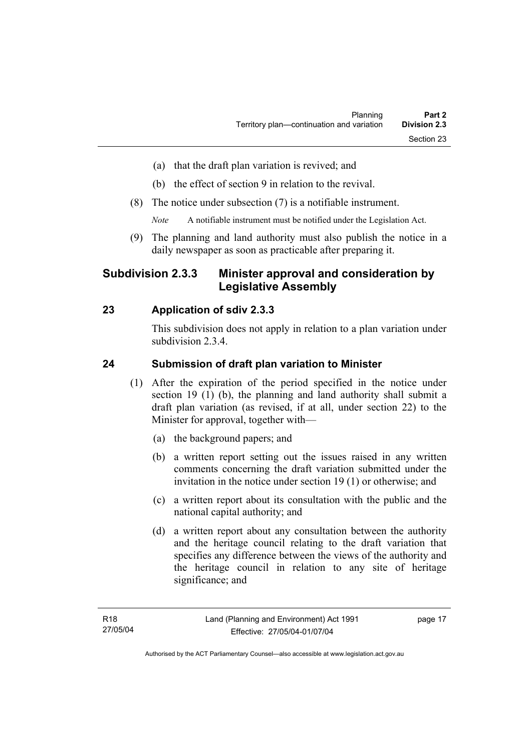- (a) that the draft plan variation is revived; and
- (b) the effect of section 9 in relation to the revival.
- (8) The notice under subsection (7) is a notifiable instrument.

*Note* A notifiable instrument must be notified under the Legislation Act.

(9) The planning and land authority must also publish the notice in a daily newspaper as soon as practicable after preparing it.

# **Subdivision 2.3.3 Minister approval and consideration by Legislative Assembly**

# **23 Application of sdiv 2.3.3**

This subdivision does not apply in relation to a plan variation under subdivision 2.3.4.

## **24 Submission of draft plan variation to Minister**

- (1) After the expiration of the period specified in the notice under section 19 (1) (b), the planning and land authority shall submit a draft plan variation (as revised, if at all, under section 22) to the Minister for approval, together with—
	- (a) the background papers; and
	- (b) a written report setting out the issues raised in any written comments concerning the draft variation submitted under the invitation in the notice under section 19 (1) or otherwise; and
	- (c) a written report about its consultation with the public and the national capital authority; and
	- (d) a written report about any consultation between the authority and the heritage council relating to the draft variation that specifies any difference between the views of the authority and the heritage council in relation to any site of heritage significance; and

page 17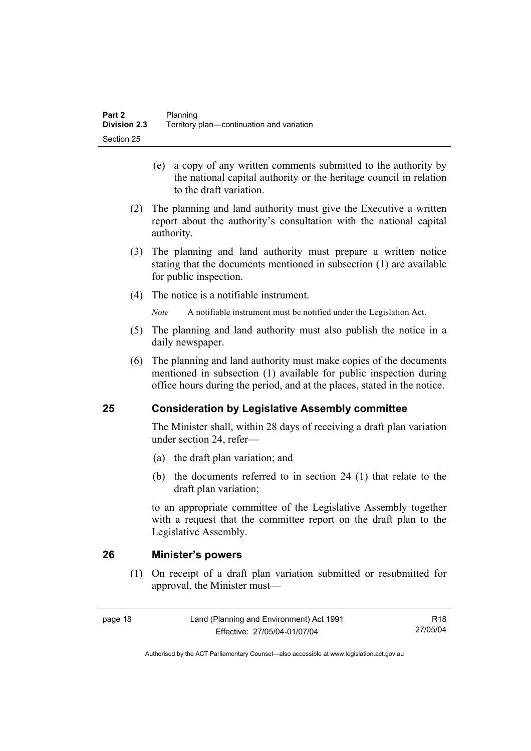- (e) a copy of any written comments submitted to the authority by the national capital authority or the heritage council in relation to the draft variation.
- (2) The planning and land authority must give the Executive a written report about the authority's consultation with the national capital authority.
- (3) The planning and land authority must prepare a written notice stating that the documents mentioned in subsection (1) are available for public inspection.
- (4) The notice is a notifiable instrument.

*Note* A notifiable instrument must be notified under the Legislation Act.

- (5) The planning and land authority must also publish the notice in a daily newspaper.
- (6) The planning and land authority must make copies of the documents mentioned in subsection (1) available for public inspection during office hours during the period, and at the places, stated in the notice.

# **25 Consideration by Legislative Assembly committee**

The Minister shall, within 28 days of receiving a draft plan variation under section 24, refer—

- (a) the draft plan variation; and
- (b) the documents referred to in section 24 (1) that relate to the draft plan variation;

to an appropriate committee of the Legislative Assembly together with a request that the committee report on the draft plan to the Legislative Assembly.

## **26 Minister's powers**

 (1) On receipt of a draft plan variation submitted or resubmitted for approval, the Minister must—

R18 27/05/04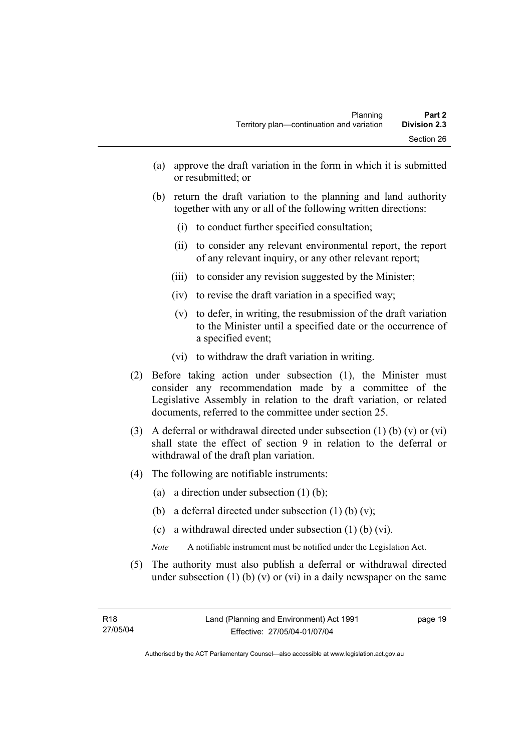- (a) approve the draft variation in the form in which it is submitted or resubmitted; or
- (b) return the draft variation to the planning and land authority together with any or all of the following written directions:
	- (i) to conduct further specified consultation;
	- (ii) to consider any relevant environmental report, the report of any relevant inquiry, or any other relevant report;
	- (iii) to consider any revision suggested by the Minister;
	- (iv) to revise the draft variation in a specified way;
	- (v) to defer, in writing, the resubmission of the draft variation to the Minister until a specified date or the occurrence of a specified event;
	- (vi) to withdraw the draft variation in writing.
- (2) Before taking action under subsection (1), the Minister must consider any recommendation made by a committee of the Legislative Assembly in relation to the draft variation, or related documents, referred to the committee under section 25.
- (3) A deferral or withdrawal directed under subsection (1) (b) (v) or (vi) shall state the effect of section 9 in relation to the deferral or withdrawal of the draft plan variation.
- (4) The following are notifiable instruments:
	- (a) a direction under subsection (1) (b);
	- (b) a deferral directed under subsection  $(1)$  (b)  $(v)$ ;
	- (c) a withdrawal directed under subsection (1) (b) (vi).
	- *Note* A notifiable instrument must be notified under the Legislation Act.
- (5) The authority must also publish a deferral or withdrawal directed under subsection  $(1)$  (b)  $(v)$  or  $(vi)$  in a daily newspaper on the same

page 19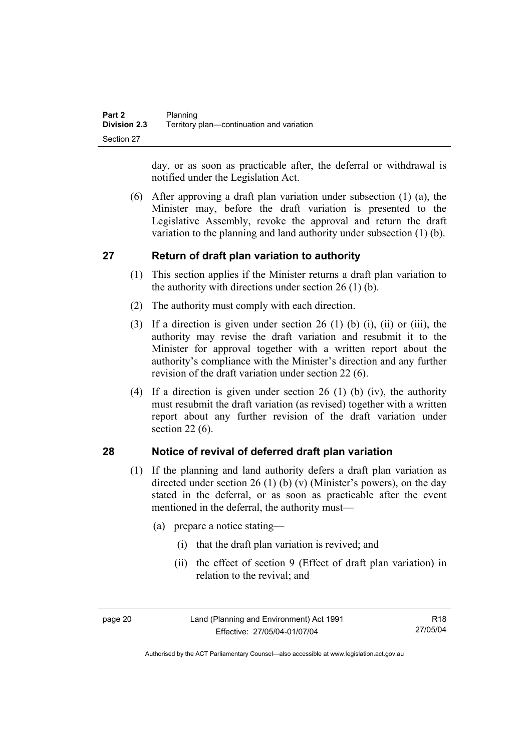day, or as soon as practicable after, the deferral or withdrawal is notified under the Legislation Act.

 (6) After approving a draft plan variation under subsection (1) (a), the Minister may, before the draft variation is presented to the Legislative Assembly, revoke the approval and return the draft variation to the planning and land authority under subsection (1) (b).

# **27 Return of draft plan variation to authority**

- (1) This section applies if the Minister returns a draft plan variation to the authority with directions under section  $26(1)(b)$ .
- (2) The authority must comply with each direction.
- (3) If a direction is given under section 26 (1) (b) (i), (ii) or (iii), the authority may revise the draft variation and resubmit it to the Minister for approval together with a written report about the authority's compliance with the Minister's direction and any further revision of the draft variation under section 22 (6).
- (4) If a direction is given under section 26 (1) (b) (iv), the authority must resubmit the draft variation (as revised) together with a written report about any further revision of the draft variation under section 22 (6).

# **28 Notice of revival of deferred draft plan variation**

- (1) If the planning and land authority defers a draft plan variation as directed under section 26 (1) (b) (v) (Minister's powers), on the day stated in the deferral, or as soon as practicable after the event mentioned in the deferral, the authority must—
	- (a) prepare a notice stating—
		- (i) that the draft plan variation is revived; and
		- (ii) the effect of section 9 (Effect of draft plan variation) in relation to the revival; and

Authorised by the ACT Parliamentary Counsel—also accessible at www.legislation.act.gov.au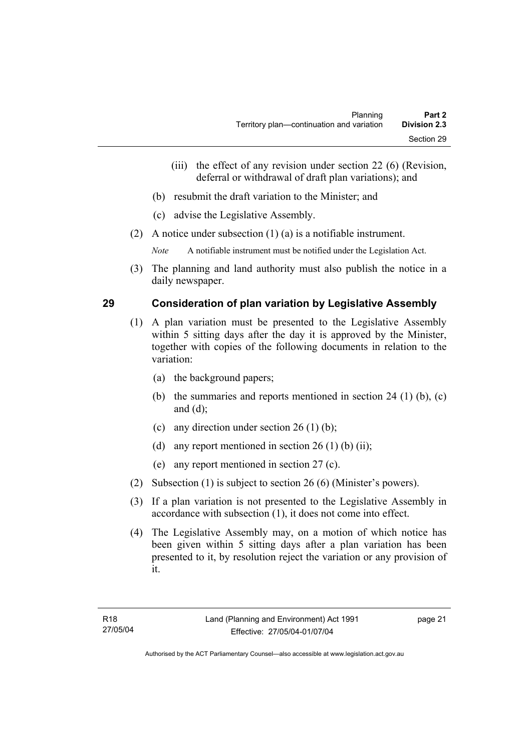- (iii) the effect of any revision under section 22 (6) (Revision, deferral or withdrawal of draft plan variations); and
- (b) resubmit the draft variation to the Minister; and
- (c) advise the Legislative Assembly.
- (2) A notice under subsection (1) (a) is a notifiable instrument.

*Note* A notifiable instrument must be notified under the Legislation Act.

(3) The planning and land authority must also publish the notice in a daily newspaper.

## **29 Consideration of plan variation by Legislative Assembly**

- (1) A plan variation must be presented to the Legislative Assembly within 5 sitting days after the day it is approved by the Minister, together with copies of the following documents in relation to the variation:
	- (a) the background papers;
	- (b) the summaries and reports mentioned in section 24 (1) (b), (c) and (d);
	- (c) any direction under section  $26 (1) (b)$ ;
	- (d) any report mentioned in section  $26(1)$  (b) (ii);
	- (e) any report mentioned in section 27 (c).
- (2) Subsection (1) is subject to section 26 (6) (Minister's powers).
- (3) If a plan variation is not presented to the Legislative Assembly in accordance with subsection (1), it does not come into effect.
- (4) The Legislative Assembly may, on a motion of which notice has been given within 5 sitting days after a plan variation has been presented to it, by resolution reject the variation or any provision of it.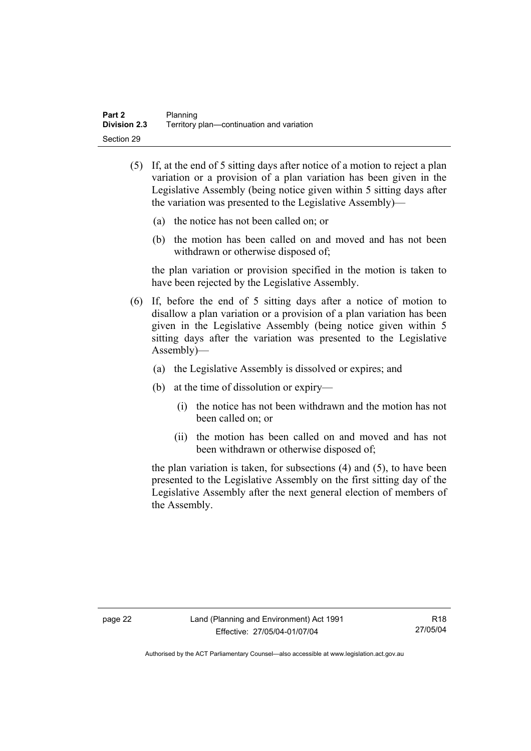- (5) If, at the end of 5 sitting days after notice of a motion to reject a plan variation or a provision of a plan variation has been given in the Legislative Assembly (being notice given within 5 sitting days after the variation was presented to the Legislative Assembly)—
	- (a) the notice has not been called on; or
	- (b) the motion has been called on and moved and has not been withdrawn or otherwise disposed of;

the plan variation or provision specified in the motion is taken to have been rejected by the Legislative Assembly.

- (6) If, before the end of 5 sitting days after a notice of motion to disallow a plan variation or a provision of a plan variation has been given in the Legislative Assembly (being notice given within 5 sitting days after the variation was presented to the Legislative Assembly)—
	- (a) the Legislative Assembly is dissolved or expires; and
	- (b) at the time of dissolution or expiry—
		- (i) the notice has not been withdrawn and the motion has not been called on; or
		- (ii) the motion has been called on and moved and has not been withdrawn or otherwise disposed of;

the plan variation is taken, for subsections (4) and (5), to have been presented to the Legislative Assembly on the first sitting day of the Legislative Assembly after the next general election of members of the Assembly.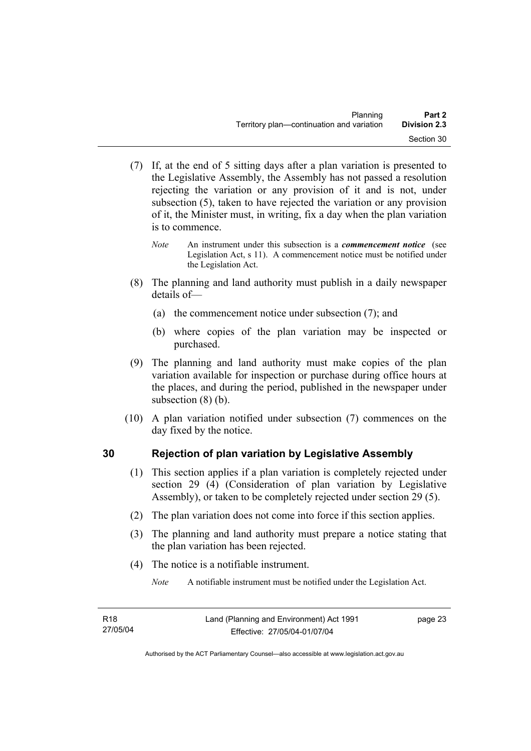- (7) If, at the end of 5 sitting days after a plan variation is presented to the Legislative Assembly, the Assembly has not passed a resolution rejecting the variation or any provision of it and is not, under subsection (5), taken to have rejected the variation or any provision of it, the Minister must, in writing, fix a day when the plan variation is to commence.
	- *Note* An instrument under this subsection is a *commencement notice* (see Legislation Act, s 11). A commencement notice must be notified under the Legislation Act.
- (8) The planning and land authority must publish in a daily newspaper details of—
	- (a) the commencement notice under subsection (7); and
	- (b) where copies of the plan variation may be inspected or purchased.
- (9) The planning and land authority must make copies of the plan variation available for inspection or purchase during office hours at the places, and during the period, published in the newspaper under subsection (8) (b).
- (10) A plan variation notified under subsection (7) commences on the day fixed by the notice.

# **30 Rejection of plan variation by Legislative Assembly**

- (1) This section applies if a plan variation is completely rejected under section 29 (4) (Consideration of plan variation by Legislative Assembly), or taken to be completely rejected under section 29 (5).
- (2) The plan variation does not come into force if this section applies.
- (3) The planning and land authority must prepare a notice stating that the plan variation has been rejected.
- (4) The notice is a notifiable instrument.

*Note* A notifiable instrument must be notified under the Legislation Act.

page 23

Authorised by the ACT Parliamentary Counsel—also accessible at www.legislation.act.gov.au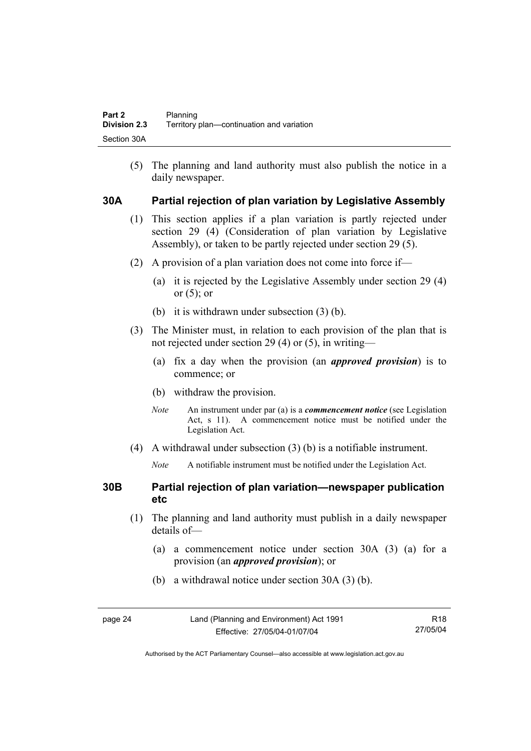(5) The planning and land authority must also publish the notice in a daily newspaper.

## **30A Partial rejection of plan variation by Legislative Assembly**

- (1) This section applies if a plan variation is partly rejected under section 29 (4) (Consideration of plan variation by Legislative Assembly), or taken to be partly rejected under section 29 (5).
- (2) A provision of a plan variation does not come into force if—
	- (a) it is rejected by the Legislative Assembly under section 29 (4) or  $(5)$ ; or
	- (b) it is withdrawn under subsection (3) (b).
- (3) The Minister must, in relation to each provision of the plan that is not rejected under section 29 (4) or (5), in writing—
	- (a) fix a day when the provision (an *approved provision*) is to commence; or
	- (b) withdraw the provision.
	- *Note* An instrument under par (a) is a *commencement notice* (see Legislation Act, s 11). A commencement notice must be notified under the Legislation Act.
- (4) A withdrawal under subsection (3) (b) is a notifiable instrument.
	- *Note* A notifiable instrument must be notified under the Legislation Act.

## **30B Partial rejection of plan variation—newspaper publication etc**

- (1) The planning and land authority must publish in a daily newspaper details of—
	- (a) a commencement notice under section 30A (3) (a) for a provision (an *approved provision*); or
	- (b) a withdrawal notice under section 30A (3) (b).

| age 24 |  |  |
|--------|--|--|
|        |  |  |

Authorised by the ACT Parliamentary Counsel—also accessible at www.legislation.act.gov.au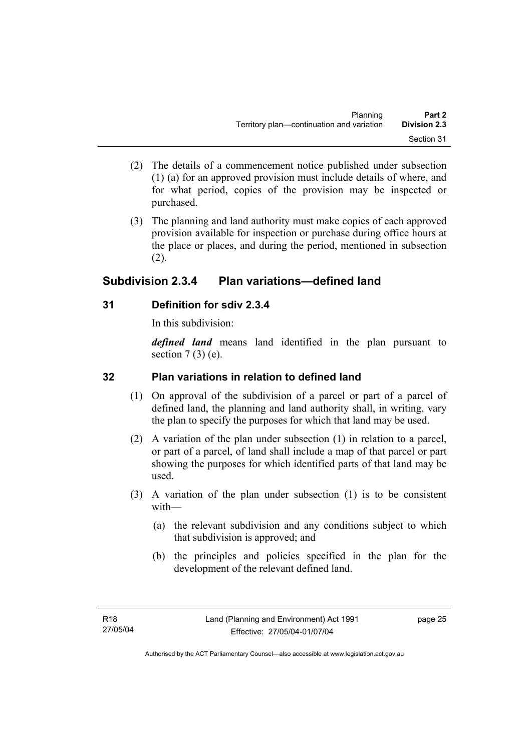- (2) The details of a commencement notice published under subsection (1) (a) for an approved provision must include details of where, and for what period, copies of the provision may be inspected or purchased.
- (3) The planning and land authority must make copies of each approved provision available for inspection or purchase during office hours at the place or places, and during the period, mentioned in subsection (2).

# **Subdivision 2.3.4 Plan variations—defined land**

# **31 Definition for sdiv 2.3.4**

In this subdivision:

*defined land* means land identified in the plan pursuant to section  $7(3)$  (e).

# **32 Plan variations in relation to defined land**

- (1) On approval of the subdivision of a parcel or part of a parcel of defined land, the planning and land authority shall, in writing, vary the plan to specify the purposes for which that land may be used.
- (2) A variation of the plan under subsection (1) in relation to a parcel, or part of a parcel, of land shall include a map of that parcel or part showing the purposes for which identified parts of that land may be used.
- (3) A variation of the plan under subsection (1) is to be consistent with—
	- (a) the relevant subdivision and any conditions subject to which that subdivision is approved; and
	- (b) the principles and policies specified in the plan for the development of the relevant defined land.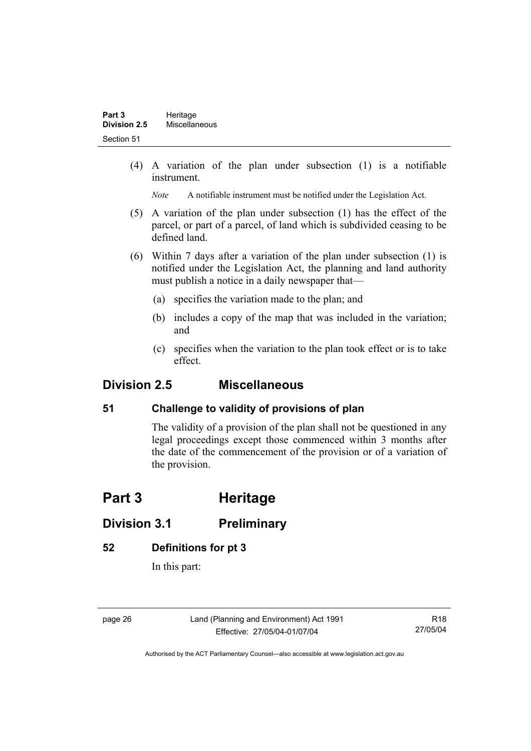(4) A variation of the plan under subsection (1) is a notifiable instrument.

*Note* A notifiable instrument must be notified under the Legislation Act.

- (5) A variation of the plan under subsection (1) has the effect of the parcel, or part of a parcel, of land which is subdivided ceasing to be defined land.
- (6) Within 7 days after a variation of the plan under subsection (1) is notified under the Legislation Act, the planning and land authority must publish a notice in a daily newspaper that—
	- (a) specifies the variation made to the plan; and
	- (b) includes a copy of the map that was included in the variation; and
	- (c) specifies when the variation to the plan took effect or is to take effect.

# **Division 2.5 Miscellaneous**

# **51 Challenge to validity of provisions of plan**

The validity of a provision of the plan shall not be questioned in any legal proceedings except those commenced within 3 months after the date of the commencement of the provision or of a variation of the provision.

# **Part 3 Heritage**

# **Division 3.1 Preliminary**

## **52 Definitions for pt 3**

In this part:

page 26 Land (Planning and Environment) Act 1991 Effective: 27/05/04-01/07/04

R18 27/05/04

Authorised by the ACT Parliamentary Counsel—also accessible at www.legislation.act.gov.au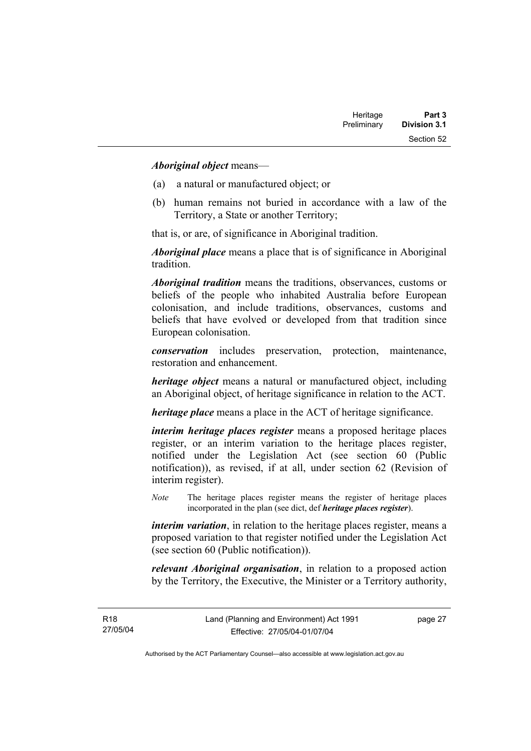#### *Aboriginal object* means—

- (a) a natural or manufactured object; or
- (b) human remains not buried in accordance with a law of the Territory, a State or another Territory;

that is, or are, of significance in Aboriginal tradition.

*Aboriginal place* means a place that is of significance in Aboriginal tradition.

*Aboriginal tradition* means the traditions, observances, customs or beliefs of the people who inhabited Australia before European colonisation, and include traditions, observances, customs and beliefs that have evolved or developed from that tradition since European colonisation.

*conservation* includes preservation, protection, maintenance, restoration and enhancement.

*heritage object* means a natural or manufactured object, including an Aboriginal object, of heritage significance in relation to the ACT.

*heritage place* means a place in the ACT of heritage significance.

*interim heritage places register* means a proposed heritage places register, or an interim variation to the heritage places register, notified under the Legislation Act (see section 60 (Public notification)), as revised, if at all, under section 62 (Revision of interim register).

*Note* The heritage places register means the register of heritage places incorporated in the plan (see dict, def *heritage places register*).

*interim variation*, in relation to the heritage places register, means a proposed variation to that register notified under the Legislation Act (see section 60 (Public notification)).

*relevant Aboriginal organisation*, in relation to a proposed action by the Territory, the Executive, the Minister or a Territory authority,

page 27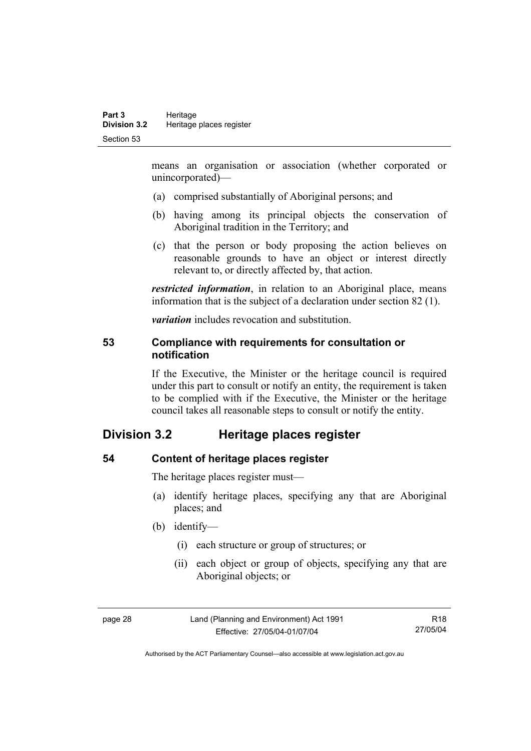means an organisation or association (whether corporated or unincorporated)—

- (a) comprised substantially of Aboriginal persons; and
- (b) having among its principal objects the conservation of Aboriginal tradition in the Territory; and
- (c) that the person or body proposing the action believes on reasonable grounds to have an object or interest directly relevant to, or directly affected by, that action.

*restricted information*, in relation to an Aboriginal place, means information that is the subject of a declaration under section 82 (1).

*variation* includes revocation and substitution.

#### **53 Compliance with requirements for consultation or notification**

If the Executive, the Minister or the heritage council is required under this part to consult or notify an entity, the requirement is taken to be complied with if the Executive, the Minister or the heritage council takes all reasonable steps to consult or notify the entity.

# **Division 3.2 Heritage places register**

#### **54 Content of heritage places register**

The heritage places register must—

- (a) identify heritage places, specifying any that are Aboriginal places; and
- (b) identify—
	- (i) each structure or group of structures; or
	- (ii) each object or group of objects, specifying any that are Aboriginal objects; or

page 28 Land (Planning and Environment) Act 1991 Effective: 27/05/04-01/07/04

R18 27/05/04

Authorised by the ACT Parliamentary Counsel—also accessible at www.legislation.act.gov.au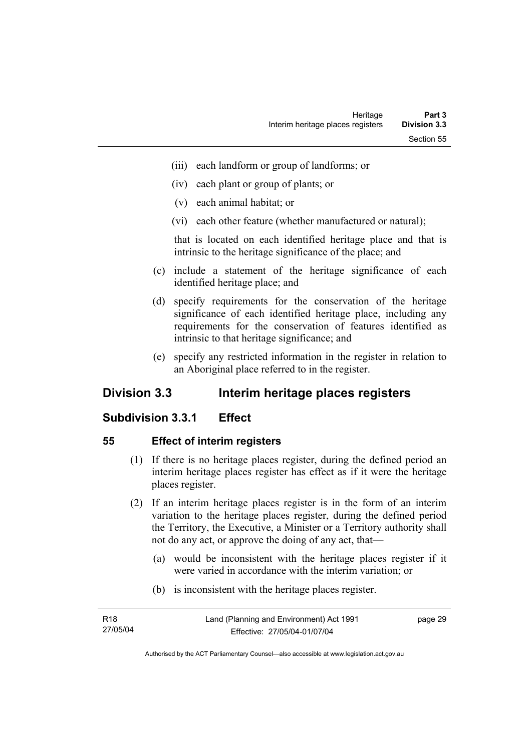- (iii) each landform or group of landforms; or
- (iv) each plant or group of plants; or
- (v) each animal habitat; or
- (vi) each other feature (whether manufactured or natural);

that is located on each identified heritage place and that is intrinsic to the heritage significance of the place; and

- (c) include a statement of the heritage significance of each identified heritage place; and
- (d) specify requirements for the conservation of the heritage significance of each identified heritage place, including any requirements for the conservation of features identified as intrinsic to that heritage significance; and
- (e) specify any restricted information in the register in relation to an Aboriginal place referred to in the register.

# **Division 3.3 Interim heritage places registers**

## **Subdivision 3.3.1 Effect**

#### **55 Effect of interim registers**

- (1) If there is no heritage places register, during the defined period an interim heritage places register has effect as if it were the heritage places register.
- (2) If an interim heritage places register is in the form of an interim variation to the heritage places register, during the defined period the Territory, the Executive, a Minister or a Territory authority shall not do any act, or approve the doing of any act, that—
	- (a) would be inconsistent with the heritage places register if it were varied in accordance with the interim variation; or
	- (b) is inconsistent with the heritage places register.

| R18      | Land (Planning and Environment) Act 1991 | page 29 |
|----------|------------------------------------------|---------|
| 27/05/04 | Effective: 27/05/04-01/07/04             |         |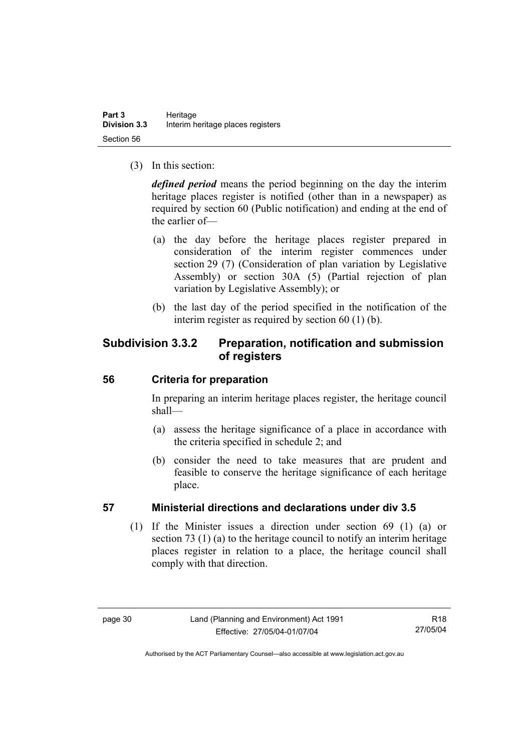(3) In this section:

*defined period* means the period beginning on the day the interim heritage places register is notified (other than in a newspaper) as required by section 60 (Public notification) and ending at the end of the earlier of—

- (a) the day before the heritage places register prepared in consideration of the interim register commences under section 29 (7) (Consideration of plan variation by Legislative Assembly) or section 30A (5) (Partial rejection of plan variation by Legislative Assembly); or
- (b) the last day of the period specified in the notification of the interim register as required by section 60 (1) (b).

# **Subdivision 3.3.2 Preparation, notification and submission of registers**

## **56 Criteria for preparation**

In preparing an interim heritage places register, the heritage council shall—

- (a) assess the heritage significance of a place in accordance with the criteria specified in schedule 2; and
- (b) consider the need to take measures that are prudent and feasible to conserve the heritage significance of each heritage place.

## **57 Ministerial directions and declarations under div 3.5**

 (1) If the Minister issues a direction under section 69 (1) (a) or section 73 (1) (a) to the heritage council to notify an interim heritage places register in relation to a place, the heritage council shall comply with that direction.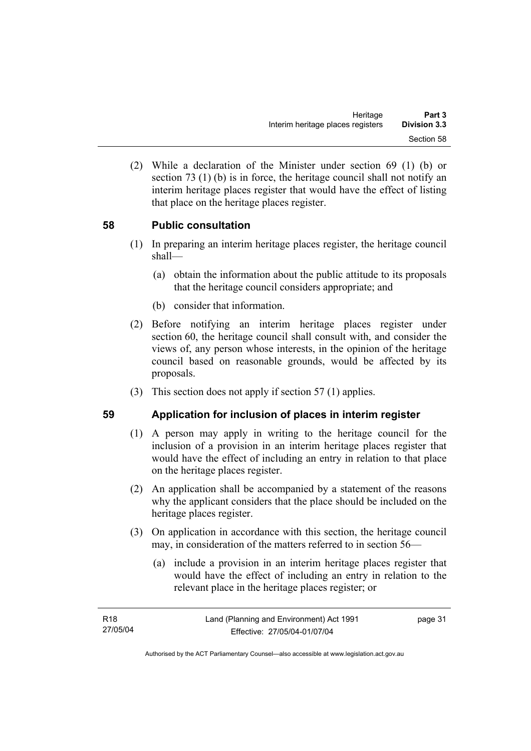(2) While a declaration of the Minister under section 69 (1) (b) or section 73 (1) (b) is in force, the heritage council shall not notify an interim heritage places register that would have the effect of listing that place on the heritage places register.

## **58 Public consultation**

- (1) In preparing an interim heritage places register, the heritage council shall—
	- (a) obtain the information about the public attitude to its proposals that the heritage council considers appropriate; and
	- (b) consider that information.
- (2) Before notifying an interim heritage places register under section 60, the heritage council shall consult with, and consider the views of, any person whose interests, in the opinion of the heritage council based on reasonable grounds, would be affected by its proposals.
- (3) This section does not apply if section 57 (1) applies.

#### **59 Application for inclusion of places in interim register**

- (1) A person may apply in writing to the heritage council for the inclusion of a provision in an interim heritage places register that would have the effect of including an entry in relation to that place on the heritage places register.
- (2) An application shall be accompanied by a statement of the reasons why the applicant considers that the place should be included on the heritage places register.
- (3) On application in accordance with this section, the heritage council may, in consideration of the matters referred to in section 56—
	- (a) include a provision in an interim heritage places register that would have the effect of including an entry in relation to the relevant place in the heritage places register; or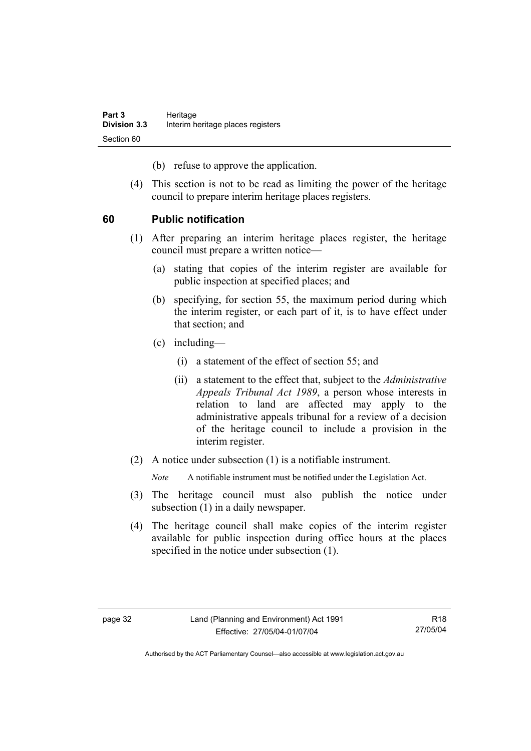(b) refuse to approve the application.

 (4) This section is not to be read as limiting the power of the heritage council to prepare interim heritage places registers.

## **60 Public notification**

- (1) After preparing an interim heritage places register, the heritage council must prepare a written notice—
	- (a) stating that copies of the interim register are available for public inspection at specified places; and
	- (b) specifying, for section 55, the maximum period during which the interim register, or each part of it, is to have effect under that section; and
	- (c) including—
		- (i) a statement of the effect of section 55; and
		- (ii) a statement to the effect that, subject to the *Administrative Appeals Tribunal Act 1989*, a person whose interests in relation to land are affected may apply to the administrative appeals tribunal for a review of a decision of the heritage council to include a provision in the interim register.
- (2) A notice under subsection (1) is a notifiable instrument.

*Note* A notifiable instrument must be notified under the Legislation Act.

- (3) The heritage council must also publish the notice under subsection (1) in a daily newspaper.
- (4) The heritage council shall make copies of the interim register available for public inspection during office hours at the places specified in the notice under subsection (1).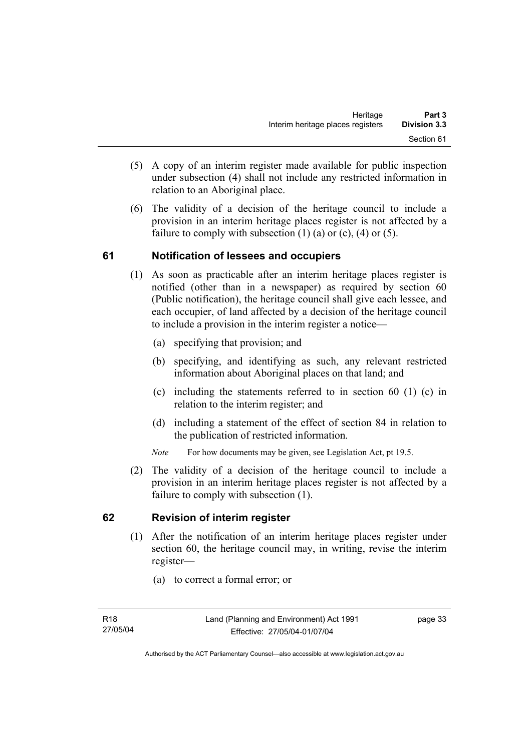- (5) A copy of an interim register made available for public inspection under subsection (4) shall not include any restricted information in relation to an Aboriginal place.
- (6) The validity of a decision of the heritage council to include a provision in an interim heritage places register is not affected by a failure to comply with subsection  $(1)$   $(a)$  or  $(c)$ ,  $(4)$  or  $(5)$ .

## **61 Notification of lessees and occupiers**

- (1) As soon as practicable after an interim heritage places register is notified (other than in a newspaper) as required by section 60 (Public notification), the heritage council shall give each lessee, and each occupier, of land affected by a decision of the heritage council to include a provision in the interim register a notice—
	- (a) specifying that provision; and
	- (b) specifying, and identifying as such, any relevant restricted information about Aboriginal places on that land; and
	- (c) including the statements referred to in section 60 (1) (c) in relation to the interim register; and
	- (d) including a statement of the effect of section 84 in relation to the publication of restricted information.
	- *Note* For how documents may be given, see Legislation Act, pt 19.5.
- (2) The validity of a decision of the heritage council to include a provision in an interim heritage places register is not affected by a failure to comply with subsection (1).

## **62 Revision of interim register**

- (1) After the notification of an interim heritage places register under section 60, the heritage council may, in writing, revise the interim register—
	- (a) to correct a formal error; or

page 33

Authorised by the ACT Parliamentary Counsel—also accessible at www.legislation.act.gov.au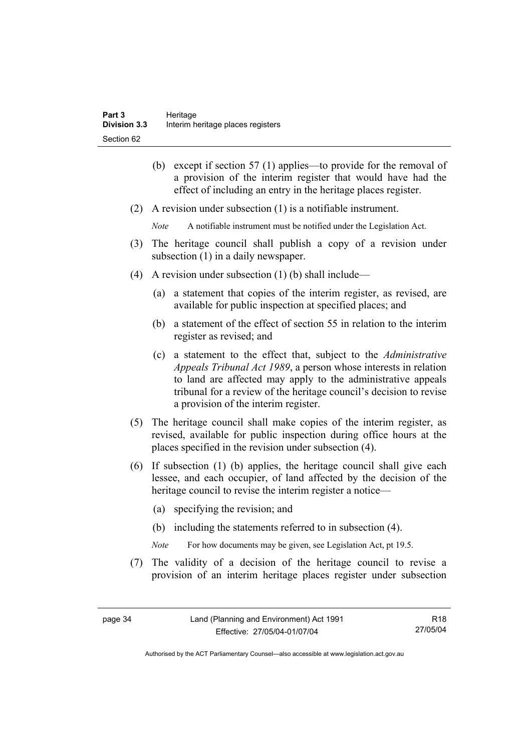- (b) except if section 57 (1) applies—to provide for the removal of a provision of the interim register that would have had the effect of including an entry in the heritage places register.
- (2) A revision under subsection (1) is a notifiable instrument.
	- *Note* A notifiable instrument must be notified under the Legislation Act.
- (3) The heritage council shall publish a copy of a revision under subsection  $(1)$  in a daily newspaper.
- (4) A revision under subsection (1) (b) shall include—
	- (a) a statement that copies of the interim register, as revised, are available for public inspection at specified places; and
	- (b) a statement of the effect of section 55 in relation to the interim register as revised; and
	- (c) a statement to the effect that, subject to the *Administrative Appeals Tribunal Act 1989*, a person whose interests in relation to land are affected may apply to the administrative appeals tribunal for a review of the heritage council's decision to revise a provision of the interim register.
- (5) The heritage council shall make copies of the interim register, as revised, available for public inspection during office hours at the places specified in the revision under subsection (4).
- (6) If subsection (1) (b) applies, the heritage council shall give each lessee, and each occupier, of land affected by the decision of the heritage council to revise the interim register a notice—
	- (a) specifying the revision; and
	- (b) including the statements referred to in subsection (4).
	- *Note* For how documents may be given, see Legislation Act, pt 19.5.
- (7) The validity of a decision of the heritage council to revise a provision of an interim heritage places register under subsection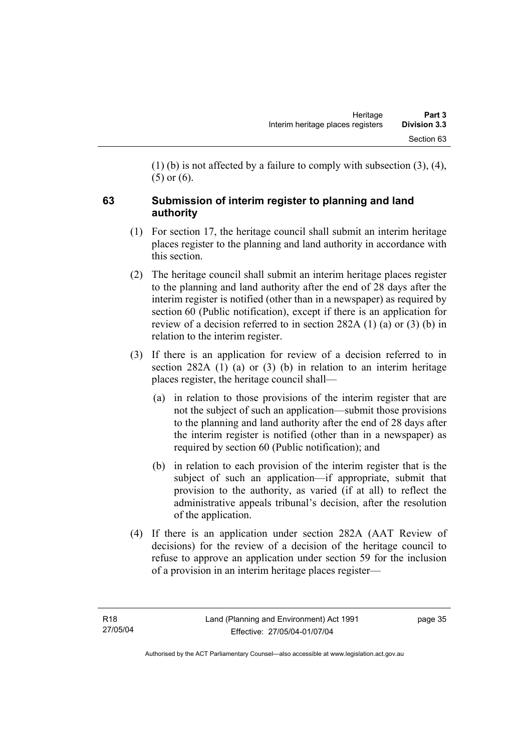(1) (b) is not affected by a failure to comply with subsection (3), (4), (5) or (6).

# **63 Submission of interim register to planning and land authority**

- (1) For section 17, the heritage council shall submit an interim heritage places register to the planning and land authority in accordance with this section.
- (2) The heritage council shall submit an interim heritage places register to the planning and land authority after the end of 28 days after the interim register is notified (other than in a newspaper) as required by section 60 (Public notification), except if there is an application for review of a decision referred to in section 282A (1) (a) or (3) (b) in relation to the interim register.
- (3) If there is an application for review of a decision referred to in section 282A (1) (a) or (3) (b) in relation to an interim heritage places register, the heritage council shall—
	- (a) in relation to those provisions of the interim register that are not the subject of such an application—submit those provisions to the planning and land authority after the end of 28 days after the interim register is notified (other than in a newspaper) as required by section 60 (Public notification); and
	- (b) in relation to each provision of the interim register that is the subject of such an application—if appropriate, submit that provision to the authority, as varied (if at all) to reflect the administrative appeals tribunal's decision, after the resolution of the application.
- (4) If there is an application under section 282A (AAT Review of decisions) for the review of a decision of the heritage council to refuse to approve an application under section 59 for the inclusion of a provision in an interim heritage places register—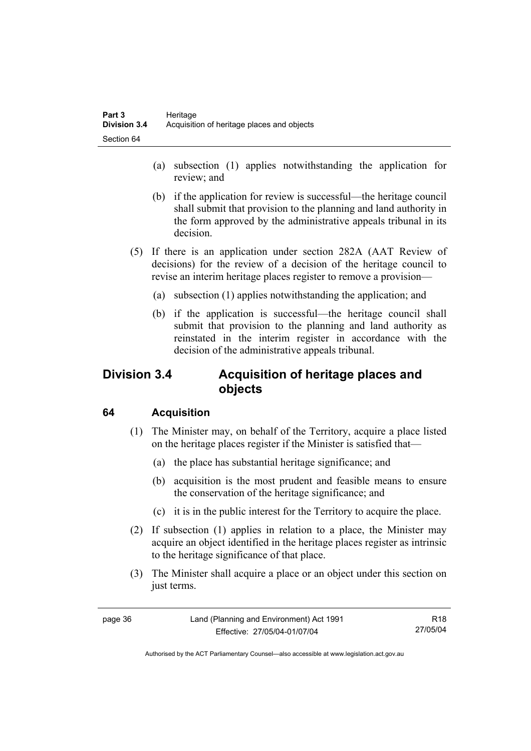- (a) subsection (1) applies notwithstanding the application for review; and
- (b) if the application for review is successful—the heritage council shall submit that provision to the planning and land authority in the form approved by the administrative appeals tribunal in its decision.
- (5) If there is an application under section 282A (AAT Review of decisions) for the review of a decision of the heritage council to revise an interim heritage places register to remove a provision—
	- (a) subsection (1) applies notwithstanding the application; and
	- (b) if the application is successful—the heritage council shall submit that provision to the planning and land authority as reinstated in the interim register in accordance with the decision of the administrative appeals tribunal.

# **Division 3.4 Acquisition of heritage places and objects**

# **64 Acquisition**

- (1) The Minister may, on behalf of the Territory, acquire a place listed on the heritage places register if the Minister is satisfied that—
	- (a) the place has substantial heritage significance; and
	- (b) acquisition is the most prudent and feasible means to ensure the conservation of the heritage significance; and
	- (c) it is in the public interest for the Territory to acquire the place.
- (2) If subsection (1) applies in relation to a place, the Minister may acquire an object identified in the heritage places register as intrinsic to the heritage significance of that place.
- (3) The Minister shall acquire a place or an object under this section on just terms.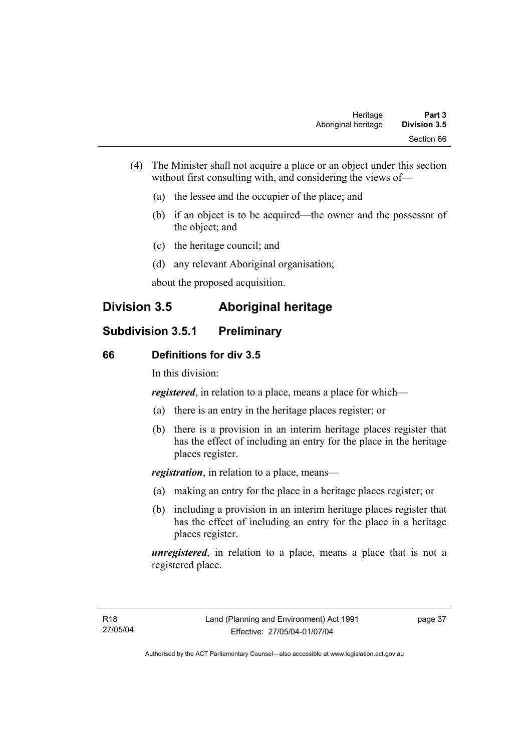- (4) The Minister shall not acquire a place or an object under this section without first consulting with, and considering the views of—
	- (a) the lessee and the occupier of the place; and
	- (b) if an object is to be acquired—the owner and the possessor of the object; and
	- (c) the heritage council; and
	- (d) any relevant Aboriginal organisation;

about the proposed acquisition.

# **Division 3.5 Aboriginal heritage**

# **Subdivision 3.5.1 Preliminary**

#### **66 Definitions for div 3.5**

In this division:

*registered*, in relation to a place, means a place for which—

- (a) there is an entry in the heritage places register; or
- (b) there is a provision in an interim heritage places register that has the effect of including an entry for the place in the heritage places register.

*registration*, in relation to a place, means—

- (a) making an entry for the place in a heritage places register; or
- (b) including a provision in an interim heritage places register that has the effect of including an entry for the place in a heritage places register.

*unregistered*, in relation to a place, means a place that is not a registered place.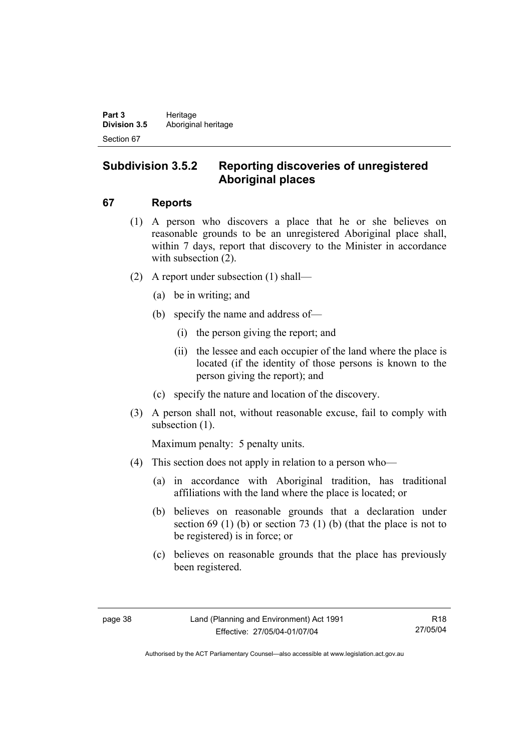# **Subdivision 3.5.2 Reporting discoveries of unregistered Aboriginal places**

## **67 Reports**

- (1) A person who discovers a place that he or she believes on reasonable grounds to be an unregistered Aboriginal place shall, within 7 days, report that discovery to the Minister in accordance with subsection  $(2)$ .
- (2) A report under subsection (1) shall—
	- (a) be in writing; and
	- (b) specify the name and address of—
		- (i) the person giving the report; and
		- (ii) the lessee and each occupier of the land where the place is located (if the identity of those persons is known to the person giving the report); and
	- (c) specify the nature and location of the discovery.
- (3) A person shall not, without reasonable excuse, fail to comply with subsection  $(1)$ .

Maximum penalty: 5 penalty units.

- (4) This section does not apply in relation to a person who—
	- (a) in accordance with Aboriginal tradition, has traditional affiliations with the land where the place is located; or
	- (b) believes on reasonable grounds that a declaration under section  $69$  (1) (b) or section  $73$  (1) (b) (that the place is not to be registered) is in force; or
	- (c) believes on reasonable grounds that the place has previously been registered.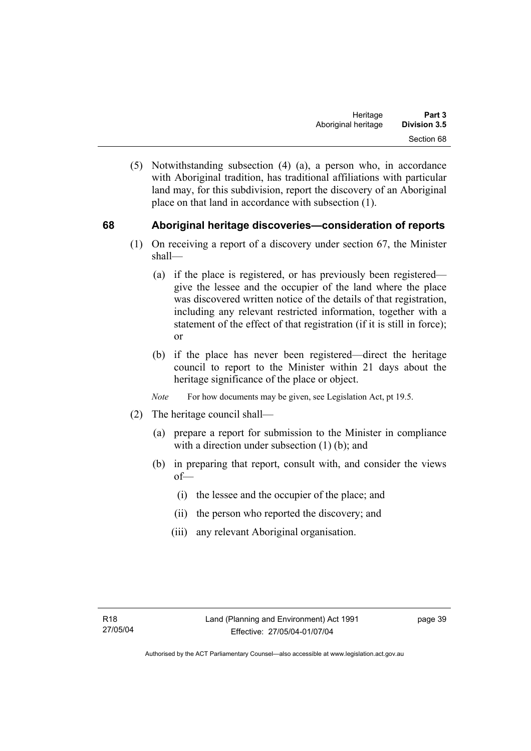(5) Notwithstanding subsection (4) (a), a person who, in accordance with Aboriginal tradition, has traditional affiliations with particular land may, for this subdivision, report the discovery of an Aboriginal place on that land in accordance with subsection (1).

## **68 Aboriginal heritage discoveries—consideration of reports**

- (1) On receiving a report of a discovery under section 67, the Minister shall—
	- (a) if the place is registered, or has previously been registered give the lessee and the occupier of the land where the place was discovered written notice of the details of that registration, including any relevant restricted information, together with a statement of the effect of that registration (if it is still in force); or
	- (b) if the place has never been registered—direct the heritage council to report to the Minister within 21 days about the heritage significance of the place or object.
	- *Note* For how documents may be given, see Legislation Act, pt 19.5.
- (2) The heritage council shall—
	- (a) prepare a report for submission to the Minister in compliance with a direction under subsection (1) (b); and
	- (b) in preparing that report, consult with, and consider the views of—
		- (i) the lessee and the occupier of the place; and
		- (ii) the person who reported the discovery; and
		- (iii) any relevant Aboriginal organisation.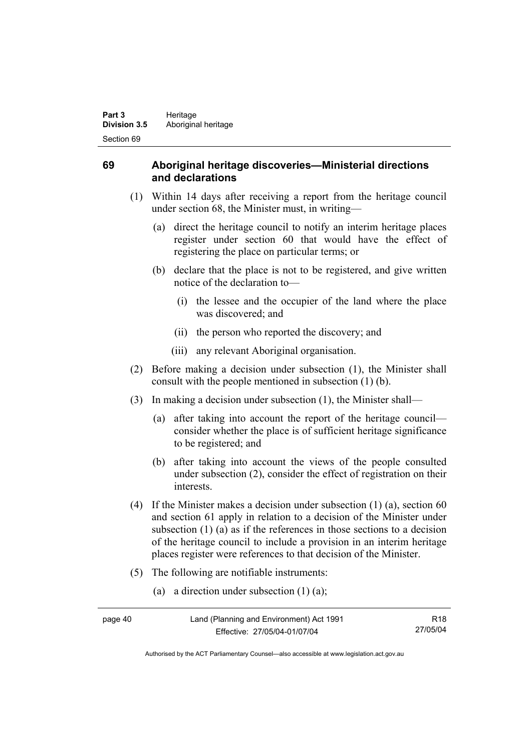## **69 Aboriginal heritage discoveries—Ministerial directions and declarations**

- (1) Within 14 days after receiving a report from the heritage council under section 68, the Minister must, in writing—
	- (a) direct the heritage council to notify an interim heritage places register under section 60 that would have the effect of registering the place on particular terms; or
	- (b) declare that the place is not to be registered, and give written notice of the declaration to—
		- (i) the lessee and the occupier of the land where the place was discovered; and
		- (ii) the person who reported the discovery; and
		- (iii) any relevant Aboriginal organisation.
- (2) Before making a decision under subsection (1), the Minister shall consult with the people mentioned in subsection (1) (b).
- (3) In making a decision under subsection (1), the Minister shall—
	- (a) after taking into account the report of the heritage council consider whether the place is of sufficient heritage significance to be registered; and
	- (b) after taking into account the views of the people consulted under subsection (2), consider the effect of registration on their interests.
- (4) If the Minister makes a decision under subsection (1) (a), section 60 and section 61 apply in relation to a decision of the Minister under subsection (1) (a) as if the references in those sections to a decision of the heritage council to include a provision in an interim heritage places register were references to that decision of the Minister.
- (5) The following are notifiable instruments:
	- (a) a direction under subsection (1) (a);

| page 40 | Land (Planning and Environment) Act 1991 | R <sub>18</sub> |
|---------|------------------------------------------|-----------------|
|         | Effective: 27/05/04-01/07/04             | 27/05/04        |

Authorised by the ACT Parliamentary Counsel—also accessible at www.legislation.act.gov.au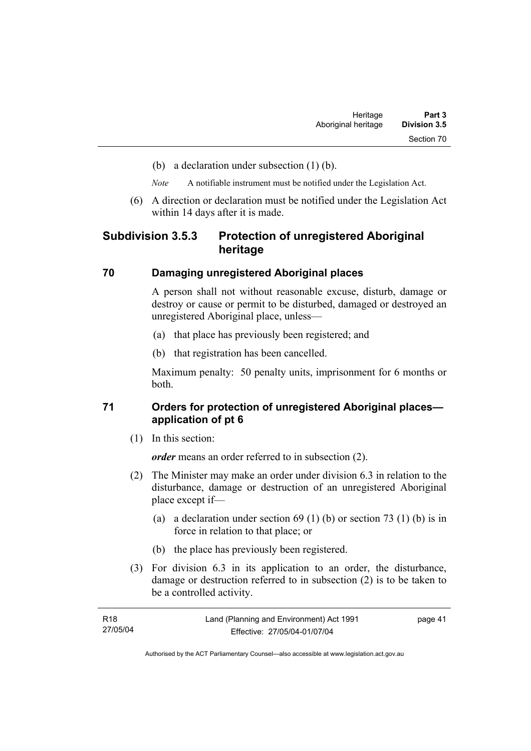- (b) a declaration under subsection (1) (b).
- *Note* A notifiable instrument must be notified under the Legislation Act.
- (6) A direction or declaration must be notified under the Legislation Act within 14 days after it is made.

## **Subdivision 3.5.3 Protection of unregistered Aboriginal heritage**

#### **70 Damaging unregistered Aboriginal places**

A person shall not without reasonable excuse, disturb, damage or destroy or cause or permit to be disturbed, damaged or destroyed an unregistered Aboriginal place, unless—

- (a) that place has previously been registered; and
- (b) that registration has been cancelled.

Maximum penalty: 50 penalty units, imprisonment for 6 months or both.

## **71 Orders for protection of unregistered Aboriginal places application of pt 6**

(1) In this section:

*order* means an order referred to in subsection (2).

- (2) The Minister may make an order under division 6.3 in relation to the disturbance, damage or destruction of an unregistered Aboriginal place except if—
	- (a) a declaration under section  $69 (1) (b)$  or section  $73 (1) (b)$  is in force in relation to that place; or
	- (b) the place has previously been registered.
- (3) For division 6.3 in its application to an order, the disturbance, damage or destruction referred to in subsection (2) is to be taken to be a controlled activity.

| R18      | Land (Planning and Environment) Act 1991 | page 41 |
|----------|------------------------------------------|---------|
| 27/05/04 | Effective: 27/05/04-01/07/04             |         |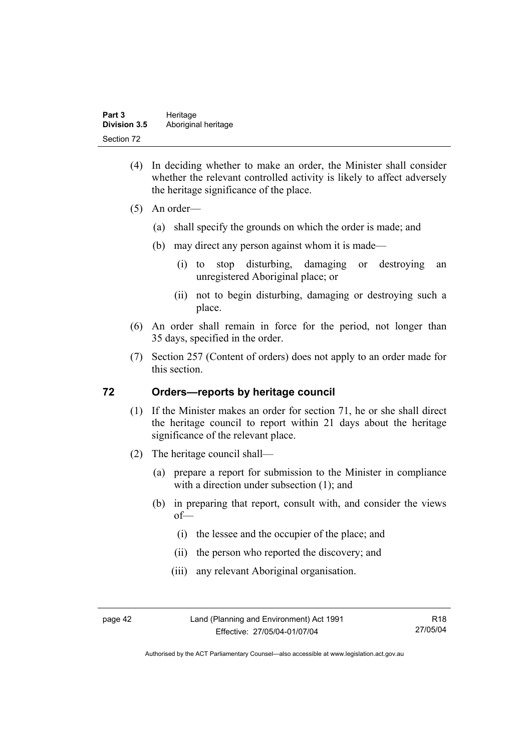- (4) In deciding whether to make an order, the Minister shall consider whether the relevant controlled activity is likely to affect adversely the heritage significance of the place.
- (5) An order—
	- (a) shall specify the grounds on which the order is made; and
	- (b) may direct any person against whom it is made—
		- (i) to stop disturbing, damaging or destroying an unregistered Aboriginal place; or
		- (ii) not to begin disturbing, damaging or destroying such a place.
- (6) An order shall remain in force for the period, not longer than 35 days, specified in the order.
- (7) Section 257 (Content of orders) does not apply to an order made for this section.

#### **72 Orders—reports by heritage council**

- (1) If the Minister makes an order for section 71, he or she shall direct the heritage council to report within 21 days about the heritage significance of the relevant place.
- (2) The heritage council shall—
	- (a) prepare a report for submission to the Minister in compliance with a direction under subsection (1); and
	- (b) in preparing that report, consult with, and consider the views of—
		- (i) the lessee and the occupier of the place; and
		- (ii) the person who reported the discovery; and
		- (iii) any relevant Aboriginal organisation.

page 42 Land (Planning and Environment) Act 1991 Effective: 27/05/04-01/07/04

Authorised by the ACT Parliamentary Counsel—also accessible at www.legislation.act.gov.au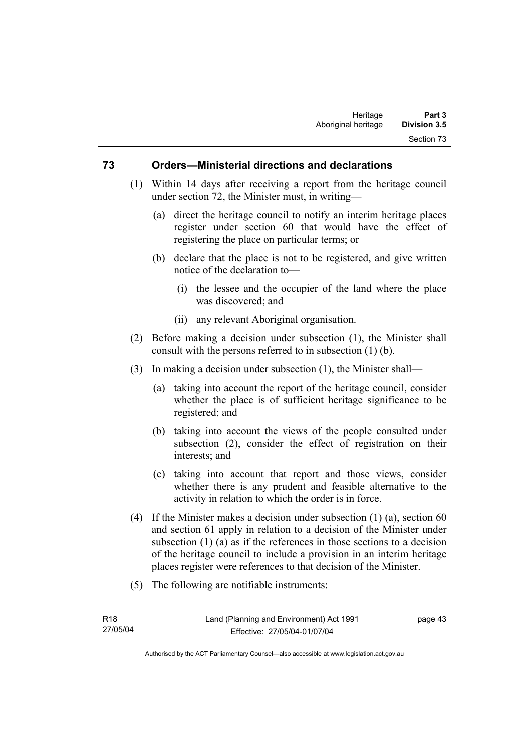#### **73 Orders—Ministerial directions and declarations**

- (1) Within 14 days after receiving a report from the heritage council under section 72, the Minister must, in writing—
	- (a) direct the heritage council to notify an interim heritage places register under section 60 that would have the effect of registering the place on particular terms; or
	- (b) declare that the place is not to be registered, and give written notice of the declaration to—
		- (i) the lessee and the occupier of the land where the place was discovered; and
		- (ii) any relevant Aboriginal organisation.
- (2) Before making a decision under subsection (1), the Minister shall consult with the persons referred to in subsection (1) (b).
- (3) In making a decision under subsection (1), the Minister shall—
	- (a) taking into account the report of the heritage council, consider whether the place is of sufficient heritage significance to be registered; and
	- (b) taking into account the views of the people consulted under subsection (2), consider the effect of registration on their interests; and
	- (c) taking into account that report and those views, consider whether there is any prudent and feasible alternative to the activity in relation to which the order is in force.
- (4) If the Minister makes a decision under subsection  $(1)$  (a), section 60 and section 61 apply in relation to a decision of the Minister under subsection (1) (a) as if the references in those sections to a decision of the heritage council to include a provision in an interim heritage places register were references to that decision of the Minister.
- (5) The following are notifiable instruments:

page 43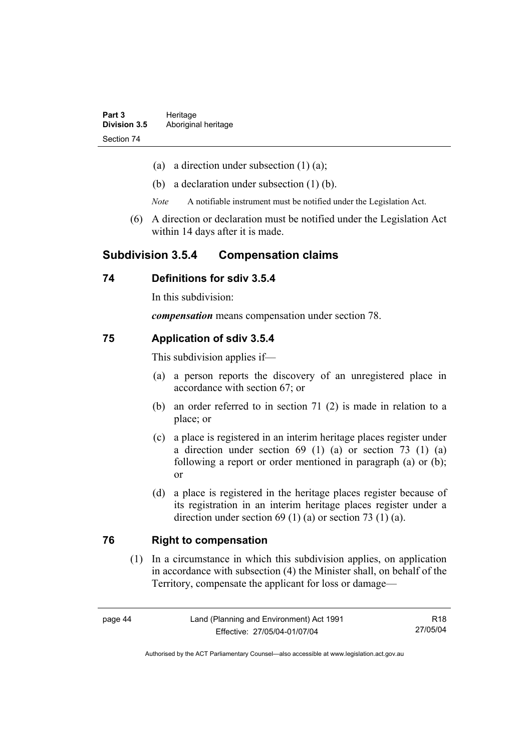- (a) a direction under subsection  $(1)$   $(a)$ ;
- (b) a declaration under subsection (1) (b).
- *Note* A notifiable instrument must be notified under the Legislation Act.
- (6) A direction or declaration must be notified under the Legislation Act within 14 days after it is made.

## **Subdivision 3.5.4 Compensation claims**

### **74 Definitions for sdiv 3.5.4**

In this subdivision:

*compensation* means compensation under section 78.

#### **75 Application of sdiv 3.5.4**

This subdivision applies if—

- (a) a person reports the discovery of an unregistered place in accordance with section 67; or
- (b) an order referred to in section 71 (2) is made in relation to a place; or
- (c) a place is registered in an interim heritage places register under a direction under section 69 (1) (a) or section 73 (1) (a) following a report or order mentioned in paragraph (a) or (b); or
- (d) a place is registered in the heritage places register because of its registration in an interim heritage places register under a direction under section 69 (1) (a) or section 73 (1) (a).

#### **76 Right to compensation**

 (1) In a circumstance in which this subdivision applies, on application in accordance with subsection (4) the Minister shall, on behalf of the Territory, compensate the applicant for loss or damage—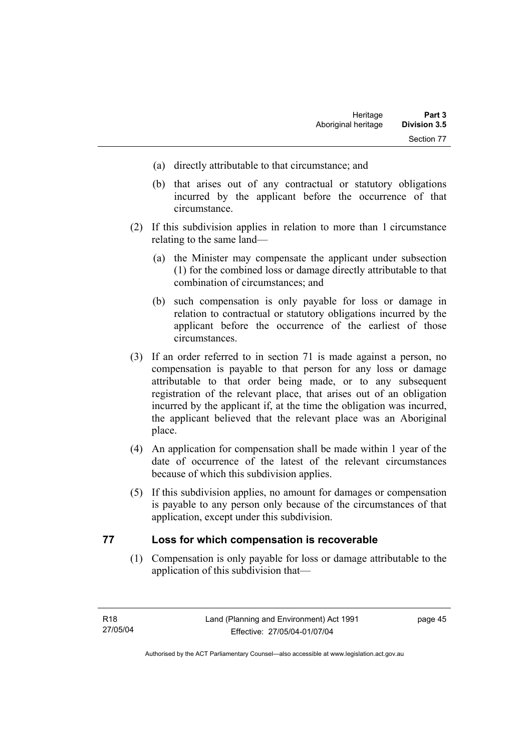- (a) directly attributable to that circumstance; and
- (b) that arises out of any contractual or statutory obligations incurred by the applicant before the occurrence of that circumstance.
- (2) If this subdivision applies in relation to more than 1 circumstance relating to the same land—
	- (a) the Minister may compensate the applicant under subsection (1) for the combined loss or damage directly attributable to that combination of circumstances; and
	- (b) such compensation is only payable for loss or damage in relation to contractual or statutory obligations incurred by the applicant before the occurrence of the earliest of those circumstances.
- (3) If an order referred to in section 71 is made against a person, no compensation is payable to that person for any loss or damage attributable to that order being made, or to any subsequent registration of the relevant place, that arises out of an obligation incurred by the applicant if, at the time the obligation was incurred, the applicant believed that the relevant place was an Aboriginal place.
- (4) An application for compensation shall be made within 1 year of the date of occurrence of the latest of the relevant circumstances because of which this subdivision applies.
- (5) If this subdivision applies, no amount for damages or compensation is payable to any person only because of the circumstances of that application, except under this subdivision.

#### **77 Loss for which compensation is recoverable**

 (1) Compensation is only payable for loss or damage attributable to the application of this subdivision that—

page 45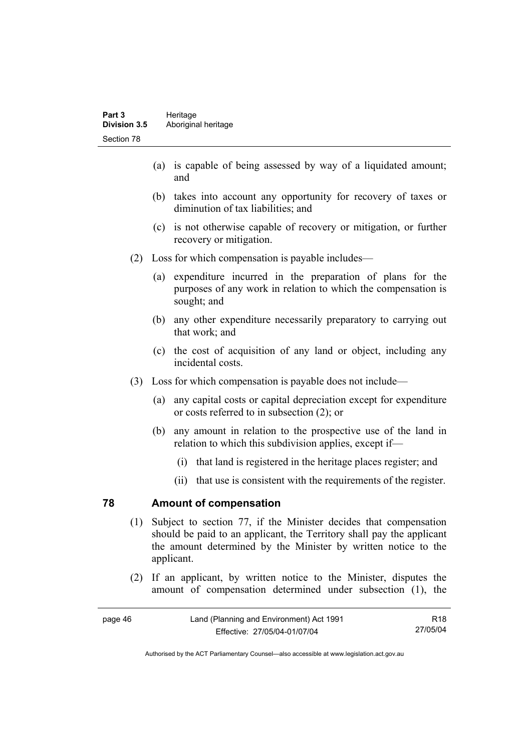- (a) is capable of being assessed by way of a liquidated amount; and
- (b) takes into account any opportunity for recovery of taxes or diminution of tax liabilities; and
- (c) is not otherwise capable of recovery or mitigation, or further recovery or mitigation.
- (2) Loss for which compensation is payable includes—
	- (a) expenditure incurred in the preparation of plans for the purposes of any work in relation to which the compensation is sought; and
	- (b) any other expenditure necessarily preparatory to carrying out that work; and
	- (c) the cost of acquisition of any land or object, including any incidental costs.
- (3) Loss for which compensation is payable does not include—
	- (a) any capital costs or capital depreciation except for expenditure or costs referred to in subsection (2); or
	- (b) any amount in relation to the prospective use of the land in relation to which this subdivision applies, except if—
		- (i) that land is registered in the heritage places register; and
		- (ii) that use is consistent with the requirements of the register.

#### **78 Amount of compensation**

- (1) Subject to section 77, if the Minister decides that compensation should be paid to an applicant, the Territory shall pay the applicant the amount determined by the Minister by written notice to the applicant.
- (2) If an applicant, by written notice to the Minister, disputes the amount of compensation determined under subsection (1), the

| page 46 | Land (Planning and Environment) Act 1991 |          |
|---------|------------------------------------------|----------|
|         | Effective: 27/05/04-01/07/04             | 27/05/04 |

Authorised by the ACT Parliamentary Counsel—also accessible at www.legislation.act.gov.au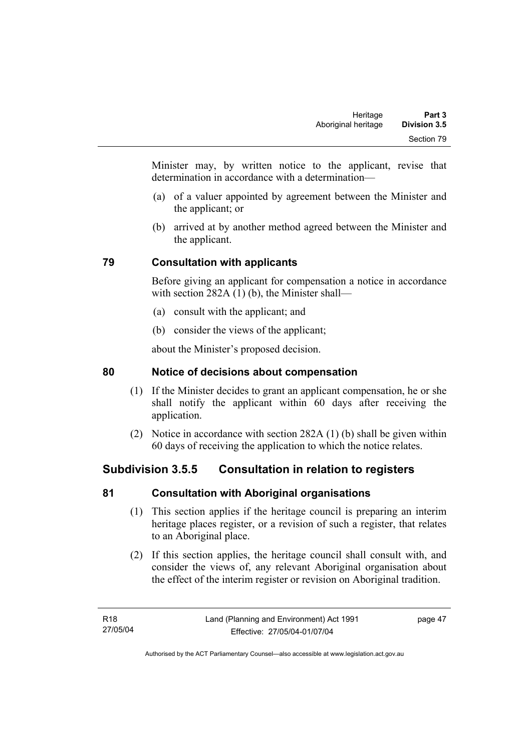Minister may, by written notice to the applicant, revise that determination in accordance with a determination—

- (a) of a valuer appointed by agreement between the Minister and the applicant; or
- (b) arrived at by another method agreed between the Minister and the applicant.

# **79 Consultation with applicants**

Before giving an applicant for compensation a notice in accordance with section 282A (1) (b), the Minister shall—

- (a) consult with the applicant; and
- (b) consider the views of the applicant;

about the Minister's proposed decision.

# **80 Notice of decisions about compensation**

- (1) If the Minister decides to grant an applicant compensation, he or she shall notify the applicant within 60 days after receiving the application.
- (2) Notice in accordance with section 282A (1) (b) shall be given within 60 days of receiving the application to which the notice relates.

# **Subdivision 3.5.5 Consultation in relation to registers**

# **81 Consultation with Aboriginal organisations**

- (1) This section applies if the heritage council is preparing an interim heritage places register, or a revision of such a register, that relates to an Aboriginal place.
- (2) If this section applies, the heritage council shall consult with, and consider the views of, any relevant Aboriginal organisation about the effect of the interim register or revision on Aboriginal tradition.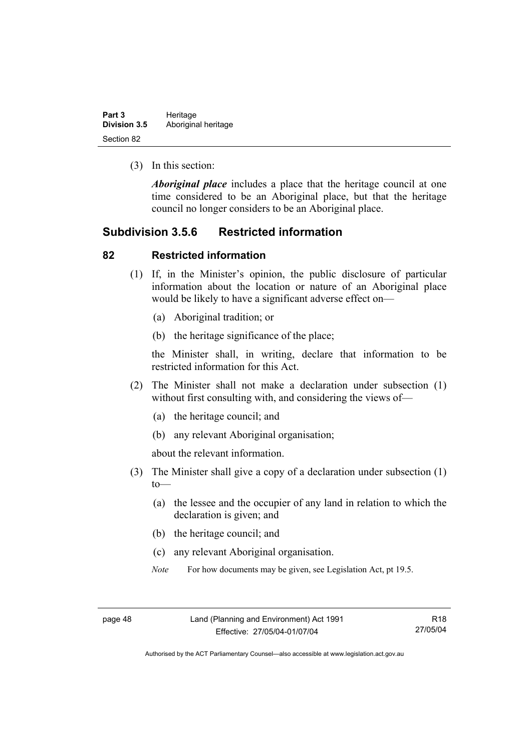| Part 3              | Heritage            |
|---------------------|---------------------|
| <b>Division 3.5</b> | Aboriginal heritage |
| Section 82          |                     |

(3) In this section:

*Aboriginal place* includes a place that the heritage council at one time considered to be an Aboriginal place, but that the heritage council no longer considers to be an Aboriginal place.

## **Subdivision 3.5.6 Restricted information**

#### **82 Restricted information**

- (1) If, in the Minister's opinion, the public disclosure of particular information about the location or nature of an Aboriginal place would be likely to have a significant adverse effect on—
	- (a) Aboriginal tradition; or
	- (b) the heritage significance of the place;

the Minister shall, in writing, declare that information to be restricted information for this Act.

- (2) The Minister shall not make a declaration under subsection (1) without first consulting with, and considering the views of—
	- (a) the heritage council; and
	- (b) any relevant Aboriginal organisation;

about the relevant information.

- (3) The Minister shall give a copy of a declaration under subsection (1)  $to$ —
	- (a) the lessee and the occupier of any land in relation to which the declaration is given; and
	- (b) the heritage council; and
	- (c) any relevant Aboriginal organisation.
	- *Note* For how documents may be given, see Legislation Act, pt 19.5.

Authorised by the ACT Parliamentary Counsel—also accessible at www.legislation.act.gov.au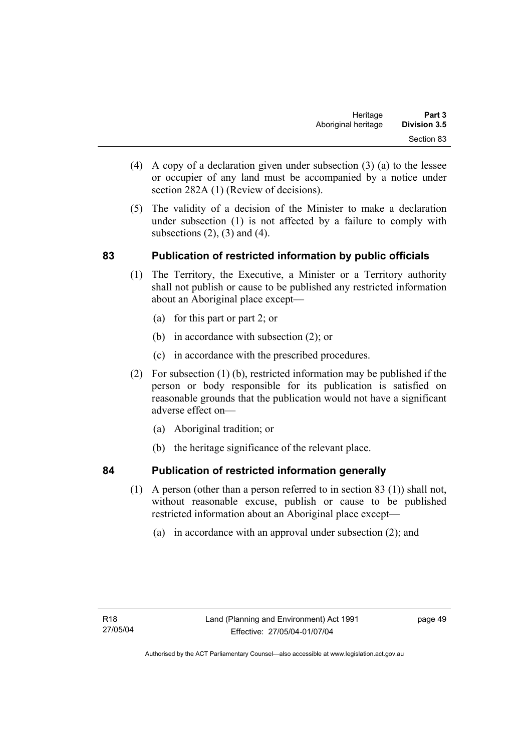- (4) A copy of a declaration given under subsection (3) (a) to the lessee or occupier of any land must be accompanied by a notice under section 282A (1) (Review of decisions).
- (5) The validity of a decision of the Minister to make a declaration under subsection (1) is not affected by a failure to comply with subsections  $(2)$ ,  $(3)$  and  $(4)$ .

# **83 Publication of restricted information by public officials**

- (1) The Territory, the Executive, a Minister or a Territory authority shall not publish or cause to be published any restricted information about an Aboriginal place except—
	- (a) for this part or part 2; or
	- (b) in accordance with subsection (2); or
	- (c) in accordance with the prescribed procedures.
- (2) For subsection (1) (b), restricted information may be published if the person or body responsible for its publication is satisfied on reasonable grounds that the publication would not have a significant adverse effect on—
	- (a) Aboriginal tradition; or
	- (b) the heritage significance of the relevant place.

## **84 Publication of restricted information generally**

- (1) A person (other than a person referred to in section 83 (1)) shall not, without reasonable excuse, publish or cause to be published
	- restricted information about an Aboriginal place except—
		- (a) in accordance with an approval under subsection (2); and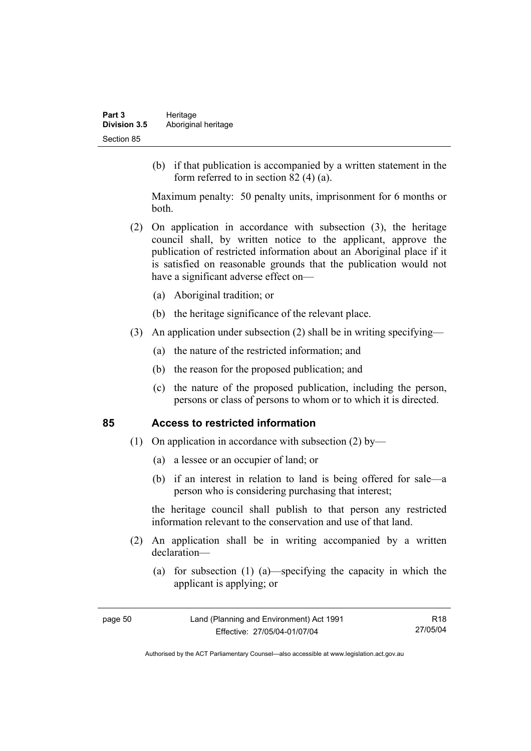(b) if that publication is accompanied by a written statement in the form referred to in section 82 (4) (a).

Maximum penalty: 50 penalty units, imprisonment for 6 months or both.

- (2) On application in accordance with subsection (3), the heritage council shall, by written notice to the applicant, approve the publication of restricted information about an Aboriginal place if it is satisfied on reasonable grounds that the publication would not have a significant adverse effect on—
	- (a) Aboriginal tradition; or
	- (b) the heritage significance of the relevant place.
- (3) An application under subsection (2) shall be in writing specifying—
	- (a) the nature of the restricted information; and
	- (b) the reason for the proposed publication; and
	- (c) the nature of the proposed publication, including the person, persons or class of persons to whom or to which it is directed.

#### **85 Access to restricted information**

- (1) On application in accordance with subsection (2) by—
	- (a) a lessee or an occupier of land; or
	- (b) if an interest in relation to land is being offered for sale—a person who is considering purchasing that interest;

the heritage council shall publish to that person any restricted information relevant to the conservation and use of that land.

- (2) An application shall be in writing accompanied by a written declaration—
	- (a) for subsection (1) (a)—specifying the capacity in which the applicant is applying; or

R18 27/05/04

Authorised by the ACT Parliamentary Counsel—also accessible at www.legislation.act.gov.au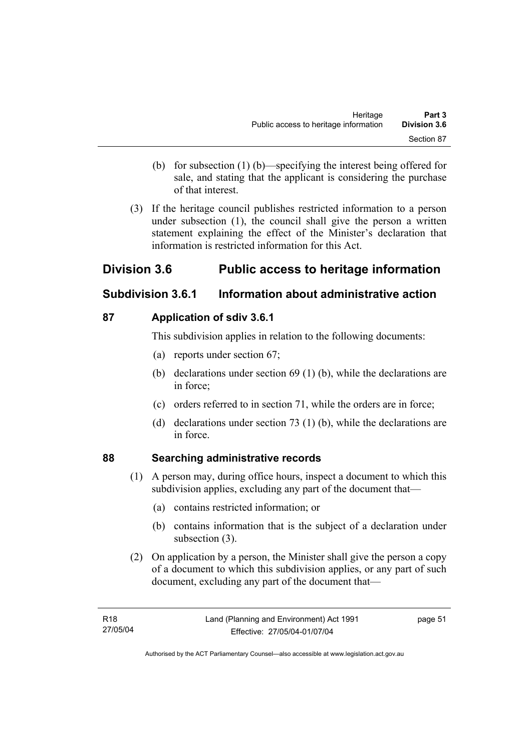- (b) for subsection (1) (b)—specifying the interest being offered for sale, and stating that the applicant is considering the purchase of that interest.
- (3) If the heritage council publishes restricted information to a person under subsection (1), the council shall give the person a written statement explaining the effect of the Minister's declaration that information is restricted information for this Act.

# **Division 3.6 Public access to heritage information**

# **Subdivision 3.6.1 Information about administrative action**

# **87 Application of sdiv 3.6.1**

This subdivision applies in relation to the following documents:

- (a) reports under section 67;
- (b) declarations under section 69 (1) (b), while the declarations are in force;
- (c) orders referred to in section 71, while the orders are in force;
- (d) declarations under section 73 (1) (b), while the declarations are in force.

# **88 Searching administrative records**

- (1) A person may, during office hours, inspect a document to which this subdivision applies, excluding any part of the document that—
	- (a) contains restricted information; or
	- (b) contains information that is the subject of a declaration under subsection (3).
- (2) On application by a person, the Minister shall give the person a copy of a document to which this subdivision applies, or any part of such document, excluding any part of the document that—

page 51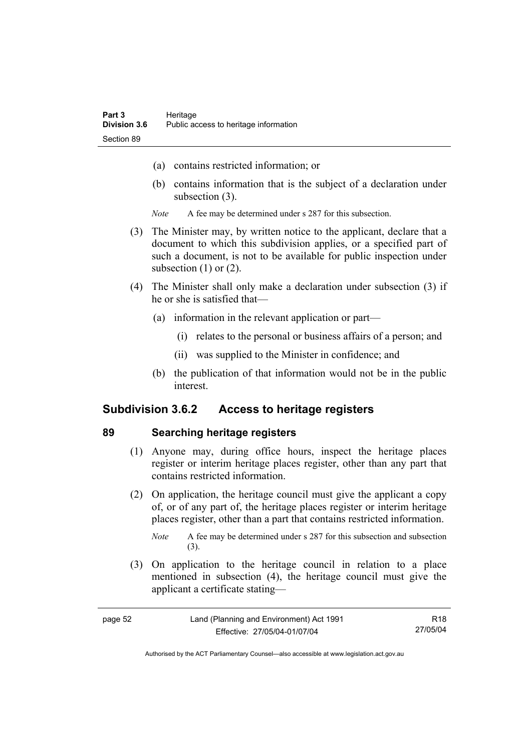- (a) contains restricted information; or
- (b) contains information that is the subject of a declaration under subsection (3).
- *Note* A fee may be determined under s 287 for this subsection.
- (3) The Minister may, by written notice to the applicant, declare that a document to which this subdivision applies, or a specified part of such a document, is not to be available for public inspection under subsection  $(1)$  or  $(2)$ .
- (4) The Minister shall only make a declaration under subsection (3) if he or she is satisfied that—
	- (a) information in the relevant application or part—
		- (i) relates to the personal or business affairs of a person; and
		- (ii) was supplied to the Minister in confidence; and
	- (b) the publication of that information would not be in the public interest.

## **Subdivision 3.6.2 Access to heritage registers**

#### **89 Searching heritage registers**

- (1) Anyone may, during office hours, inspect the heritage places register or interim heritage places register, other than any part that contains restricted information.
- (2) On application, the heritage council must give the applicant a copy of, or of any part of, the heritage places register or interim heritage places register, other than a part that contains restricted information.

 (3) On application to the heritage council in relation to a place mentioned in subsection (4), the heritage council must give the applicant a certificate stating—

| page 52 | Land (Planning and Environment) Act 1991 | R18      |
|---------|------------------------------------------|----------|
|         | Effective: 27/05/04-01/07/04             | 27/05/04 |

*Note* A fee may be determined under s 287 for this subsection and subsection (3).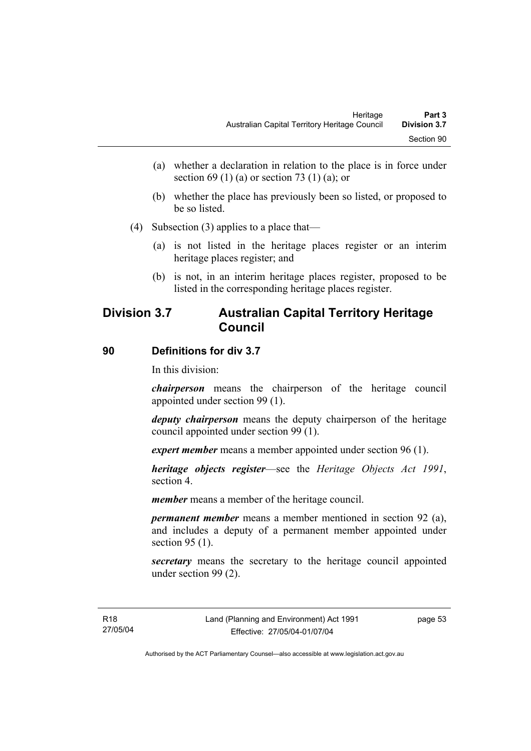- (a) whether a declaration in relation to the place is in force under section 69 (1) (a) or section 73 (1) (a); or
- (b) whether the place has previously been so listed, or proposed to be so listed.
- (4) Subsection (3) applies to a place that—
	- (a) is not listed in the heritage places register or an interim heritage places register; and
	- (b) is not, in an interim heritage places register, proposed to be listed in the corresponding heritage places register.

# **Division 3.7 Australian Capital Territory Heritage Council**

#### **90 Definitions for div 3.7**

In this division:

*chairperson* means the chairperson of the heritage council appointed under section 99 (1).

*deputy chairperson* means the deputy chairperson of the heritage council appointed under section 99 (1).

*expert member* means a member appointed under section 96 (1).

*heritage objects register*—see the *Heritage Objects Act 1991*, section 4.

*member* means a member of the heritage council.

*permanent member* means a member mentioned in section 92 (a), and includes a deputy of a permanent member appointed under section 95 (1).

*secretary* means the secretary to the heritage council appointed under section 99 (2).

page 53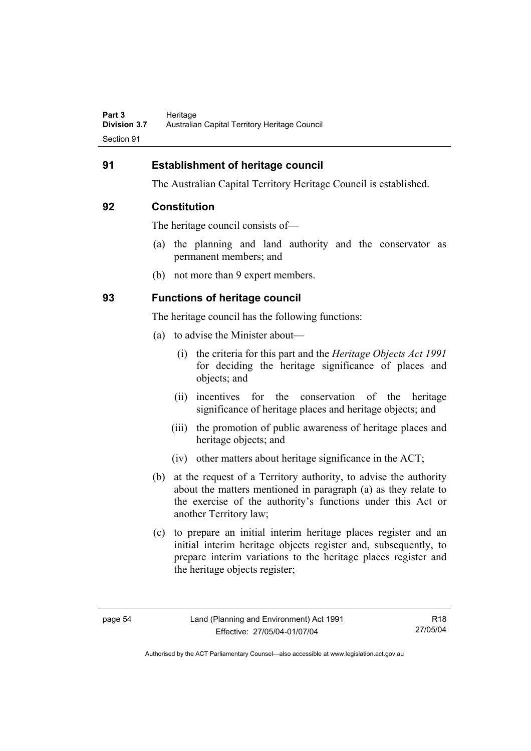## **91 Establishment of heritage council**

The Australian Capital Territory Heritage Council is established.

#### **92 Constitution**

The heritage council consists of—

- (a) the planning and land authority and the conservator as permanent members; and
- (b) not more than 9 expert members.

## **93 Functions of heritage council**

The heritage council has the following functions:

- (a) to advise the Minister about—
	- (i) the criteria for this part and the *Heritage Objects Act 1991* for deciding the heritage significance of places and objects; and
	- (ii) incentives for the conservation of the heritage significance of heritage places and heritage objects; and
	- (iii) the promotion of public awareness of heritage places and heritage objects; and
	- (iv) other matters about heritage significance in the ACT;
- (b) at the request of a Territory authority, to advise the authority about the matters mentioned in paragraph (a) as they relate to the exercise of the authority's functions under this Act or another Territory law;
- (c) to prepare an initial interim heritage places register and an initial interim heritage objects register and, subsequently, to prepare interim variations to the heritage places register and the heritage objects register;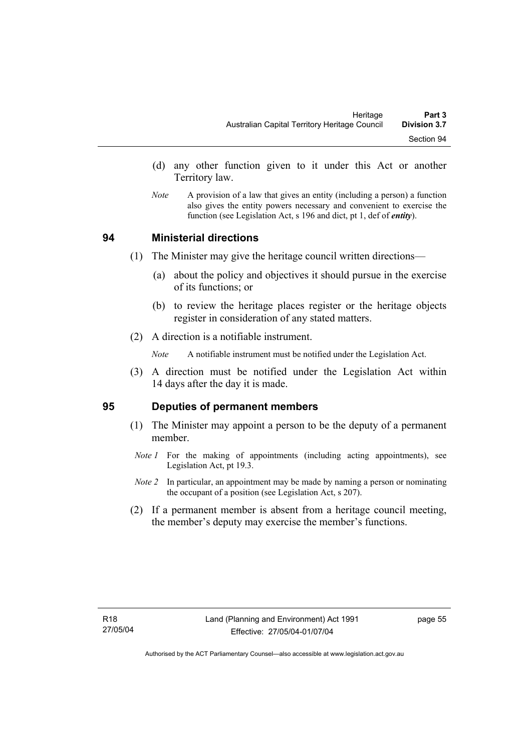- (d) any other function given to it under this Act or another Territory law.
- *Note* A provision of a law that gives an entity (including a person) a function also gives the entity powers necessary and convenient to exercise the function (see Legislation Act, s 196 and dict, pt 1, def of *entity*).

#### **94 Ministerial directions**

- (1) The Minister may give the heritage council written directions—
	- (a) about the policy and objectives it should pursue in the exercise of its functions; or
	- (b) to review the heritage places register or the heritage objects register in consideration of any stated matters.
- (2) A direction is a notifiable instrument.

*Note* A notifiable instrument must be notified under the Legislation Act.

 (3) A direction must be notified under the Legislation Act within 14 days after the day it is made.

#### **95 Deputies of permanent members**

- (1) The Minister may appoint a person to be the deputy of a permanent member.
- *Note 1* For the making of appointments (including acting appointments), see Legislation Act, pt 19.3.
- *Note 2* In particular, an appointment may be made by naming a person or nominating the occupant of a position (see Legislation Act, s 207).
- (2) If a permanent member is absent from a heritage council meeting, the member's deputy may exercise the member's functions.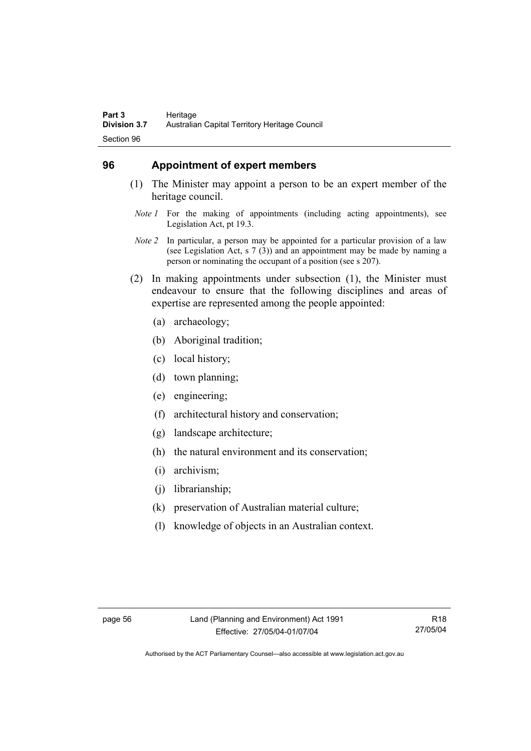### **96 Appointment of expert members**

- (1) The Minister may appoint a person to be an expert member of the heritage council.
	- *Note 1* For the making of appointments (including acting appointments), see Legislation Act, pt 19.3.
- *Note 2* In particular, a person may be appointed for a particular provision of a law (see Legislation Act, s 7 (3)) and an appointment may be made by naming a person or nominating the occupant of a position (see s 207).
- (2) In making appointments under subsection (1), the Minister must endeavour to ensure that the following disciplines and areas of expertise are represented among the people appointed:
	- (a) archaeology;
	- (b) Aboriginal tradition;
	- (c) local history;
	- (d) town planning;
	- (e) engineering;
	- (f) architectural history and conservation;
	- (g) landscape architecture;
	- (h) the natural environment and its conservation;
	- (i) archivism;
	- (j) librarianship;
	- (k) preservation of Australian material culture;
	- (l) knowledge of objects in an Australian context.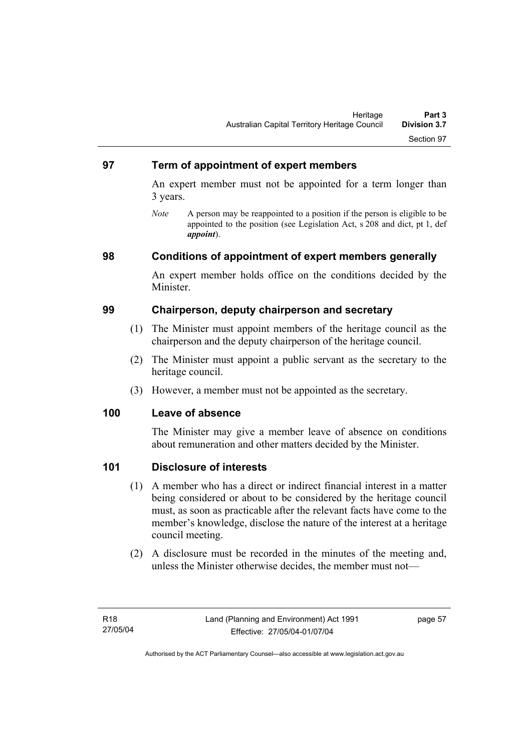### **97 Term of appointment of expert members**

An expert member must not be appointed for a term longer than 3 years.

*Note* A person may be reappointed to a position if the person is eligible to be appointed to the position (see Legislation Act, s 208 and dict, pt 1, def *appoint*).

### **98 Conditions of appointment of expert members generally**

An expert member holds office on the conditions decided by the Minister.

### **99 Chairperson, deputy chairperson and secretary**

- (1) The Minister must appoint members of the heritage council as the chairperson and the deputy chairperson of the heritage council.
- (2) The Minister must appoint a public servant as the secretary to the heritage council.
- (3) However, a member must not be appointed as the secretary.

#### **100 Leave of absence**

The Minister may give a member leave of absence on conditions about remuneration and other matters decided by the Minister.

### **101 Disclosure of interests**

- (1) A member who has a direct or indirect financial interest in a matter being considered or about to be considered by the heritage council must, as soon as practicable after the relevant facts have come to the member's knowledge, disclose the nature of the interest at a heritage council meeting.
- (2) A disclosure must be recorded in the minutes of the meeting and, unless the Minister otherwise decides, the member must not—

page 57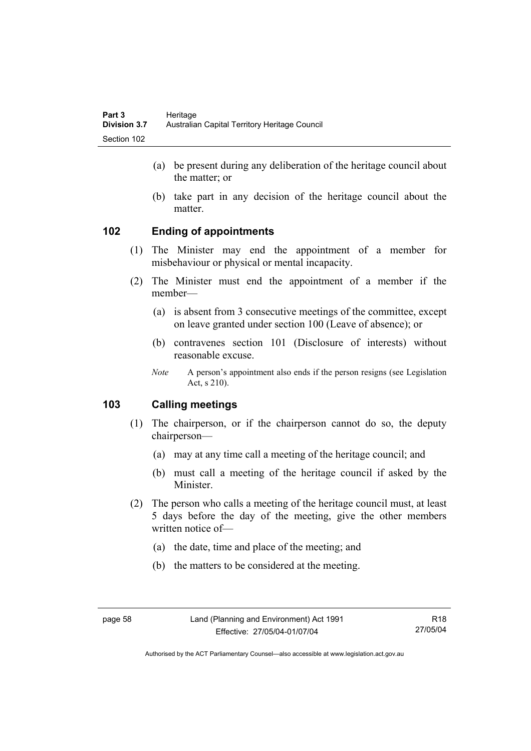- (a) be present during any deliberation of the heritage council about the matter; or
- (b) take part in any decision of the heritage council about the matter.

# **102 Ending of appointments**

- (1) The Minister may end the appointment of a member for misbehaviour or physical or mental incapacity.
- (2) The Minister must end the appointment of a member if the member—
	- (a) is absent from 3 consecutive meetings of the committee, except on leave granted under section 100 (Leave of absence); or
	- (b) contravenes section 101 (Disclosure of interests) without reasonable excuse.
	- *Note* A person's appointment also ends if the person resigns (see Legislation Act, s 210).

# **103 Calling meetings**

- (1) The chairperson, or if the chairperson cannot do so, the deputy chairperson—
	- (a) may at any time call a meeting of the heritage council; and
	- (b) must call a meeting of the heritage council if asked by the Minister.
- (2) The person who calls a meeting of the heritage council must, at least 5 days before the day of the meeting, give the other members written notice of—
	- (a) the date, time and place of the meeting; and
	- (b) the matters to be considered at the meeting.

R18 27/05/04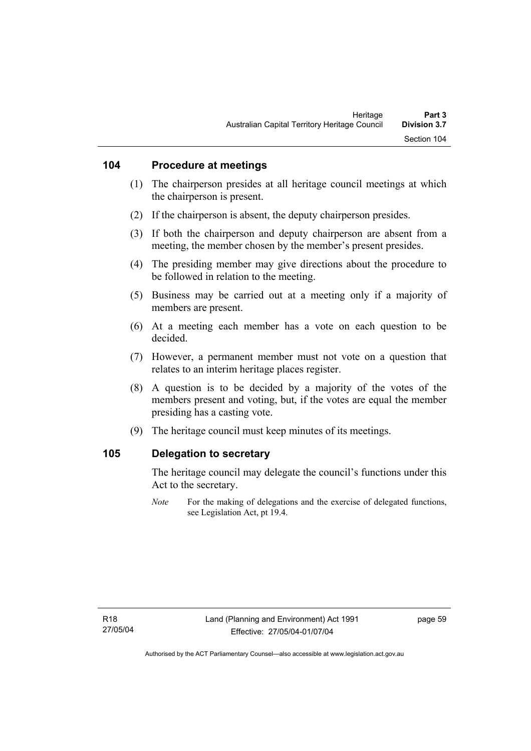### **104 Procedure at meetings**

- (1) The chairperson presides at all heritage council meetings at which the chairperson is present.
- (2) If the chairperson is absent, the deputy chairperson presides.
- (3) If both the chairperson and deputy chairperson are absent from a meeting, the member chosen by the member's present presides.
- (4) The presiding member may give directions about the procedure to be followed in relation to the meeting.
- (5) Business may be carried out at a meeting only if a majority of members are present.
- (6) At a meeting each member has a vote on each question to be decided.
- (7) However, a permanent member must not vote on a question that relates to an interim heritage places register.
- (8) A question is to be decided by a majority of the votes of the members present and voting, but, if the votes are equal the member presiding has a casting vote.
- (9) The heritage council must keep minutes of its meetings.

#### **105 Delegation to secretary**

The heritage council may delegate the council's functions under this Act to the secretary.

*Note* For the making of delegations and the exercise of delegated functions, see Legislation Act, pt 19.4.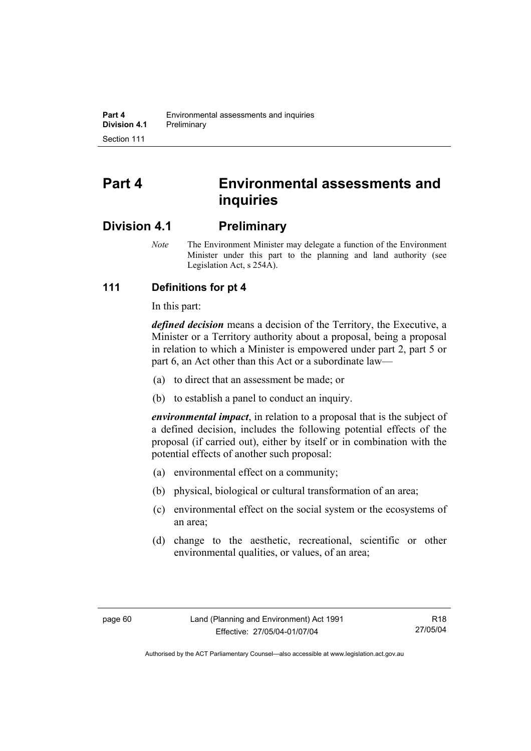# **Part 4 Environmental assessments and inquiries**

# **Division 4.1 Preliminary**

*Note* The Environment Minister may delegate a function of the Environment Minister under this part to the planning and land authority (see Legislation Act, s 254A).

# **111 Definitions for pt 4**

In this part:

*defined decision* means a decision of the Territory, the Executive, a Minister or a Territory authority about a proposal, being a proposal in relation to which a Minister is empowered under part 2, part 5 or part 6, an Act other than this Act or a subordinate law—

- (a) to direct that an assessment be made; or
- (b) to establish a panel to conduct an inquiry.

*environmental impact*, in relation to a proposal that is the subject of a defined decision, includes the following potential effects of the proposal (if carried out), either by itself or in combination with the potential effects of another such proposal:

- (a) environmental effect on a community;
- (b) physical, biological or cultural transformation of an area;
- (c) environmental effect on the social system or the ecosystems of an area;
- (d) change to the aesthetic, recreational, scientific or other environmental qualities, or values, of an area;

R18 27/05/04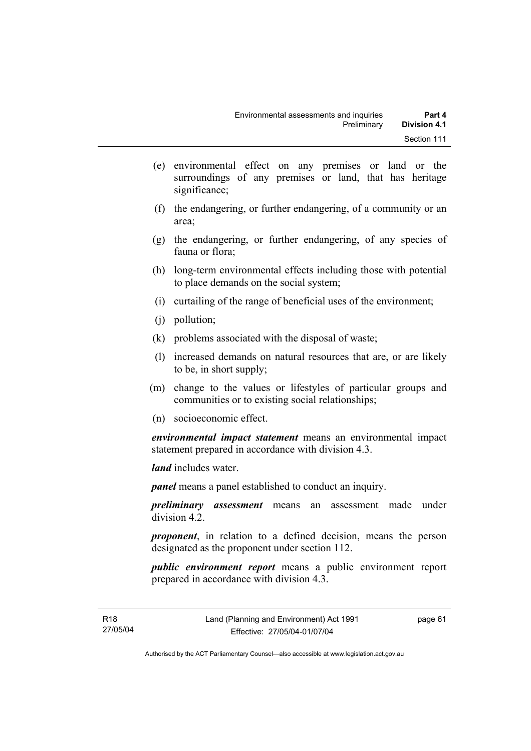- (e) environmental effect on any premises or land or the surroundings of any premises or land, that has heritage significance;
- (f) the endangering, or further endangering, of a community or an area;
- (g) the endangering, or further endangering, of any species of fauna or flora;
- (h) long-term environmental effects including those with potential to place demands on the social system;
- (i) curtailing of the range of beneficial uses of the environment;
- (j) pollution;
- (k) problems associated with the disposal of waste;
- (l) increased demands on natural resources that are, or are likely to be, in short supply;
- (m) change to the values or lifestyles of particular groups and communities or to existing social relationships;
- (n) socioeconomic effect.

*environmental impact statement* means an environmental impact statement prepared in accordance with division 4.3.

*land* includes water.

*panel* means a panel established to conduct an inquiry.

*preliminary assessment* means an assessment made under division 4.2.

*proponent*, in relation to a defined decision, means the person designated as the proponent under section 112.

*public environment report* means a public environment report prepared in accordance with division 4.3.

page 61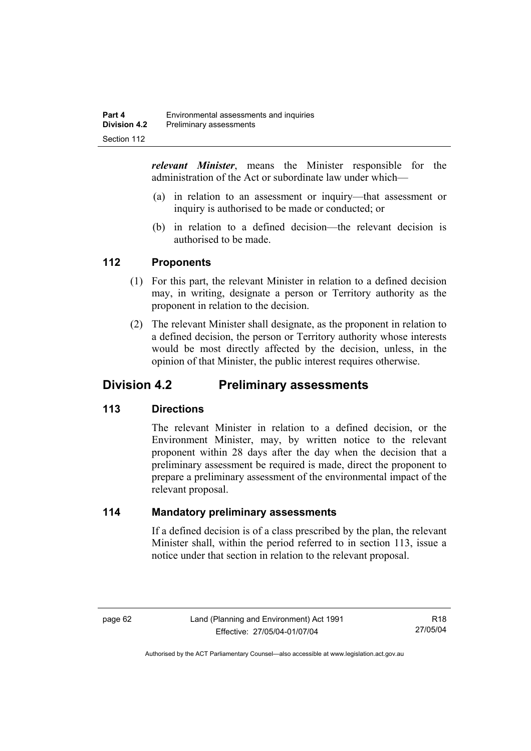*relevant Minister*, means the Minister responsible for the administration of the Act or subordinate law under which—

- (a) in relation to an assessment or inquiry—that assessment or inquiry is authorised to be made or conducted; or
- (b) in relation to a defined decision—the relevant decision is authorised to be made.

### **112 Proponents**

- (1) For this part, the relevant Minister in relation to a defined decision may, in writing, designate a person or Territory authority as the proponent in relation to the decision.
- (2) The relevant Minister shall designate, as the proponent in relation to a defined decision, the person or Territory authority whose interests would be most directly affected by the decision, unless, in the opinion of that Minister, the public interest requires otherwise.

# **Division 4.2 Preliminary assessments**

### **113 Directions**

The relevant Minister in relation to a defined decision, or the Environment Minister, may, by written notice to the relevant proponent within 28 days after the day when the decision that a preliminary assessment be required is made, direct the proponent to prepare a preliminary assessment of the environmental impact of the relevant proposal.

### **114 Mandatory preliminary assessments**

If a defined decision is of a class prescribed by the plan, the relevant Minister shall, within the period referred to in section 113, issue a notice under that section in relation to the relevant proposal.

R18 27/05/04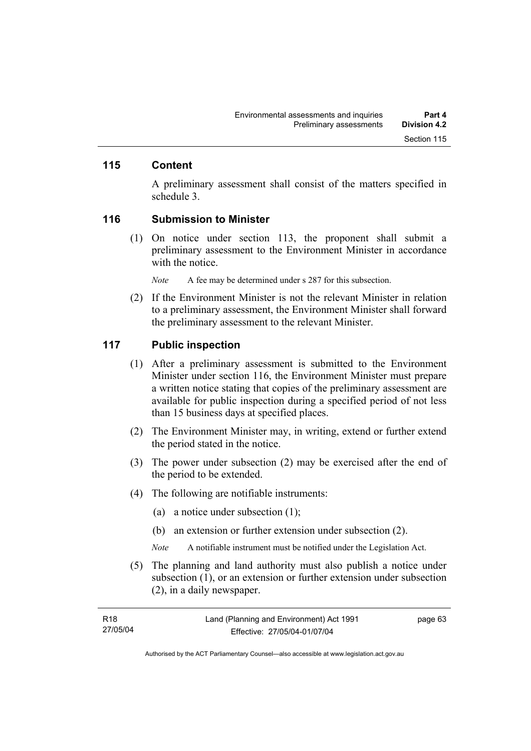### **115 Content**

A preliminary assessment shall consist of the matters specified in schedule 3.

#### **116 Submission to Minister**

 (1) On notice under section 113, the proponent shall submit a preliminary assessment to the Environment Minister in accordance with the notice.

*Note* A fee may be determined under s 287 for this subsection.

 (2) If the Environment Minister is not the relevant Minister in relation to a preliminary assessment, the Environment Minister shall forward the preliminary assessment to the relevant Minister.

#### **117 Public inspection**

- (1) After a preliminary assessment is submitted to the Environment Minister under section 116, the Environment Minister must prepare a written notice stating that copies of the preliminary assessment are available for public inspection during a specified period of not less than 15 business days at specified places.
- (2) The Environment Minister may, in writing, extend or further extend the period stated in the notice.
- (3) The power under subsection (2) may be exercised after the end of the period to be extended.
- (4) The following are notifiable instruments:
	- (a) a notice under subsection (1);
	- (b) an extension or further extension under subsection (2).
	- *Note* A notifiable instrument must be notified under the Legislation Act.
- (5) The planning and land authority must also publish a notice under subsection (1), or an extension or further extension under subsection (2), in a daily newspaper.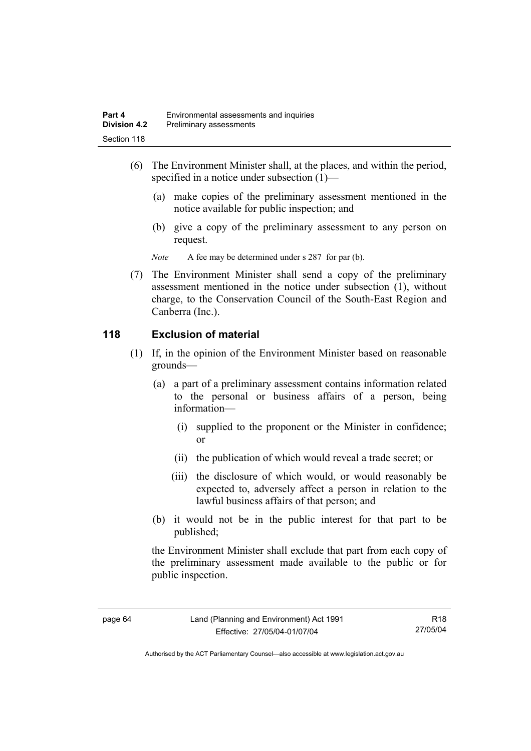- (6) The Environment Minister shall, at the places, and within the period, specified in a notice under subsection (1)—
	- (a) make copies of the preliminary assessment mentioned in the notice available for public inspection; and
	- (b) give a copy of the preliminary assessment to any person on request.

*Note* A fee may be determined under s 287 for par (b).

 (7) The Environment Minister shall send a copy of the preliminary assessment mentioned in the notice under subsection (1), without charge, to the Conservation Council of the South-East Region and Canberra (Inc.).

### **118 Exclusion of material**

- (1) If, in the opinion of the Environment Minister based on reasonable grounds—
	- (a) a part of a preliminary assessment contains information related to the personal or business affairs of a person, being information—
		- (i) supplied to the proponent or the Minister in confidence; or
		- (ii) the publication of which would reveal a trade secret; or
		- (iii) the disclosure of which would, or would reasonably be expected to, adversely affect a person in relation to the lawful business affairs of that person; and
	- (b) it would not be in the public interest for that part to be published;

the Environment Minister shall exclude that part from each copy of the preliminary assessment made available to the public or for public inspection.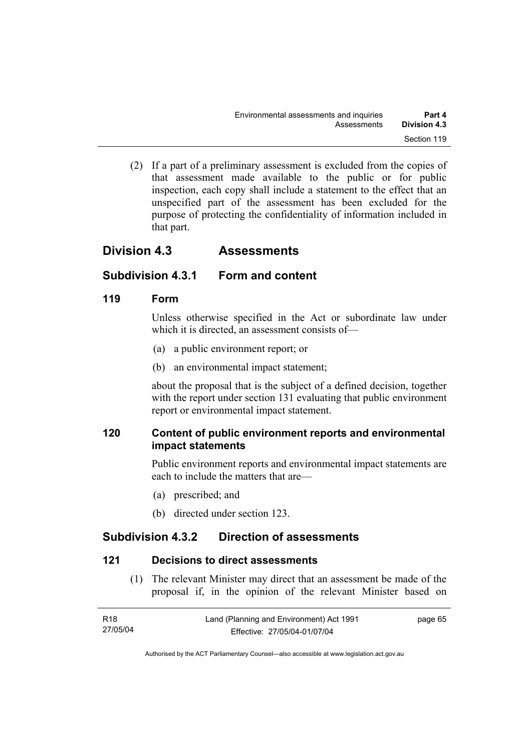(2) If a part of a preliminary assessment is excluded from the copies of that assessment made available to the public or for public inspection, each copy shall include a statement to the effect that an unspecified part of the assessment has been excluded for the purpose of protecting the confidentiality of information included in that part.

# **Division 4.3 Assessments**

# **Subdivision 4.3.1 Form and content**

# **119 Form**

Unless otherwise specified in the Act or subordinate law under which it is directed, an assessment consists of—

- (a) a public environment report; or
- (b) an environmental impact statement;

about the proposal that is the subject of a defined decision, together with the report under section 131 evaluating that public environment report or environmental impact statement.

# **120 Content of public environment reports and environmental impact statements**

Public environment reports and environmental impact statements are each to include the matters that are—

- (a) prescribed; and
- (b) directed under section 123.

# **Subdivision 4.3.2 Direction of assessments**

# **121 Decisions to direct assessments**

 (1) The relevant Minister may direct that an assessment be made of the proposal if, in the opinion of the relevant Minister based on

| R18      | Land (Planning and Environment) Act 1991 | page 65 |
|----------|------------------------------------------|---------|
| 27/05/04 | Effective: 27/05/04-01/07/04             |         |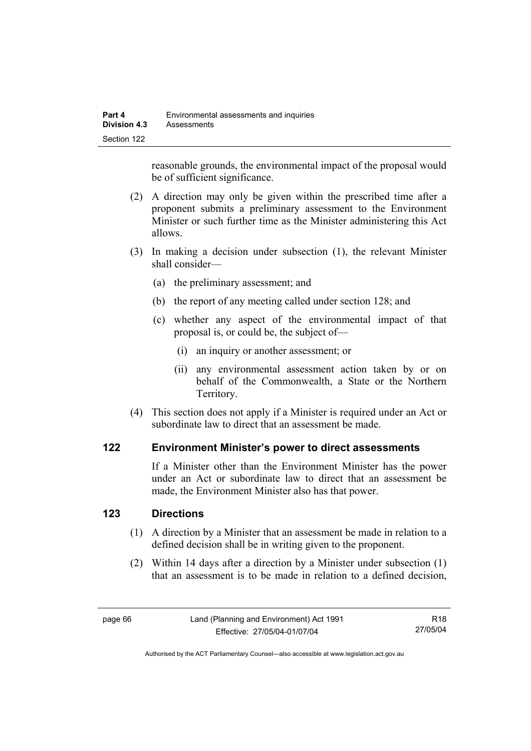reasonable grounds, the environmental impact of the proposal would be of sufficient significance.

- (2) A direction may only be given within the prescribed time after a proponent submits a preliminary assessment to the Environment Minister or such further time as the Minister administering this Act allows.
- (3) In making a decision under subsection (1), the relevant Minister shall consider—
	- (a) the preliminary assessment; and
	- (b) the report of any meeting called under section 128; and
	- (c) whether any aspect of the environmental impact of that proposal is, or could be, the subject of—
		- (i) an inquiry or another assessment; or
		- (ii) any environmental assessment action taken by or on behalf of the Commonwealth, a State or the Northern Territory.
- (4) This section does not apply if a Minister is required under an Act or subordinate law to direct that an assessment be made.

### **122 Environment Minister's power to direct assessments**

If a Minister other than the Environment Minister has the power under an Act or subordinate law to direct that an assessment be made, the Environment Minister also has that power.

### **123 Directions**

- (1) A direction by a Minister that an assessment be made in relation to a defined decision shall be in writing given to the proponent.
- (2) Within 14 days after a direction by a Minister under subsection (1) that an assessment is to be made in relation to a defined decision,

R18 27/05/04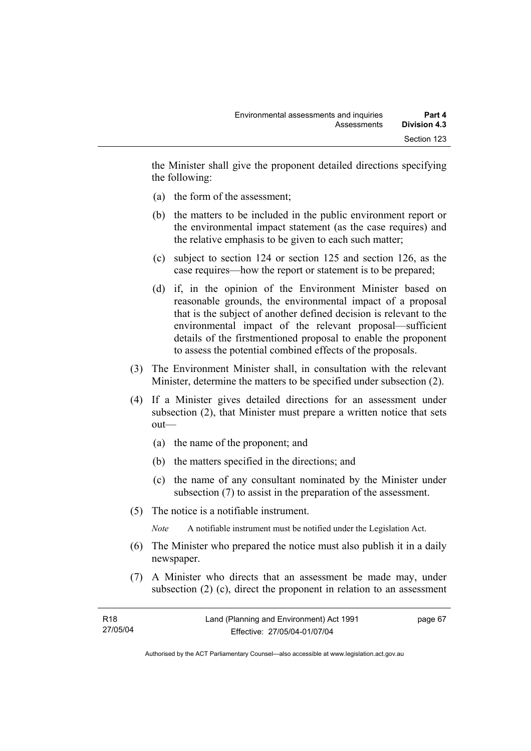the Minister shall give the proponent detailed directions specifying the following:

- (a) the form of the assessment;
- (b) the matters to be included in the public environment report or the environmental impact statement (as the case requires) and the relative emphasis to be given to each such matter;
- (c) subject to section 124 or section 125 and section 126, as the case requires—how the report or statement is to be prepared;
- (d) if, in the opinion of the Environment Minister based on reasonable grounds, the environmental impact of a proposal that is the subject of another defined decision is relevant to the environmental impact of the relevant proposal—sufficient details of the firstmentioned proposal to enable the proponent to assess the potential combined effects of the proposals.
- (3) The Environment Minister shall, in consultation with the relevant Minister, determine the matters to be specified under subsection (2).
- (4) If a Minister gives detailed directions for an assessment under subsection (2), that Minister must prepare a written notice that sets out—
	- (a) the name of the proponent; and
	- (b) the matters specified in the directions; and
	- (c) the name of any consultant nominated by the Minister under subsection (7) to assist in the preparation of the assessment.
- (5) The notice is a notifiable instrument.

*Note* A notifiable instrument must be notified under the Legislation Act.

- (6) The Minister who prepared the notice must also publish it in a daily newspaper.
- (7) A Minister who directs that an assessment be made may, under subsection (2) (c), direct the proponent in relation to an assessment

| R18      | Land (Planning and Environment) Act 1991 | page 67 |
|----------|------------------------------------------|---------|
| 27/05/04 | Effective: 27/05/04-01/07/04             |         |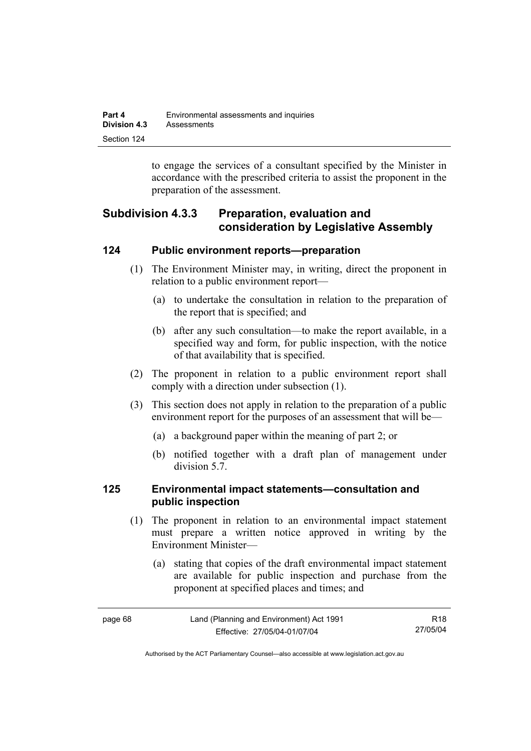| Part 4       | Environmental assessments and inquiries |  |
|--------------|-----------------------------------------|--|
| Division 4.3 | Assessments                             |  |
| Section 124  |                                         |  |

to engage the services of a consultant specified by the Minister in accordance with the prescribed criteria to assist the proponent in the preparation of the assessment.

# **Subdivision 4.3.3 Preparation, evaluation and consideration by Legislative Assembly**

### **124 Public environment reports—preparation**

- (1) The Environment Minister may, in writing, direct the proponent in relation to a public environment report—
	- (a) to undertake the consultation in relation to the preparation of the report that is specified; and
	- (b) after any such consultation—to make the report available, in a specified way and form, for public inspection, with the notice of that availability that is specified.
- (2) The proponent in relation to a public environment report shall comply with a direction under subsection (1).
- (3) This section does not apply in relation to the preparation of a public environment report for the purposes of an assessment that will be—
	- (a) a background paper within the meaning of part 2; or
	- (b) notified together with a draft plan of management under division 5.7.

### **125 Environmental impact statements—consultation and public inspection**

- (1) The proponent in relation to an environmental impact statement must prepare a written notice approved in writing by the Environment Minister—
	- (a) stating that copies of the draft environmental impact statement are available for public inspection and purchase from the proponent at specified places and times; and

| page 68 | Land (Planning and Environment) Act 1991 | R18      |
|---------|------------------------------------------|----------|
|         | Effective: 27/05/04-01/07/04             | 27/05/04 |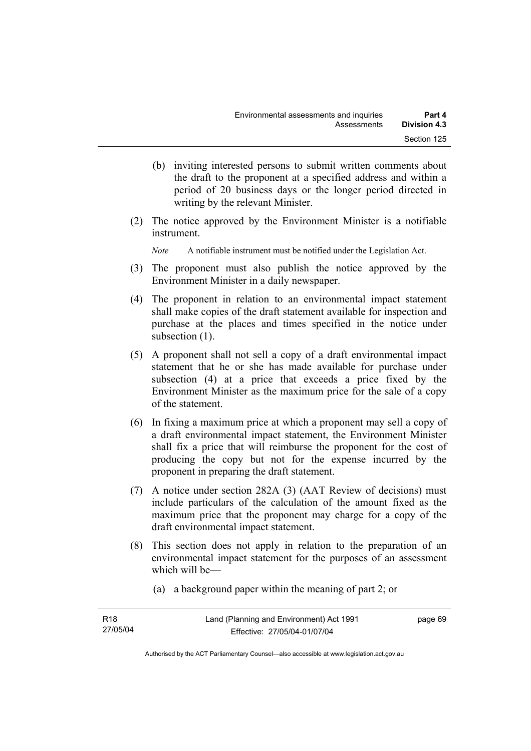- (b) inviting interested persons to submit written comments about the draft to the proponent at a specified address and within a period of 20 business days or the longer period directed in writing by the relevant Minister.
- (2) The notice approved by the Environment Minister is a notifiable instrument.

*Note* A notifiable instrument must be notified under the Legislation Act.

- (3) The proponent must also publish the notice approved by the Environment Minister in a daily newspaper.
- (4) The proponent in relation to an environmental impact statement shall make copies of the draft statement available for inspection and purchase at the places and times specified in the notice under subsection  $(1)$ .
- (5) A proponent shall not sell a copy of a draft environmental impact statement that he or she has made available for purchase under subsection (4) at a price that exceeds a price fixed by the Environment Minister as the maximum price for the sale of a copy of the statement.
- (6) In fixing a maximum price at which a proponent may sell a copy of a draft environmental impact statement, the Environment Minister shall fix a price that will reimburse the proponent for the cost of producing the copy but not for the expense incurred by the proponent in preparing the draft statement.
- (7) A notice under section 282A (3) (AAT Review of decisions) must include particulars of the calculation of the amount fixed as the maximum price that the proponent may charge for a copy of the draft environmental impact statement.
- (8) This section does not apply in relation to the preparation of an environmental impact statement for the purposes of an assessment which will be—
	- (a) a background paper within the meaning of part 2; or

| R18      | Land (Planning and Environment) Act 1991 | page 69 |
|----------|------------------------------------------|---------|
| 27/05/04 | Effective: 27/05/04-01/07/04             |         |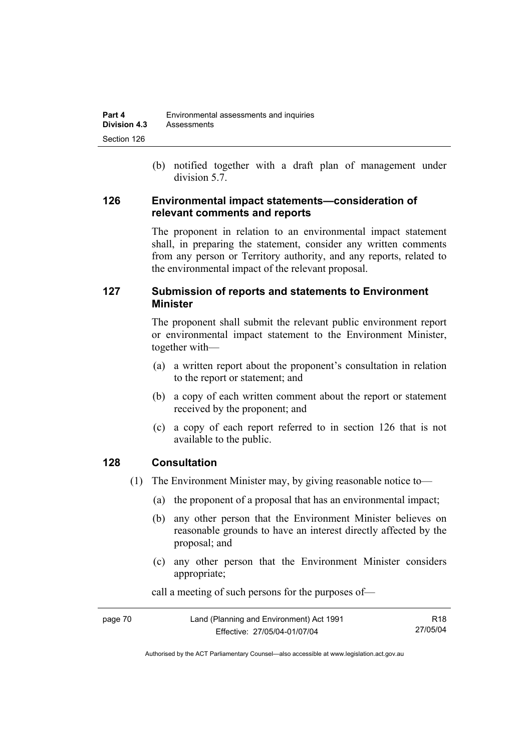(b) notified together with a draft plan of management under division 5.7.

### **126 Environmental impact statements—consideration of relevant comments and reports**

The proponent in relation to an environmental impact statement shall, in preparing the statement, consider any written comments from any person or Territory authority, and any reports, related to the environmental impact of the relevant proposal.

# **127 Submission of reports and statements to Environment Minister**

The proponent shall submit the relevant public environment report or environmental impact statement to the Environment Minister, together with—

- (a) a written report about the proponent's consultation in relation to the report or statement; and
- (b) a copy of each written comment about the report or statement received by the proponent; and
- (c) a copy of each report referred to in section 126 that is not available to the public.

# **128 Consultation**

- (1) The Environment Minister may, by giving reasonable notice to—
	- (a) the proponent of a proposal that has an environmental impact;
	- (b) any other person that the Environment Minister believes on reasonable grounds to have an interest directly affected by the proposal; and
	- (c) any other person that the Environment Minister considers appropriate;

| page 70 | Land (Planning and Environment) Act 1991 | R <sub>18</sub> |
|---------|------------------------------------------|-----------------|
|         | Effective: 27/05/04-01/07/04             | 27/05/04        |

call a meeting of such persons for the purposes of—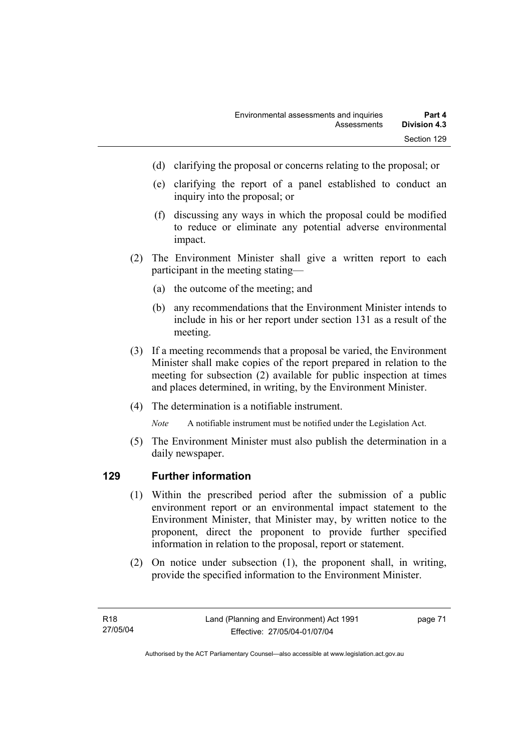- (d) clarifying the proposal or concerns relating to the proposal; or
- (e) clarifying the report of a panel established to conduct an inquiry into the proposal; or
- (f) discussing any ways in which the proposal could be modified to reduce or eliminate any potential adverse environmental impact.
- (2) The Environment Minister shall give a written report to each participant in the meeting stating—
	- (a) the outcome of the meeting; and
	- (b) any recommendations that the Environment Minister intends to include in his or her report under section 131 as a result of the meeting.
- (3) If a meeting recommends that a proposal be varied, the Environment Minister shall make copies of the report prepared in relation to the meeting for subsection (2) available for public inspection at times and places determined, in writing, by the Environment Minister.
- (4) The determination is a notifiable instrument.

*Note* A notifiable instrument must be notified under the Legislation Act.

(5) The Environment Minister must also publish the determination in a daily newspaper.

### **129 Further information**

- (1) Within the prescribed period after the submission of a public environment report or an environmental impact statement to the Environment Minister, that Minister may, by written notice to the proponent, direct the proponent to provide further specified information in relation to the proposal, report or statement.
- (2) On notice under subsection (1), the proponent shall, in writing, provide the specified information to the Environment Minister.

page 71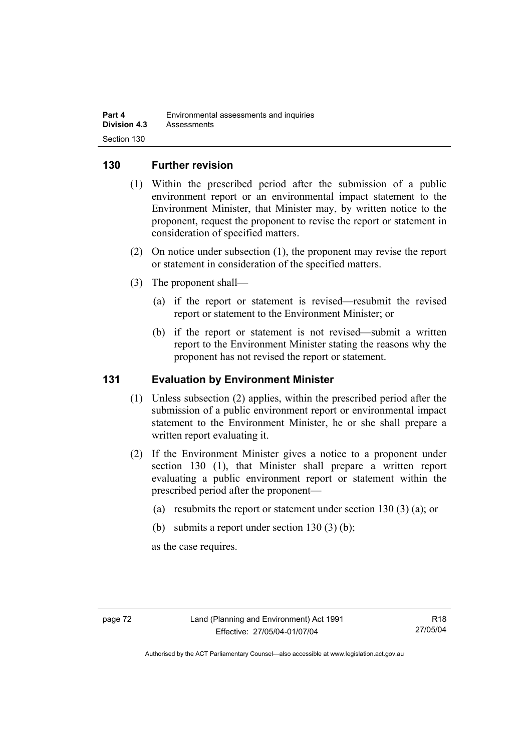### **130 Further revision**

- (1) Within the prescribed period after the submission of a public environment report or an environmental impact statement to the Environment Minister, that Minister may, by written notice to the proponent, request the proponent to revise the report or statement in consideration of specified matters.
- (2) On notice under subsection (1), the proponent may revise the report or statement in consideration of the specified matters.
- (3) The proponent shall—
	- (a) if the report or statement is revised—resubmit the revised report or statement to the Environment Minister; or
	- (b) if the report or statement is not revised—submit a written report to the Environment Minister stating the reasons why the proponent has not revised the report or statement.

### **131 Evaluation by Environment Minister**

- (1) Unless subsection (2) applies, within the prescribed period after the submission of a public environment report or environmental impact statement to the Environment Minister, he or she shall prepare a written report evaluating it.
- (2) If the Environment Minister gives a notice to a proponent under section 130 (1), that Minister shall prepare a written report evaluating a public environment report or statement within the prescribed period after the proponent—
	- (a) resubmits the report or statement under section 130 (3) (a); or
	- (b) submits a report under section  $130(3)$  (b);

as the case requires.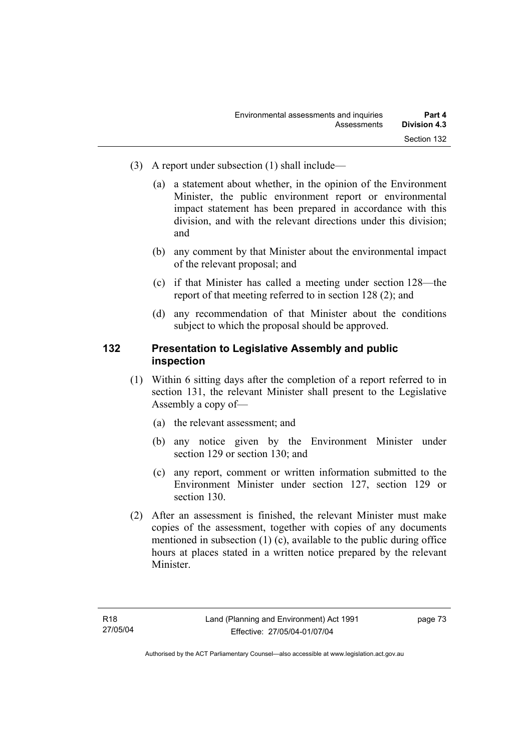- (3) A report under subsection (1) shall include—
	- (a) a statement about whether, in the opinion of the Environment Minister, the public environment report or environmental impact statement has been prepared in accordance with this division, and with the relevant directions under this division; and
	- (b) any comment by that Minister about the environmental impact of the relevant proposal; and
	- (c) if that Minister has called a meeting under section 128—the report of that meeting referred to in section 128 (2); and
	- (d) any recommendation of that Minister about the conditions subject to which the proposal should be approved.

### **132 Presentation to Legislative Assembly and public inspection**

- (1) Within 6 sitting days after the completion of a report referred to in section 131, the relevant Minister shall present to the Legislative Assembly a copy of—
	- (a) the relevant assessment; and
	- (b) any notice given by the Environment Minister under section 129 or section 130; and
	- (c) any report, comment or written information submitted to the Environment Minister under section 127, section 129 or section 130.
- (2) After an assessment is finished, the relevant Minister must make copies of the assessment, together with copies of any documents mentioned in subsection (1) (c), available to the public during office hours at places stated in a written notice prepared by the relevant Minister.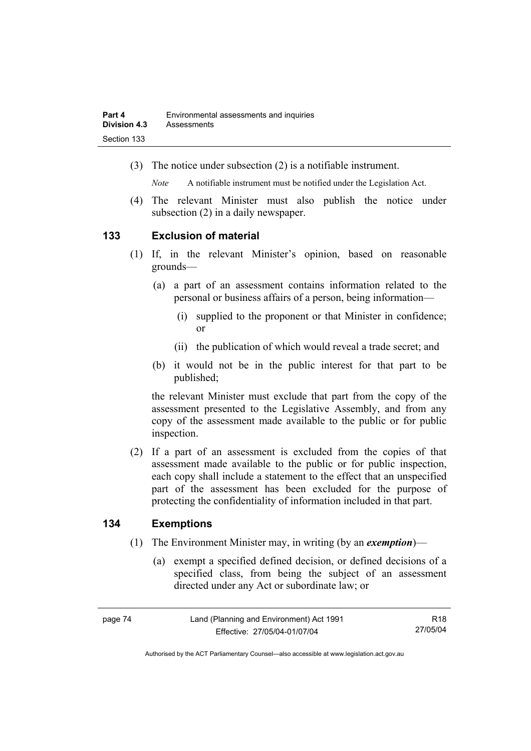(3) The notice under subsection (2) is a notifiable instrument.

*Note* A notifiable instrument must be notified under the Legislation Act.

(4) The relevant Minister must also publish the notice under subsection (2) in a daily newspaper.

### **133 Exclusion of material**

- (1) If, in the relevant Minister's opinion, based on reasonable grounds—
	- (a) a part of an assessment contains information related to the personal or business affairs of a person, being information—
		- (i) supplied to the proponent or that Minister in confidence; or
		- (ii) the publication of which would reveal a trade secret; and
	- (b) it would not be in the public interest for that part to be published;

the relevant Minister must exclude that part from the copy of the assessment presented to the Legislative Assembly, and from any copy of the assessment made available to the public or for public inspection.

 (2) If a part of an assessment is excluded from the copies of that assessment made available to the public or for public inspection, each copy shall include a statement to the effect that an unspecified part of the assessment has been excluded for the purpose of protecting the confidentiality of information included in that part.

### **134 Exemptions**

- (1) The Environment Minister may, in writing (by an *exemption*)—
	- (a) exempt a specified defined decision, or defined decisions of a specified class, from being the subject of an assessment directed under any Act or subordinate law; or

R18 27/05/04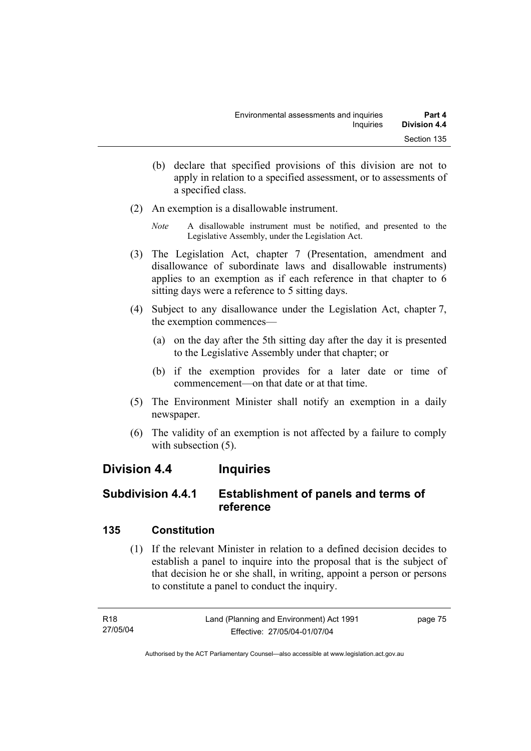- (b) declare that specified provisions of this division are not to apply in relation to a specified assessment, or to assessments of a specified class.
- (2) An exemption is a disallowable instrument.
	- *Note* A disallowable instrument must be notified, and presented to the Legislative Assembly, under the Legislation Act.
- (3) The Legislation Act, chapter 7 (Presentation, amendment and disallowance of subordinate laws and disallowable instruments) applies to an exemption as if each reference in that chapter to 6 sitting days were a reference to 5 sitting days.
- (4) Subject to any disallowance under the Legislation Act, chapter 7, the exemption commences—
	- (a) on the day after the 5th sitting day after the day it is presented to the Legislative Assembly under that chapter; or
	- (b) if the exemption provides for a later date or time of commencement—on that date or at that time.
- (5) The Environment Minister shall notify an exemption in a daily newspaper.
- (6) The validity of an exemption is not affected by a failure to comply with subsection  $(5)$ .

# **Division 4.4 Inquiries**

# **Subdivision 4.4.1 Establishment of panels and terms of reference**

# **135 Constitution**

 (1) If the relevant Minister in relation to a defined decision decides to establish a panel to inquire into the proposal that is the subject of that decision he or she shall, in writing, appoint a person or persons to constitute a panel to conduct the inquiry.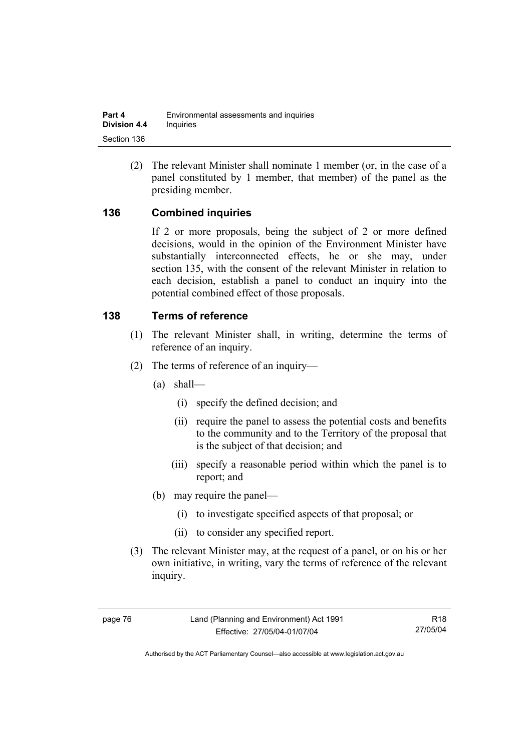(2) The relevant Minister shall nominate 1 member (or, in the case of a panel constituted by 1 member, that member) of the panel as the presiding member.

# **136 Combined inquiries**

If 2 or more proposals, being the subject of 2 or more defined decisions, would in the opinion of the Environment Minister have substantially interconnected effects, he or she may, under section 135, with the consent of the relevant Minister in relation to each decision, establish a panel to conduct an inquiry into the potential combined effect of those proposals.

### **138 Terms of reference**

- (1) The relevant Minister shall, in writing, determine the terms of reference of an inquiry.
- (2) The terms of reference of an inquiry—
	- (a) shall—
		- (i) specify the defined decision; and
		- (ii) require the panel to assess the potential costs and benefits to the community and to the Territory of the proposal that is the subject of that decision; and
		- (iii) specify a reasonable period within which the panel is to report; and
	- (b) may require the panel—
		- (i) to investigate specified aspects of that proposal; or
		- (ii) to consider any specified report.
- (3) The relevant Minister may, at the request of a panel, or on his or her own initiative, in writing, vary the terms of reference of the relevant inquiry.

R18 27/05/04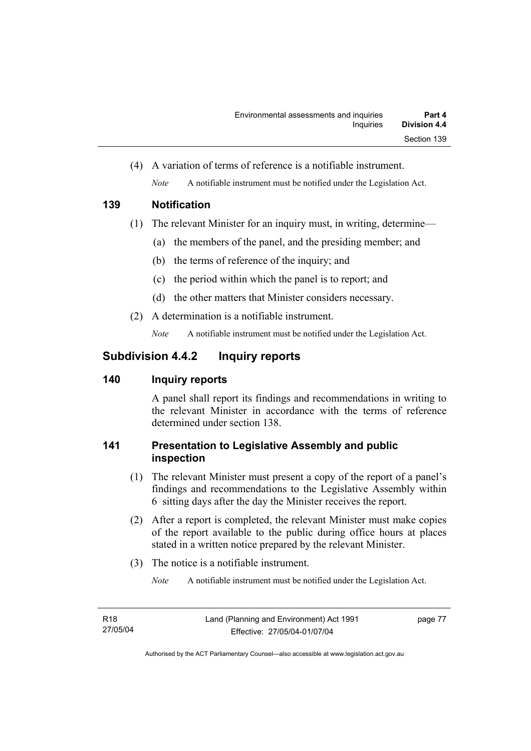(4) A variation of terms of reference is a notifiable instrument. *Note* A notifiable instrument must be notified under the Legislation Act.

# **139 Notification**

- (1) The relevant Minister for an inquiry must, in writing, determine—
	- (a) the members of the panel, and the presiding member; and
	- (b) the terms of reference of the inquiry; and
	- (c) the period within which the panel is to report; and
	- (d) the other matters that Minister considers necessary.
- (2) A determination is a notifiable instrument.

*Note* A notifiable instrument must be notified under the Legislation Act.

# **Subdivision 4.4.2 Inquiry reports**

# **140 Inquiry reports**

A panel shall report its findings and recommendations in writing to the relevant Minister in accordance with the terms of reference determined under section 138.

# **141 Presentation to Legislative Assembly and public inspection**

- (1) The relevant Minister must present a copy of the report of a panel's findings and recommendations to the Legislative Assembly within 6 sitting days after the day the Minister receives the report.
- (2) After a report is completed, the relevant Minister must make copies of the report available to the public during office hours at places stated in a written notice prepared by the relevant Minister.
- (3) The notice is a notifiable instrument.

*Note* A notifiable instrument must be notified under the Legislation Act.

page 77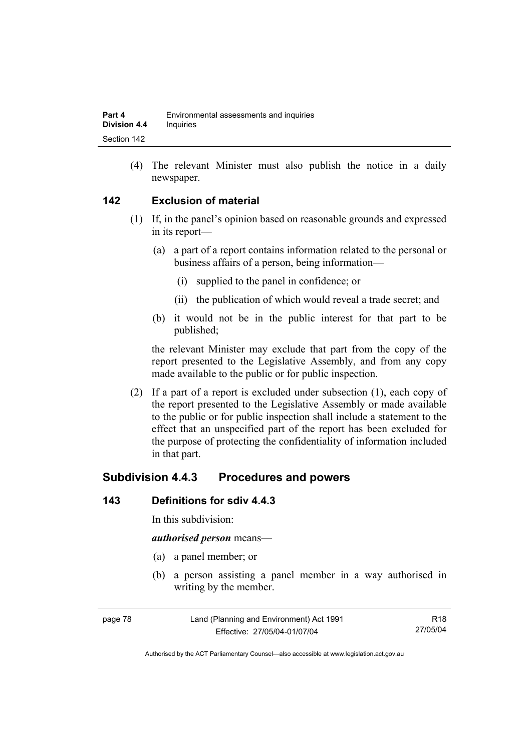(4) The relevant Minister must also publish the notice in a daily newspaper.

### **142 Exclusion of material**

- (1) If, in the panel's opinion based on reasonable grounds and expressed in its report—
	- (a) a part of a report contains information related to the personal or business affairs of a person, being information—
		- (i) supplied to the panel in confidence; or
		- (ii) the publication of which would reveal a trade secret; and
	- (b) it would not be in the public interest for that part to be published;

the relevant Minister may exclude that part from the copy of the report presented to the Legislative Assembly, and from any copy made available to the public or for public inspection.

 (2) If a part of a report is excluded under subsection (1), each copy of the report presented to the Legislative Assembly or made available to the public or for public inspection shall include a statement to the effect that an unspecified part of the report has been excluded for the purpose of protecting the confidentiality of information included in that part.

# **Subdivision 4.4.3 Procedures and powers**

### **143 Definitions for sdiv 4.4.3**

In this subdivision:

#### *authorised person* means—

- (a) a panel member; or
- (b) a person assisting a panel member in a way authorised in writing by the member.

| page 78 | Land (Planning and Environment) Act 1991 | R18      |
|---------|------------------------------------------|----------|
|         | Effective: 27/05/04-01/07/04             | 27/05/04 |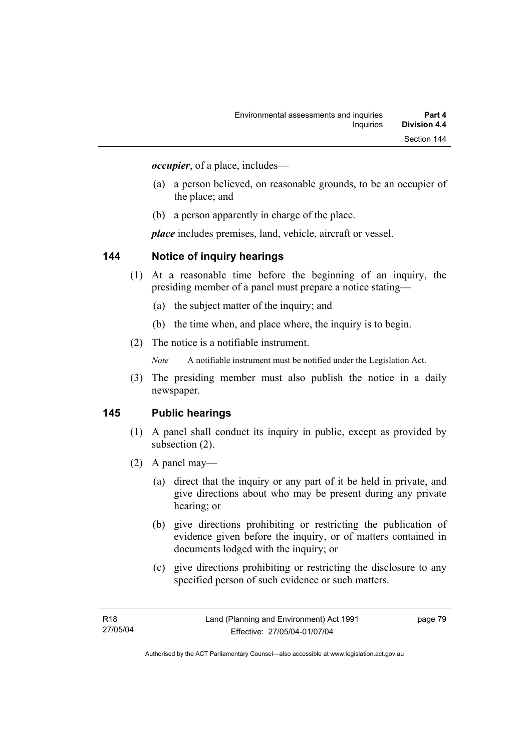*occupier*, of a place, includes—

- (a) a person believed, on reasonable grounds, to be an occupier of the place; and
- (b) a person apparently in charge of the place.

*place* includes premises, land, vehicle, aircraft or vessel.

### **144 Notice of inquiry hearings**

- (1) At a reasonable time before the beginning of an inquiry, the presiding member of a panel must prepare a notice stating—
	- (a) the subject matter of the inquiry; and
	- (b) the time when, and place where, the inquiry is to begin.
- (2) The notice is a notifiable instrument.

*Note* A notifiable instrument must be notified under the Legislation Act.

(3) The presiding member must also publish the notice in a daily newspaper.

### **145 Public hearings**

- (1) A panel shall conduct its inquiry in public, except as provided by subsection (2).
- (2) A panel may—
	- (a) direct that the inquiry or any part of it be held in private, and give directions about who may be present during any private hearing; or
	- (b) give directions prohibiting or restricting the publication of evidence given before the inquiry, or of matters contained in documents lodged with the inquiry; or
	- (c) give directions prohibiting or restricting the disclosure to any specified person of such evidence or such matters.

page 79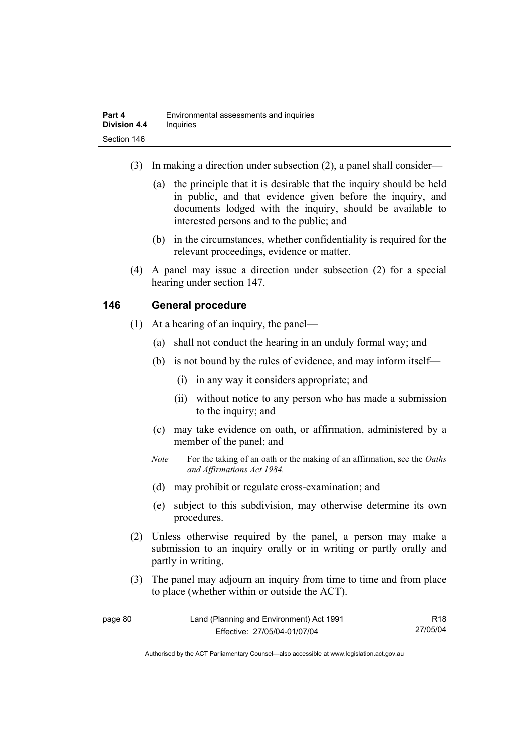- (3) In making a direction under subsection (2), a panel shall consider—
	- (a) the principle that it is desirable that the inquiry should be held in public, and that evidence given before the inquiry, and documents lodged with the inquiry, should be available to interested persons and to the public; and
	- (b) in the circumstances, whether confidentiality is required for the relevant proceedings, evidence or matter.
- (4) A panel may issue a direction under subsection (2) for a special hearing under section 147.

# **146 General procedure**

- (1) At a hearing of an inquiry, the panel—
	- (a) shall not conduct the hearing in an unduly formal way; and
	- (b) is not bound by the rules of evidence, and may inform itself—
		- (i) in any way it considers appropriate; and
		- (ii) without notice to any person who has made a submission to the inquiry; and
	- (c) may take evidence on oath, or affirmation, administered by a member of the panel; and
	- *Note* For the taking of an oath or the making of an affirmation, see the *Oaths and Affirmations Act 1984.*
	- (d) may prohibit or regulate cross-examination; and
	- (e) subject to this subdivision, may otherwise determine its own procedures.
- (2) Unless otherwise required by the panel, a person may make a submission to an inquiry orally or in writing or partly orally and partly in writing.
- (3) The panel may adjourn an inquiry from time to time and from place to place (whether within or outside the ACT).

| page 80 | Land (Planning and Environment) Act 1991 | R <sub>18</sub> |
|---------|------------------------------------------|-----------------|
|         | Effective: 27/05/04-01/07/04             | 27/05/04        |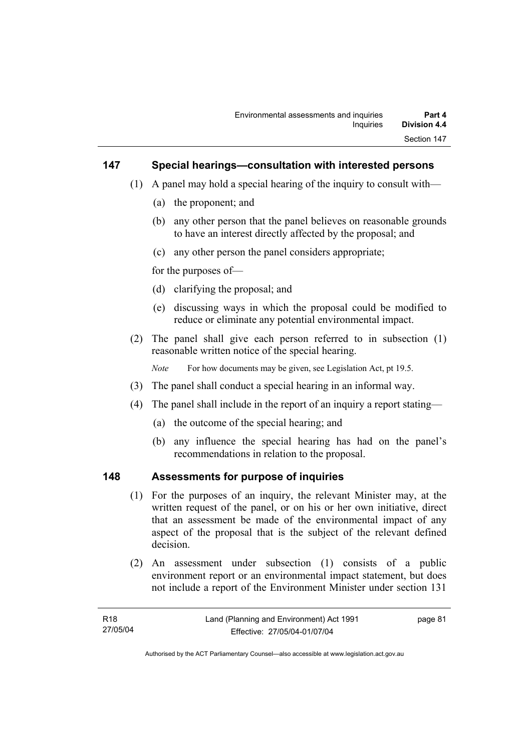### **147 Special hearings—consultation with interested persons**

- (1) A panel may hold a special hearing of the inquiry to consult with—
	- (a) the proponent; and
	- (b) any other person that the panel believes on reasonable grounds to have an interest directly affected by the proposal; and
	- (c) any other person the panel considers appropriate;

for the purposes of—

- (d) clarifying the proposal; and
- (e) discussing ways in which the proposal could be modified to reduce or eliminate any potential environmental impact.
- (2) The panel shall give each person referred to in subsection (1) reasonable written notice of the special hearing.

*Note* For how documents may be given, see Legislation Act, pt 19.5.

- (3) The panel shall conduct a special hearing in an informal way.
- (4) The panel shall include in the report of an inquiry a report stating—
	- (a) the outcome of the special hearing; and
	- (b) any influence the special hearing has had on the panel's recommendations in relation to the proposal.

#### **148 Assessments for purpose of inquiries**

- (1) For the purposes of an inquiry, the relevant Minister may, at the written request of the panel, or on his or her own initiative, direct that an assessment be made of the environmental impact of any aspect of the proposal that is the subject of the relevant defined decision.
- (2) An assessment under subsection (1) consists of a public environment report or an environmental impact statement, but does not include a report of the Environment Minister under section 131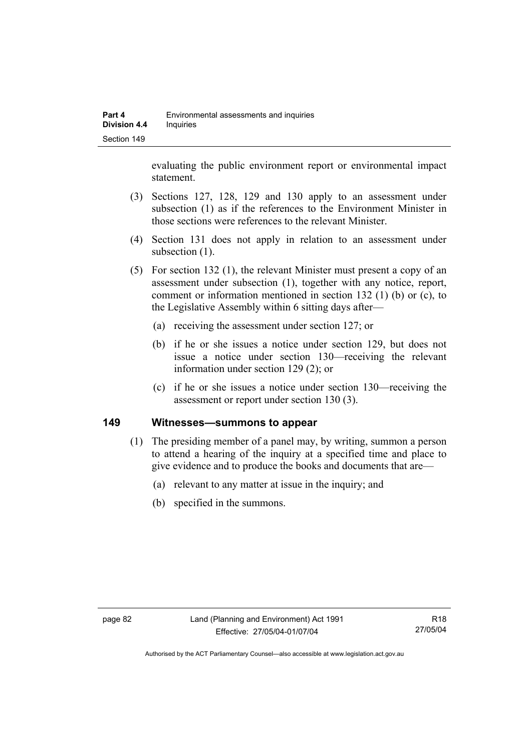evaluating the public environment report or environmental impact statement.

- (3) Sections 127, 128, 129 and 130 apply to an assessment under subsection (1) as if the references to the Environment Minister in those sections were references to the relevant Minister.
- (4) Section 131 does not apply in relation to an assessment under subsection  $(1)$ .
- (5) For section 132 (1), the relevant Minister must present a copy of an assessment under subsection (1), together with any notice, report, comment or information mentioned in section 132 (1) (b) or (c), to the Legislative Assembly within 6 sitting days after—
	- (a) receiving the assessment under section 127; or
	- (b) if he or she issues a notice under section 129, but does not issue a notice under section 130—receiving the relevant information under section 129 (2); or
	- (c) if he or she issues a notice under section 130—receiving the assessment or report under section 130 (3).

### **149 Witnesses—summons to appear**

- (1) The presiding member of a panel may, by writing, summon a person to attend a hearing of the inquiry at a specified time and place to give evidence and to produce the books and documents that are—
	- (a) relevant to any matter at issue in the inquiry; and
	- (b) specified in the summons.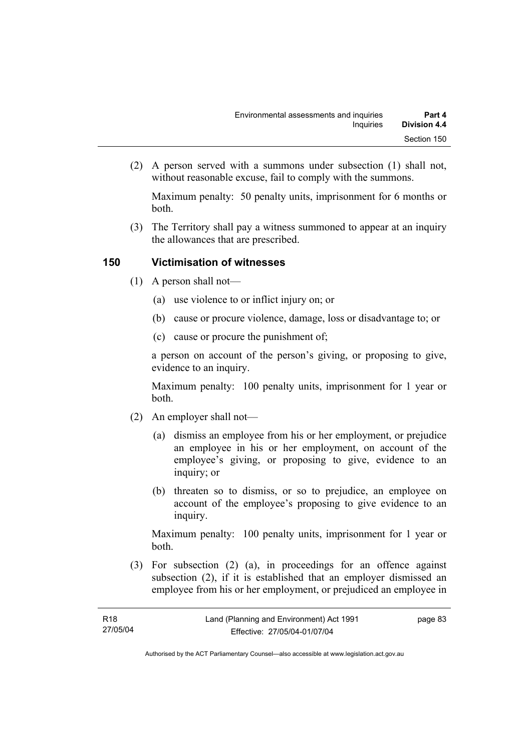(2) A person served with a summons under subsection (1) shall not, without reasonable excuse, fail to comply with the summons.

Maximum penalty: 50 penalty units, imprisonment for 6 months or both.

 (3) The Territory shall pay a witness summoned to appear at an inquiry the allowances that are prescribed.

# **150 Victimisation of witnesses**

- (1) A person shall not—
	- (a) use violence to or inflict injury on; or
	- (b) cause or procure violence, damage, loss or disadvantage to; or
	- (c) cause or procure the punishment of;

a person on account of the person's giving, or proposing to give, evidence to an inquiry.

Maximum penalty: 100 penalty units, imprisonment for 1 year or both.

- (2) An employer shall not—
	- (a) dismiss an employee from his or her employment, or prejudice an employee in his or her employment, on account of the employee's giving, or proposing to give, evidence to an inquiry; or
	- (b) threaten so to dismiss, or so to prejudice, an employee on account of the employee's proposing to give evidence to an inquiry.

Maximum penalty: 100 penalty units, imprisonment for 1 year or both.

 (3) For subsection (2) (a), in proceedings for an offence against subsection (2), if it is established that an employer dismissed an employee from his or her employment, or prejudiced an employee in

page 83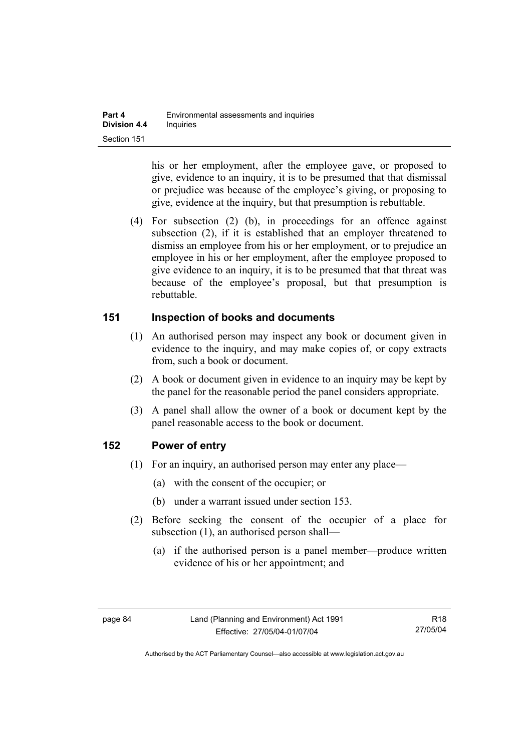his or her employment, after the employee gave, or proposed to give, evidence to an inquiry, it is to be presumed that that dismissal or prejudice was because of the employee's giving, or proposing to give, evidence at the inquiry, but that presumption is rebuttable.

 (4) For subsection (2) (b), in proceedings for an offence against subsection (2), if it is established that an employer threatened to dismiss an employee from his or her employment, or to prejudice an employee in his or her employment, after the employee proposed to give evidence to an inquiry, it is to be presumed that that threat was because of the employee's proposal, but that presumption is rebuttable.

### **151 Inspection of books and documents**

- (1) An authorised person may inspect any book or document given in evidence to the inquiry, and may make copies of, or copy extracts from, such a book or document.
- (2) A book or document given in evidence to an inquiry may be kept by the panel for the reasonable period the panel considers appropriate.
- (3) A panel shall allow the owner of a book or document kept by the panel reasonable access to the book or document.

# **152 Power of entry**

- (1) For an inquiry, an authorised person may enter any place—
	- (a) with the consent of the occupier; or
	- (b) under a warrant issued under section 153.
- (2) Before seeking the consent of the occupier of a place for subsection (1), an authorised person shall—
	- (a) if the authorised person is a panel member—produce written evidence of his or her appointment; and

R18 27/05/04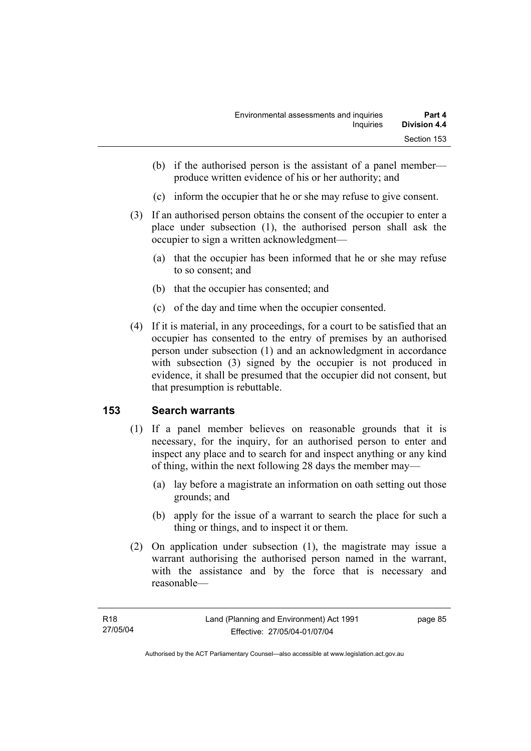- (b) if the authorised person is the assistant of a panel member produce written evidence of his or her authority; and
- (c) inform the occupier that he or she may refuse to give consent.
- (3) If an authorised person obtains the consent of the occupier to enter a place under subsection (1), the authorised person shall ask the occupier to sign a written acknowledgment—
	- (a) that the occupier has been informed that he or she may refuse to so consent; and
	- (b) that the occupier has consented; and
	- (c) of the day and time when the occupier consented.
- (4) If it is material, in any proceedings, for a court to be satisfied that an occupier has consented to the entry of premises by an authorised person under subsection (1) and an acknowledgment in accordance with subsection (3) signed by the occupier is not produced in evidence, it shall be presumed that the occupier did not consent, but that presumption is rebuttable.

# **153 Search warrants**

- (1) If a panel member believes on reasonable grounds that it is necessary, for the inquiry, for an authorised person to enter and inspect any place and to search for and inspect anything or any kind of thing, within the next following 28 days the member may—
	- (a) lay before a magistrate an information on oath setting out those grounds; and
	- (b) apply for the issue of a warrant to search the place for such a thing or things, and to inspect it or them.
- (2) On application under subsection (1), the magistrate may issue a warrant authorising the authorised person named in the warrant, with the assistance and by the force that is necessary and reasonable—

page 85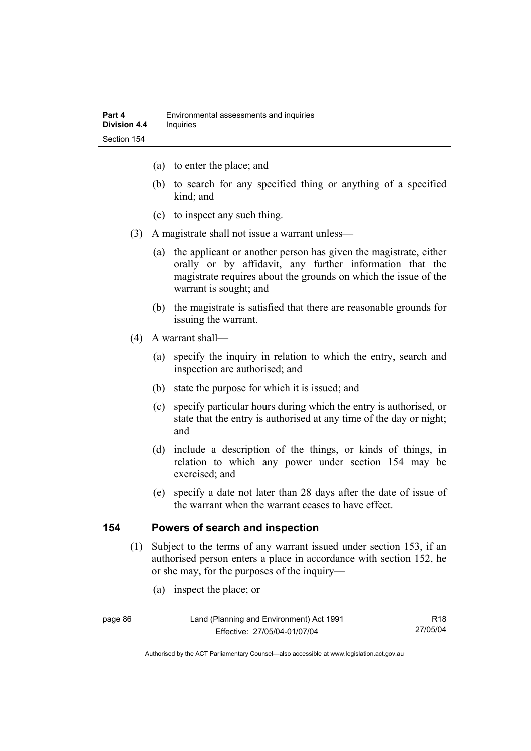- (a) to enter the place; and
- (b) to search for any specified thing or anything of a specified kind; and
- (c) to inspect any such thing.
- (3) A magistrate shall not issue a warrant unless—
	- (a) the applicant or another person has given the magistrate, either orally or by affidavit, any further information that the magistrate requires about the grounds on which the issue of the warrant is sought; and
	- (b) the magistrate is satisfied that there are reasonable grounds for issuing the warrant.
- (4) A warrant shall—
	- (a) specify the inquiry in relation to which the entry, search and inspection are authorised; and
	- (b) state the purpose for which it is issued; and
	- (c) specify particular hours during which the entry is authorised, or state that the entry is authorised at any time of the day or night; and
	- (d) include a description of the things, or kinds of things, in relation to which any power under section 154 may be exercised; and
	- (e) specify a date not later than 28 days after the date of issue of the warrant when the warrant ceases to have effect.

### **154 Powers of search and inspection**

- (1) Subject to the terms of any warrant issued under section 153, if an authorised person enters a place in accordance with section 152, he or she may, for the purposes of the inquiry—
	- (a) inspect the place; or

Land (Planning and Environment) Act 1991 Effective: 27/05/04-01/07/04

R18 27/05/04

Authorised by the ACT Parliamentary Counsel—also accessible at www.legislation.act.gov.au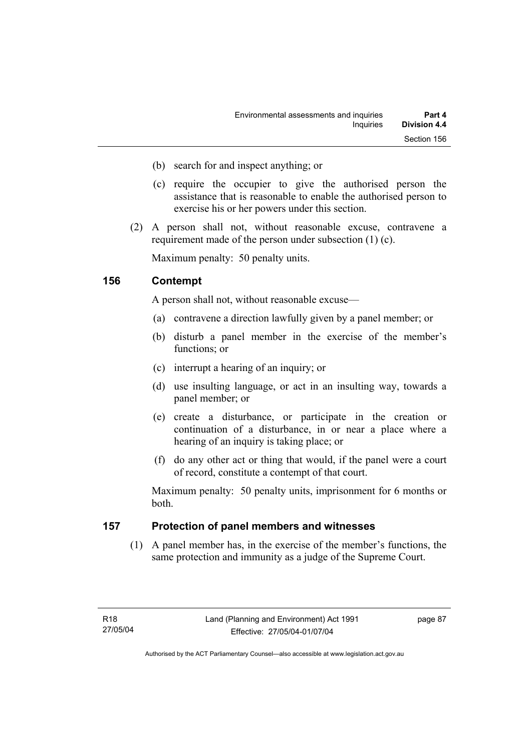- (b) search for and inspect anything; or
- (c) require the occupier to give the authorised person the assistance that is reasonable to enable the authorised person to exercise his or her powers under this section.
- (2) A person shall not, without reasonable excuse, contravene a requirement made of the person under subsection (1) (c).

Maximum penalty: 50 penalty units.

### **156 Contempt**

A person shall not, without reasonable excuse—

- (a) contravene a direction lawfully given by a panel member; or
- (b) disturb a panel member in the exercise of the member's functions; or
- (c) interrupt a hearing of an inquiry; or
- (d) use insulting language, or act in an insulting way, towards a panel member; or
- (e) create a disturbance, or participate in the creation or continuation of a disturbance, in or near a place where a hearing of an inquiry is taking place; or
- (f) do any other act or thing that would, if the panel were a court of record, constitute a contempt of that court.

Maximum penalty: 50 penalty units, imprisonment for 6 months or both.

### **157 Protection of panel members and witnesses**

 (1) A panel member has, in the exercise of the member's functions, the same protection and immunity as a judge of the Supreme Court.

page 87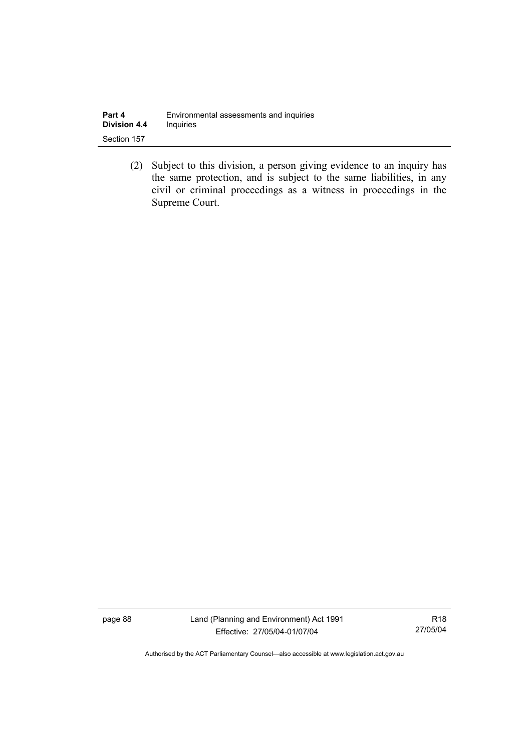| Part 4              | Environmental assessments and inquiries |
|---------------------|-----------------------------------------|
| <b>Division 4.4</b> | <b>Inquiries</b>                        |
| Section 157         |                                         |

 (2) Subject to this division, a person giving evidence to an inquiry has the same protection, and is subject to the same liabilities, in any civil or criminal proceedings as a witness in proceedings in the Supreme Court.

page 88 Land (Planning and Environment) Act 1991 Effective: 27/05/04-01/07/04

R18 27/05/04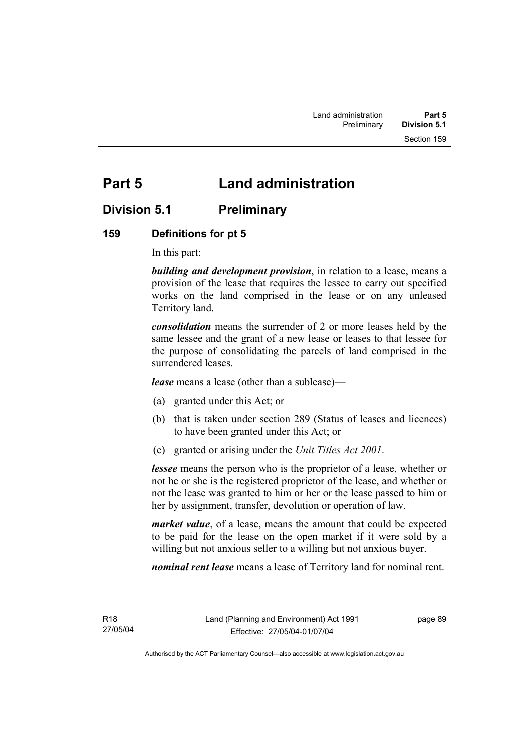# **Part 5 Land administration**

# **Division 5.1 Preliminary**

# **159 Definitions for pt 5**

In this part:

*building and development provision*, in relation to a lease, means a provision of the lease that requires the lessee to carry out specified works on the land comprised in the lease or on any unleased Territory land.

*consolidation* means the surrender of 2 or more leases held by the same lessee and the grant of a new lease or leases to that lessee for the purpose of consolidating the parcels of land comprised in the surrendered leases.

*lease* means a lease (other than a sublease)—

- (a) granted under this Act; or
- (b) that is taken under section 289 (Status of leases and licences) to have been granted under this Act; or
- (c) granted or arising under the *Unit Titles Act 2001*.

*lessee* means the person who is the proprietor of a lease, whether or not he or she is the registered proprietor of the lease, and whether or not the lease was granted to him or her or the lease passed to him or her by assignment, transfer, devolution or operation of law.

*market value*, of a lease, means the amount that could be expected to be paid for the lease on the open market if it were sold by a willing but not anxious seller to a willing but not anxious buyer.

*nominal rent lease* means a lease of Territory land for nominal rent.

R18 27/05/04 page 89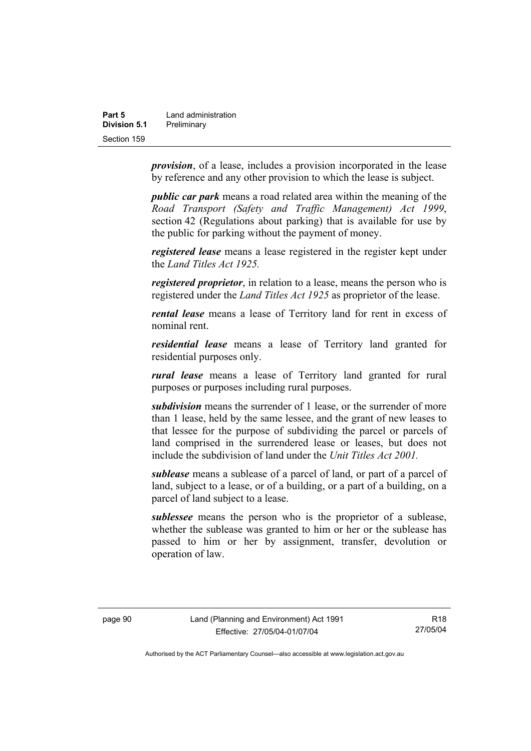| Part 5       | Land administration |
|--------------|---------------------|
| Division 5.1 | Preliminary         |
| Section 159  |                     |

*provision*, of a lease, includes a provision incorporated in the lease by reference and any other provision to which the lease is subject.

*public car park* means a road related area within the meaning of the *Road Transport (Safety and Traffic Management) Act 1999*, section 42 (Regulations about parking) that is available for use by the public for parking without the payment of money.

*registered lease* means a lease registered in the register kept under the *Land Titles Act 1925.*

*registered proprietor*, in relation to a lease, means the person who is registered under the *Land Titles Act 1925* as proprietor of the lease.

*rental lease* means a lease of Territory land for rent in excess of nominal rent.

*residential lease* means a lease of Territory land granted for residential purposes only.

*rural lease* means a lease of Territory land granted for rural purposes or purposes including rural purposes.

*subdivision* means the surrender of 1 lease, or the surrender of more than 1 lease, held by the same lessee, and the grant of new leases to that lessee for the purpose of subdividing the parcel or parcels of land comprised in the surrendered lease or leases, but does not include the subdivision of land under the *Unit Titles Act 2001.* 

*sublease* means a sublease of a parcel of land, or part of a parcel of land, subject to a lease, or of a building, or a part of a building, on a parcel of land subject to a lease.

*sublessee* means the person who is the proprietor of a sublease, whether the sublease was granted to him or her or the sublease has passed to him or her by assignment, transfer, devolution or operation of law.

R18 27/05/04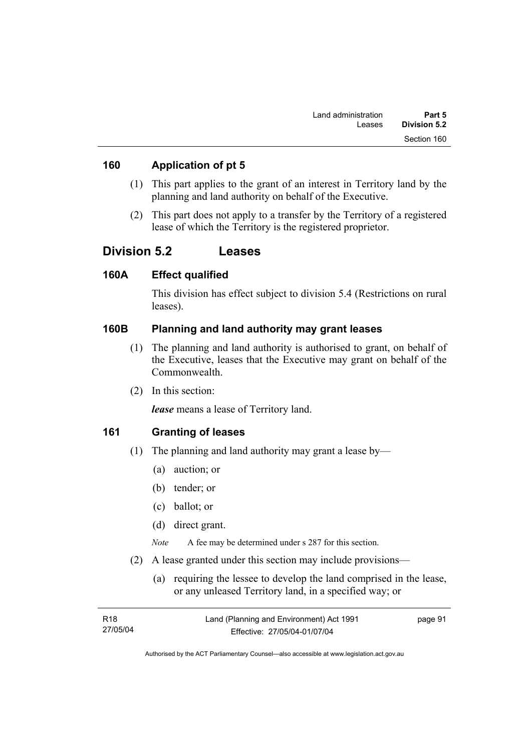### **160 Application of pt 5**

- (1) This part applies to the grant of an interest in Territory land by the planning and land authority on behalf of the Executive.
- (2) This part does not apply to a transfer by the Territory of a registered lease of which the Territory is the registered proprietor.

# **Division 5.2 Leases**

### **160A Effect qualified**

This division has effect subject to division 5.4 (Restrictions on rural leases).

# **160B Planning and land authority may grant leases**

- (1) The planning and land authority is authorised to grant, on behalf of the Executive, leases that the Executive may grant on behalf of the Commonwealth.
- (2) In this section:

*lease* means a lease of Territory land.

# **161 Granting of leases**

- (1) The planning and land authority may grant a lease by—
	- (a) auction; or
	- (b) tender; or
	- (c) ballot; or
	- (d) direct grant.

*Note* A fee may be determined under s 287 for this section.

- (2) A lease granted under this section may include provisions—
	- (a) requiring the lessee to develop the land comprised in the lease, or any unleased Territory land, in a specified way; or

| R18      | Land (Planning and Environment) Act 1991 | page 91 |
|----------|------------------------------------------|---------|
| 27/05/04 | Effective: 27/05/04-01/07/04             |         |
|          |                                          |         |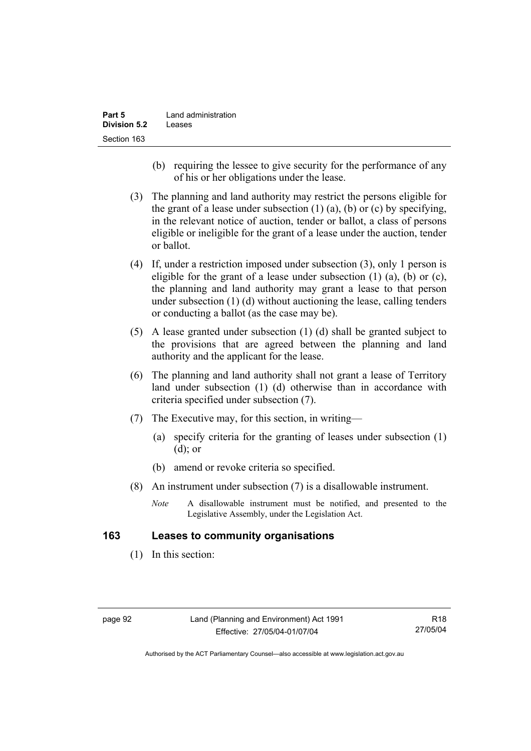| Part 5              | Land administration |
|---------------------|---------------------|
| <b>Division 5.2</b> | Leases              |
| Section 163         |                     |

- (b) requiring the lessee to give security for the performance of any of his or her obligations under the lease.
- (3) The planning and land authority may restrict the persons eligible for the grant of a lease under subsection  $(1)$   $(a)$ ,  $(b)$  or  $(c)$  by specifying, in the relevant notice of auction, tender or ballot, a class of persons eligible or ineligible for the grant of a lease under the auction, tender or ballot.
- (4) If, under a restriction imposed under subsection (3), only 1 person is eligible for the grant of a lease under subsection  $(1)$   $(a)$ ,  $(b)$  or  $(c)$ , the planning and land authority may grant a lease to that person under subsection (1) (d) without auctioning the lease, calling tenders or conducting a ballot (as the case may be).
- (5) A lease granted under subsection (1) (d) shall be granted subject to the provisions that are agreed between the planning and land authority and the applicant for the lease.
- (6) The planning and land authority shall not grant a lease of Territory land under subsection (1) (d) otherwise than in accordance with criteria specified under subsection (7).
- (7) The Executive may, for this section, in writing—
	- (a) specify criteria for the granting of leases under subsection (1) (d); or
	- (b) amend or revoke criteria so specified.
- (8) An instrument under subsection (7) is a disallowable instrument.
	- *Note* A disallowable instrument must be notified, and presented to the Legislative Assembly, under the Legislation Act.

### **163 Leases to community organisations**

(1) In this section: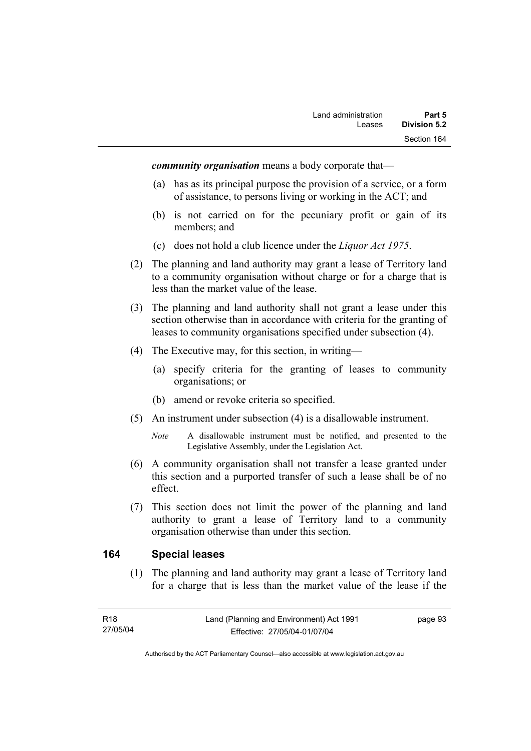*community organisation* means a body corporate that—

- (a) has as its principal purpose the provision of a service, or a form of assistance, to persons living or working in the ACT; and
- (b) is not carried on for the pecuniary profit or gain of its members; and
- (c) does not hold a club licence under the *Liquor Act 1975*.
- (2) The planning and land authority may grant a lease of Territory land to a community organisation without charge or for a charge that is less than the market value of the lease.
- (3) The planning and land authority shall not grant a lease under this section otherwise than in accordance with criteria for the granting of leases to community organisations specified under subsection (4).
- (4) The Executive may, for this section, in writing—
	- (a) specify criteria for the granting of leases to community organisations; or
	- (b) amend or revoke criteria so specified.
- (5) An instrument under subsection (4) is a disallowable instrument.
	- *Note* A disallowable instrument must be notified, and presented to the Legislative Assembly, under the Legislation Act.
- (6) A community organisation shall not transfer a lease granted under this section and a purported transfer of such a lease shall be of no effect.
- (7) This section does not limit the power of the planning and land authority to grant a lease of Territory land to a community organisation otherwise than under this section.

#### **164 Special leases**

 (1) The planning and land authority may grant a lease of Territory land for a charge that is less than the market value of the lease if the

page 93

Authorised by the ACT Parliamentary Counsel—also accessible at www.legislation.act.gov.au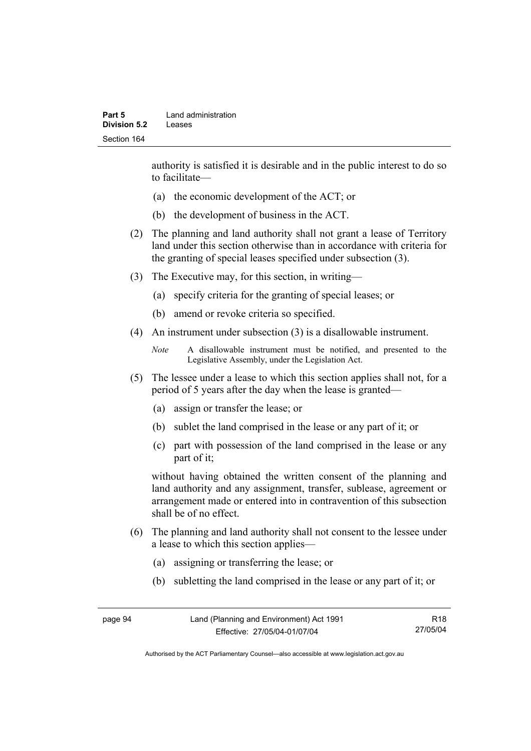authority is satisfied it is desirable and in the public interest to do so to facilitate—

- (a) the economic development of the ACT; or
- (b) the development of business in the ACT.
- (2) The planning and land authority shall not grant a lease of Territory land under this section otherwise than in accordance with criteria for the granting of special leases specified under subsection (3).
- (3) The Executive may, for this section, in writing—
	- (a) specify criteria for the granting of special leases; or
	- (b) amend or revoke criteria so specified.
- (4) An instrument under subsection (3) is a disallowable instrument.

```
Note A disallowable instrument must be notified, and presented to the 
Legislative Assembly, under the Legislation Act.
```
- (5) The lessee under a lease to which this section applies shall not, for a period of 5 years after the day when the lease is granted—
	- (a) assign or transfer the lease; or
	- (b) sublet the land comprised in the lease or any part of it; or
	- (c) part with possession of the land comprised in the lease or any part of it;

without having obtained the written consent of the planning and land authority and any assignment, transfer, sublease, agreement or arrangement made or entered into in contravention of this subsection shall be of no effect.

- (6) The planning and land authority shall not consent to the lessee under a lease to which this section applies—
	- (a) assigning or transferring the lease; or
	- (b) subletting the land comprised in the lease or any part of it; or

page 94 Land (Planning and Environment) Act 1991 Effective: 27/05/04-01/07/04 R18 27/05/04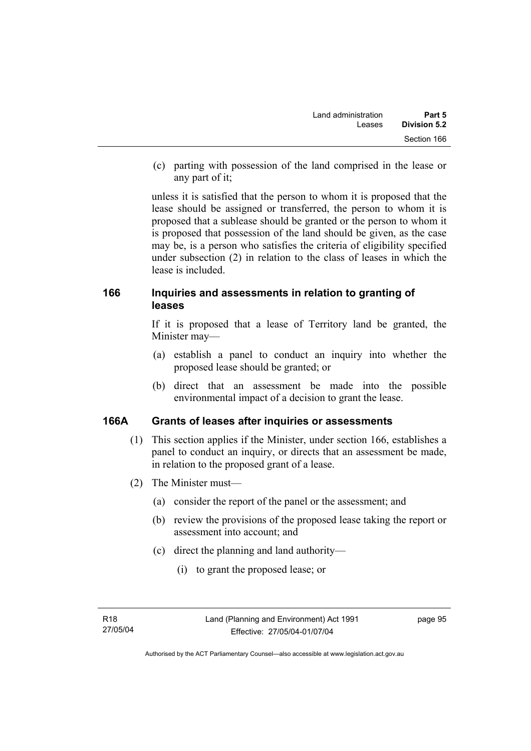(c) parting with possession of the land comprised in the lease or any part of it;

unless it is satisfied that the person to whom it is proposed that the lease should be assigned or transferred, the person to whom it is proposed that a sublease should be granted or the person to whom it is proposed that possession of the land should be given, as the case may be, is a person who satisfies the criteria of eligibility specified under subsection (2) in relation to the class of leases in which the lease is included.

### **166 Inquiries and assessments in relation to granting of leases**

If it is proposed that a lease of Territory land be granted, the Minister may—

- (a) establish a panel to conduct an inquiry into whether the proposed lease should be granted; or
- (b) direct that an assessment be made into the possible environmental impact of a decision to grant the lease.

### **166A Grants of leases after inquiries or assessments**

- (1) This section applies if the Minister, under section 166, establishes a panel to conduct an inquiry, or directs that an assessment be made, in relation to the proposed grant of a lease.
- (2) The Minister must—
	- (a) consider the report of the panel or the assessment; and
	- (b) review the provisions of the proposed lease taking the report or assessment into account; and
	- (c) direct the planning and land authority—
		- (i) to grant the proposed lease; or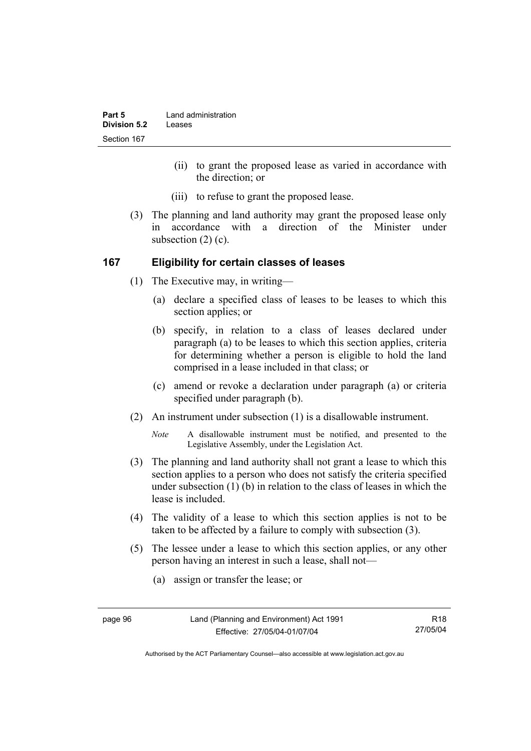| Part 5       | Land administration |
|--------------|---------------------|
| Division 5.2 | Leases              |
| Section 167  |                     |

- (ii) to grant the proposed lease as varied in accordance with the direction; or
- (iii) to refuse to grant the proposed lease.
- (3) The planning and land authority may grant the proposed lease only in accordance with a direction of the Minister under subsection (2) (c).

#### **167 Eligibility for certain classes of leases**

- (1) The Executive may, in writing—
	- (a) declare a specified class of leases to be leases to which this section applies; or
	- (b) specify, in relation to a class of leases declared under paragraph (a) to be leases to which this section applies, criteria for determining whether a person is eligible to hold the land comprised in a lease included in that class; or
	- (c) amend or revoke a declaration under paragraph (a) or criteria specified under paragraph (b).
- (2) An instrument under subsection (1) is a disallowable instrument.

*Note* A disallowable instrument must be notified, and presented to the Legislative Assembly, under the Legislation Act.

- (3) The planning and land authority shall not grant a lease to which this section applies to a person who does not satisfy the criteria specified under subsection (1) (b) in relation to the class of leases in which the lease is included.
- (4) The validity of a lease to which this section applies is not to be taken to be affected by a failure to comply with subsection (3).
- (5) The lessee under a lease to which this section applies, or any other person having an interest in such a lease, shall not—
	- (a) assign or transfer the lease; or

R18 27/05/04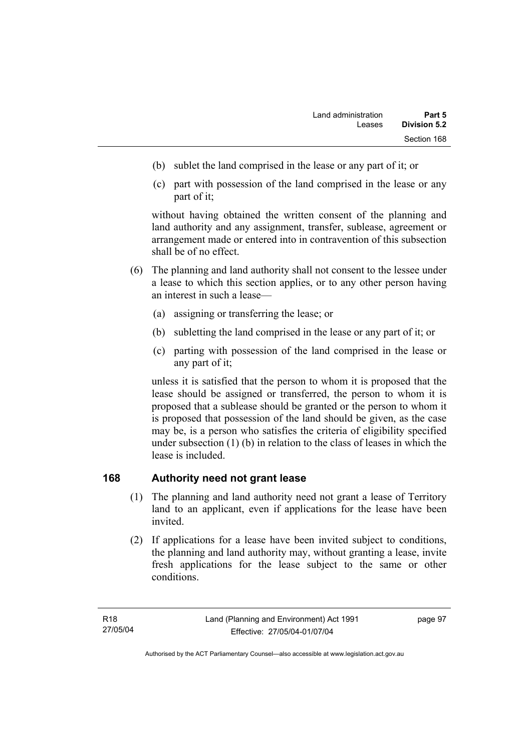- (b) sublet the land comprised in the lease or any part of it; or
- (c) part with possession of the land comprised in the lease or any part of it;

without having obtained the written consent of the planning and land authority and any assignment, transfer, sublease, agreement or arrangement made or entered into in contravention of this subsection shall be of no effect.

- (6) The planning and land authority shall not consent to the lessee under a lease to which this section applies, or to any other person having an interest in such a lease—
	- (a) assigning or transferring the lease; or
	- (b) subletting the land comprised in the lease or any part of it; or
	- (c) parting with possession of the land comprised in the lease or any part of it;

unless it is satisfied that the person to whom it is proposed that the lease should be assigned or transferred, the person to whom it is proposed that a sublease should be granted or the person to whom it is proposed that possession of the land should be given, as the case may be, is a person who satisfies the criteria of eligibility specified under subsection (1) (b) in relation to the class of leases in which the lease is included.

### **168 Authority need not grant lease**

- (1) The planning and land authority need not grant a lease of Territory land to an applicant, even if applications for the lease have been invited.
- (2) If applications for a lease have been invited subject to conditions, the planning and land authority may, without granting a lease, invite fresh applications for the lease subject to the same or other conditions.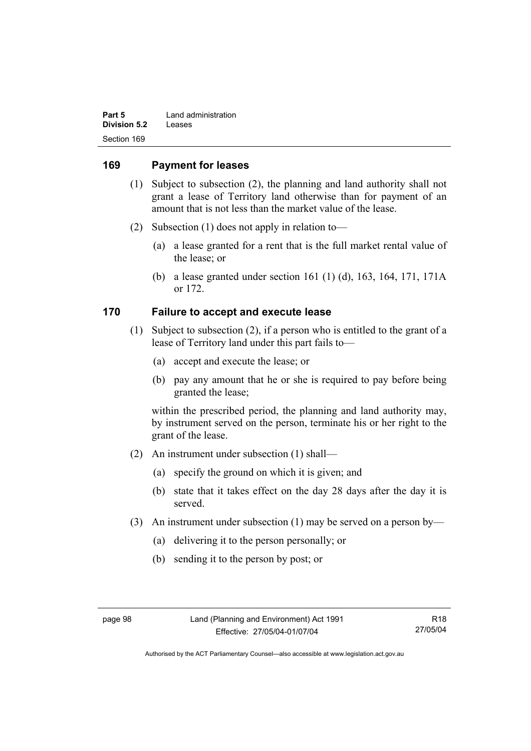| Part 5       | Land administration |
|--------------|---------------------|
| Division 5.2 | Leases              |
| Section 169  |                     |

#### **169 Payment for leases**

- (1) Subject to subsection (2), the planning and land authority shall not grant a lease of Territory land otherwise than for payment of an amount that is not less than the market value of the lease.
- (2) Subsection (1) does not apply in relation to—
	- (a) a lease granted for a rent that is the full market rental value of the lease; or
	- (b) a lease granted under section 161 (1) (d), 163, 164, 171, 171A or 172.

### **170 Failure to accept and execute lease**

- (1) Subject to subsection (2), if a person who is entitled to the grant of a lease of Territory land under this part fails to—
	- (a) accept and execute the lease; or
	- (b) pay any amount that he or she is required to pay before being granted the lease;

within the prescribed period, the planning and land authority may, by instrument served on the person, terminate his or her right to the grant of the lease.

- (2) An instrument under subsection (1) shall—
	- (a) specify the ground on which it is given; and
	- (b) state that it takes effect on the day 28 days after the day it is served.
- (3) An instrument under subsection (1) may be served on a person by—
	- (a) delivering it to the person personally; or
	- (b) sending it to the person by post; or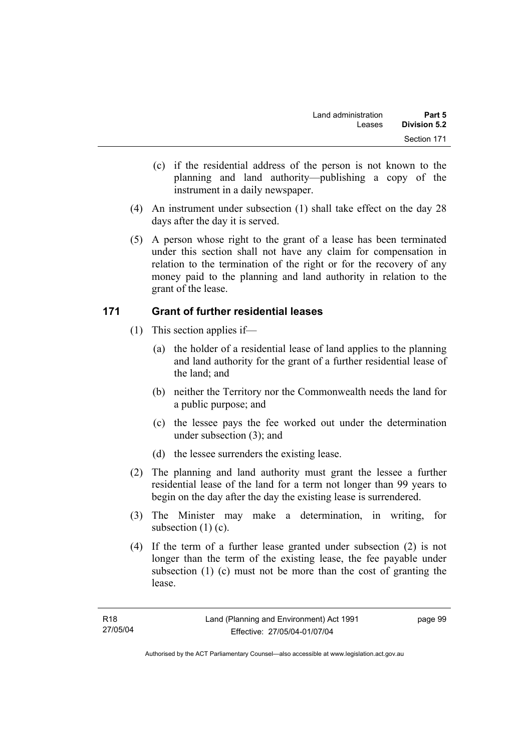- (c) if the residential address of the person is not known to the planning and land authority—publishing a copy of the instrument in a daily newspaper.
- (4) An instrument under subsection (1) shall take effect on the day 28 days after the day it is served.
- (5) A person whose right to the grant of a lease has been terminated under this section shall not have any claim for compensation in relation to the termination of the right or for the recovery of any money paid to the planning and land authority in relation to the grant of the lease.

### **171 Grant of further residential leases**

- (1) This section applies if—
	- (a) the holder of a residential lease of land applies to the planning and land authority for the grant of a further residential lease of the land; and
	- (b) neither the Territory nor the Commonwealth needs the land for a public purpose; and
	- (c) the lessee pays the fee worked out under the determination under subsection (3); and
	- (d) the lessee surrenders the existing lease.
- (2) The planning and land authority must grant the lessee a further residential lease of the land for a term not longer than 99 years to begin on the day after the day the existing lease is surrendered.
- (3) The Minister may make a determination, in writing, for subsection (1) (c).
- (4) If the term of a further lease granted under subsection (2) is not longer than the term of the existing lease, the fee payable under subsection (1) (c) must not be more than the cost of granting the lease.

page 99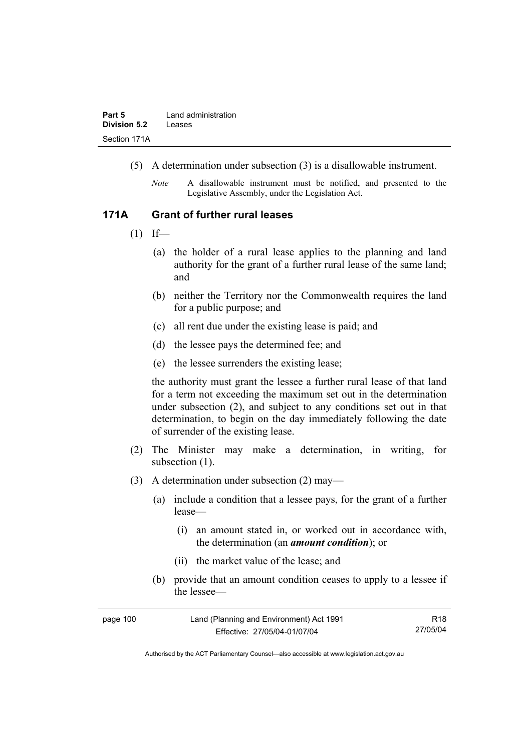- (5) A determination under subsection (3) is a disallowable instrument.
	- *Note* A disallowable instrument must be notified, and presented to the Legislative Assembly, under the Legislation Act.

#### **171A Grant of further rural leases**

- $(1)$  If—
	- (a) the holder of a rural lease applies to the planning and land authority for the grant of a further rural lease of the same land; and
	- (b) neither the Territory nor the Commonwealth requires the land for a public purpose; and
	- (c) all rent due under the existing lease is paid; and
	- (d) the lessee pays the determined fee; and
	- (e) the lessee surrenders the existing lease;

the authority must grant the lessee a further rural lease of that land for a term not exceeding the maximum set out in the determination under subsection (2), and subject to any conditions set out in that determination, to begin on the day immediately following the date of surrender of the existing lease.

- (2) The Minister may make a determination, in writing, for subsection  $(1)$ .
- (3) A determination under subsection (2) may—
	- (a) include a condition that a lessee pays, for the grant of a further lease—
		- (i) an amount stated in, or worked out in accordance with, the determination (an *amount condition*); or
		- (ii) the market value of the lease; and
	- (b) provide that an amount condition ceases to apply to a lessee if the lessee—

| page 100 | Land (Planning and Environment) Act 1991 | R18      |
|----------|------------------------------------------|----------|
|          | Effective: 27/05/04-01/07/04             | 27/05/04 |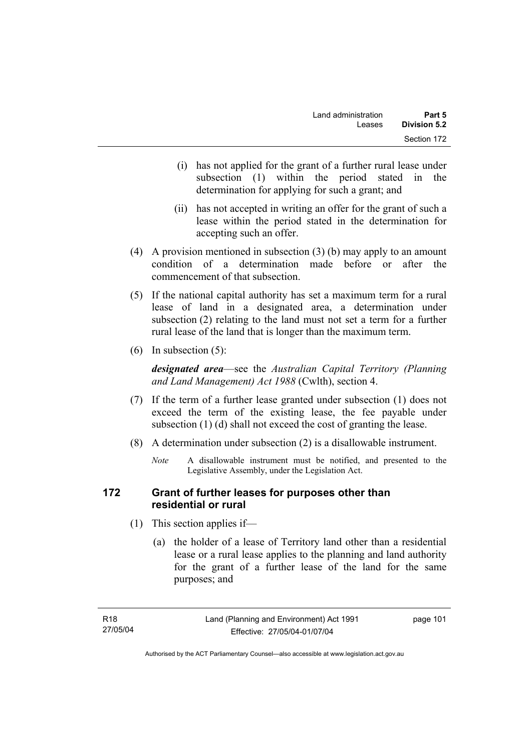- (i) has not applied for the grant of a further rural lease under subsection (1) within the period stated in the determination for applying for such a grant; and
- (ii) has not accepted in writing an offer for the grant of such a lease within the period stated in the determination for accepting such an offer.
- (4) A provision mentioned in subsection (3) (b) may apply to an amount condition of a determination made before or after the commencement of that subsection.
- (5) If the national capital authority has set a maximum term for a rural lease of land in a designated area, a determination under subsection (2) relating to the land must not set a term for a further rural lease of the land that is longer than the maximum term.
- (6) In subsection (5):

*designated area*—see the *Australian Capital Territory (Planning and Land Management) Act 1988* (Cwlth), section 4.

- (7) If the term of a further lease granted under subsection (1) does not exceed the term of the existing lease, the fee payable under subsection (1) (d) shall not exceed the cost of granting the lease.
- (8) A determination under subsection (2) is a disallowable instrument.
	- *Note* A disallowable instrument must be notified, and presented to the Legislative Assembly, under the Legislation Act.

### **172 Grant of further leases for purposes other than residential or rural**

- (1) This section applies if—
	- (a) the holder of a lease of Territory land other than a residential lease or a rural lease applies to the planning and land authority for the grant of a further lease of the land for the same purposes; and

page 101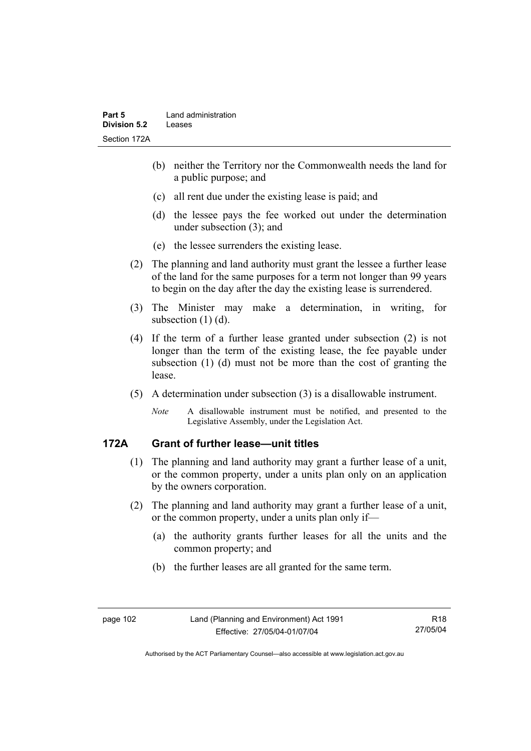- (b) neither the Territory nor the Commonwealth needs the land for a public purpose; and
- (c) all rent due under the existing lease is paid; and
- (d) the lessee pays the fee worked out under the determination under subsection (3); and
- (e) the lessee surrenders the existing lease.
- (2) The planning and land authority must grant the lessee a further lease of the land for the same purposes for a term not longer than 99 years to begin on the day after the day the existing lease is surrendered.
- (3) The Minister may make a determination, in writing, for subsection (1) (d).
- (4) If the term of a further lease granted under subsection (2) is not longer than the term of the existing lease, the fee payable under subsection (1) (d) must not be more than the cost of granting the lease.
- (5) A determination under subsection (3) is a disallowable instrument.
	- *Note* A disallowable instrument must be notified, and presented to the Legislative Assembly, under the Legislation Act.

# **172A Grant of further lease—unit titles**

- (1) The planning and land authority may grant a further lease of a unit, or the common property, under a units plan only on an application by the owners corporation.
- (2) The planning and land authority may grant a further lease of a unit, or the common property, under a units plan only if—
	- (a) the authority grants further leases for all the units and the common property; and
	- (b) the further leases are all granted for the same term.

Authorised by the ACT Parliamentary Counsel—also accessible at www.legislation.act.gov.au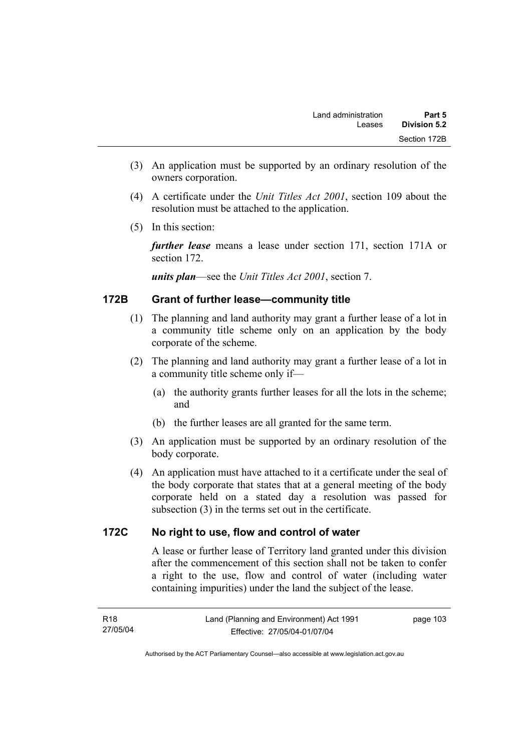- (3) An application must be supported by an ordinary resolution of the owners corporation.
- (4) A certificate under the *Unit Titles Act 2001*, section 109 about the resolution must be attached to the application.
- (5) In this section:

*further lease* means a lease under section 171, section 171A or section 172.

*units plan*—see the *Unit Titles Act 2001*, section 7.

### **172B Grant of further lease—community title**

- (1) The planning and land authority may grant a further lease of a lot in a community title scheme only on an application by the body corporate of the scheme.
- (2) The planning and land authority may grant a further lease of a lot in a community title scheme only if—
	- (a) the authority grants further leases for all the lots in the scheme; and
	- (b) the further leases are all granted for the same term.
- (3) An application must be supported by an ordinary resolution of the body corporate.
- (4) An application must have attached to it a certificate under the seal of the body corporate that states that at a general meeting of the body corporate held on a stated day a resolution was passed for subsection (3) in the terms set out in the certificate.

### **172C No right to use, flow and control of water**

A lease or further lease of Territory land granted under this division after the commencement of this section shall not be taken to confer a right to the use, flow and control of water (including water containing impurities) under the land the subject of the lease.

page 103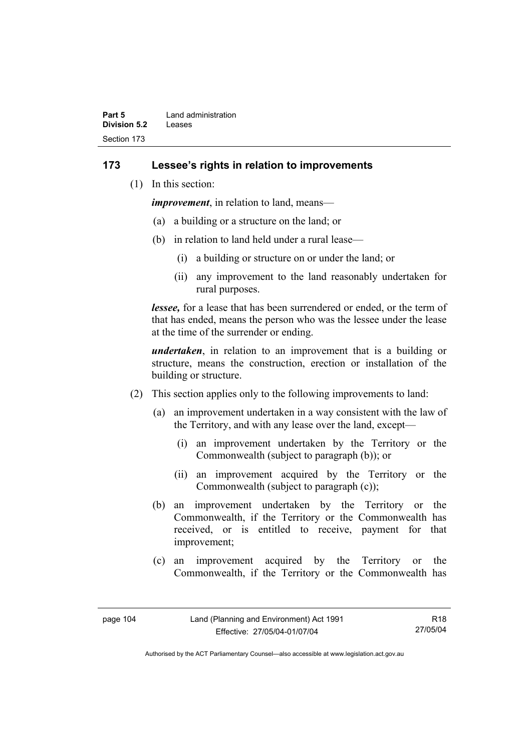| Part 5       | Land administration |
|--------------|---------------------|
| Division 5.2 | Leases              |
| Section 173  |                     |

#### **173 Lessee's rights in relation to improvements**

(1) In this section:

*improvement*, in relation to land, means—

- (a) a building or a structure on the land; or
- (b) in relation to land held under a rural lease—
	- (i) a building or structure on or under the land; or
	- (ii) any improvement to the land reasonably undertaken for rural purposes.

*lessee,* for a lease that has been surrendered or ended, or the term of that has ended, means the person who was the lessee under the lease at the time of the surrender or ending.

*undertaken*, in relation to an improvement that is a building or structure, means the construction, erection or installation of the building or structure.

- (2) This section applies only to the following improvements to land:
	- (a) an improvement undertaken in a way consistent with the law of the Territory, and with any lease over the land, except—
		- (i) an improvement undertaken by the Territory or the Commonwealth (subject to paragraph (b)); or
		- (ii) an improvement acquired by the Territory or the Commonwealth (subject to paragraph (c));
	- (b) an improvement undertaken by the Territory or the Commonwealth, if the Territory or the Commonwealth has received, or is entitled to receive, payment for that improvement;
	- (c) an improvement acquired by the Territory or the Commonwealth, if the Territory or the Commonwealth has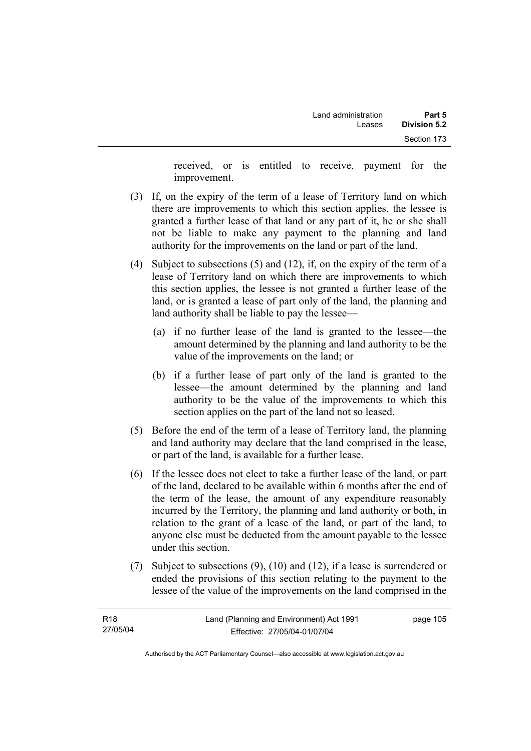received, or is entitled to receive, payment for the improvement.

- (3) If, on the expiry of the term of a lease of Territory land on which there are improvements to which this section applies, the lessee is granted a further lease of that land or any part of it, he or she shall not be liable to make any payment to the planning and land authority for the improvements on the land or part of the land.
- (4) Subject to subsections (5) and (12), if, on the expiry of the term of a lease of Territory land on which there are improvements to which this section applies, the lessee is not granted a further lease of the land, or is granted a lease of part only of the land, the planning and land authority shall be liable to pay the lessee—
	- (a) if no further lease of the land is granted to the lessee—the amount determined by the planning and land authority to be the value of the improvements on the land; or
	- (b) if a further lease of part only of the land is granted to the lessee—the amount determined by the planning and land authority to be the value of the improvements to which this section applies on the part of the land not so leased.
- (5) Before the end of the term of a lease of Territory land, the planning and land authority may declare that the land comprised in the lease, or part of the land, is available for a further lease.
- (6) If the lessee does not elect to take a further lease of the land, or part of the land, declared to be available within 6 months after the end of the term of the lease, the amount of any expenditure reasonably incurred by the Territory, the planning and land authority or both, in relation to the grant of a lease of the land, or part of the land, to anyone else must be deducted from the amount payable to the lessee under this section.
- (7) Subject to subsections (9), (10) and (12), if a lease is surrendered or ended the provisions of this section relating to the payment to the lessee of the value of the improvements on the land comprised in the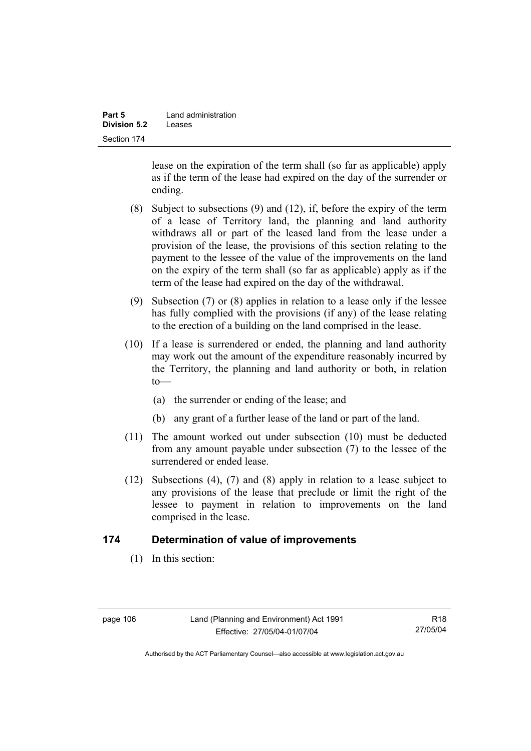| Part 5              | Land administration |
|---------------------|---------------------|
| <b>Division 5.2</b> | Leases              |
| Section 174         |                     |

lease on the expiration of the term shall (so far as applicable) apply as if the term of the lease had expired on the day of the surrender or ending.

- (8) Subject to subsections (9) and (12), if, before the expiry of the term of a lease of Territory land, the planning and land authority withdraws all or part of the leased land from the lease under a provision of the lease, the provisions of this section relating to the payment to the lessee of the value of the improvements on the land on the expiry of the term shall (so far as applicable) apply as if the term of the lease had expired on the day of the withdrawal.
- (9) Subsection (7) or (8) applies in relation to a lease only if the lessee has fully complied with the provisions (if any) of the lease relating to the erection of a building on the land comprised in the lease.
- (10) If a lease is surrendered or ended, the planning and land authority may work out the amount of the expenditure reasonably incurred by the Territory, the planning and land authority or both, in relation  $to$ —
	- (a) the surrender or ending of the lease; and
	- (b) any grant of a further lease of the land or part of the land.
- (11) The amount worked out under subsection (10) must be deducted from any amount payable under subsection (7) to the lessee of the surrendered or ended lease.
- (12) Subsections (4), (7) and (8) apply in relation to a lease subject to any provisions of the lease that preclude or limit the right of the lessee to payment in relation to improvements on the land comprised in the lease.

### **174 Determination of value of improvements**

(1) In this section:

R18 27/05/04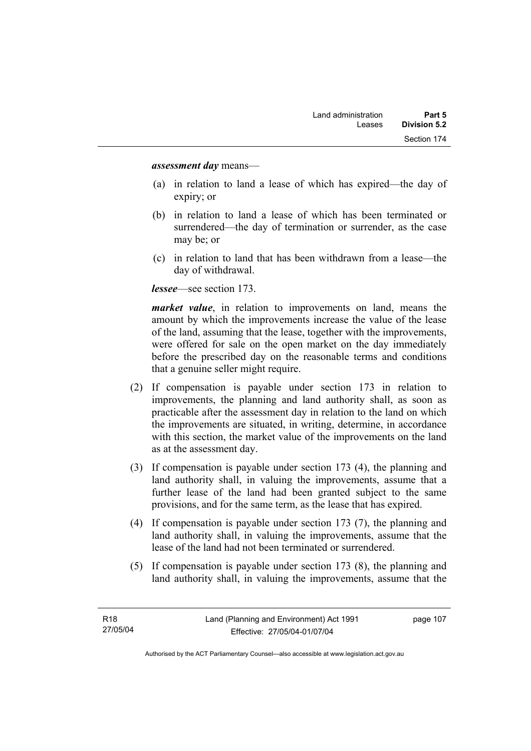#### *assessment day* means—

- (a) in relation to land a lease of which has expired—the day of expiry; or
- (b) in relation to land a lease of which has been terminated or surrendered—the day of termination or surrender, as the case may be; or
- (c) in relation to land that has been withdrawn from a lease—the day of withdrawal.

*lessee*—see section 173.

*market value*, in relation to improvements on land, means the amount by which the improvements increase the value of the lease of the land, assuming that the lease, together with the improvements, were offered for sale on the open market on the day immediately before the prescribed day on the reasonable terms and conditions that a genuine seller might require.

- (2) If compensation is payable under section 173 in relation to improvements, the planning and land authority shall, as soon as practicable after the assessment day in relation to the land on which the improvements are situated, in writing, determine, in accordance with this section, the market value of the improvements on the land as at the assessment day.
- (3) If compensation is payable under section 173 (4), the planning and land authority shall, in valuing the improvements, assume that a further lease of the land had been granted subject to the same provisions, and for the same term, as the lease that has expired.
- (4) If compensation is payable under section 173 (7), the planning and land authority shall, in valuing the improvements, assume that the lease of the land had not been terminated or surrendered.
- (5) If compensation is payable under section 173 (8), the planning and land authority shall, in valuing the improvements, assume that the

page 107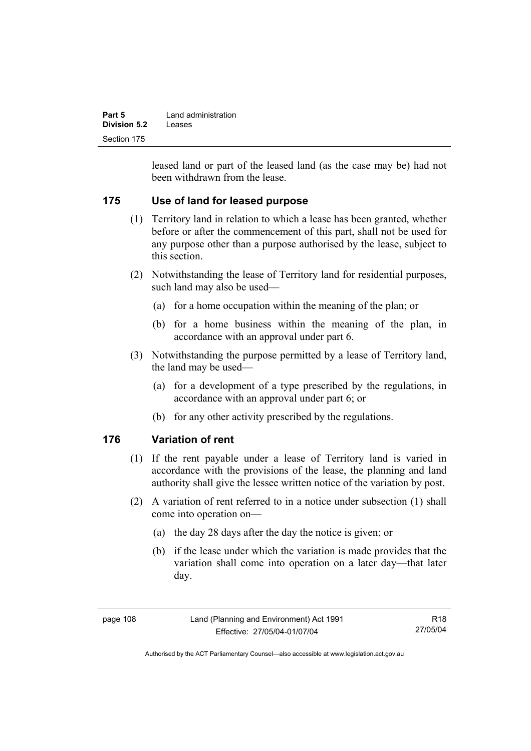| Part 5       | Land administration |
|--------------|---------------------|
| Division 5.2 | Leases              |
| Section 175  |                     |

leased land or part of the leased land (as the case may be) had not been withdrawn from the lease.

### **175 Use of land for leased purpose**

- (1) Territory land in relation to which a lease has been granted, whether before or after the commencement of this part, shall not be used for any purpose other than a purpose authorised by the lease, subject to this section.
- (2) Notwithstanding the lease of Territory land for residential purposes, such land may also be used—
	- (a) for a home occupation within the meaning of the plan; or
	- (b) for a home business within the meaning of the plan, in accordance with an approval under part 6.
- (3) Notwithstanding the purpose permitted by a lease of Territory land, the land may be used—
	- (a) for a development of a type prescribed by the regulations, in accordance with an approval under part 6; or
	- (b) for any other activity prescribed by the regulations.

### **176 Variation of rent**

- (1) If the rent payable under a lease of Territory land is varied in accordance with the provisions of the lease, the planning and land authority shall give the lessee written notice of the variation by post.
- (2) A variation of rent referred to in a notice under subsection (1) shall come into operation on—
	- (a) the day 28 days after the day the notice is given; or
	- (b) if the lease under which the variation is made provides that the variation shall come into operation on a later day—that later day.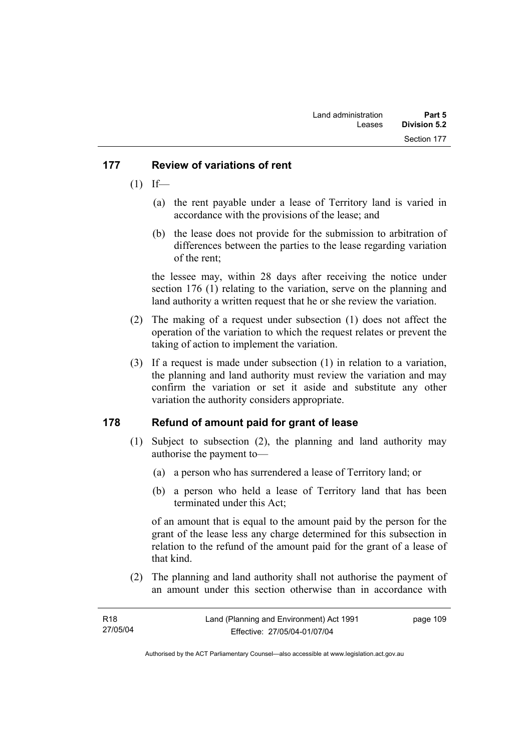### **177 Review of variations of rent**

- $(1)$  If—
	- (a) the rent payable under a lease of Territory land is varied in accordance with the provisions of the lease; and
	- (b) the lease does not provide for the submission to arbitration of differences between the parties to the lease regarding variation of the rent;

the lessee may, within 28 days after receiving the notice under section 176 (1) relating to the variation, serve on the planning and land authority a written request that he or she review the variation.

- (2) The making of a request under subsection (1) does not affect the operation of the variation to which the request relates or prevent the taking of action to implement the variation.
- (3) If a request is made under subsection (1) in relation to a variation, the planning and land authority must review the variation and may confirm the variation or set it aside and substitute any other variation the authority considers appropriate.

### **178 Refund of amount paid for grant of lease**

- (1) Subject to subsection (2), the planning and land authority may authorise the payment to—
	- (a) a person who has surrendered a lease of Territory land; or
	- (b) a person who held a lease of Territory land that has been terminated under this Act;

of an amount that is equal to the amount paid by the person for the grant of the lease less any charge determined for this subsection in relation to the refund of the amount paid for the grant of a lease of that kind.

 (2) The planning and land authority shall not authorise the payment of an amount under this section otherwise than in accordance with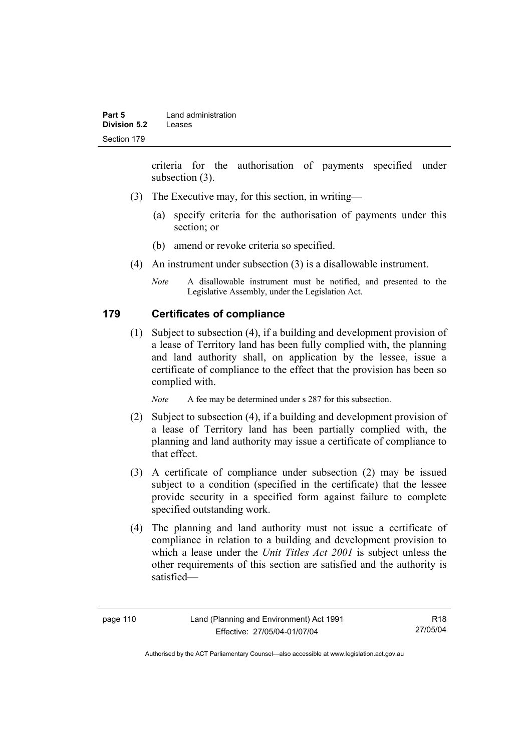criteria for the authorisation of payments specified under subsection (3).

- (3) The Executive may, for this section, in writing—
	- (a) specify criteria for the authorisation of payments under this section; or
	- (b) amend or revoke criteria so specified.
- (4) An instrument under subsection (3) is a disallowable instrument.
	- *Note* A disallowable instrument must be notified, and presented to the Legislative Assembly, under the Legislation Act.

### **179 Certificates of compliance**

 (1) Subject to subsection (4), if a building and development provision of a lease of Territory land has been fully complied with, the planning and land authority shall, on application by the lessee, issue a certificate of compliance to the effect that the provision has been so complied with.

*Note* A fee may be determined under s 287 for this subsection.

- (2) Subject to subsection (4), if a building and development provision of a lease of Territory land has been partially complied with, the planning and land authority may issue a certificate of compliance to that effect.
- (3) A certificate of compliance under subsection (2) may be issued subject to a condition (specified in the certificate) that the lessee provide security in a specified form against failure to complete specified outstanding work.
- (4) The planning and land authority must not issue a certificate of compliance in relation to a building and development provision to which a lease under the *Unit Titles Act 2001* is subject unless the other requirements of this section are satisfied and the authority is satisfied—

R18 27/05/04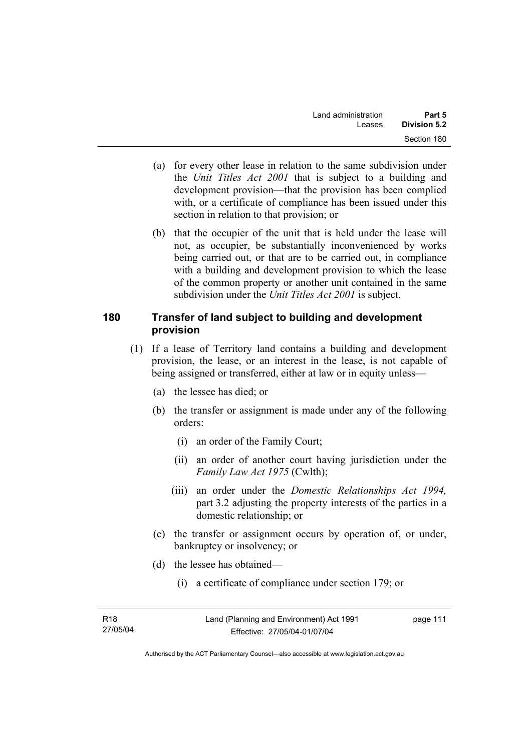- (a) for every other lease in relation to the same subdivision under the *Unit Titles Act 2001* that is subject to a building and development provision—that the provision has been complied with, or a certificate of compliance has been issued under this section in relation to that provision; or
- (b) that the occupier of the unit that is held under the lease will not, as occupier, be substantially inconvenienced by works being carried out, or that are to be carried out, in compliance with a building and development provision to which the lease of the common property or another unit contained in the same subdivision under the *Unit Titles Act 2001* is subject.

### **180 Transfer of land subject to building and development provision**

- (1) If a lease of Territory land contains a building and development provision, the lease, or an interest in the lease, is not capable of being assigned or transferred, either at law or in equity unless—
	- (a) the lessee has died; or
	- (b) the transfer or assignment is made under any of the following orders:
		- (i) an order of the Family Court;
		- (ii) an order of another court having jurisdiction under the *Family Law Act 1975* (Cwlth);
		- (iii) an order under the *Domestic Relationships Act 1994,*  part 3.2 adjusting the property interests of the parties in a domestic relationship; or
	- (c) the transfer or assignment occurs by operation of, or under, bankruptcy or insolvency; or
	- (d) the lessee has obtained—
		- (i) a certificate of compliance under section 179; or

page 111

Authorised by the ACT Parliamentary Counsel—also accessible at www.legislation.act.gov.au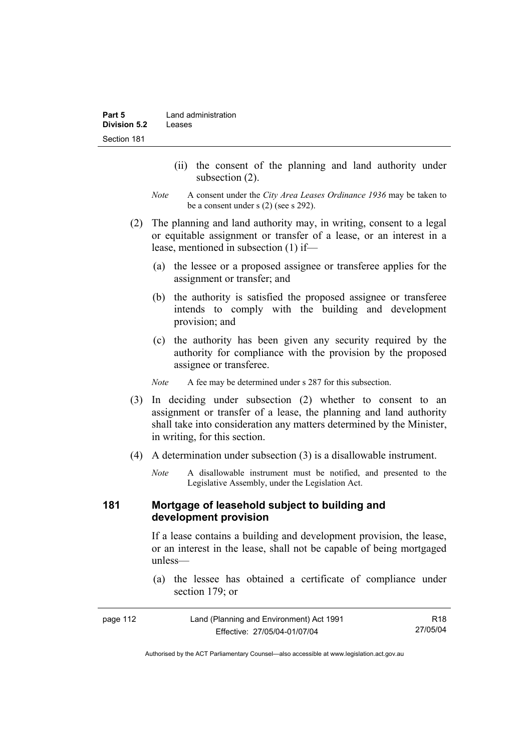- (ii) the consent of the planning and land authority under subsection (2).
- *Note* A consent under the *City Area Leases Ordinance 1936* may be taken to be a consent under s (2) (see s 292).
- (2) The planning and land authority may, in writing, consent to a legal or equitable assignment or transfer of a lease, or an interest in a lease, mentioned in subsection (1) if—
	- (a) the lessee or a proposed assignee or transferee applies for the assignment or transfer; and
	- (b) the authority is satisfied the proposed assignee or transferee intends to comply with the building and development provision; and
	- (c) the authority has been given any security required by the authority for compliance with the provision by the proposed assignee or transferee.

*Note* A fee may be determined under s 287 for this subsection.

- (3) In deciding under subsection (2) whether to consent to an assignment or transfer of a lease, the planning and land authority shall take into consideration any matters determined by the Minister, in writing, for this section.
- (4) A determination under subsection (3) is a disallowable instrument.
	- *Note* A disallowable instrument must be notified, and presented to the Legislative Assembly, under the Legislation Act.

#### **181 Mortgage of leasehold subject to building and development provision**

If a lease contains a building and development provision, the lease, or an interest in the lease, shall not be capable of being mortgaged unless—

 (a) the lessee has obtained a certificate of compliance under section 179; or

| page 112 | Land (Planning and Environment) Act 1991 | R18      |
|----------|------------------------------------------|----------|
|          | Effective: 27/05/04-01/07/04             | 27/05/04 |

Authorised by the ACT Parliamentary Counsel—also accessible at www.legislation.act.gov.au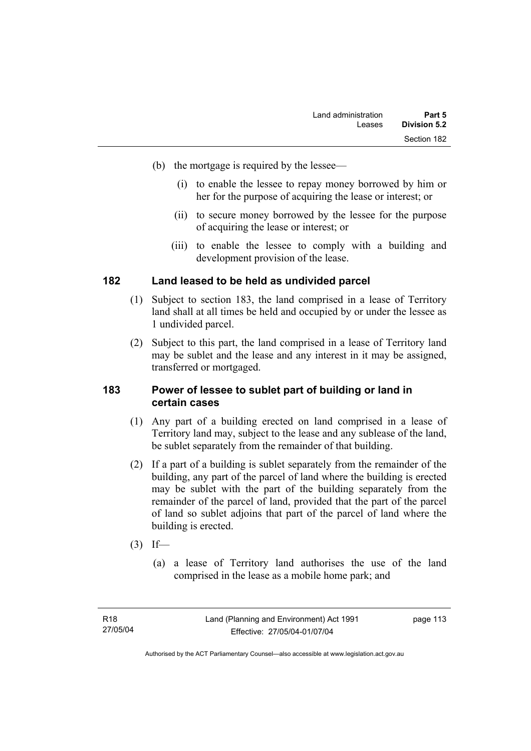- (b) the mortgage is required by the lessee—
	- (i) to enable the lessee to repay money borrowed by him or her for the purpose of acquiring the lease or interest; or
	- (ii) to secure money borrowed by the lessee for the purpose of acquiring the lease or interest; or
	- (iii) to enable the lessee to comply with a building and development provision of the lease.

### **182 Land leased to be held as undivided parcel**

- (1) Subject to section 183, the land comprised in a lease of Territory land shall at all times be held and occupied by or under the lessee as 1 undivided parcel.
- (2) Subject to this part, the land comprised in a lease of Territory land may be sublet and the lease and any interest in it may be assigned, transferred or mortgaged.

#### **183 Power of lessee to sublet part of building or land in certain cases**

- (1) Any part of a building erected on land comprised in a lease of Territory land may, subject to the lease and any sublease of the land, be sublet separately from the remainder of that building.
- (2) If a part of a building is sublet separately from the remainder of the building, any part of the parcel of land where the building is erected may be sublet with the part of the building separately from the remainder of the parcel of land, provided that the part of the parcel of land so sublet adjoins that part of the parcel of land where the building is erected.
- $(3)$  If—
	- (a) a lease of Territory land authorises the use of the land comprised in the lease as a mobile home park; and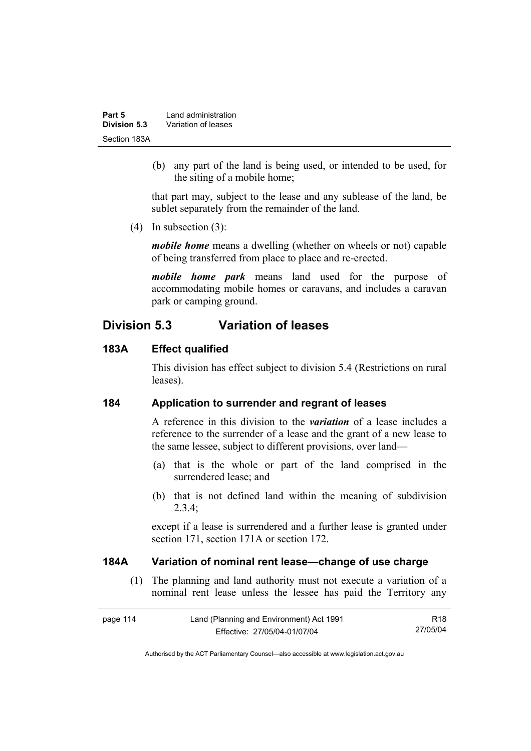| Part 5       | Land administration |
|--------------|---------------------|
| Division 5.3 | Variation of leases |
| Section 183A |                     |

 (b) any part of the land is being used, or intended to be used, for the siting of a mobile home;

that part may, subject to the lease and any sublease of the land, be sublet separately from the remainder of the land.

(4) In subsection (3):

*mobile home* means a dwelling (whether on wheels or not) capable of being transferred from place to place and re-erected.

*mobile home park* means land used for the purpose of accommodating mobile homes or caravans, and includes a caravan park or camping ground.

# **Division 5.3 Variation of leases**

#### **183A Effect qualified**

This division has effect subject to division 5.4 (Restrictions on rural leases).

#### **184 Application to surrender and regrant of leases**

A reference in this division to the *variation* of a lease includes a reference to the surrender of a lease and the grant of a new lease to the same lessee, subject to different provisions, over land—

- (a) that is the whole or part of the land comprised in the surrendered lease; and
- (b) that is not defined land within the meaning of subdivision 2.3.4;

except if a lease is surrendered and a further lease is granted under section 171, section 171A or section 172.

#### **184A Variation of nominal rent lease—change of use charge**

 (1) The planning and land authority must not execute a variation of a nominal rent lease unless the lessee has paid the Territory any

| page 114 | Land (Planning and Environment) Act 1991 | R18      |
|----------|------------------------------------------|----------|
|          | Effective: 27/05/04-01/07/04             | 27/05/04 |

Authorised by the ACT Parliamentary Counsel—also accessible at www.legislation.act.gov.au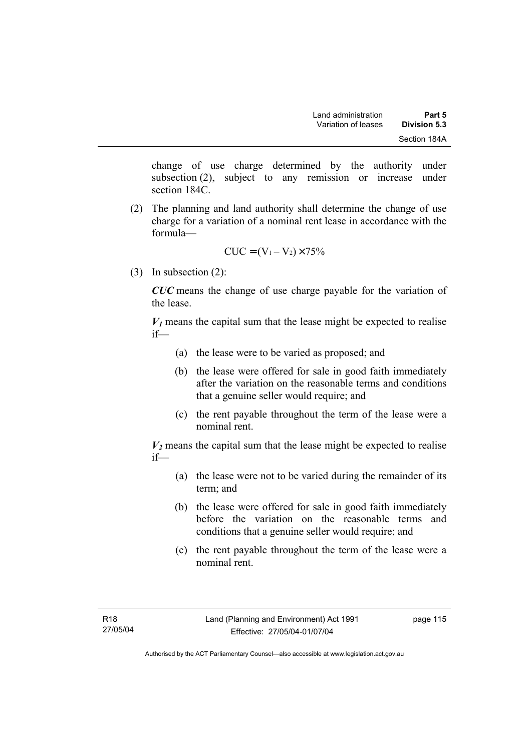change of use charge determined by the authority under subsection (2), subject to any remission or increase under section 184C.

 (2) The planning and land authority shall determine the change of use charge for a variation of a nominal rent lease in accordance with the formula—

$$
CUC = (V_1 - V_2) \times 75\%
$$

(3) In subsection (2):

*CUC* means the change of use charge payable for the variation of the lease.

 $V_1$  means the capital sum that the lease might be expected to realise if—

- (a) the lease were to be varied as proposed; and
- (b) the lease were offered for sale in good faith immediately after the variation on the reasonable terms and conditions that a genuine seller would require; and
- (c) the rent payable throughout the term of the lease were a nominal rent.

 $V_2$  means the capital sum that the lease might be expected to realise if—

- (a) the lease were not to be varied during the remainder of its term; and
- (b) the lease were offered for sale in good faith immediately before the variation on the reasonable terms and conditions that a genuine seller would require; and
- (c) the rent payable throughout the term of the lease were a nominal rent.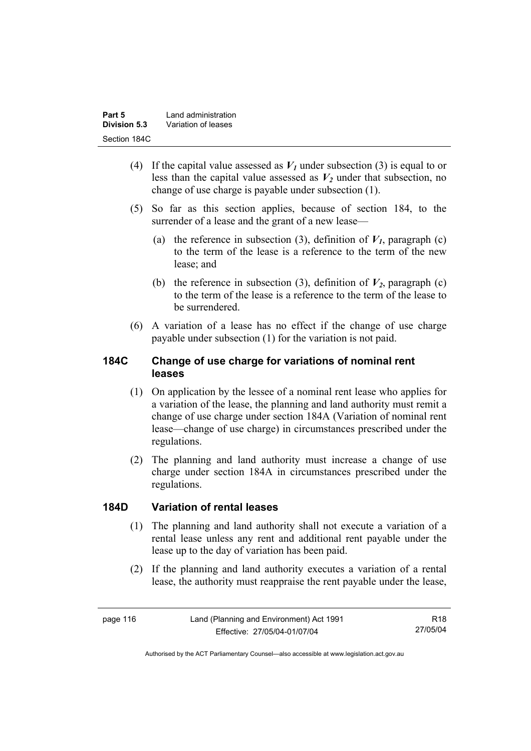| Part 5       | Land administration |
|--------------|---------------------|
| Division 5.3 | Variation of leases |
| Section 184C |                     |

- (4) If the capital value assessed as  $V_I$  under subsection (3) is equal to or less than the capital value assessed as  $V_2$  under that subsection, no change of use charge is payable under subsection (1).
- (5) So far as this section applies, because of section 184, to the surrender of a lease and the grant of a new lease—
	- (a) the reference in subsection (3), definition of  $V_I$ , paragraph (c) to the term of the lease is a reference to the term of the new lease; and
	- (b) the reference in subsection (3), definition of  $V_2$ , paragraph (c) to the term of the lease is a reference to the term of the lease to be surrendered.
- (6) A variation of a lease has no effect if the change of use charge payable under subsection (1) for the variation is not paid.

### **184C Change of use charge for variations of nominal rent leases**

- (1) On application by the lessee of a nominal rent lease who applies for a variation of the lease, the planning and land authority must remit a change of use charge under section 184A (Variation of nominal rent lease—change of use charge) in circumstances prescribed under the regulations.
- (2) The planning and land authority must increase a change of use charge under section 184A in circumstances prescribed under the regulations.

### **184D Variation of rental leases**

- (1) The planning and land authority shall not execute a variation of a rental lease unless any rent and additional rent payable under the lease up to the day of variation has been paid.
- (2) If the planning and land authority executes a variation of a rental lease, the authority must reappraise the rent payable under the lease,

R18 27/05/04

Authorised by the ACT Parliamentary Counsel—also accessible at www.legislation.act.gov.au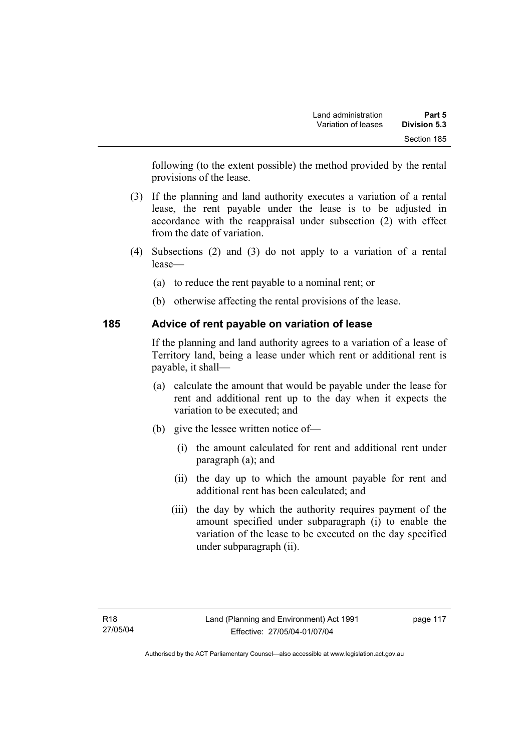following (to the extent possible) the method provided by the rental provisions of the lease.

- (3) If the planning and land authority executes a variation of a rental lease, the rent payable under the lease is to be adjusted in accordance with the reappraisal under subsection (2) with effect from the date of variation.
- (4) Subsections (2) and (3) do not apply to a variation of a rental lease—
	- (a) to reduce the rent payable to a nominal rent; or
	- (b) otherwise affecting the rental provisions of the lease.

### **185 Advice of rent payable on variation of lease**

If the planning and land authority agrees to a variation of a lease of Territory land, being a lease under which rent or additional rent is payable, it shall—

- (a) calculate the amount that would be payable under the lease for rent and additional rent up to the day when it expects the variation to be executed; and
- (b) give the lessee written notice of—
	- (i) the amount calculated for rent and additional rent under paragraph (a); and
	- (ii) the day up to which the amount payable for rent and additional rent has been calculated; and
	- (iii) the day by which the authority requires payment of the amount specified under subparagraph (i) to enable the variation of the lease to be executed on the day specified under subparagraph (ii).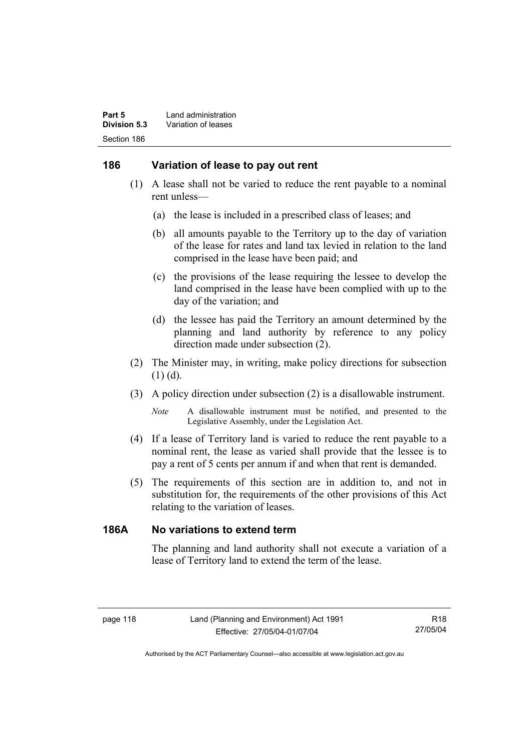### **186 Variation of lease to pay out rent**

- (1) A lease shall not be varied to reduce the rent payable to a nominal rent unless—
	- (a) the lease is included in a prescribed class of leases; and
	- (b) all amounts payable to the Territory up to the day of variation of the lease for rates and land tax levied in relation to the land comprised in the lease have been paid; and
	- (c) the provisions of the lease requiring the lessee to develop the land comprised in the lease have been complied with up to the day of the variation; and
	- (d) the lessee has paid the Territory an amount determined by the planning and land authority by reference to any policy direction made under subsection (2).
- (2) The Minister may, in writing, make policy directions for subsection (1) (d).
- (3) A policy direction under subsection (2) is a disallowable instrument.

*Note* A disallowable instrument must be notified, and presented to the Legislative Assembly, under the Legislation Act.

- (4) If a lease of Territory land is varied to reduce the rent payable to a nominal rent, the lease as varied shall provide that the lessee is to pay a rent of 5 cents per annum if and when that rent is demanded.
- (5) The requirements of this section are in addition to, and not in substitution for, the requirements of the other provisions of this Act relating to the variation of leases.

### **186A No variations to extend term**

The planning and land authority shall not execute a variation of a lease of Territory land to extend the term of the lease.

R18 27/05/04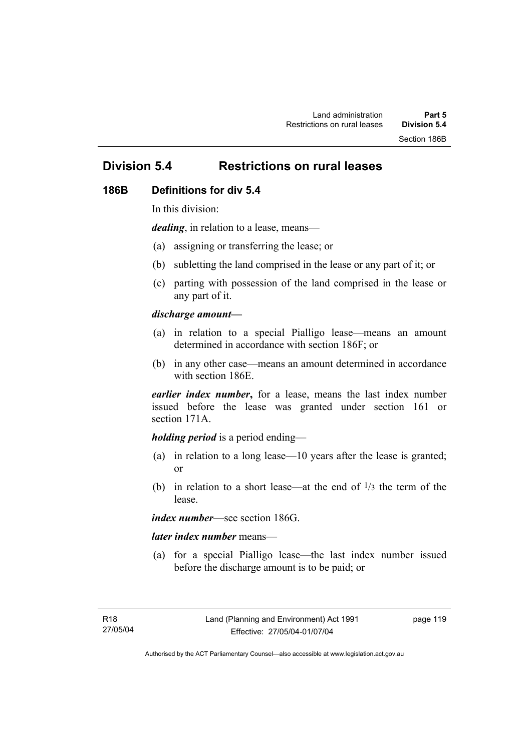# **Division 5.4 Restrictions on rural leases**

#### **186B Definitions for div 5.4**

In this division:

*dealing*, in relation to a lease, means—

- (a) assigning or transferring the lease; or
- (b) subletting the land comprised in the lease or any part of it; or
- (c) parting with possession of the land comprised in the lease or any part of it.

#### *discharge amount—*

- (a) in relation to a special Pialligo lease—means an amount determined in accordance with section 186F; or
- (b) in any other case—means an amount determined in accordance with section 186E.

*earlier index number***,** for a lease, means the last index number issued before the lease was granted under section 161 or section 171A.

#### *holding period* is a period ending—

- (a) in relation to a long lease—10 years after the lease is granted; or
- (b) in relation to a short lease—at the end of  $\frac{1}{3}$  the term of the lease.

*index number*—see section 186G.

#### *later index number* means—

 (a) for a special Pialligo lease—the last index number issued before the discharge amount is to be paid; or

page 119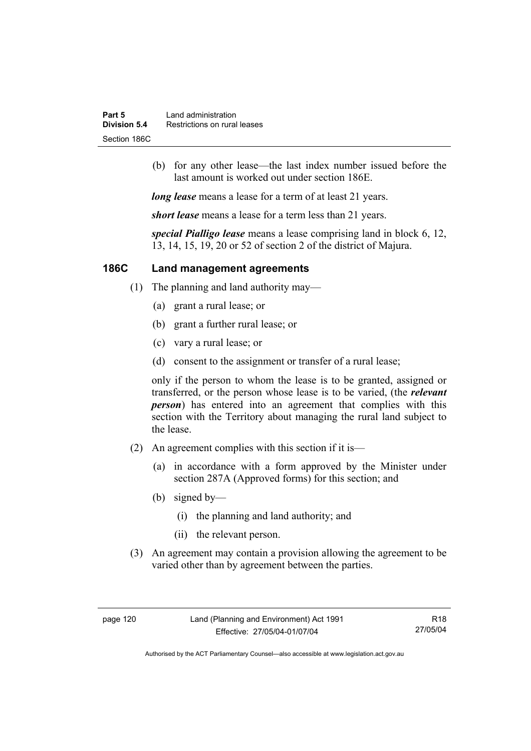| Part 5       | Land administration          |
|--------------|------------------------------|
| Division 5.4 | Restrictions on rural leases |
| Section 186C |                              |

 (b) for any other lease—the last index number issued before the last amount is worked out under section 186E.

*long lease* means a lease for a term of at least 21 years.

*short lease* means a lease for a term less than 21 years.

*special Pialligo lease* means a lease comprising land in block 6, 12, 13, 14, 15, 19, 20 or 52 of section 2 of the district of Majura.

### **186C Land management agreements**

- (1) The planning and land authority may—
	- (a) grant a rural lease; or
	- (b) grant a further rural lease; or
	- (c) vary a rural lease; or
	- (d) consent to the assignment or transfer of a rural lease;

only if the person to whom the lease is to be granted, assigned or transferred, or the person whose lease is to be varied, (the *relevant person*) has entered into an agreement that complies with this section with the Territory about managing the rural land subject to the lease.

- (2) An agreement complies with this section if it is—
	- (a) in accordance with a form approved by the Minister under section 287A (Approved forms) for this section; and
	- (b) signed by—
		- (i) the planning and land authority; and
		- (ii) the relevant person.
- (3) An agreement may contain a provision allowing the agreement to be varied other than by agreement between the parties.

R18 27/05/04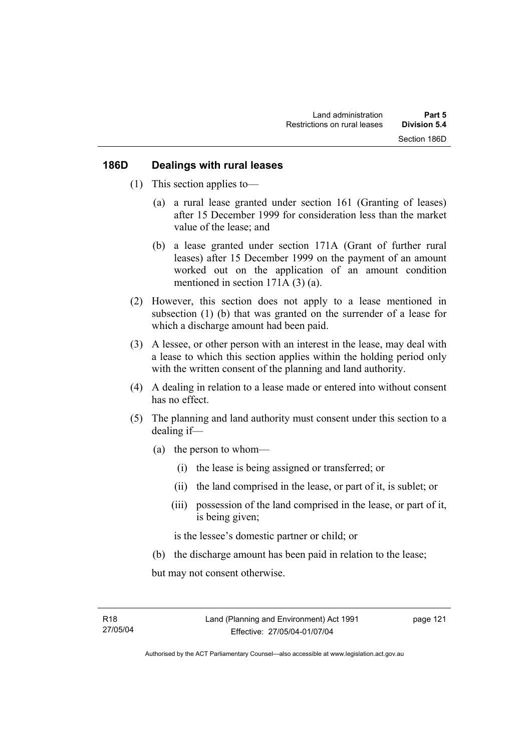#### **186D Dealings with rural leases**

- (1) This section applies to—
	- (a) a rural lease granted under section 161 (Granting of leases) after 15 December 1999 for consideration less than the market value of the lease; and
	- (b) a lease granted under section 171A (Grant of further rural leases) after 15 December 1999 on the payment of an amount worked out on the application of an amount condition mentioned in section 171A (3) (a).
- (2) However, this section does not apply to a lease mentioned in subsection (1) (b) that was granted on the surrender of a lease for which a discharge amount had been paid.
- (3) A lessee, or other person with an interest in the lease, may deal with a lease to which this section applies within the holding period only with the written consent of the planning and land authority.
- (4) A dealing in relation to a lease made or entered into without consent has no effect.
- (5) The planning and land authority must consent under this section to a dealing if—
	- (a) the person to whom—
		- (i) the lease is being assigned or transferred; or
		- (ii) the land comprised in the lease, or part of it, is sublet; or
		- (iii) possession of the land comprised in the lease, or part of it, is being given;

is the lessee's domestic partner or child; or

(b) the discharge amount has been paid in relation to the lease;

but may not consent otherwise.

page 121

Authorised by the ACT Parliamentary Counsel—also accessible at www.legislation.act.gov.au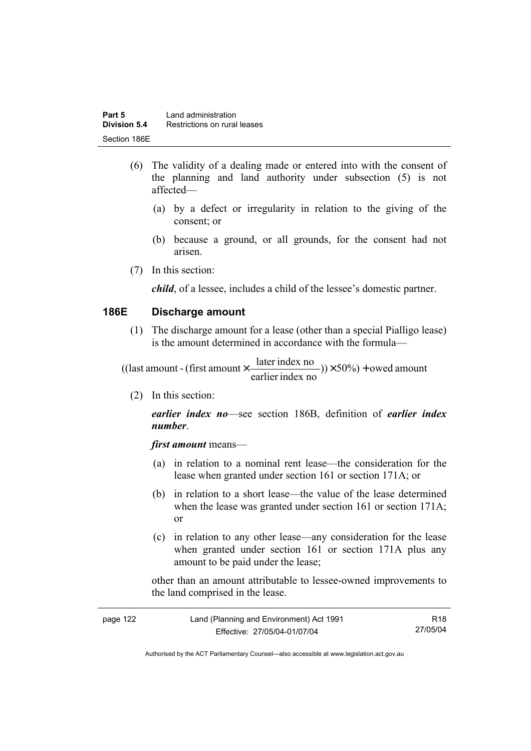- (6) The validity of a dealing made or entered into with the consent of the planning and land authority under subsection (5) is not affected—
	- (a) by a defect or irregularity in relation to the giving of the consent; or
	- (b) because a ground, or all grounds, for the consent had not arisen.
- (7) In this section:

*child*, of a lessee, includes a child of the lessee's domestic partner.

#### **186E Discharge amount**

 (1) The discharge amount for a lease (other than a special Pialligo lease) is the amount determined in accordance with the formula—

 $(y) \times 50\%$  + owed amount earlier index no ((last amount - (first amount  $\times \frac{\text{later index no}}{\text{inter index}}$ )) $\times$  50%) +

(2) In this section:

*earlier index no*—see section 186B, definition of *earlier index number*.

*first amount* means—

- (a) in relation to a nominal rent lease—the consideration for the lease when granted under section 161 or section 171A; or
- (b) in relation to a short lease—the value of the lease determined when the lease was granted under section 161 or section 171A; or
- (c) in relation to any other lease—any consideration for the lease when granted under section 161 or section 171A plus any amount to be paid under the lease;

other than an amount attributable to lessee-owned improvements to the land comprised in the lease.

| page 122 | Land (Planning and Environment) Act 1991 | R18      |
|----------|------------------------------------------|----------|
|          | Effective: 27/05/04-01/07/04             | 27/05/04 |

Authorised by the ACT Parliamentary Counsel—also accessible at www.legislation.act.gov.au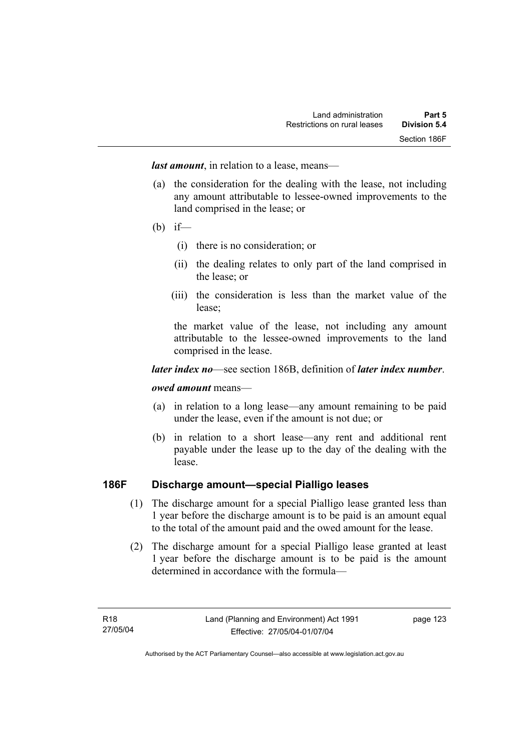*last amount*, in relation to a lease, means—

- (a) the consideration for the dealing with the lease, not including any amount attributable to lessee-owned improvements to the land comprised in the lease; or
- (b) if—
	- (i) there is no consideration; or
	- (ii) the dealing relates to only part of the land comprised in the lease; or
	- (iii) the consideration is less than the market value of the lease;

the market value of the lease, not including any amount attributable to the lessee-owned improvements to the land comprised in the lease.

#### *later index no*—see section 186B, definition of *later index number*.

#### *owed amount* means—

- (a) in relation to a long lease—any amount remaining to be paid under the lease, even if the amount is not due; or
- (b) in relation to a short lease—any rent and additional rent payable under the lease up to the day of the dealing with the lease.

### **186F Discharge amount—special Pialligo leases**

- (1) The discharge amount for a special Pialligo lease granted less than 1 year before the discharge amount is to be paid is an amount equal to the total of the amount paid and the owed amount for the lease.
- (2) The discharge amount for a special Pialligo lease granted at least 1 year before the discharge amount is to be paid is the amount determined in accordance with the formula—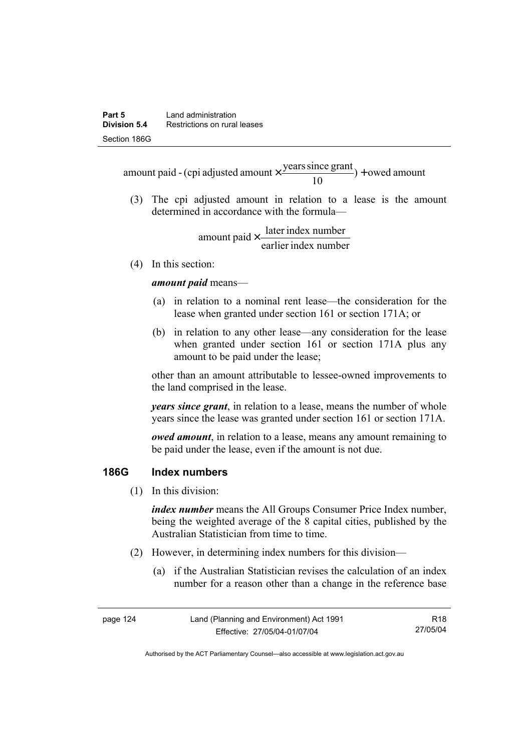$) +$  owed amount 10 amount paid - (cpi adjusted amount  $\times \frac{\text{years since grant}}{10}$ ) +

 (3) The cpi adjusted amount in relation to a lease is the amount determined in accordance with the formula—

> earlier index number amount paid  $\times \frac{\text{later index number}}{\text{lintermax}}$

(4) In this section:

*amount paid* means—

- (a) in relation to a nominal rent lease—the consideration for the lease when granted under section 161 or section 171A; or
- (b) in relation to any other lease—any consideration for the lease when granted under section 161 or section 171A plus any amount to be paid under the lease;

other than an amount attributable to lessee-owned improvements to the land comprised in the lease.

*years since grant*, in relation to a lease, means the number of whole years since the lease was granted under section 161 or section 171A.

*owed amount*, in relation to a lease, means any amount remaining to be paid under the lease, even if the amount is not due.

#### **186G Index numbers**

(1) In this division:

*index number* means the All Groups Consumer Price Index number, being the weighted average of the 8 capital cities, published by the Australian Statistician from time to time.

- (2) However, in determining index numbers for this division—
	- (a) if the Australian Statistician revises the calculation of an index number for a reason other than a change in the reference base

| page 124 | Land (Planning and Environment) Act 1991 | R18      |
|----------|------------------------------------------|----------|
|          | Effective: 27/05/04-01/07/04             | 27/05/04 |

Authorised by the ACT Parliamentary Counsel—also accessible at www.legislation.act.gov.au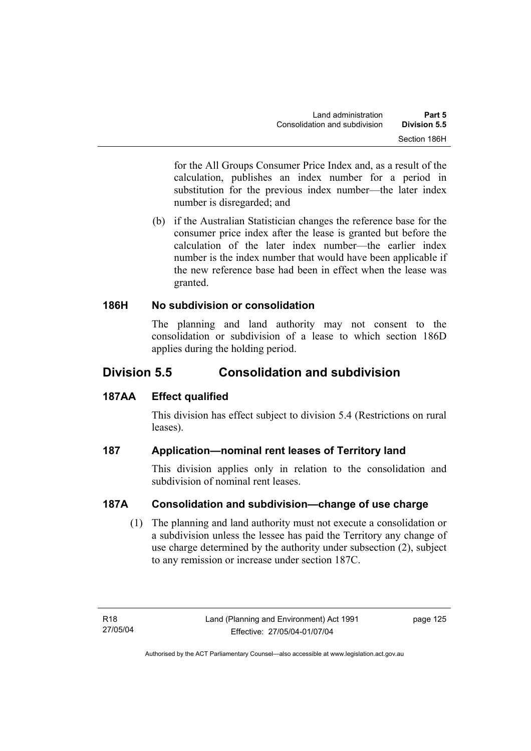for the All Groups Consumer Price Index and, as a result of the calculation, publishes an index number for a period in substitution for the previous index number—the later index number is disregarded; and

 (b) if the Australian Statistician changes the reference base for the consumer price index after the lease is granted but before the calculation of the later index number—the earlier index number is the index number that would have been applicable if the new reference base had been in effect when the lease was granted.

### **186H No subdivision or consolidation**

The planning and land authority may not consent to the consolidation or subdivision of a lease to which section 186D applies during the holding period.

# **Division 5.5 Consolidation and subdivision**

# **187AA Effect qualified**

This division has effect subject to division 5.4 (Restrictions on rural leases).

# **187 Application—nominal rent leases of Territory land**

This division applies only in relation to the consolidation and subdivision of nominal rent leases.

# **187A Consolidation and subdivision—change of use charge**

 (1) The planning and land authority must not execute a consolidation or a subdivision unless the lessee has paid the Territory any change of use charge determined by the authority under subsection (2), subject to any remission or increase under section 187C.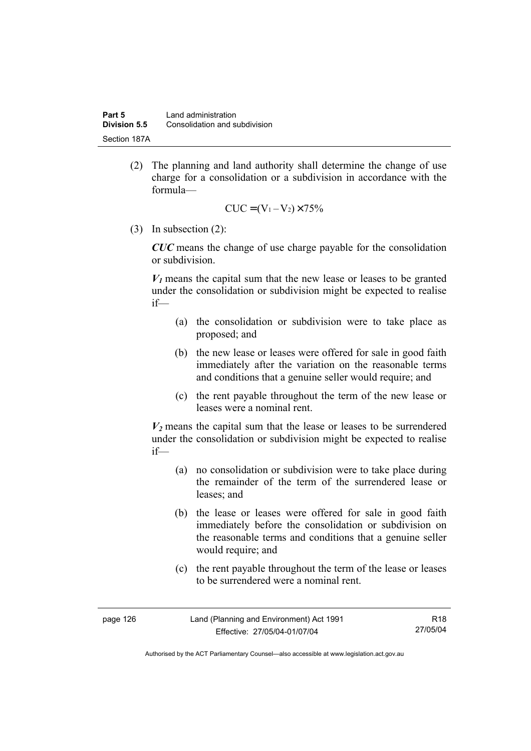(2) The planning and land authority shall determine the change of use charge for a consolidation or a subdivision in accordance with the formula—

$$
CUC = (V_1 - V_2) \times 75\%
$$

(3) In subsection (2):

*CUC* means the change of use charge payable for the consolidation or subdivision.

 $V_1$  means the capital sum that the new lease or leases to be granted under the consolidation or subdivision might be expected to realise if—

- (a) the consolidation or subdivision were to take place as proposed; and
- (b) the new lease or leases were offered for sale in good faith immediately after the variation on the reasonable terms and conditions that a genuine seller would require; and
- (c) the rent payable throughout the term of the new lease or leases were a nominal rent.

 $V_2$  means the capital sum that the lease or leases to be surrendered under the consolidation or subdivision might be expected to realise if—

- (a) no consolidation or subdivision were to take place during the remainder of the term of the surrendered lease or leases; and
- (b) the lease or leases were offered for sale in good faith immediately before the consolidation or subdivision on the reasonable terms and conditions that a genuine seller would require; and
- (c) the rent payable throughout the term of the lease or leases to be surrendered were a nominal rent.

| page 126 | Land (Planning and Environment) Act 1991 | R18      |
|----------|------------------------------------------|----------|
|          | Effective: 27/05/04-01/07/04             | 27/05/04 |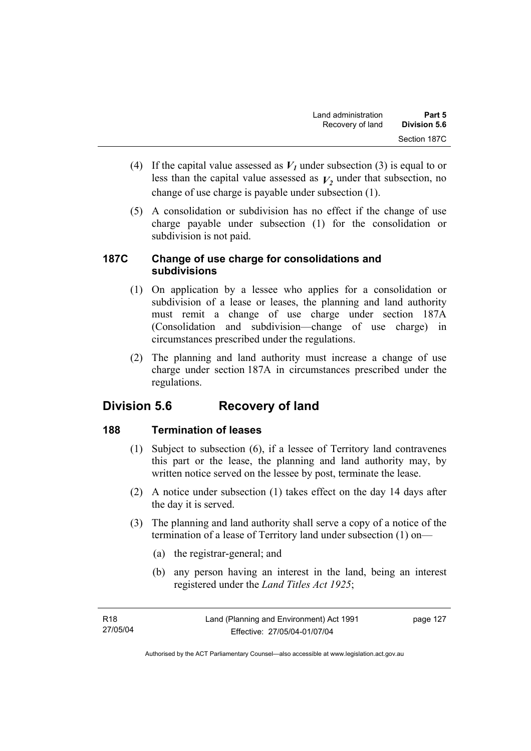- (4) If the capital value assessed as  $V_I$  under subsection (3) is equal to or less than the capital value assessed as  $V_2$  under that subsection, no change of use charge is payable under subsection (1).
- (5) A consolidation or subdivision has no effect if the change of use charge payable under subsection (1) for the consolidation or subdivision is not paid.

### **187C Change of use charge for consolidations and subdivisions**

- (1) On application by a lessee who applies for a consolidation or subdivision of a lease or leases, the planning and land authority must remit a change of use charge under section 187A (Consolidation and subdivision—change of use charge) in circumstances prescribed under the regulations.
- (2) The planning and land authority must increase a change of use charge under section 187A in circumstances prescribed under the regulations.

# **Division 5.6 Recovery of land**

# **188 Termination of leases**

- (1) Subject to subsection (6), if a lessee of Territory land contravenes this part or the lease, the planning and land authority may, by written notice served on the lessee by post, terminate the lease.
- (2) A notice under subsection (1) takes effect on the day 14 days after the day it is served.
- (3) The planning and land authority shall serve a copy of a notice of the termination of a lease of Territory land under subsection (1) on—
	- (a) the registrar-general; and
	- (b) any person having an interest in the land, being an interest registered under the *Land Titles Act 1925*;

page 127

Authorised by the ACT Parliamentary Counsel—also accessible at www.legislation.act.gov.au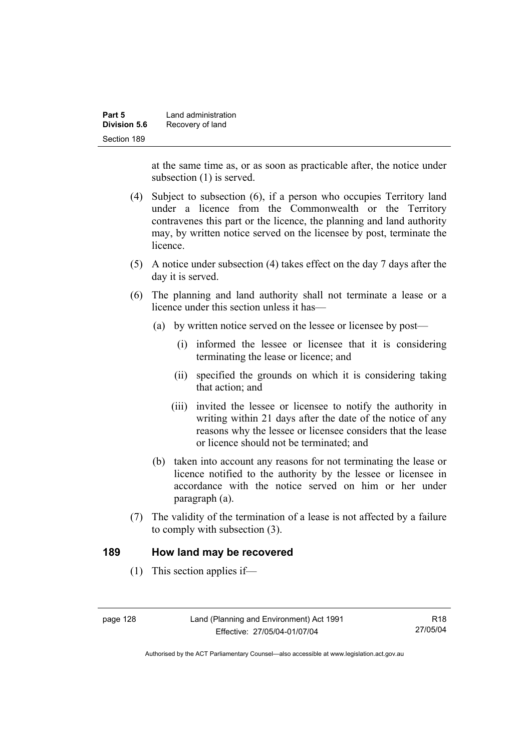| Part 5       | Land administration |
|--------------|---------------------|
| Division 5.6 | Recovery of land    |
| Section 189  |                     |

at the same time as, or as soon as practicable after, the notice under subsection (1) is served.

- (4) Subject to subsection (6), if a person who occupies Territory land under a licence from the Commonwealth or the Territory contravenes this part or the licence, the planning and land authority may, by written notice served on the licensee by post, terminate the licence.
- (5) A notice under subsection (4) takes effect on the day 7 days after the day it is served.
- (6) The planning and land authority shall not terminate a lease or a licence under this section unless it has—
	- (a) by written notice served on the lessee or licensee by post—
		- (i) informed the lessee or licensee that it is considering terminating the lease or licence; and
		- (ii) specified the grounds on which it is considering taking that action; and
		- (iii) invited the lessee or licensee to notify the authority in writing within 21 days after the date of the notice of any reasons why the lessee or licensee considers that the lease or licence should not be terminated; and
	- (b) taken into account any reasons for not terminating the lease or licence notified to the authority by the lessee or licensee in accordance with the notice served on him or her under paragraph (a).
- (7) The validity of the termination of a lease is not affected by a failure to comply with subsection (3).

#### **189 How land may be recovered**

(1) This section applies if—

R18 27/05/04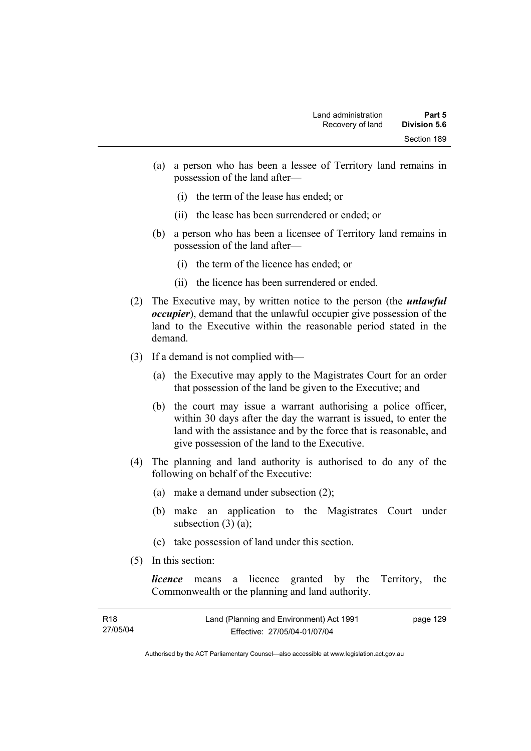- (a) a person who has been a lessee of Territory land remains in possession of the land after—
	- (i) the term of the lease has ended; or
	- (ii) the lease has been surrendered or ended; or
- (b) a person who has been a licensee of Territory land remains in possession of the land after—
	- (i) the term of the licence has ended; or
	- (ii) the licence has been surrendered or ended.
- (2) The Executive may, by written notice to the person (the *unlawful occupier*), demand that the unlawful occupier give possession of the land to the Executive within the reasonable period stated in the demand.
- (3) If a demand is not complied with—
	- (a) the Executive may apply to the Magistrates Court for an order that possession of the land be given to the Executive; and
	- (b) the court may issue a warrant authorising a police officer, within 30 days after the day the warrant is issued, to enter the land with the assistance and by the force that is reasonable, and give possession of the land to the Executive.
- (4) The planning and land authority is authorised to do any of the following on behalf of the Executive:
	- (a) make a demand under subsection (2);
	- (b) make an application to the Magistrates Court under subsection  $(3)$   $(a)$ ;
	- (c) take possession of land under this section.
- (5) In this section:

*licence* means a licence granted by the Territory, the Commonwealth or the planning and land authority.

| R18      | Land (Planning and Environment) Act 1991 | page 129 |
|----------|------------------------------------------|----------|
| 27/05/04 | Effective: 27/05/04-01/07/04             |          |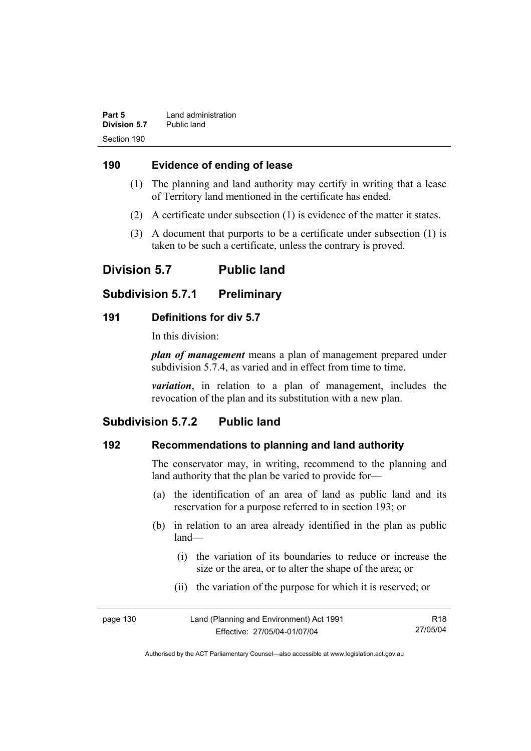| Part 5       | Land administration |
|--------------|---------------------|
| Division 5.7 | Public land         |
| Section 190  |                     |

### **190 Evidence of ending of lease**

- (1) The planning and land authority may certify in writing that a lease of Territory land mentioned in the certificate has ended.
- (2) A certificate under subsection (1) is evidence of the matter it states.
- (3) A document that purports to be a certificate under subsection (1) is taken to be such a certificate, unless the contrary is proved.

# **Division 5.7 Public land**

# **Subdivision 5.7.1 Preliminary**

### **191 Definitions for div 5.7**

In this division:

*plan of management* means a plan of management prepared under subdivision 5.7.4, as varied and in effect from time to time.

*variation*, in relation to a plan of management, includes the revocation of the plan and its substitution with a new plan.

# **Subdivision 5.7.2 Public land**

# **192 Recommendations to planning and land authority**

The conservator may, in writing, recommend to the planning and land authority that the plan be varied to provide for—

- (a) the identification of an area of land as public land and its reservation for a purpose referred to in section 193; or
- (b) in relation to an area already identified in the plan as public land—
	- (i) the variation of its boundaries to reduce or increase the size or the area, or to alter the shape of the area; or
	- (ii) the variation of the purpose for which it is reserved; or

| page 130 | Land (Planning and Environment) Act 1991 | R <sub>18</sub> |
|----------|------------------------------------------|-----------------|
|          | Effective: 27/05/04-01/07/04             | 27/05/04        |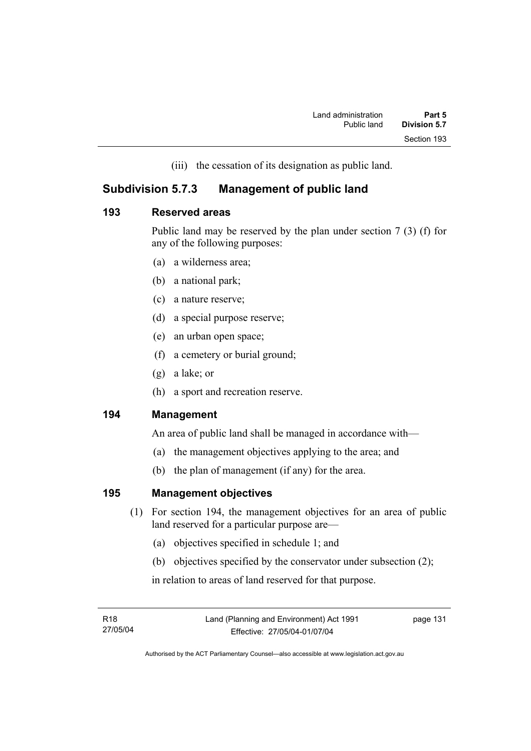(iii) the cessation of its designation as public land.

# **Subdivision 5.7.3 Management of public land**

### **193 Reserved areas**

Public land may be reserved by the plan under section 7 (3) (f) for any of the following purposes:

- (a) a wilderness area;
- (b) a national park;
- (c) a nature reserve;
- (d) a special purpose reserve;
- (e) an urban open space;
- (f) a cemetery or burial ground;
- (g) a lake; or
- (h) a sport and recreation reserve.

# **194 Management**

An area of public land shall be managed in accordance with—

- (a) the management objectives applying to the area; and
- (b) the plan of management (if any) for the area.

# **195 Management objectives**

- (1) For section 194, the management objectives for an area of public land reserved for a particular purpose are—
	- (a) objectives specified in schedule 1; and
	- (b) objectives specified by the conservator under subsection (2);

in relation to areas of land reserved for that purpose.

page 131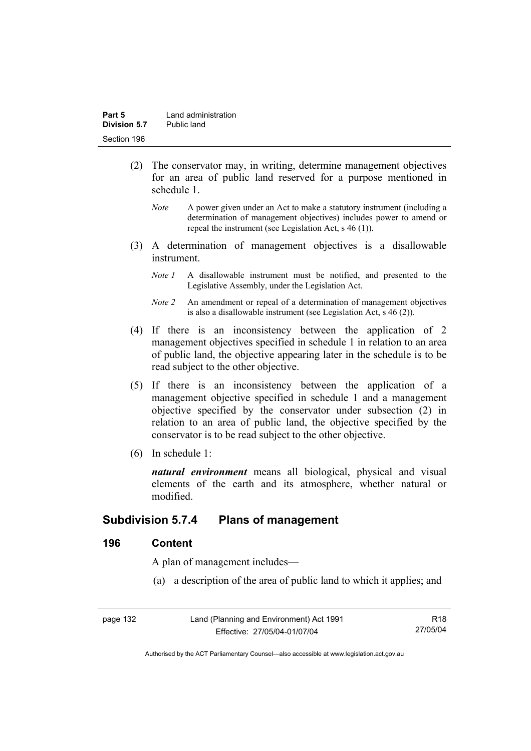- (2) The conservator may, in writing, determine management objectives for an area of public land reserved for a purpose mentioned in schedule 1.
	- *Note* A power given under an Act to make a statutory instrument (including a determination of management objectives) includes power to amend or repeal the instrument (see Legislation Act, s 46 (1)).
- (3) A determination of management objectives is a disallowable instrument.
	- *Note 1* A disallowable instrument must be notified, and presented to the Legislative Assembly, under the Legislation Act.
	- *Note 2* An amendment or repeal of a determination of management objectives is also a disallowable instrument (see Legislation Act, s 46 (2))*.*
- (4) If there is an inconsistency between the application of 2 management objectives specified in schedule 1 in relation to an area of public land, the objective appearing later in the schedule is to be read subject to the other objective.
- (5) If there is an inconsistency between the application of a management objective specified in schedule 1 and a management objective specified by the conservator under subsection (2) in relation to an area of public land, the objective specified by the conservator is to be read subject to the other objective.
- (6) In schedule 1:

*natural environment* means all biological, physical and visual elements of the earth and its atmosphere, whether natural or modified.

# **Subdivision 5.7.4 Plans of management**

### **196 Content**

A plan of management includes—

(a) a description of the area of public land to which it applies; and

| page 132 | Land (Planning and Environment) Act 1991 | R18      |
|----------|------------------------------------------|----------|
|          | Effective: 27/05/04-01/07/04             | 27/05/04 |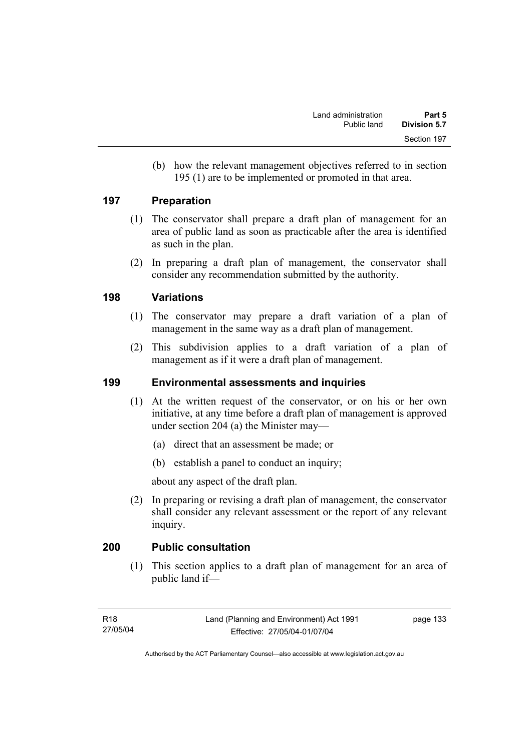(b) how the relevant management objectives referred to in section 195 (1) are to be implemented or promoted in that area.

### **197 Preparation**

- (1) The conservator shall prepare a draft plan of management for an area of public land as soon as practicable after the area is identified as such in the plan.
- (2) In preparing a draft plan of management, the conservator shall consider any recommendation submitted by the authority.

### **198 Variations**

- (1) The conservator may prepare a draft variation of a plan of management in the same way as a draft plan of management.
- (2) This subdivision applies to a draft variation of a plan of management as if it were a draft plan of management.

# **199 Environmental assessments and inquiries**

- (1) At the written request of the conservator, or on his or her own initiative, at any time before a draft plan of management is approved under section 204 (a) the Minister may—
	- (a) direct that an assessment be made; or
	- (b) establish a panel to conduct an inquiry;

about any aspect of the draft plan.

 (2) In preparing or revising a draft plan of management, the conservator shall consider any relevant assessment or the report of any relevant inquiry.

# **200 Public consultation**

 (1) This section applies to a draft plan of management for an area of public land if—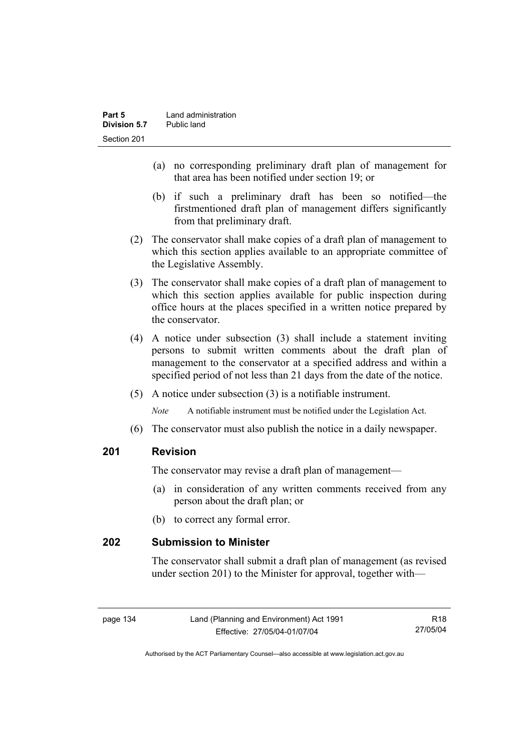- (a) no corresponding preliminary draft plan of management for that area has been notified under section 19; or
- (b) if such a preliminary draft has been so notified—the firstmentioned draft plan of management differs significantly from that preliminary draft.
- (2) The conservator shall make copies of a draft plan of management to which this section applies available to an appropriate committee of the Legislative Assembly.
- (3) The conservator shall make copies of a draft plan of management to which this section applies available for public inspection during office hours at the places specified in a written notice prepared by the conservator.
- (4) A notice under subsection (3) shall include a statement inviting persons to submit written comments about the draft plan of management to the conservator at a specified address and within a specified period of not less than 21 days from the date of the notice.
- (5) A notice under subsection (3) is a notifiable instrument.

*Note* A notifiable instrument must be notified under the Legislation Act.

(6) The conservator must also publish the notice in a daily newspaper.

# **201 Revision**

The conservator may revise a draft plan of management—

- (a) in consideration of any written comments received from any person about the draft plan; or
- (b) to correct any formal error.

# **202 Submission to Minister**

The conservator shall submit a draft plan of management (as revised under section 201) to the Minister for approval, together with—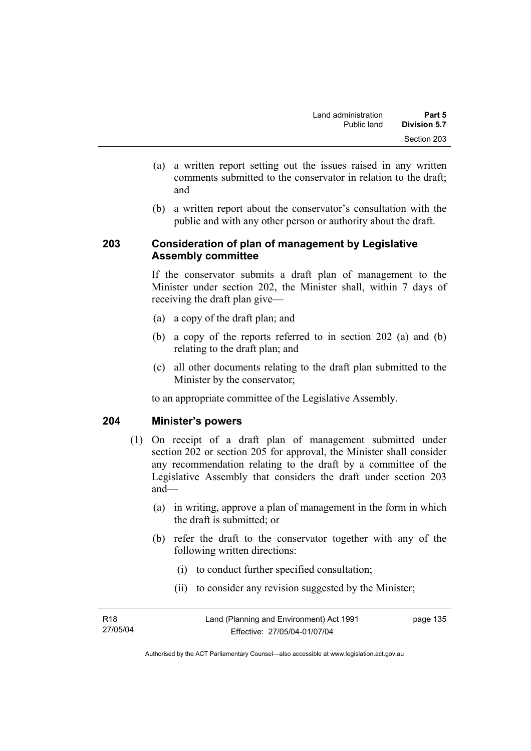- (a) a written report setting out the issues raised in any written comments submitted to the conservator in relation to the draft; and
- (b) a written report about the conservator's consultation with the public and with any other person or authority about the draft.

## **203 Consideration of plan of management by Legislative Assembly committee**

If the conservator submits a draft plan of management to the Minister under section 202, the Minister shall, within 7 days of receiving the draft plan give—

- (a) a copy of the draft plan; and
- (b) a copy of the reports referred to in section 202 (a) and (b) relating to the draft plan; and
- (c) all other documents relating to the draft plan submitted to the Minister by the conservator;

to an appropriate committee of the Legislative Assembly.

# **204 Minister's powers**

- (1) On receipt of a draft plan of management submitted under section 202 or section 205 for approval, the Minister shall consider any recommendation relating to the draft by a committee of the Legislative Assembly that considers the draft under section 203 and—
	- (a) in writing, approve a plan of management in the form in which the draft is submitted; or
	- (b) refer the draft to the conservator together with any of the following written directions:
		- (i) to conduct further specified consultation;
		- (ii) to consider any revision suggested by the Minister;

| R18      | Land (Planning and Environment) Act 1991 | page 135 |
|----------|------------------------------------------|----------|
| 27/05/04 | Effective: 27/05/04-01/07/04             |          |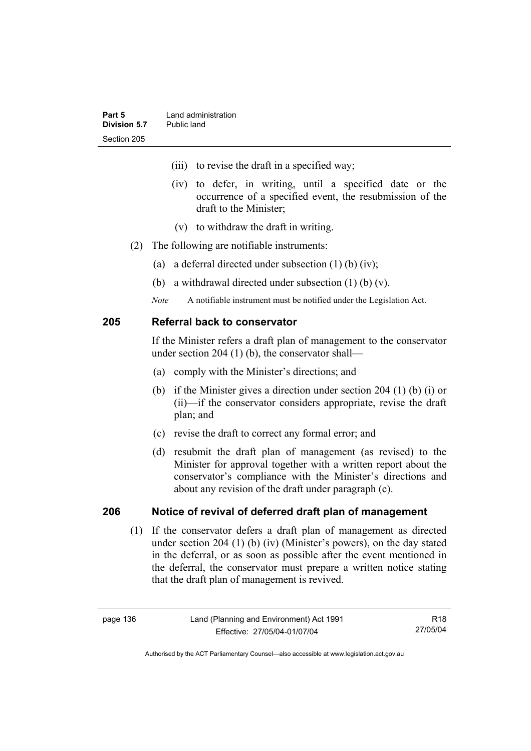- (iii) to revise the draft in a specified way;
- (iv) to defer, in writing, until a specified date or the occurrence of a specified event, the resubmission of the draft to the Minister;
- (v) to withdraw the draft in writing.
- (2) The following are notifiable instruments:
	- (a) a deferral directed under subsection (1) (b) (iv);
	- (b) a withdrawal directed under subsection (1) (b) (v).
	- *Note* A notifiable instrument must be notified under the Legislation Act.

### **205 Referral back to conservator**

If the Minister refers a draft plan of management to the conservator under section 204 (1) (b), the conservator shall—

- (a) comply with the Minister's directions; and
- (b) if the Minister gives a direction under section 204 (1) (b) (i) or (ii)—if the conservator considers appropriate, revise the draft plan; and
- (c) revise the draft to correct any formal error; and
- (d) resubmit the draft plan of management (as revised) to the Minister for approval together with a written report about the conservator's compliance with the Minister's directions and about any revision of the draft under paragraph (c).

### **206 Notice of revival of deferred draft plan of management**

(1) If the conservator defers a draft plan of management as directed under section 204 (1) (b) (iv) (Minister's powers), on the day stated in the deferral, or as soon as possible after the event mentioned in the deferral, the conservator must prepare a written notice stating that the draft plan of management is revived.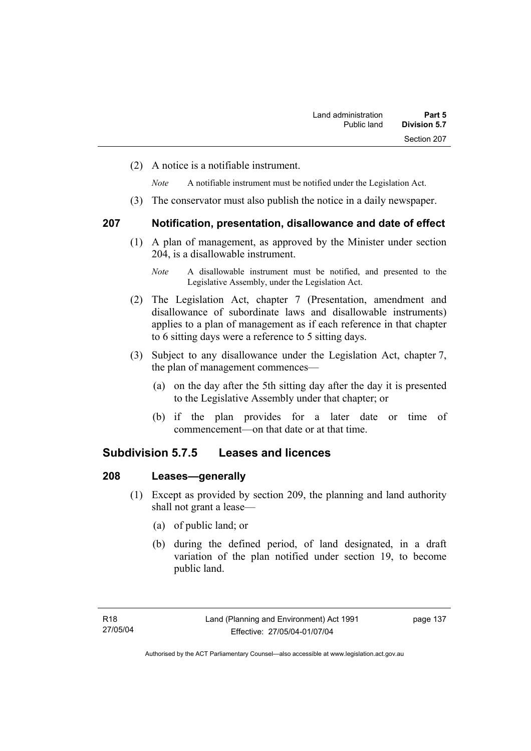(2) A notice is a notifiable instrument.

*Note* A notifiable instrument must be notified under the Legislation Act.

(3) The conservator must also publish the notice in a daily newspaper.

### **207 Notification, presentation, disallowance and date of effect**

 (1) A plan of management, as approved by the Minister under section 204, is a disallowable instrument.

- (2) The Legislation Act, chapter 7 (Presentation, amendment and disallowance of subordinate laws and disallowable instruments) applies to a plan of management as if each reference in that chapter to 6 sitting days were a reference to 5 sitting days.
- (3) Subject to any disallowance under the Legislation Act, chapter 7, the plan of management commences—
	- (a) on the day after the 5th sitting day after the day it is presented to the Legislative Assembly under that chapter; or
	- (b) if the plan provides for a later date or time of commencement—on that date or at that time.

# **Subdivision 5.7.5 Leases and licences**

### **208 Leases—generally**

- (1) Except as provided by section 209, the planning and land authority shall not grant a lease—
	- (a) of public land; or
	- (b) during the defined period, of land designated, in a draft variation of the plan notified under section 19, to become public land.

*Note* A disallowable instrument must be notified, and presented to the Legislative Assembly, under the Legislation Act.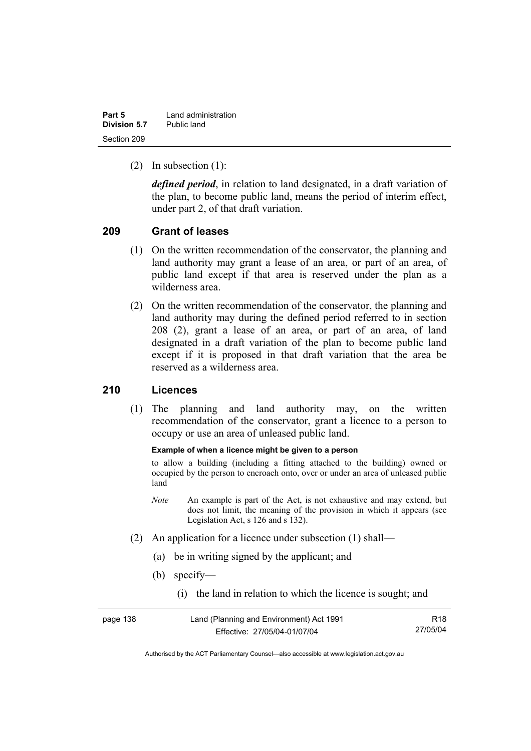| Part 5       | Land administration |
|--------------|---------------------|
| Division 5.7 | Public land         |
| Section 209  |                     |

(2) In subsection (1):

*defined period*, in relation to land designated, in a draft variation of the plan, to become public land, means the period of interim effect, under part 2, of that draft variation.

### **209 Grant of leases**

- (1) On the written recommendation of the conservator, the planning and land authority may grant a lease of an area, or part of an area, of public land except if that area is reserved under the plan as a wilderness area.
- (2) On the written recommendation of the conservator, the planning and land authority may during the defined period referred to in section 208 (2), grant a lease of an area, or part of an area, of land designated in a draft variation of the plan to become public land except if it is proposed in that draft variation that the area be reserved as a wilderness area.

### **210 Licences**

 (1) The planning and land authority may, on the written recommendation of the conservator, grant a licence to a person to occupy or use an area of unleased public land.

#### **Example of when a licence might be given to a person**

to allow a building (including a fitting attached to the building) owned or occupied by the person to encroach onto, over or under an area of unleased public land

- *Note* An example is part of the Act, is not exhaustive and may extend, but does not limit, the meaning of the provision in which it appears (see Legislation Act, s 126 and s 132).
- (2) An application for a licence under subsection (1) shall—
	- (a) be in writing signed by the applicant; and
	- (b) specify—
		- (i) the land in relation to which the licence is sought; and

| page 138 | Land (Planning and Environment) Act 1991 | R <sub>18</sub> |
|----------|------------------------------------------|-----------------|
|          | Effective: 27/05/04-01/07/04             | 27/05/04        |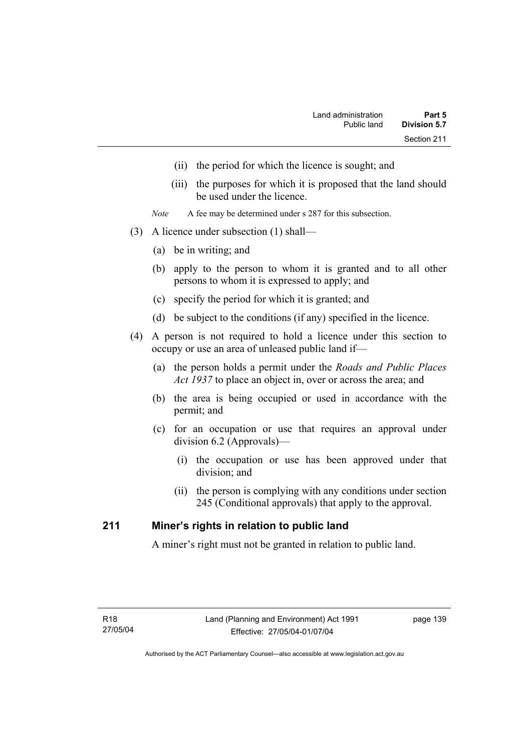- (ii) the period for which the licence is sought; and
- (iii) the purposes for which it is proposed that the land should be used under the licence.
- *Note* A fee may be determined under s 287 for this subsection.
- (3) A licence under subsection (1) shall—
	- (a) be in writing; and
	- (b) apply to the person to whom it is granted and to all other persons to whom it is expressed to apply; and
	- (c) specify the period for which it is granted; and
	- (d) be subject to the conditions (if any) specified in the licence.
- (4) A person is not required to hold a licence under this section to occupy or use an area of unleased public land if—
	- (a) the person holds a permit under the *Roads and Public Places Act 1937* to place an object in, over or across the area; and
	- (b) the area is being occupied or used in accordance with the permit; and
	- (c) for an occupation or use that requires an approval under division 6.2 (Approvals)—
		- (i) the occupation or use has been approved under that division; and
		- (ii) the person is complying with any conditions under section 245 (Conditional approvals) that apply to the approval.

### **211 Miner's rights in relation to public land**

A miner's right must not be granted in relation to public land.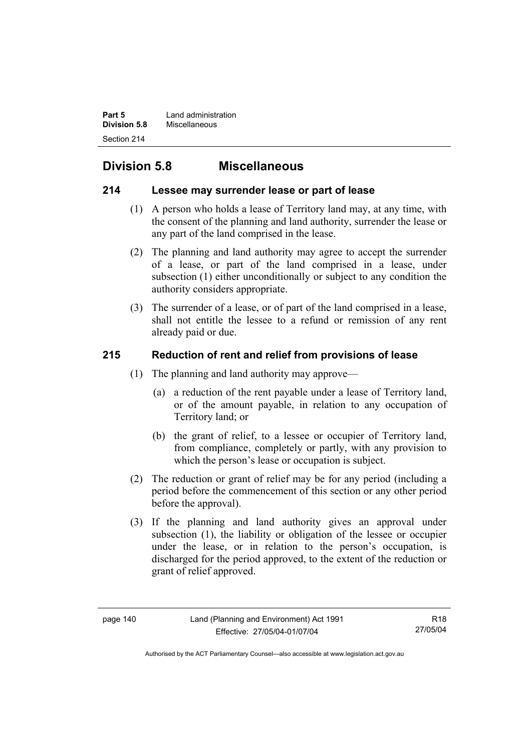**Part 5 Land administration Division 5.8** Miscellaneous Section 214

# **Division 5.8 Miscellaneous**

# **214 Lessee may surrender lease or part of lease**

- (1) A person who holds a lease of Territory land may, at any time, with the consent of the planning and land authority, surrender the lease or any part of the land comprised in the lease.
- (2) The planning and land authority may agree to accept the surrender of a lease, or part of the land comprised in a lease, under subsection (1) either unconditionally or subject to any condition the authority considers appropriate.
- (3) The surrender of a lease, or of part of the land comprised in a lease, shall not entitle the lessee to a refund or remission of any rent already paid or due.

# **215 Reduction of rent and relief from provisions of lease**

- (1) The planning and land authority may approve—
	- (a) a reduction of the rent payable under a lease of Territory land, or of the amount payable, in relation to any occupation of Territory land; or
	- (b) the grant of relief, to a lessee or occupier of Territory land, from compliance, completely or partly, with any provision to which the person's lease or occupation is subject.
- (2) The reduction or grant of relief may be for any period (including a period before the commencement of this section or any other period before the approval).
- (3) If the planning and land authority gives an approval under subsection (1), the liability or obligation of the lessee or occupier under the lease, or in relation to the person's occupation, is discharged for the period approved, to the extent of the reduction or grant of relief approved.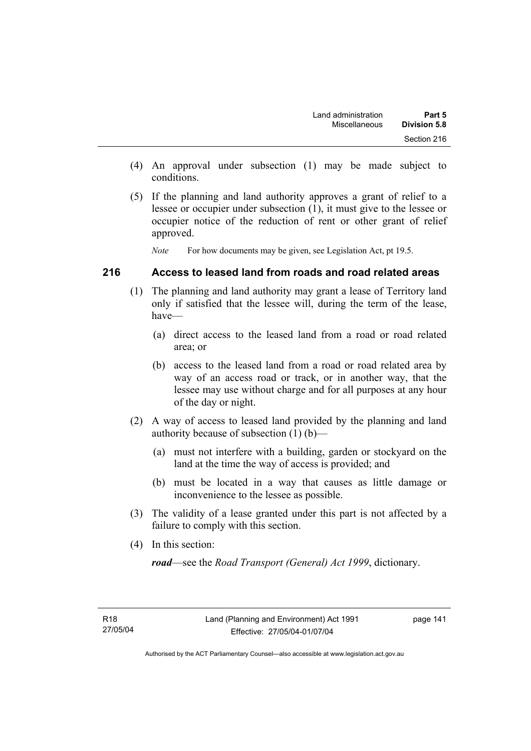- (4) An approval under subsection (1) may be made subject to conditions.
- (5) If the planning and land authority approves a grant of relief to a lessee or occupier under subsection (1), it must give to the lessee or occupier notice of the reduction of rent or other grant of relief approved.

*Note* For how documents may be given, see Legislation Act, pt 19.5.

### **216 Access to leased land from roads and road related areas**

- (1) The planning and land authority may grant a lease of Territory land only if satisfied that the lessee will, during the term of the lease, have—
	- (a) direct access to the leased land from a road or road related area; or
	- (b) access to the leased land from a road or road related area by way of an access road or track, or in another way, that the lessee may use without charge and for all purposes at any hour of the day or night.
- (2) A way of access to leased land provided by the planning and land authority because of subsection (1) (b)—
	- (a) must not interfere with a building, garden or stockyard on the land at the time the way of access is provided; and
	- (b) must be located in a way that causes as little damage or inconvenience to the lessee as possible.
- (3) The validity of a lease granted under this part is not affected by a failure to comply with this section.
- (4) In this section:

*road*—see the *Road Transport (General) Act 1999*, dictionary.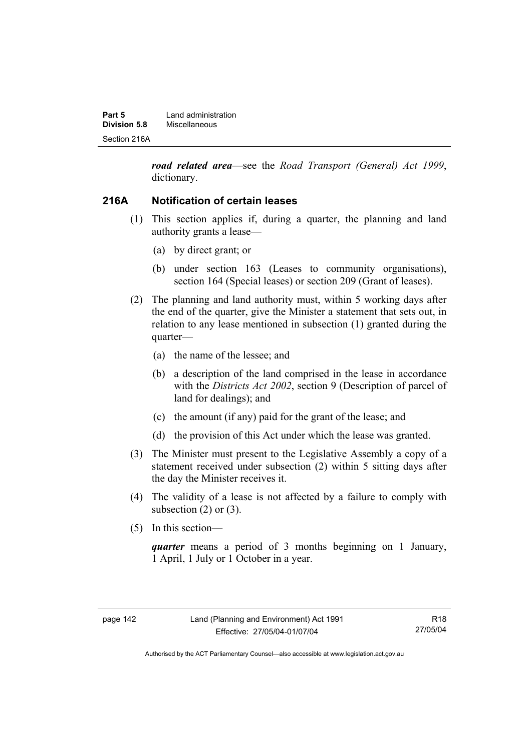| Part 5       | Land administration |  |
|--------------|---------------------|--|
| Division 5.8 | Miscellaneous       |  |
| Section 216A |                     |  |

*road related area*—see the *Road Transport (General) Act 1999*, dictionary.

### **216A Notification of certain leases**

- (1) This section applies if, during a quarter, the planning and land authority grants a lease—
	- (a) by direct grant; or
	- (b) under section 163 (Leases to community organisations), section 164 (Special leases) or section 209 (Grant of leases).
- (2) The planning and land authority must, within 5 working days after the end of the quarter, give the Minister a statement that sets out, in relation to any lease mentioned in subsection (1) granted during the quarter—
	- (a) the name of the lessee; and
	- (b) a description of the land comprised in the lease in accordance with the *Districts Act 2002*, section 9 (Description of parcel of land for dealings); and
	- (c) the amount (if any) paid for the grant of the lease; and
	- (d) the provision of this Act under which the lease was granted.
- (3) The Minister must present to the Legislative Assembly a copy of a statement received under subsection (2) within 5 sitting days after the day the Minister receives it.
- (4) The validity of a lease is not affected by a failure to comply with subsection  $(2)$  or  $(3)$ .
- (5) In this section—

*quarter* means a period of 3 months beginning on 1 January, 1 April, 1 July or 1 October in a year.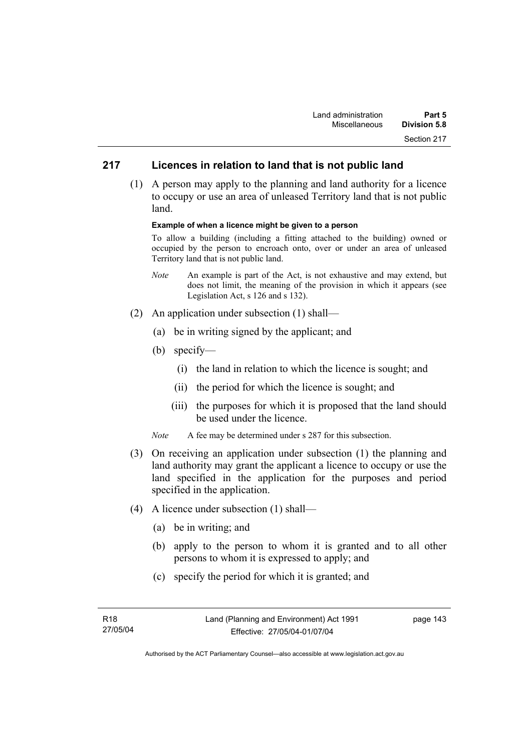# **217 Licences in relation to land that is not public land**

 (1) A person may apply to the planning and land authority for a licence to occupy or use an area of unleased Territory land that is not public land.

#### **Example of when a licence might be given to a person**

To allow a building (including a fitting attached to the building) owned or occupied by the person to encroach onto, over or under an area of unleased Territory land that is not public land.

- *Note* An example is part of the Act, is not exhaustive and may extend, but does not limit, the meaning of the provision in which it appears (see Legislation Act, s 126 and s 132).
- (2) An application under subsection (1) shall—
	- (a) be in writing signed by the applicant; and
	- (b) specify—
		- (i) the land in relation to which the licence is sought; and
		- (ii) the period for which the licence is sought; and
		- (iii) the purposes for which it is proposed that the land should be used under the licence.
	- *Note* A fee may be determined under s 287 for this subsection.
- (3) On receiving an application under subsection (1) the planning and land authority may grant the applicant a licence to occupy or use the land specified in the application for the purposes and period specified in the application.
- (4) A licence under subsection (1) shall—
	- (a) be in writing; and
	- (b) apply to the person to whom it is granted and to all other persons to whom it is expressed to apply; and
	- (c) specify the period for which it is granted; and

page 143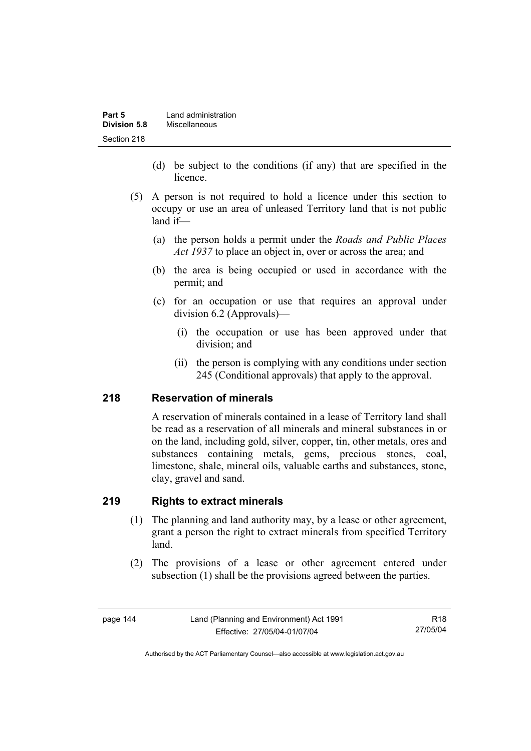| Part 5       | Land administration |
|--------------|---------------------|
| Division 5.8 | Miscellaneous       |
| Section 218  |                     |

- (d) be subject to the conditions (if any) that are specified in the licence.
- (5) A person is not required to hold a licence under this section to occupy or use an area of unleased Territory land that is not public land if—
	- (a) the person holds a permit under the *Roads and Public Places Act 1937* to place an object in, over or across the area; and
	- (b) the area is being occupied or used in accordance with the permit; and
	- (c) for an occupation or use that requires an approval under division 6.2 (Approvals)—
		- (i) the occupation or use has been approved under that division; and
		- (ii) the person is complying with any conditions under section 245 (Conditional approvals) that apply to the approval.

### **218 Reservation of minerals**

A reservation of minerals contained in a lease of Territory land shall be read as a reservation of all minerals and mineral substances in or on the land, including gold, silver, copper, tin, other metals, ores and substances containing metals, gems, precious stones, coal, limestone, shale, mineral oils, valuable earths and substances, stone, clay, gravel and sand.

### **219 Rights to extract minerals**

- (1) The planning and land authority may, by a lease or other agreement, grant a person the right to extract minerals from specified Territory land.
- (2) The provisions of a lease or other agreement entered under subsection (1) shall be the provisions agreed between the parties.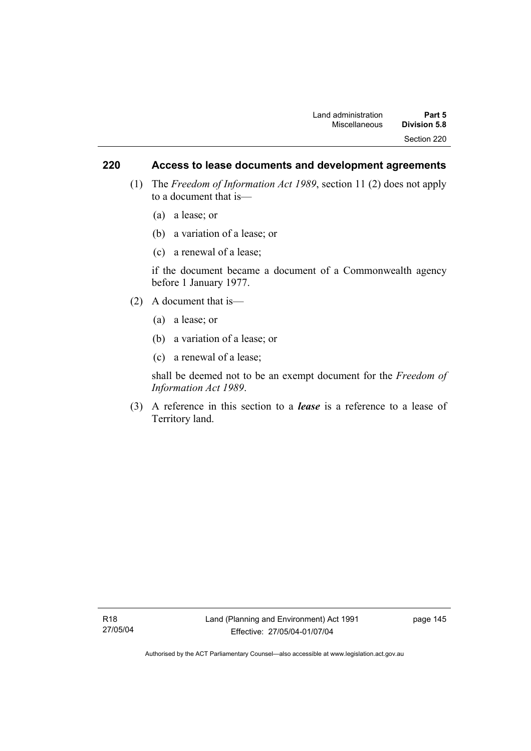### **220 Access to lease documents and development agreements**

- (1) The *Freedom of Information Act 1989*, section 11 (2) does not apply to a document that is—
	- (a) a lease; or
	- (b) a variation of a lease; or
	- (c) a renewal of a lease;

if the document became a document of a Commonwealth agency before 1 January 1977.

- (2) A document that is—
	- (a) a lease; or
	- (b) a variation of a lease; or
	- (c) a renewal of a lease;

shall be deemed not to be an exempt document for the *Freedom of Information Act 1989*.

 (3) A reference in this section to a *lease* is a reference to a lease of Territory land.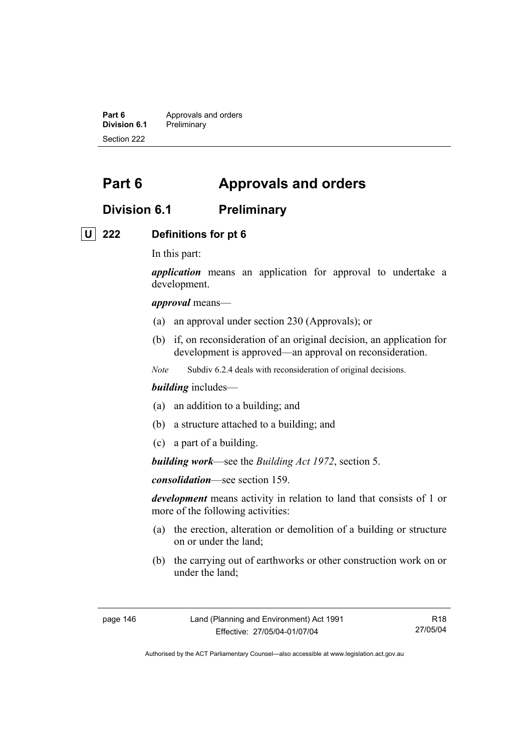**Part 6 Approvals and orders**<br>**Division 6.1 Preliminary Division 6.1** Preliminary Section 222

# **Part 6 Approvals and orders**

# **Division 6.1 Preliminary**

### **U 222 Definitions for pt 6**

In this part:

*application* means an application for approval to undertake a development.

*approval* means—

- (a) an approval under section 230 (Approvals); or
- (b) if, on reconsideration of an original decision, an application for development is approved—an approval on reconsideration.
- *Note* Subdiv 6.2.4 deals with reconsideration of original decisions.

#### *building* includes—

- (a) an addition to a building; and
- (b) a structure attached to a building; and
- (c) a part of a building.

*building work*—see the *Building Act 1972*, section 5.

*consolidation*—see section 159.

*development* means activity in relation to land that consists of 1 or more of the following activities:

- (a) the erection, alteration or demolition of a building or structure on or under the land;
- (b) the carrying out of earthworks or other construction work on or under the land;

Authorised by the ACT Parliamentary Counsel—also accessible at www.legislation.act.gov.au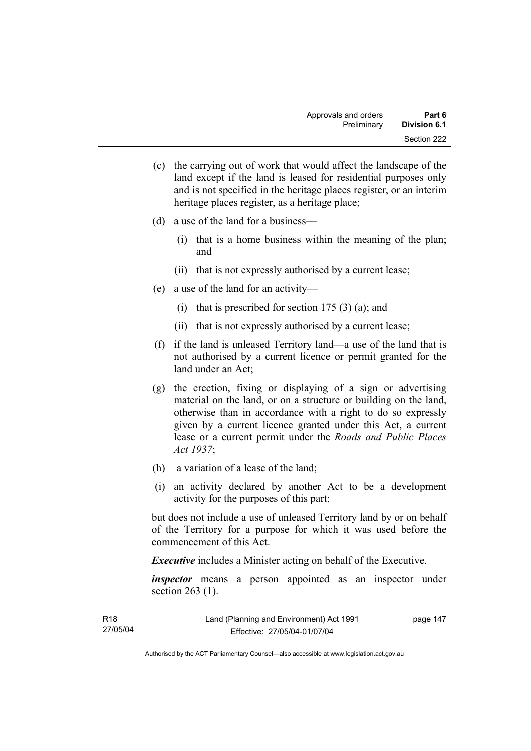- (c) the carrying out of work that would affect the landscape of the land except if the land is leased for residential purposes only and is not specified in the heritage places register, or an interim heritage places register, as a heritage place;
- (d) a use of the land for a business—
	- (i) that is a home business within the meaning of the plan; and
	- (ii) that is not expressly authorised by a current lease;
- (e) a use of the land for an activity—
	- (i) that is prescribed for section  $175(3)(a)$ ; and
	- (ii) that is not expressly authorised by a current lease;
- (f) if the land is unleased Territory land—a use of the land that is not authorised by a current licence or permit granted for the land under an Act;
- (g) the erection, fixing or displaying of a sign or advertising material on the land, or on a structure or building on the land, otherwise than in accordance with a right to do so expressly given by a current licence granted under this Act, a current lease or a current permit under the *Roads and Public Places Act 1937*;
- (h) a variation of a lease of the land;
- (i) an activity declared by another Act to be a development activity for the purposes of this part;

but does not include a use of unleased Territory land by or on behalf of the Territory for a purpose for which it was used before the commencement of this Act.

*Executive* includes a Minister acting on behalf of the Executive.

*inspector* means a person appointed as an inspector under section 263 (1).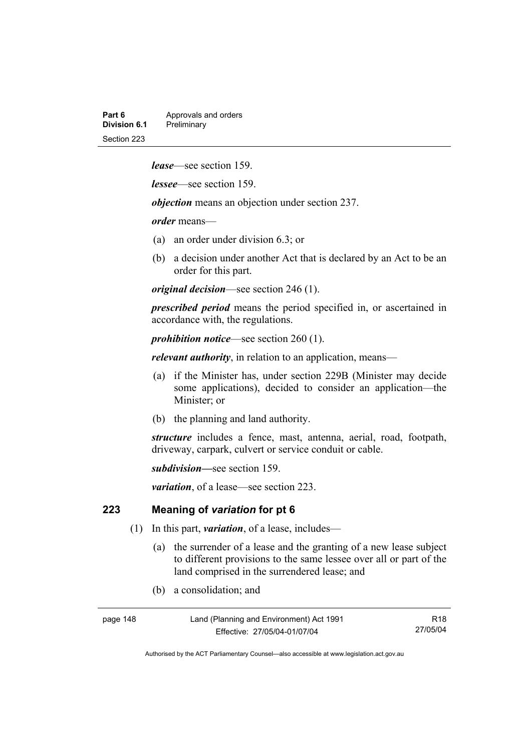| Part 6       | Approvals and orders |
|--------------|----------------------|
| Division 6.1 | Preliminary          |
| Section 223  |                      |

*lease*—see section 159.

*lessee*—see section 159.

*objection* means an objection under section 237.

*order* means—

- (a) an order under division 6.3; or
- (b) a decision under another Act that is declared by an Act to be an order for this part.

*original decision*—see section 246 (1).

*prescribed period* means the period specified in, or ascertained in accordance with, the regulations.

*prohibition notice*—see section 260 (1).

*relevant authority*, in relation to an application, means—

- (a) if the Minister has, under section 229B (Minister may decide some applications), decided to consider an application—the Minister; or
- (b) the planning and land authority.

*structure* includes a fence, mast, antenna, aerial, road, footpath, driveway, carpark, culvert or service conduit or cable.

*subdivision—*see section 159.

*variation*, of a lease—see section 223.

### **223 Meaning of** *variation* **for pt 6**

- (1) In this part, *variation*, of a lease, includes—
	- (a) the surrender of a lease and the granting of a new lease subject to different provisions to the same lessee over all or part of the land comprised in the surrendered lease; and
	- (b) a consolidation; and

page 148 Land (Planning and Environment) Act 1991 Effective: 27/05/04-01/07/04

R18 27/05/04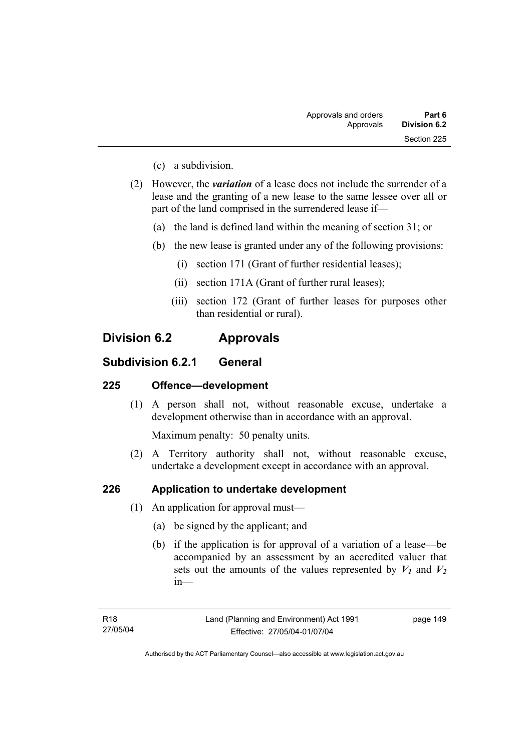- (c) a subdivision.
- (2) However, the *variation* of a lease does not include the surrender of a lease and the granting of a new lease to the same lessee over all or part of the land comprised in the surrendered lease if—
	- (a) the land is defined land within the meaning of section 31; or
	- (b) the new lease is granted under any of the following provisions:
		- (i) section 171 (Grant of further residential leases);
		- (ii) section 171A (Grant of further rural leases);
		- (iii) section 172 (Grant of further leases for purposes other than residential or rural).

# **Division 6.2 Approvals**

### **Subdivision 6.2.1 General**

### **225 Offence—development**

 (1) A person shall not, without reasonable excuse, undertake a development otherwise than in accordance with an approval.

Maximum penalty: 50 penalty units.

 (2) A Territory authority shall not, without reasonable excuse, undertake a development except in accordance with an approval.

### **226 Application to undertake development**

- (1) An application for approval must—
	- (a) be signed by the applicant; and
	- (b) if the application is for approval of a variation of a lease—be accompanied by an assessment by an accredited valuer that sets out the amounts of the values represented by  $V_1$  and  $V_2$ in—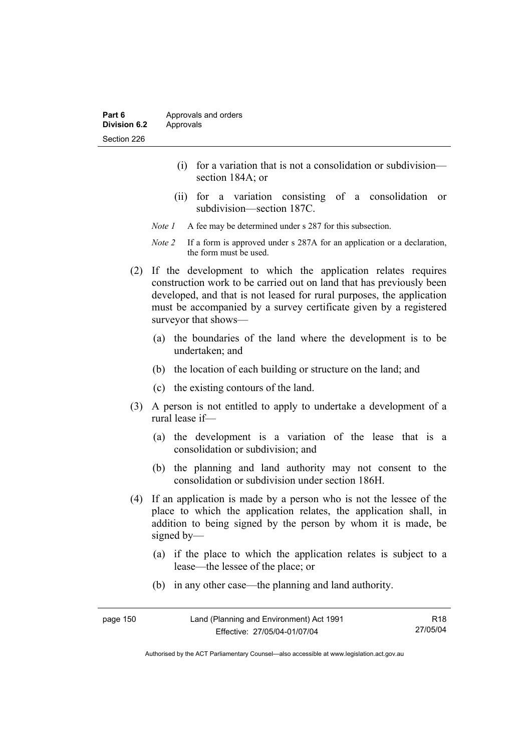- (i) for a variation that is not a consolidation or subdivision section 184A; or
- (ii) for a variation consisting of a consolidation or subdivision—section 187C.
- *Note 1* A fee may be determined under s 287 for this subsection.
- *Note 2* If a form is approved under s 287A for an application or a declaration, the form must be used.
- (2) If the development to which the application relates requires construction work to be carried out on land that has previously been developed, and that is not leased for rural purposes, the application must be accompanied by a survey certificate given by a registered surveyor that shows—
	- (a) the boundaries of the land where the development is to be undertaken; and
	- (b) the location of each building or structure on the land; and
	- (c) the existing contours of the land.
- (3) A person is not entitled to apply to undertake a development of a rural lease if—
	- (a) the development is a variation of the lease that is a consolidation or subdivision; and
	- (b) the planning and land authority may not consent to the consolidation or subdivision under section 186H.
- (4) If an application is made by a person who is not the lessee of the place to which the application relates, the application shall, in addition to being signed by the person by whom it is made, be signed by—
	- (a) if the place to which the application relates is subject to a lease—the lessee of the place; or
	- (b) in any other case—the planning and land authority.

| page 150 | Land (Planning and Environment) Act 1991 | R18      |
|----------|------------------------------------------|----------|
|          | Effective: 27/05/04-01/07/04             | 27/05/04 |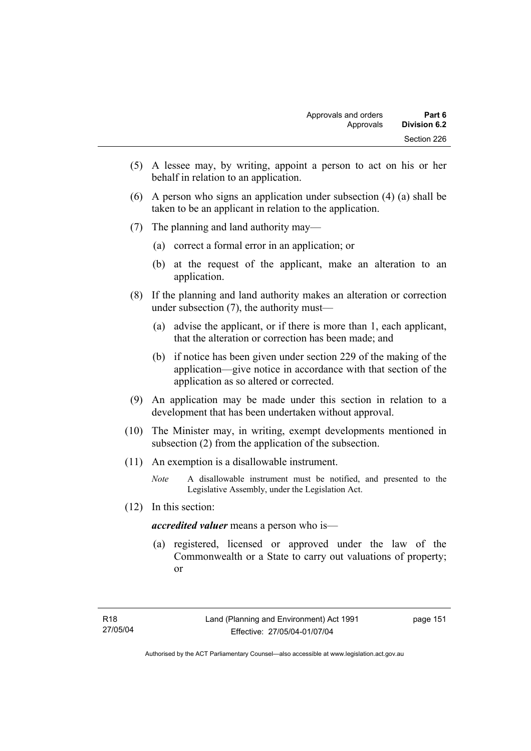- (5) A lessee may, by writing, appoint a person to act on his or her behalf in relation to an application.
- (6) A person who signs an application under subsection (4) (a) shall be taken to be an applicant in relation to the application.
- (7) The planning and land authority may—
	- (a) correct a formal error in an application; or
	- (b) at the request of the applicant, make an alteration to an application.
- (8) If the planning and land authority makes an alteration or correction under subsection (7), the authority must—
	- (a) advise the applicant, or if there is more than 1, each applicant, that the alteration or correction has been made; and
	- (b) if notice has been given under section 229 of the making of the application—give notice in accordance with that section of the application as so altered or corrected.
- (9) An application may be made under this section in relation to a development that has been undertaken without approval.
- (10) The Minister may, in writing, exempt developments mentioned in subsection (2) from the application of the subsection.
- (11) An exemption is a disallowable instrument.
	- *Note* A disallowable instrument must be notified, and presented to the Legislative Assembly, under the Legislation Act.
- (12) In this section:

*accredited valuer* means a person who is—

 (a) registered, licensed or approved under the law of the Commonwealth or a State to carry out valuations of property; or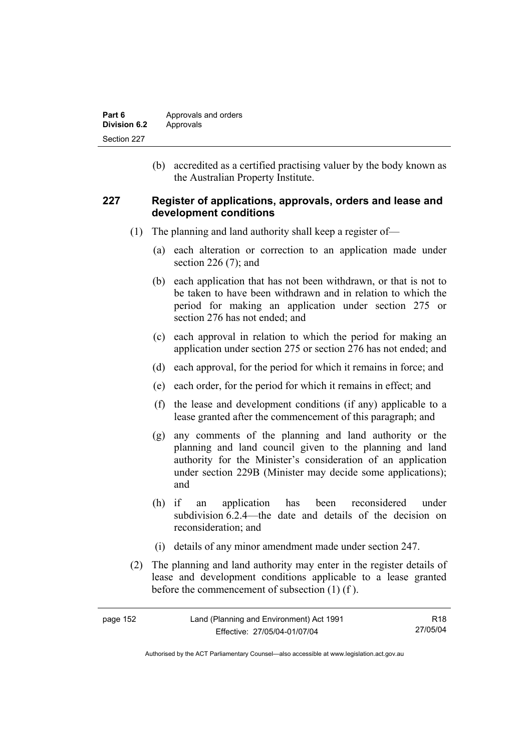| Part 6       | Approvals and orders |
|--------------|----------------------|
| Division 6.2 | Approvals            |
| Section 227  |                      |

 (b) accredited as a certified practising valuer by the body known as the Australian Property Institute.

### **227 Register of applications, approvals, orders and lease and development conditions**

- (1) The planning and land authority shall keep a register of—
	- (a) each alteration or correction to an application made under section 226 (7); and
	- (b) each application that has not been withdrawn, or that is not to be taken to have been withdrawn and in relation to which the period for making an application under section 275 or section 276 has not ended; and
	- (c) each approval in relation to which the period for making an application under section 275 or section 276 has not ended; and
	- (d) each approval, for the period for which it remains in force; and
	- (e) each order, for the period for which it remains in effect; and
	- (f) the lease and development conditions (if any) applicable to a lease granted after the commencement of this paragraph; and
	- (g) any comments of the planning and land authority or the planning and land council given to the planning and land authority for the Minister's consideration of an application under section 229B (Minister may decide some applications); and
	- (h) if an application has been reconsidered under subdivision 6.2.4—the date and details of the decision on reconsideration; and
	- (i) details of any minor amendment made under section 247.
- (2) The planning and land authority may enter in the register details of lease and development conditions applicable to a lease granted before the commencement of subsection (1) (f ).

| page 152 | Land (Planning and Environment) Act 1991 | R18      |
|----------|------------------------------------------|----------|
|          | Effective: 27/05/04-01/07/04             | 27/05/04 |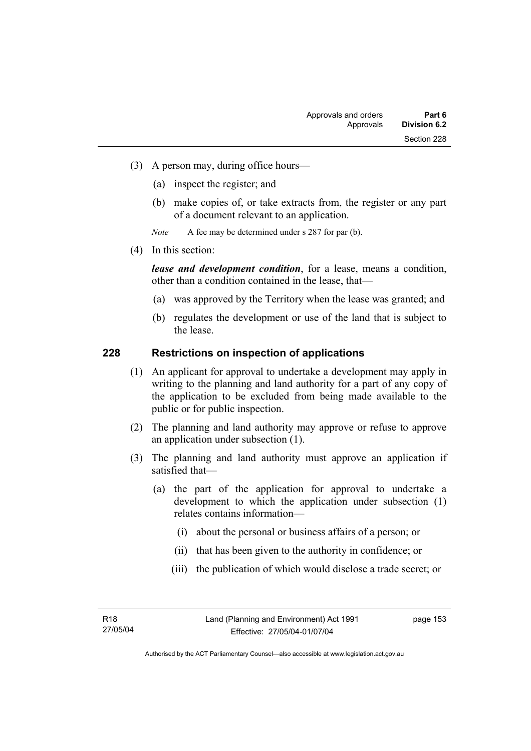- (3) A person may, during office hours—
	- (a) inspect the register; and
	- (b) make copies of, or take extracts from, the register or any part of a document relevant to an application.
	- *Note* A fee may be determined under s 287 for par (b).
- (4) In this section:

*lease and development condition*, for a lease, means a condition, other than a condition contained in the lease, that—

- (a) was approved by the Territory when the lease was granted; and
- (b) regulates the development or use of the land that is subject to the lease.

### **228 Restrictions on inspection of applications**

- (1) An applicant for approval to undertake a development may apply in writing to the planning and land authority for a part of any copy of the application to be excluded from being made available to the public or for public inspection.
- (2) The planning and land authority may approve or refuse to approve an application under subsection (1).
- (3) The planning and land authority must approve an application if satisfied that—
	- (a) the part of the application for approval to undertake a development to which the application under subsection (1) relates contains information—
		- (i) about the personal or business affairs of a person; or
		- (ii) that has been given to the authority in confidence; or
		- (iii) the publication of which would disclose a trade secret; or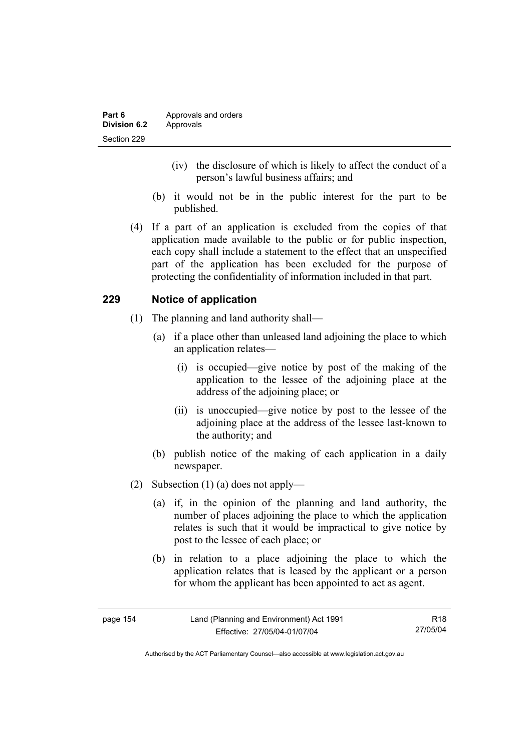- (iv) the disclosure of which is likely to affect the conduct of a person's lawful business affairs; and
- (b) it would not be in the public interest for the part to be published.
- (4) If a part of an application is excluded from the copies of that application made available to the public or for public inspection, each copy shall include a statement to the effect that an unspecified part of the application has been excluded for the purpose of protecting the confidentiality of information included in that part.

# **229 Notice of application**

- (1) The planning and land authority shall—
	- (a) if a place other than unleased land adjoining the place to which an application relates—
		- (i) is occupied—give notice by post of the making of the application to the lessee of the adjoining place at the address of the adjoining place; or
		- (ii) is unoccupied—give notice by post to the lessee of the adjoining place at the address of the lessee last-known to the authority; and
	- (b) publish notice of the making of each application in a daily newspaper.
- (2) Subsection (1) (a) does not apply—
	- (a) if, in the opinion of the planning and land authority, the number of places adjoining the place to which the application relates is such that it would be impractical to give notice by post to the lessee of each place; or
	- (b) in relation to a place adjoining the place to which the application relates that is leased by the applicant or a person for whom the applicant has been appointed to act as agent.

| page 154 | Land (Planning and Environment) Act 1991 | R <sub>18</sub> |
|----------|------------------------------------------|-----------------|
|          | Effective: 27/05/04-01/07/04             | 27/05/04        |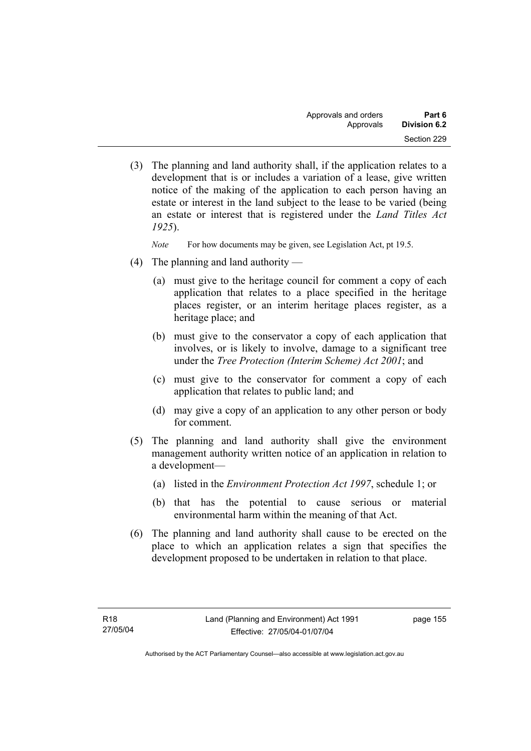(3) The planning and land authority shall, if the application relates to a development that is or includes a variation of a lease, give written notice of the making of the application to each person having an estate or interest in the land subject to the lease to be varied (being an estate or interest that is registered under the *Land Titles Act 1925*).

*Note* For how documents may be given, see Legislation Act, pt 19.5.

- (4) The planning and land authority
	- (a) must give to the heritage council for comment a copy of each application that relates to a place specified in the heritage places register, or an interim heritage places register, as a heritage place; and
	- (b) must give to the conservator a copy of each application that involves, or is likely to involve, damage to a significant tree under the *Tree Protection (Interim Scheme) Act 2001*; and
	- (c) must give to the conservator for comment a copy of each application that relates to public land; and
	- (d) may give a copy of an application to any other person or body for comment.
- (5) The planning and land authority shall give the environment management authority written notice of an application in relation to a development—
	- (a) listed in the *Environment Protection Act 1997*, schedule 1; or
	- (b) that has the potential to cause serious or material environmental harm within the meaning of that Act.
- (6) The planning and land authority shall cause to be erected on the place to which an application relates a sign that specifies the development proposed to be undertaken in relation to that place.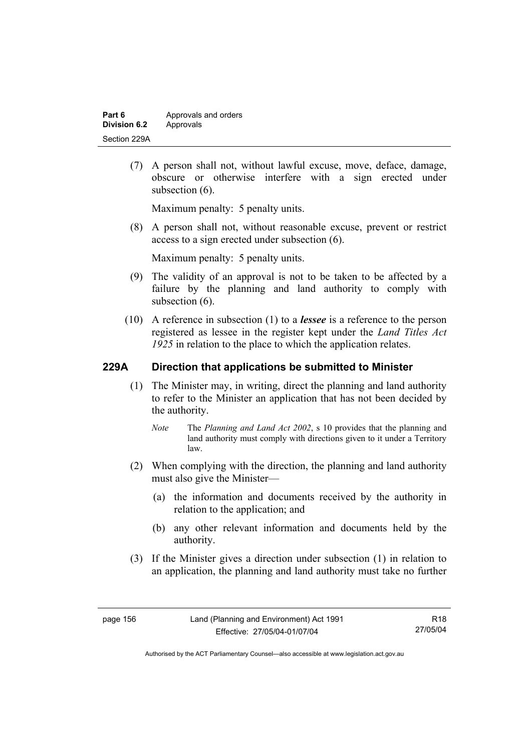| Part 6       | Approvals and orders |
|--------------|----------------------|
| Division 6.2 | Approvals            |
| Section 229A |                      |

 (7) A person shall not, without lawful excuse, move, deface, damage, obscure or otherwise interfere with a sign erected under subsection  $(6)$ .

Maximum penalty: 5 penalty units.

 (8) A person shall not, without reasonable excuse, prevent or restrict access to a sign erected under subsection (6).

Maximum penalty: 5 penalty units.

- (9) The validity of an approval is not to be taken to be affected by a failure by the planning and land authority to comply with subsection  $(6)$ .
- (10) A reference in subsection (1) to a *lessee* is a reference to the person registered as lessee in the register kept under the *Land Titles Act 1925* in relation to the place to which the application relates.

### **229A Direction that applications be submitted to Minister**

- (1) The Minister may, in writing, direct the planning and land authority to refer to the Minister an application that has not been decided by the authority.
	- *Note* The *Planning and Land Act 2002*, s 10 provides that the planning and land authority must comply with directions given to it under a Territory law.
- (2) When complying with the direction, the planning and land authority must also give the Minister—
	- (a) the information and documents received by the authority in relation to the application; and
	- (b) any other relevant information and documents held by the authority.
- (3) If the Minister gives a direction under subsection (1) in relation to an application, the planning and land authority must take no further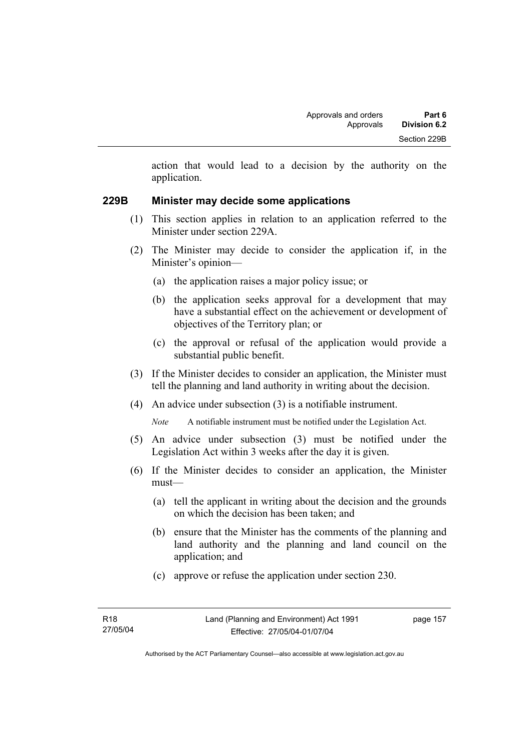action that would lead to a decision by the authority on the application.

### **229B Minister may decide some applications**

- (1) This section applies in relation to an application referred to the Minister under section 229A.
- (2) The Minister may decide to consider the application if, in the Minister's opinion—
	- (a) the application raises a major policy issue; or
	- (b) the application seeks approval for a development that may have a substantial effect on the achievement or development of objectives of the Territory plan; or
	- (c) the approval or refusal of the application would provide a substantial public benefit.
- (3) If the Minister decides to consider an application, the Minister must tell the planning and land authority in writing about the decision.
- (4) An advice under subsection (3) is a notifiable instrument.

*Note* A notifiable instrument must be notified under the Legislation Act.

- (5) An advice under subsection (3) must be notified under the Legislation Act within 3 weeks after the day it is given.
- (6) If the Minister decides to consider an application, the Minister must—
	- (a) tell the applicant in writing about the decision and the grounds on which the decision has been taken; and
	- (b) ensure that the Minister has the comments of the planning and land authority and the planning and land council on the application; and
	- (c) approve or refuse the application under section 230.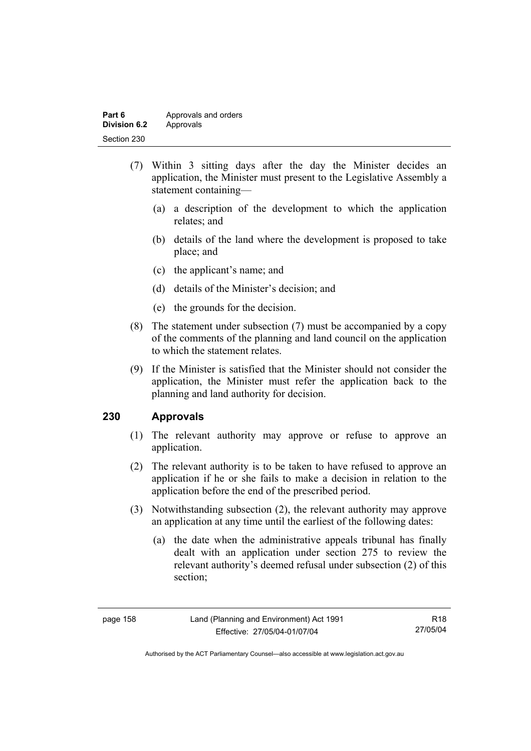| Part 6       | Approvals and orders |
|--------------|----------------------|
| Division 6.2 | Approvals            |
| Section 230  |                      |

- (7) Within 3 sitting days after the day the Minister decides an application, the Minister must present to the Legislative Assembly a statement containing—
	- (a) a description of the development to which the application relates; and
	- (b) details of the land where the development is proposed to take place; and
	- (c) the applicant's name; and
	- (d) details of the Minister's decision; and
	- (e) the grounds for the decision.
- (8) The statement under subsection (7) must be accompanied by a copy of the comments of the planning and land council on the application to which the statement relates.
- (9) If the Minister is satisfied that the Minister should not consider the application, the Minister must refer the application back to the planning and land authority for decision.

### **230 Approvals**

- (1) The relevant authority may approve or refuse to approve an application.
- (2) The relevant authority is to be taken to have refused to approve an application if he or she fails to make a decision in relation to the application before the end of the prescribed period.
- (3) Notwithstanding subsection (2), the relevant authority may approve an application at any time until the earliest of the following dates:
	- (a) the date when the administrative appeals tribunal has finally dealt with an application under section 275 to review the relevant authority's deemed refusal under subsection (2) of this section;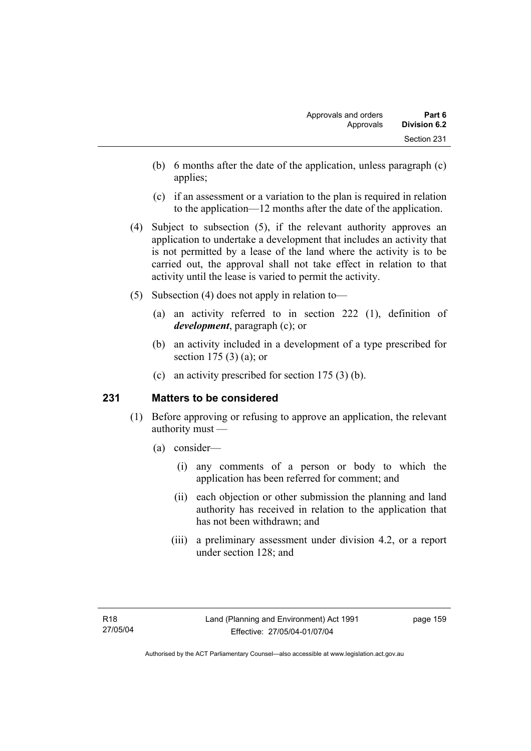- (b) 6 months after the date of the application, unless paragraph (c) applies;
- (c) if an assessment or a variation to the plan is required in relation to the application—12 months after the date of the application.
- (4) Subject to subsection (5), if the relevant authority approves an application to undertake a development that includes an activity that is not permitted by a lease of the land where the activity is to be carried out, the approval shall not take effect in relation to that activity until the lease is varied to permit the activity.
- (5) Subsection (4) does not apply in relation to—
	- (a) an activity referred to in section 222 (1), definition of *development*, paragraph (c); or
	- (b) an activity included in a development of a type prescribed for section 175 (3) (a); or
	- (c) an activity prescribed for section 175 (3) (b).

# **231 Matters to be considered**

- (1) Before approving or refusing to approve an application, the relevant authority must —
	- (a) consider—
		- (i) any comments of a person or body to which the application has been referred for comment; and
		- (ii) each objection or other submission the planning and land authority has received in relation to the application that has not been withdrawn; and
		- (iii) a preliminary assessment under division 4.2, or a report under section 128; and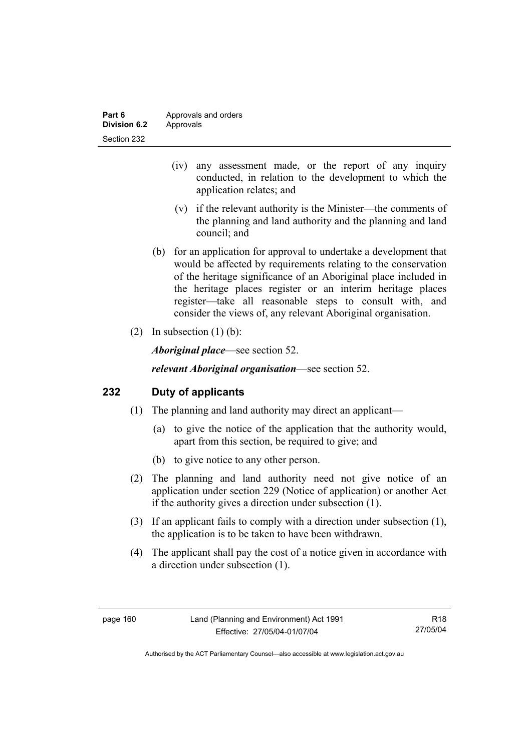| Part 6       | Approvals and orders |
|--------------|----------------------|
| Division 6.2 | Approvals            |
| Section 232  |                      |

- (iv) any assessment made, or the report of any inquiry conducted, in relation to the development to which the application relates; and
- (v) if the relevant authority is the Minister—the comments of the planning and land authority and the planning and land council; and
- (b) for an application for approval to undertake a development that would be affected by requirements relating to the conservation of the heritage significance of an Aboriginal place included in the heritage places register or an interim heritage places register—take all reasonable steps to consult with, and consider the views of, any relevant Aboriginal organisation.
- (2) In subsection  $(1)$  (b):

*Aboriginal place*—see section 52.

*relevant Aboriginal organisation*—see section 52.

### **232 Duty of applicants**

- (1) The planning and land authority may direct an applicant—
	- (a) to give the notice of the application that the authority would, apart from this section, be required to give; and
	- (b) to give notice to any other person.
- (2) The planning and land authority need not give notice of an application under section 229 (Notice of application) or another Act if the authority gives a direction under subsection (1).
- (3) If an applicant fails to comply with a direction under subsection (1), the application is to be taken to have been withdrawn.
- (4) The applicant shall pay the cost of a notice given in accordance with a direction under subsection (1).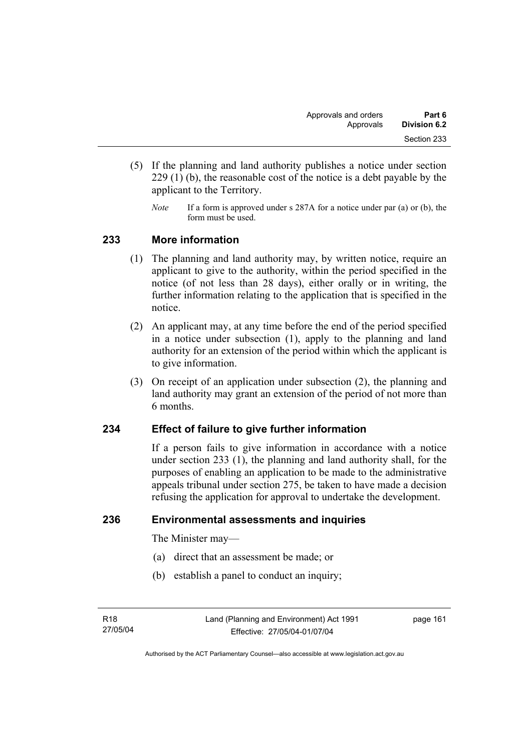- (5) If the planning and land authority publishes a notice under section 229 (1) (b), the reasonable cost of the notice is a debt payable by the applicant to the Territory.
	- *Note* If a form is approved under s 287A for a notice under par (a) or (b), the form must be used.

### **233 More information**

- (1) The planning and land authority may, by written notice, require an applicant to give to the authority, within the period specified in the notice (of not less than 28 days), either orally or in writing, the further information relating to the application that is specified in the notice.
- (2) An applicant may, at any time before the end of the period specified in a notice under subsection (1), apply to the planning and land authority for an extension of the period within which the applicant is to give information.
- (3) On receipt of an application under subsection (2), the planning and land authority may grant an extension of the period of not more than 6 months.

# **234 Effect of failure to give further information**

If a person fails to give information in accordance with a notice under section 233 (1), the planning and land authority shall, for the purposes of enabling an application to be made to the administrative appeals tribunal under section 275, be taken to have made a decision refusing the application for approval to undertake the development.

### **236 Environmental assessments and inquiries**

The Minister may—

- (a) direct that an assessment be made; or
- (b) establish a panel to conduct an inquiry;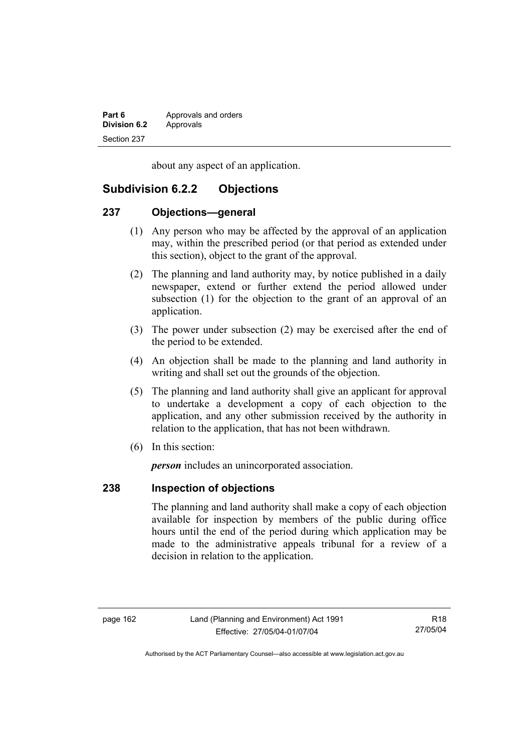| Part 6              | Approvals and orders |
|---------------------|----------------------|
| <b>Division 6.2</b> | Approvals            |
| Section 237         |                      |

about any aspect of an application.

# **Subdivision 6.2.2 Objections**

### **237 Objections—general**

- (1) Any person who may be affected by the approval of an application may, within the prescribed period (or that period as extended under this section), object to the grant of the approval.
- (2) The planning and land authority may, by notice published in a daily newspaper, extend or further extend the period allowed under subsection (1) for the objection to the grant of an approval of an application.
- (3) The power under subsection (2) may be exercised after the end of the period to be extended.
- (4) An objection shall be made to the planning and land authority in writing and shall set out the grounds of the objection.
- (5) The planning and land authority shall give an applicant for approval to undertake a development a copy of each objection to the application, and any other submission received by the authority in relation to the application, that has not been withdrawn.
- (6) In this section:

*person* includes an unincorporated association.

# **238 Inspection of objections**

The planning and land authority shall make a copy of each objection available for inspection by members of the public during office hours until the end of the period during which application may be made to the administrative appeals tribunal for a review of a decision in relation to the application.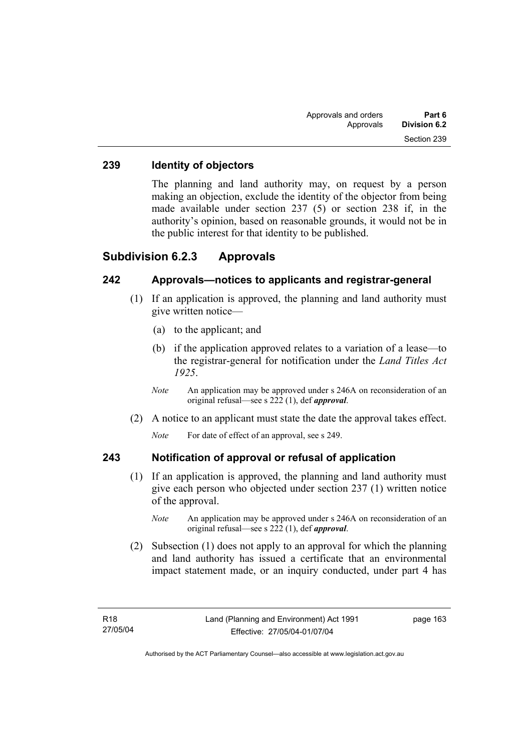### **239 Identity of objectors**

The planning and land authority may, on request by a person making an objection, exclude the identity of the objector from being made available under section 237 (5) or section 238 if, in the authority's opinion, based on reasonable grounds, it would not be in the public interest for that identity to be published.

# **Subdivision 6.2.3 Approvals**

## **242 Approvals—notices to applicants and registrar-general**

- (1) If an application is approved, the planning and land authority must give written notice—
	- (a) to the applicant; and
	- (b) if the application approved relates to a variation of a lease—to the registrar-general for notification under the *Land Titles Act 1925*.
	- *Note* An application may be approved under s 246A on reconsideration of an original refusal—see s 222 (1), def *approval*.
- (2) A notice to an applicant must state the date the approval takes effect.

*Note* For date of effect of an approval, see s 249.

### **243 Notification of approval or refusal of application**

- (1) If an application is approved, the planning and land authority must give each person who objected under section 237 (1) written notice of the approval.
	- *Note* An application may be approved under s 246A on reconsideration of an original refusal—see s 222 (1), def *approval*.
- (2) Subsection (1) does not apply to an approval for which the planning and land authority has issued a certificate that an environmental impact statement made, or an inquiry conducted, under part 4 has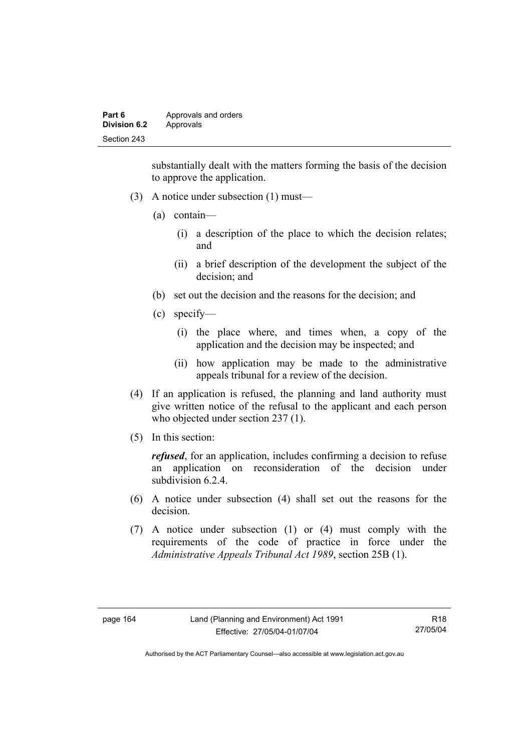| Part 6              | Approvals and orders |
|---------------------|----------------------|
| <b>Division 6.2</b> | Approvals            |
| Section 243         |                      |

substantially dealt with the matters forming the basis of the decision to approve the application.

- (3) A notice under subsection (1) must—
	- (a) contain—
		- (i) a description of the place to which the decision relates; and
		- (ii) a brief description of the development the subject of the decision; and
	- (b) set out the decision and the reasons for the decision; and
	- (c) specify—
		- (i) the place where, and times when, a copy of the application and the decision may be inspected; and
		- (ii) how application may be made to the administrative appeals tribunal for a review of the decision.
- (4) If an application is refused, the planning and land authority must give written notice of the refusal to the applicant and each person who objected under section 237 (1).
- (5) In this section:

*refused*, for an application, includes confirming a decision to refuse an application on reconsideration of the decision under subdivision 6.2.4

- (6) A notice under subsection (4) shall set out the reasons for the decision.
- (7) A notice under subsection (1) or (4) must comply with the requirements of the code of practice in force under the *Administrative Appeals Tribunal Act 1989*, section 25B (1).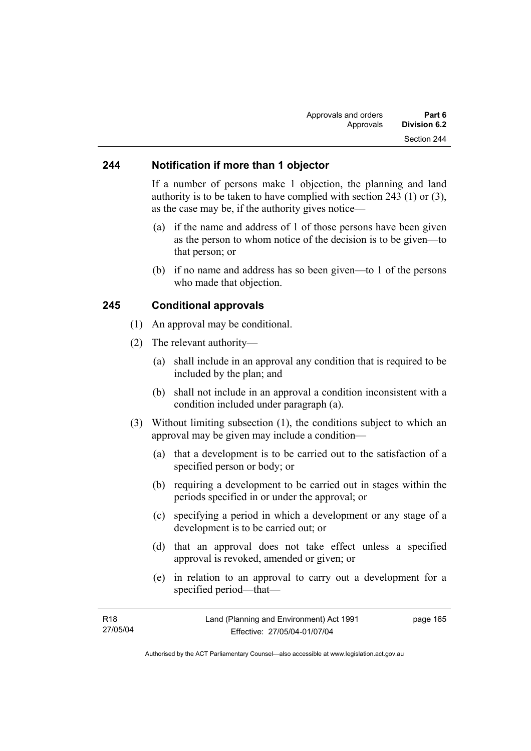### **244 Notification if more than 1 objector**

If a number of persons make 1 objection, the planning and land authority is to be taken to have complied with section 243 (1) or (3), as the case may be, if the authority gives notice—

- (a) if the name and address of 1 of those persons have been given as the person to whom notice of the decision is to be given—to that person; or
- (b) if no name and address has so been given—to 1 of the persons who made that objection.

### **245 Conditional approvals**

- (1) An approval may be conditional.
- (2) The relevant authority—
	- (a) shall include in an approval any condition that is required to be included by the plan; and
	- (b) shall not include in an approval a condition inconsistent with a condition included under paragraph (a).
- (3) Without limiting subsection (1), the conditions subject to which an approval may be given may include a condition—
	- (a) that a development is to be carried out to the satisfaction of a specified person or body; or
	- (b) requiring a development to be carried out in stages within the periods specified in or under the approval; or
	- (c) specifying a period in which a development or any stage of a development is to be carried out; or
	- (d) that an approval does not take effect unless a specified approval is revoked, amended or given; or
	- (e) in relation to an approval to carry out a development for a specified period—that—

| Land (Planning and Environment) Act 1991 | page 165 |
|------------------------------------------|----------|
| Effective: 27/05/04-01/07/04             |          |
|                                          |          |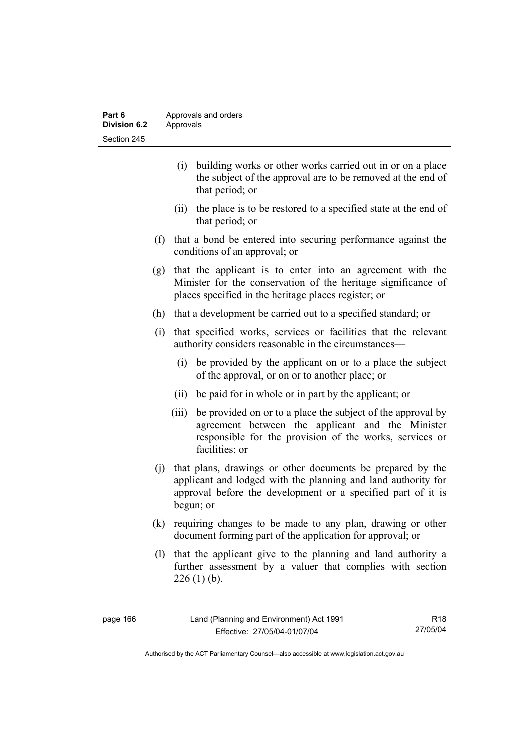| Part 6       | Approvals and orders |
|--------------|----------------------|
| Division 6.2 | Approvals            |
| Section 245  |                      |

- (i) building works or other works carried out in or on a place the subject of the approval are to be removed at the end of that period; or
- (ii) the place is to be restored to a specified state at the end of that period; or
- (f) that a bond be entered into securing performance against the conditions of an approval; or
- (g) that the applicant is to enter into an agreement with the Minister for the conservation of the heritage significance of places specified in the heritage places register; or
- (h) that a development be carried out to a specified standard; or
- (i) that specified works, services or facilities that the relevant authority considers reasonable in the circumstances—
	- (i) be provided by the applicant on or to a place the subject of the approval, or on or to another place; or
	- (ii) be paid for in whole or in part by the applicant; or
	- (iii) be provided on or to a place the subject of the approval by agreement between the applicant and the Minister responsible for the provision of the works, services or facilities; or
- (j) that plans, drawings or other documents be prepared by the applicant and lodged with the planning and land authority for approval before the development or a specified part of it is begun; or
- (k) requiring changes to be made to any plan, drawing or other document forming part of the application for approval; or
- (l) that the applicant give to the planning and land authority a further assessment by a valuer that complies with section  $226$  (1) (b).

| page 166 |  |
|----------|--|
|----------|--|

R18 27/05/04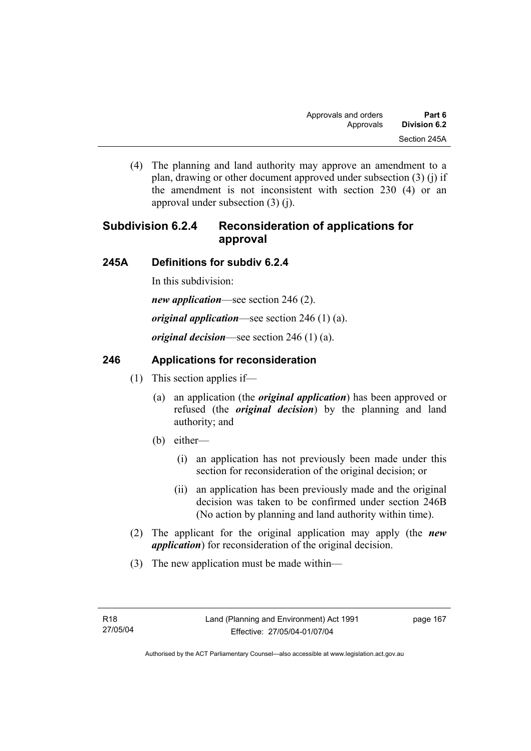(4) The planning and land authority may approve an amendment to a plan, drawing or other document approved under subsection (3) (j) if the amendment is not inconsistent with section 230 (4) or an approval under subsection (3) (j).

# **Subdivision 6.2.4 Reconsideration of applications for approval**

# **245A Definitions for subdiv 6.2.4**

In this subdivision:

*new application*—see section 246 (2).

*original application*—see section 246 (1) (a).

*original decision*—see section 246 (1) (a).

# **246 Applications for reconsideration**

- (1) This section applies if—
	- (a) an application (the *original application*) has been approved or refused (the *original decision*) by the planning and land authority; and
	- (b) either—
		- (i) an application has not previously been made under this section for reconsideration of the original decision; or
		- (ii) an application has been previously made and the original decision was taken to be confirmed under section 246B (No action by planning and land authority within time).
- (2) The applicant for the original application may apply (the *new application*) for reconsideration of the original decision.
- (3) The new application must be made within—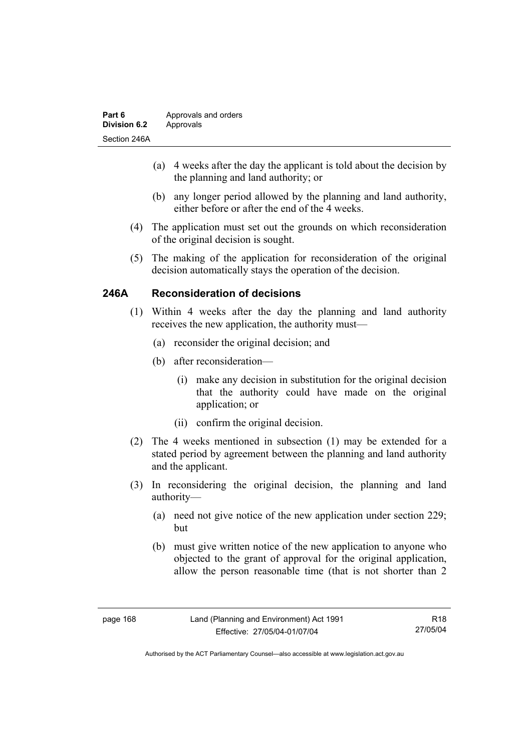| Part 6              | Approvals and orders |
|---------------------|----------------------|
| <b>Division 6.2</b> | Approvals            |
| Section 246A        |                      |

- (a) 4 weeks after the day the applicant is told about the decision by the planning and land authority; or
- (b) any longer period allowed by the planning and land authority, either before or after the end of the 4 weeks.
- (4) The application must set out the grounds on which reconsideration of the original decision is sought.
- (5) The making of the application for reconsideration of the original decision automatically stays the operation of the decision.

## **246A Reconsideration of decisions**

- (1) Within 4 weeks after the day the planning and land authority receives the new application, the authority must—
	- (a) reconsider the original decision; and
	- (b) after reconsideration—
		- (i) make any decision in substitution for the original decision that the authority could have made on the original application; or
		- (ii) confirm the original decision.
- (2) The 4 weeks mentioned in subsection (1) may be extended for a stated period by agreement between the planning and land authority and the applicant.
- (3) In reconsidering the original decision, the planning and land authority—
	- (a) need not give notice of the new application under section 229; but
	- (b) must give written notice of the new application to anyone who objected to the grant of approval for the original application, allow the person reasonable time (that is not shorter than 2

R18 27/05/04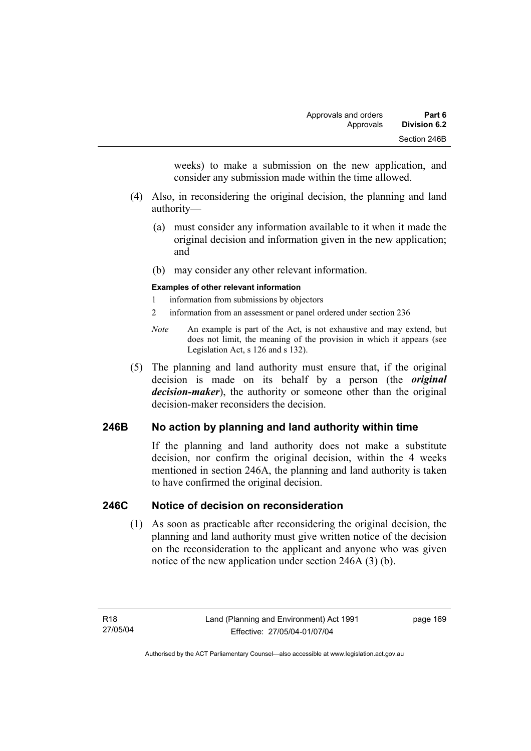weeks) to make a submission on the new application, and consider any submission made within the time allowed.

- (4) Also, in reconsidering the original decision, the planning and land authority—
	- (a) must consider any information available to it when it made the original decision and information given in the new application; and
	- (b) may consider any other relevant information.

#### **Examples of other relevant information**

- 1 information from submissions by objectors
- 2 information from an assessment or panel ordered under section 236
- *Note* An example is part of the Act, is not exhaustive and may extend, but does not limit, the meaning of the provision in which it appears (see Legislation Act, s 126 and s 132).
- (5) The planning and land authority must ensure that, if the original decision is made on its behalf by a person (the *original decision-maker*), the authority or someone other than the original decision-maker reconsiders the decision.

## **246B No action by planning and land authority within time**

If the planning and land authority does not make a substitute decision, nor confirm the original decision, within the 4 weeks mentioned in section 246A, the planning and land authority is taken to have confirmed the original decision.

### **246C Notice of decision on reconsideration**

 (1) As soon as practicable after reconsidering the original decision, the planning and land authority must give written notice of the decision on the reconsideration to the applicant and anyone who was given notice of the new application under section 246A (3) (b).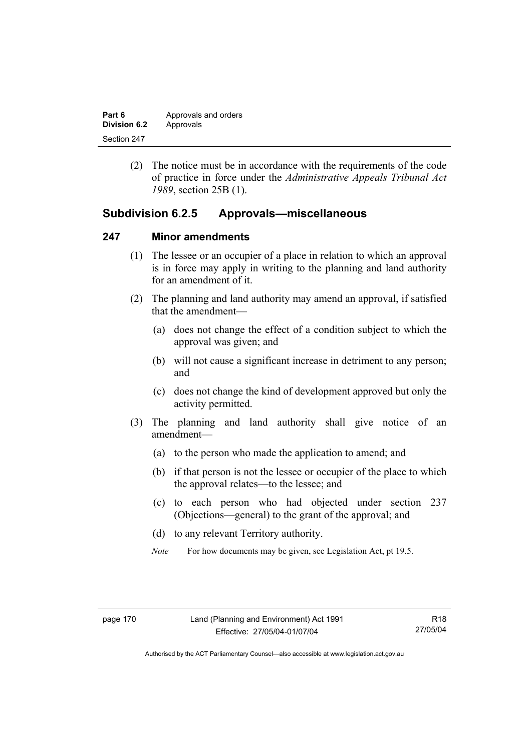| Part 6       | Approvals and orders |
|--------------|----------------------|
| Division 6.2 | Approvals            |
| Section 247  |                      |

 (2) The notice must be in accordance with the requirements of the code of practice in force under the *Administrative Appeals Tribunal Act 1989*, section 25B (1).

## **Subdivision 6.2.5 Approvals—miscellaneous**

#### **247 Minor amendments**

- (1) The lessee or an occupier of a place in relation to which an approval is in force may apply in writing to the planning and land authority for an amendment of it.
- (2) The planning and land authority may amend an approval, if satisfied that the amendment—
	- (a) does not change the effect of a condition subject to which the approval was given; and
	- (b) will not cause a significant increase in detriment to any person; and
	- (c) does not change the kind of development approved but only the activity permitted.
- (3) The planning and land authority shall give notice of an amendment—
	- (a) to the person who made the application to amend; and
	- (b) if that person is not the lessee or occupier of the place to which the approval relates—to the lessee; and
	- (c) to each person who had objected under section 237 (Objections—general) to the grant of the approval; and
	- (d) to any relevant Territory authority.
	- *Note* For how documents may be given, see Legislation Act, pt 19.5.

R18 27/05/04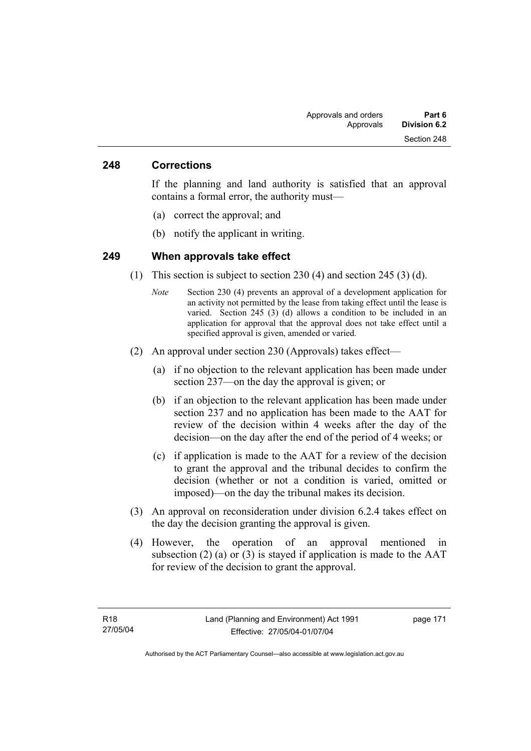### **248 Corrections**

If the planning and land authority is satisfied that an approval contains a formal error, the authority must—

- (a) correct the approval; and
- (b) notify the applicant in writing.

### **249 When approvals take effect**

- (1) This section is subject to section 230 (4) and section 245 (3) (d).
	- *Note* Section 230 (4) prevents an approval of a development application for an activity not permitted by the lease from taking effect until the lease is varied. Section 245 (3) (d) allows a condition to be included in an application for approval that the approval does not take effect until a specified approval is given, amended or varied.
- (2) An approval under section 230 (Approvals) takes effect—
	- (a) if no objection to the relevant application has been made under section 237—on the day the approval is given; or
	- (b) if an objection to the relevant application has been made under section 237 and no application has been made to the AAT for review of the decision within 4 weeks after the day of the decision—on the day after the end of the period of 4 weeks; or
	- (c) if application is made to the AAT for a review of the decision to grant the approval and the tribunal decides to confirm the decision (whether or not a condition is varied, omitted or imposed)—on the day the tribunal makes its decision.
- (3) An approval on reconsideration under division 6.2.4 takes effect on the day the decision granting the approval is given.
- (4) However, the operation of an approval mentioned in subsection (2) (a) or (3) is stayed if application is made to the  $AAT$ for review of the decision to grant the approval.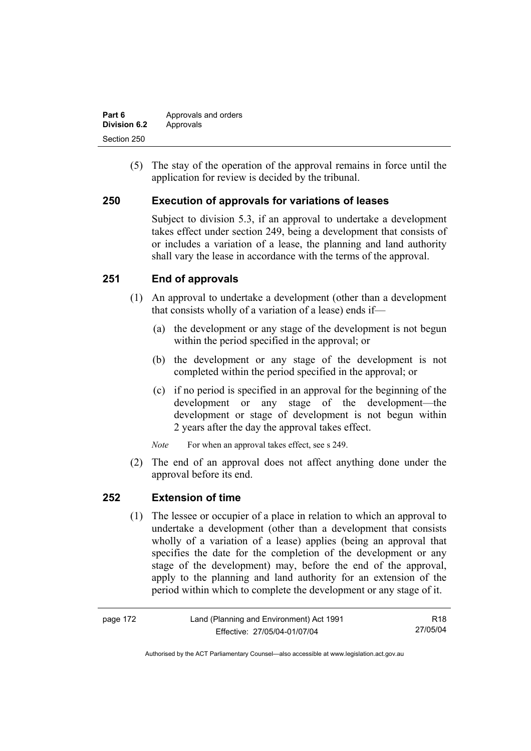| Part 6       | Approvals and orders |
|--------------|----------------------|
| Division 6.2 | Approvals            |
| Section 250  |                      |

 (5) The stay of the operation of the approval remains in force until the application for review is decided by the tribunal.

## **250 Execution of approvals for variations of leases**

Subject to division 5.3, if an approval to undertake a development takes effect under section 249, being a development that consists of or includes a variation of a lease, the planning and land authority shall vary the lease in accordance with the terms of the approval.

## **251 End of approvals**

- (1) An approval to undertake a development (other than a development that consists wholly of a variation of a lease) ends if—
	- (a) the development or any stage of the development is not begun within the period specified in the approval; or
	- (b) the development or any stage of the development is not completed within the period specified in the approval; or
	- (c) if no period is specified in an approval for the beginning of the development or any stage of the development—the development or stage of development is not begun within 2 years after the day the approval takes effect.

*Note* For when an approval takes effect, see s 249.

 (2) The end of an approval does not affect anything done under the approval before its end.

### **252 Extension of time**

 (1) The lessee or occupier of a place in relation to which an approval to undertake a development (other than a development that consists wholly of a variation of a lease) applies (being an approval that specifies the date for the completion of the development or any stage of the development) may, before the end of the approval, apply to the planning and land authority for an extension of the period within which to complete the development or any stage of it.

| page 172 | Land (Planning and Environment) Act 1991 | R18      |
|----------|------------------------------------------|----------|
|          | Effective: 27/05/04-01/07/04             | 27/05/04 |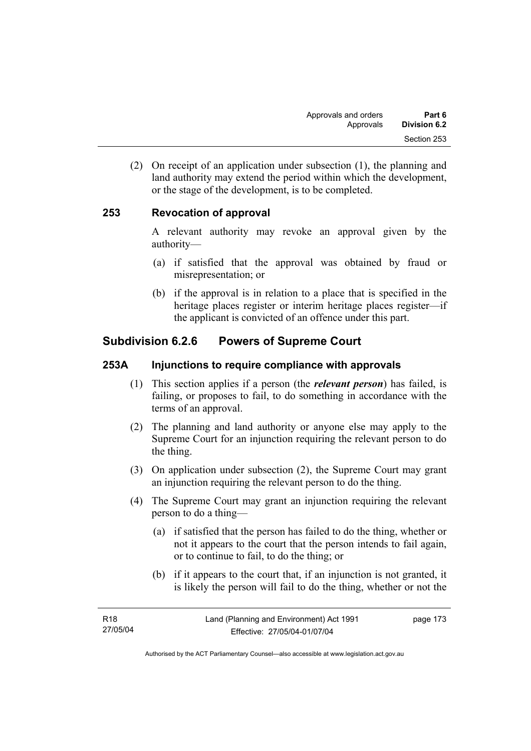(2) On receipt of an application under subsection (1), the planning and land authority may extend the period within which the development, or the stage of the development, is to be completed.

# **253 Revocation of approval**

A relevant authority may revoke an approval given by the authority—

- (a) if satisfied that the approval was obtained by fraud or misrepresentation; or
- (b) if the approval is in relation to a place that is specified in the heritage places register or interim heritage places register—if the applicant is convicted of an offence under this part.

# **Subdivision 6.2.6 Powers of Supreme Court**

## **253A Injunctions to require compliance with approvals**

- (1) This section applies if a person (the *relevant person*) has failed, is failing, or proposes to fail, to do something in accordance with the terms of an approval.
- (2) The planning and land authority or anyone else may apply to the Supreme Court for an injunction requiring the relevant person to do the thing.
- (3) On application under subsection (2), the Supreme Court may grant an injunction requiring the relevant person to do the thing.
- (4) The Supreme Court may grant an injunction requiring the relevant person to do a thing—
	- (a) if satisfied that the person has failed to do the thing, whether or not it appears to the court that the person intends to fail again, or to continue to fail, to do the thing; or
	- (b) if it appears to the court that, if an injunction is not granted, it is likely the person will fail to do the thing, whether or not the

page 173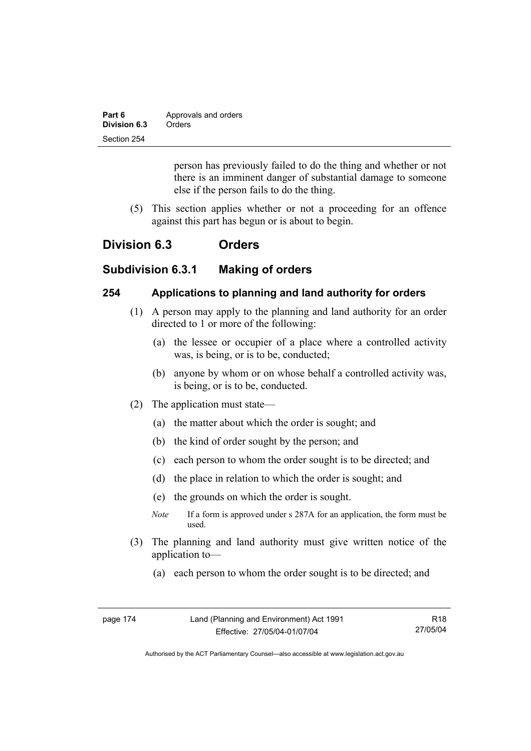| Part 6       | Approvals and orders |
|--------------|----------------------|
| Division 6.3 | Orders               |
| Section 254  |                      |

person has previously failed to do the thing and whether or not there is an imminent danger of substantial damage to someone else if the person fails to do the thing.

 (5) This section applies whether or not a proceeding for an offence against this part has begun or is about to begin.

# **Division 6.3 Orders**

# **Subdivision 6.3.1 Making of orders**

### **254 Applications to planning and land authority for orders**

- (1) A person may apply to the planning and land authority for an order directed to 1 or more of the following:
	- (a) the lessee or occupier of a place where a controlled activity was, is being, or is to be, conducted;
	- (b) anyone by whom or on whose behalf a controlled activity was, is being, or is to be, conducted.
- (2) The application must state—
	- (a) the matter about which the order is sought; and
	- (b) the kind of order sought by the person; and
	- (c) each person to whom the order sought is to be directed; and
	- (d) the place in relation to which the order is sought; and
	- (e) the grounds on which the order is sought.
	- *Note* If a form is approved under s 287A for an application, the form must be used.
- (3) The planning and land authority must give written notice of the application to—
	- (a) each person to whom the order sought is to be directed; and

| page 174 | Land (Planning and Environment) Act 1991 | R18      |
|----------|------------------------------------------|----------|
|          | Effective: 27/05/04-01/07/04             | 27/05/04 |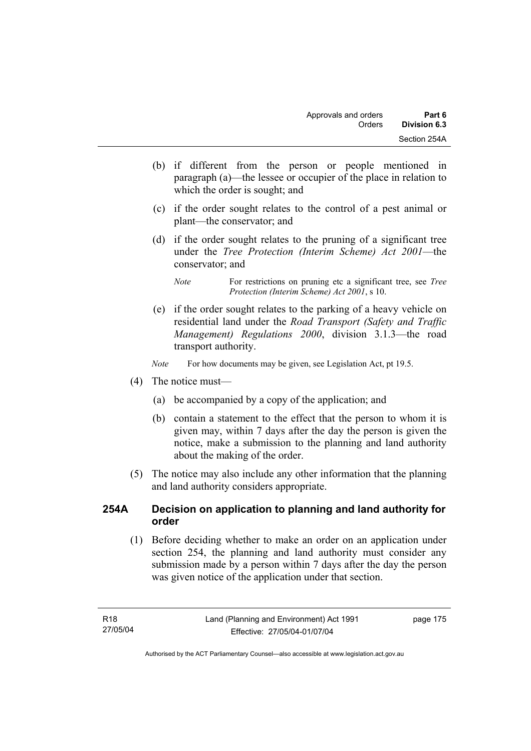- (b) if different from the person or people mentioned in paragraph (a)—the lessee or occupier of the place in relation to which the order is sought; and
- (c) if the order sought relates to the control of a pest animal or plant—the conservator; and
- (d) if the order sought relates to the pruning of a significant tree under the *Tree Protection (Interim Scheme) Act 2001*—the conservator; and

 (e) if the order sought relates to the parking of a heavy vehicle on residential land under the *Road Transport (Safety and Traffic Management) Regulations 2000*, division 3.1.3—the road transport authority.

*Note* For how documents may be given, see Legislation Act, pt 19.5.

- (4) The notice must—
	- (a) be accompanied by a copy of the application; and
	- (b) contain a statement to the effect that the person to whom it is given may, within 7 days after the day the person is given the notice, make a submission to the planning and land authority about the making of the order.
- (5) The notice may also include any other information that the planning and land authority considers appropriate.

## **254A Decision on application to planning and land authority for order**

 (1) Before deciding whether to make an order on an application under section 254, the planning and land authority must consider any submission made by a person within 7 days after the day the person was given notice of the application under that section.

*Note* For restrictions on pruning etc a significant tree, see *Tree Protection (Interim Scheme) Act 2001*, s 10.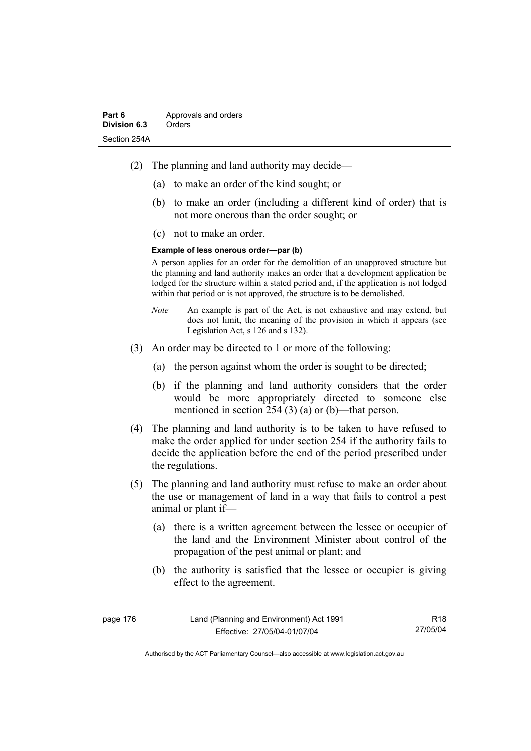- (2) The planning and land authority may decide—
	- (a) to make an order of the kind sought; or
	- (b) to make an order (including a different kind of order) that is not more onerous than the order sought; or
	- (c) not to make an order.

#### **Example of less onerous order—par (b)**

A person applies for an order for the demolition of an unapproved structure but the planning and land authority makes an order that a development application be lodged for the structure within a stated period and, if the application is not lodged within that period or is not approved, the structure is to be demolished.

- *Note* An example is part of the Act, is not exhaustive and may extend, but does not limit, the meaning of the provision in which it appears (see Legislation Act, s 126 and s 132).
- (3) An order may be directed to 1 or more of the following:
	- (a) the person against whom the order is sought to be directed;
	- (b) if the planning and land authority considers that the order would be more appropriately directed to someone else mentioned in section 254 (3) (a) or (b)—that person.
- (4) The planning and land authority is to be taken to have refused to make the order applied for under section 254 if the authority fails to decide the application before the end of the period prescribed under the regulations.
- (5) The planning and land authority must refuse to make an order about the use or management of land in a way that fails to control a pest animal or plant if—
	- (a) there is a written agreement between the lessee or occupier of the land and the Environment Minister about control of the propagation of the pest animal or plant; and
	- (b) the authority is satisfied that the lessee or occupier is giving effect to the agreement.

| page 176 | Land (Planning and Environment) Act 1991 | R <sub>18</sub> |
|----------|------------------------------------------|-----------------|
|          | Effective: 27/05/04-01/07/04             | 27/05/04        |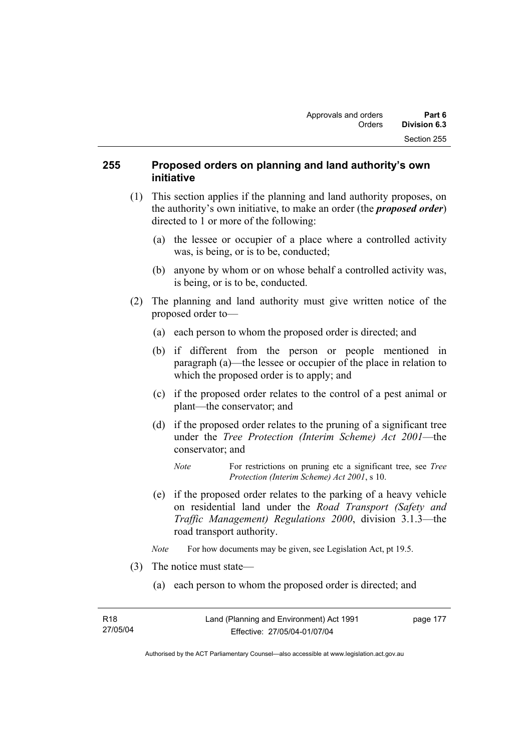## **255 Proposed orders on planning and land authority's own initiative**

- (1) This section applies if the planning and land authority proposes, on the authority's own initiative, to make an order (the *proposed order*) directed to 1 or more of the following:
	- (a) the lessee or occupier of a place where a controlled activity was, is being, or is to be, conducted;
	- (b) anyone by whom or on whose behalf a controlled activity was, is being, or is to be, conducted.
- (2) The planning and land authority must give written notice of the proposed order to—
	- (a) each person to whom the proposed order is directed; and
	- (b) if different from the person or people mentioned in paragraph (a)—the lessee or occupier of the place in relation to which the proposed order is to apply; and
	- (c) if the proposed order relates to the control of a pest animal or plant—the conservator; and
	- (d) if the proposed order relates to the pruning of a significant tree under the *Tree Protection (Interim Scheme) Act 2001*—the conservator; and
		- *Note* For restrictions on pruning etc a significant tree, see *Tree Protection (Interim Scheme) Act 2001*, s 10.
	- (e) if the proposed order relates to the parking of a heavy vehicle on residential land under the *Road Transport (Safety and Traffic Management) Regulations 2000*, division 3.1.3—the road transport authority.
	- *Note* For how documents may be given, see Legislation Act, pt 19.5.
- (3) The notice must state—
	- (a) each person to whom the proposed order is directed; and

Authorised by the ACT Parliamentary Counsel—also accessible at www.legislation.act.gov.au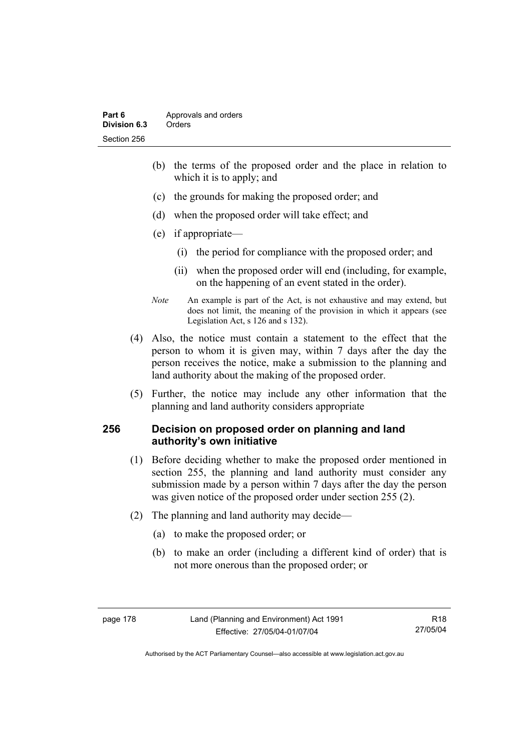- (b) the terms of the proposed order and the place in relation to which it is to apply; and
- (c) the grounds for making the proposed order; and
- (d) when the proposed order will take effect; and
- (e) if appropriate—
	- (i) the period for compliance with the proposed order; and
	- (ii) when the proposed order will end (including, for example, on the happening of an event stated in the order).
- *Note* An example is part of the Act, is not exhaustive and may extend, but does not limit, the meaning of the provision in which it appears (see Legislation Act, s 126 and s 132).
- (4) Also, the notice must contain a statement to the effect that the person to whom it is given may, within 7 days after the day the person receives the notice, make a submission to the planning and land authority about the making of the proposed order.
- (5) Further, the notice may include any other information that the planning and land authority considers appropriate

## **256 Decision on proposed order on planning and land authority's own initiative**

- (1) Before deciding whether to make the proposed order mentioned in section 255, the planning and land authority must consider any submission made by a person within 7 days after the day the person was given notice of the proposed order under section 255 (2).
- (2) The planning and land authority may decide—
	- (a) to make the proposed order; or
	- (b) to make an order (including a different kind of order) that is not more onerous than the proposed order; or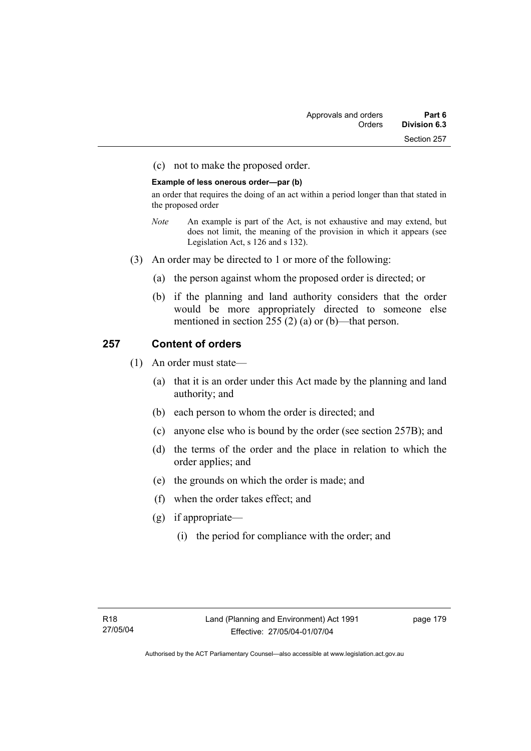(c) not to make the proposed order.

#### **Example of less onerous order—par (b)**

an order that requires the doing of an act within a period longer than that stated in the proposed order

- *Note* An example is part of the Act, is not exhaustive and may extend, but does not limit, the meaning of the provision in which it appears (see Legislation Act, s 126 and s 132).
- (3) An order may be directed to 1 or more of the following:
	- (a) the person against whom the proposed order is directed; or
	- (b) if the planning and land authority considers that the order would be more appropriately directed to someone else mentioned in section 255 (2) (a) or (b)—that person.

# **257 Content of orders**

- (1) An order must state—
	- (a) that it is an order under this Act made by the planning and land authority; and
	- (b) each person to whom the order is directed; and
	- (c) anyone else who is bound by the order (see section 257B); and
	- (d) the terms of the order and the place in relation to which the order applies; and
	- (e) the grounds on which the order is made; and
	- (f) when the order takes effect; and
	- (g) if appropriate—
		- (i) the period for compliance with the order; and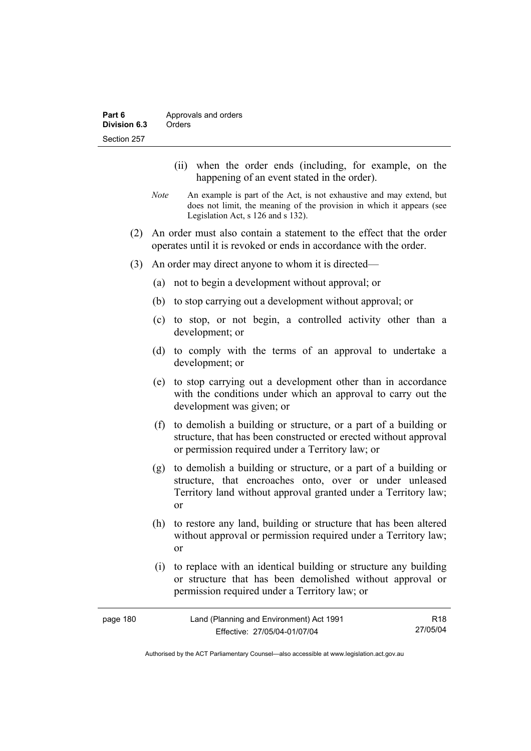- (ii) when the order ends (including, for example, on the happening of an event stated in the order).
- *Note* An example is part of the Act, is not exhaustive and may extend, but does not limit, the meaning of the provision in which it appears (see Legislation Act, s 126 and s 132).
- (2) An order must also contain a statement to the effect that the order operates until it is revoked or ends in accordance with the order.
- (3) An order may direct anyone to whom it is directed—
	- (a) not to begin a development without approval; or
	- (b) to stop carrying out a development without approval; or
	- (c) to stop, or not begin, a controlled activity other than a development; or
	- (d) to comply with the terms of an approval to undertake a development; or
	- (e) to stop carrying out a development other than in accordance with the conditions under which an approval to carry out the development was given; or
	- (f) to demolish a building or structure, or a part of a building or structure, that has been constructed or erected without approval or permission required under a Territory law; or
	- (g) to demolish a building or structure, or a part of a building or structure, that encroaches onto, over or under unleased Territory land without approval granted under a Territory law; or
	- (h) to restore any land, building or structure that has been altered without approval or permission required under a Territory law; or
	- (i) to replace with an identical building or structure any building or structure that has been demolished without approval or permission required under a Territory law; or

| page 180 | Land (Planning and Environment) Act 1991 | R18      |
|----------|------------------------------------------|----------|
|          | Effective: 27/05/04-01/07/04             | 27/05/04 |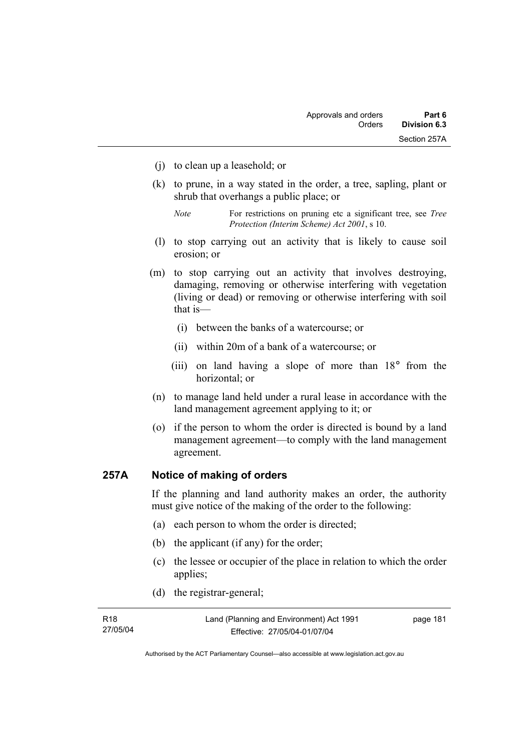- (j) to clean up a leasehold; or
- (k) to prune, in a way stated in the order, a tree, sapling, plant or shrub that overhangs a public place; or
	- *Note* For restrictions on pruning etc a significant tree, see *Tree Protection (Interim Scheme) Act 2001*, s 10.
- (l) to stop carrying out an activity that is likely to cause soil erosion; or
- (m) to stop carrying out an activity that involves destroying, damaging, removing or otherwise interfering with vegetation (living or dead) or removing or otherwise interfering with soil that is—
	- (i) between the banks of a watercourse; or
	- (ii) within 20m of a bank of a watercourse; or
	- (iii) on land having a slope of more than 18° from the horizontal; or
- (n) to manage land held under a rural lease in accordance with the land management agreement applying to it; or
- (o) if the person to whom the order is directed is bound by a land management agreement—to comply with the land management agreement.

# **257A Notice of making of orders**

If the planning and land authority makes an order, the authority must give notice of the making of the order to the following:

- (a) each person to whom the order is directed;
- (b) the applicant (if any) for the order;
- (c) the lessee or occupier of the place in relation to which the order applies;
- (d) the registrar-general;

| R18      | Land (Planning and Environment) Act 1991 | page 181 |
|----------|------------------------------------------|----------|
| 27/05/04 | Effective: 27/05/04-01/07/04             |          |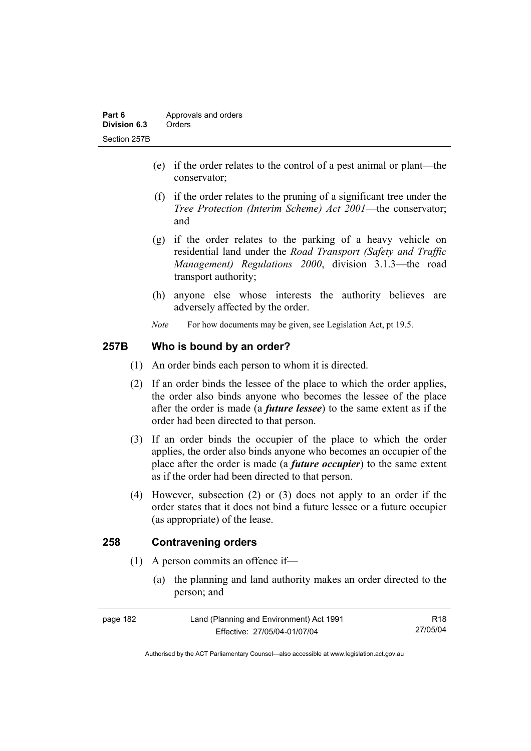- (e) if the order relates to the control of a pest animal or plant—the conservator;
- (f) if the order relates to the pruning of a significant tree under the *Tree Protection (Interim Scheme) Act 2001*—the conservator; and
- (g) if the order relates to the parking of a heavy vehicle on residential land under the *Road Transport (Safety and Traffic Management) Regulations 2000*, division 3.1.3—the road transport authority;
- (h) anyone else whose interests the authority believes are adversely affected by the order.
- *Note* For how documents may be given, see Legislation Act, pt 19.5.

# **257B Who is bound by an order?**

- (1) An order binds each person to whom it is directed.
- (2) If an order binds the lessee of the place to which the order applies, the order also binds anyone who becomes the lessee of the place after the order is made (a *future lessee*) to the same extent as if the order had been directed to that person.
- (3) If an order binds the occupier of the place to which the order applies, the order also binds anyone who becomes an occupier of the place after the order is made (a *future occupier*) to the same extent as if the order had been directed to that person.
- (4) However, subsection (2) or (3) does not apply to an order if the order states that it does not bind a future lessee or a future occupier (as appropriate) of the lease.

# **258 Contravening orders**

- (1) A person commits an offence if—
	- (a) the planning and land authority makes an order directed to the person; and

| page 182 | Land (Planning and Environment) Act 1991 | R18      |
|----------|------------------------------------------|----------|
|          | Effective: 27/05/04-01/07/04             | 27/05/04 |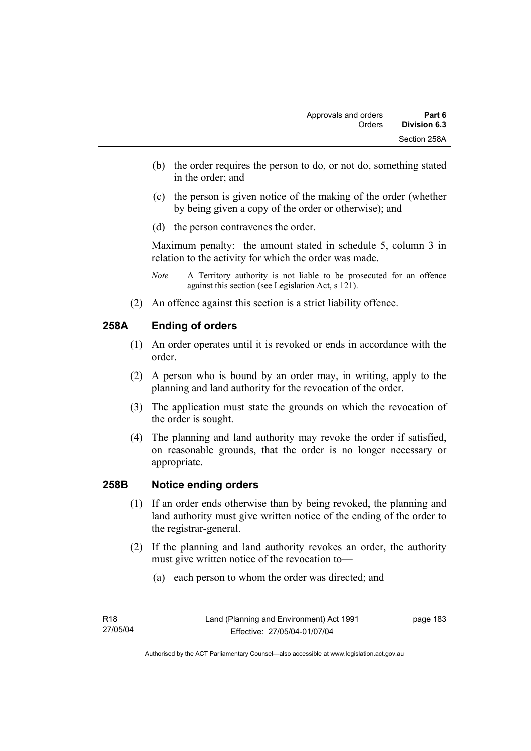- (b) the order requires the person to do, or not do, something stated in the order; and
- (c) the person is given notice of the making of the order (whether by being given a copy of the order or otherwise); and
- (d) the person contravenes the order.

Maximum penalty: the amount stated in schedule 5, column 3 in relation to the activity for which the order was made.

- *Note* A Territory authority is not liable to be prosecuted for an offence against this section (see Legislation Act, s 121).
- (2) An offence against this section is a strict liability offence.

## **258A Ending of orders**

- (1) An order operates until it is revoked or ends in accordance with the order.
- (2) A person who is bound by an order may, in writing, apply to the planning and land authority for the revocation of the order.
- (3) The application must state the grounds on which the revocation of the order is sought.
- (4) The planning and land authority may revoke the order if satisfied, on reasonable grounds, that the order is no longer necessary or appropriate.

### **258B Notice ending orders**

- (1) If an order ends otherwise than by being revoked, the planning and land authority must give written notice of the ending of the order to the registrar-general.
- (2) If the planning and land authority revokes an order, the authority must give written notice of the revocation to—
	- (a) each person to whom the order was directed; and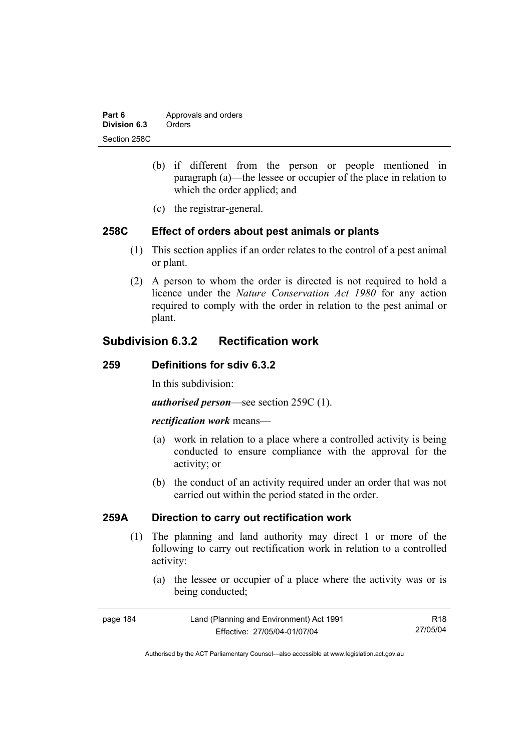| Part 6       | Approvals and orders |  |
|--------------|----------------------|--|
| Division 6.3 | Orders               |  |
| Section 258C |                      |  |

- (b) if different from the person or people mentioned in paragraph (a)—the lessee or occupier of the place in relation to which the order applied; and
- (c) the registrar-general.

### **258C Effect of orders about pest animals or plants**

- (1) This section applies if an order relates to the control of a pest animal or plant.
- (2) A person to whom the order is directed is not required to hold a licence under the *Nature Conservation Act 1980* for any action required to comply with the order in relation to the pest animal or plant.

# **Subdivision 6.3.2 Rectification work**

### **259 Definitions for sdiv 6.3.2**

In this subdivision:

*authorised person*—see section 259C (1).

#### *rectification work* means—

- (a) work in relation to a place where a controlled activity is being conducted to ensure compliance with the approval for the activity; or
- (b) the conduct of an activity required under an order that was not carried out within the period stated in the order.

## **259A Direction to carry out rectification work**

- (1) The planning and land authority may direct 1 or more of the following to carry out rectification work in relation to a controlled activity:
	- (a) the lessee or occupier of a place where the activity was or is being conducted;

| page 184 | Land (Planning and Environment) Act 1991 | R18      |
|----------|------------------------------------------|----------|
|          | Effective: 27/05/04-01/07/04             | 27/05/04 |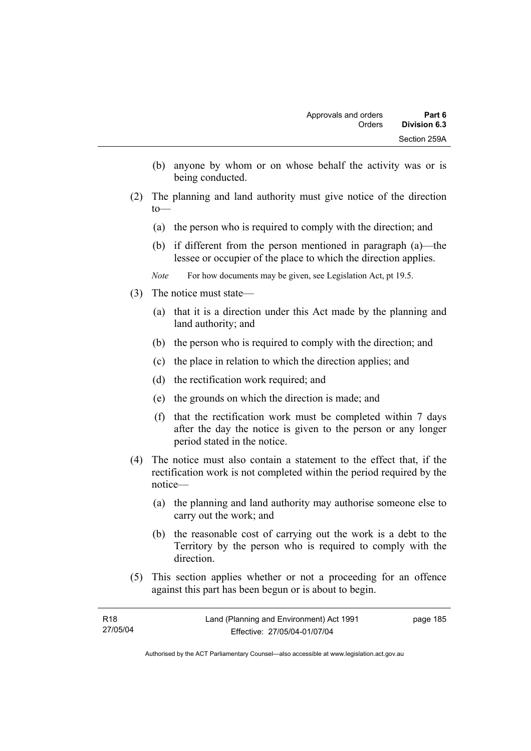- (b) anyone by whom or on whose behalf the activity was or is being conducted.
- (2) The planning and land authority must give notice of the direction to—
	- (a) the person who is required to comply with the direction; and
	- (b) if different from the person mentioned in paragraph (a)—the lessee or occupier of the place to which the direction applies.
	- *Note* For how documents may be given, see Legislation Act, pt 19.5.
- (3) The notice must state—
	- (a) that it is a direction under this Act made by the planning and land authority; and
	- (b) the person who is required to comply with the direction; and
	- (c) the place in relation to which the direction applies; and
	- (d) the rectification work required; and
	- (e) the grounds on which the direction is made; and
	- (f) that the rectification work must be completed within 7 days after the day the notice is given to the person or any longer period stated in the notice.
- (4) The notice must also contain a statement to the effect that, if the rectification work is not completed within the period required by the notice—
	- (a) the planning and land authority may authorise someone else to carry out the work; and
	- (b) the reasonable cost of carrying out the work is a debt to the Territory by the person who is required to comply with the direction.
- (5) This section applies whether or not a proceeding for an offence against this part has been begun or is about to begin.

| R18      | Land (Planning and Environment) Act 1991 | page 185 |
|----------|------------------------------------------|----------|
| 27/05/04 | Effective: 27/05/04-01/07/04             |          |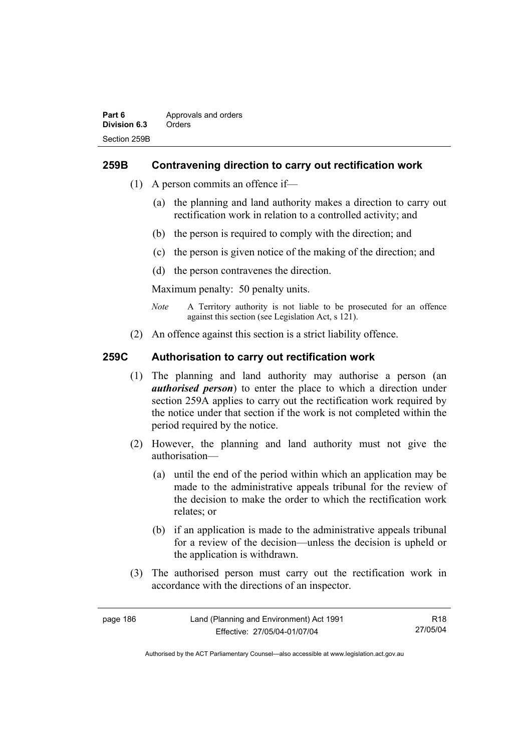## **259B Contravening direction to carry out rectification work**

- (1) A person commits an offence if—
	- (a) the planning and land authority makes a direction to carry out rectification work in relation to a controlled activity; and
	- (b) the person is required to comply with the direction; and
	- (c) the person is given notice of the making of the direction; and
	- (d) the person contravenes the direction.

Maximum penalty: 50 penalty units.

- *Note* A Territory authority is not liable to be prosecuted for an offence against this section (see Legislation Act, s 121).
- (2) An offence against this section is a strict liability offence.

## **259C Authorisation to carry out rectification work**

- (1) The planning and land authority may authorise a person (an *authorised person*) to enter the place to which a direction under section 259A applies to carry out the rectification work required by the notice under that section if the work is not completed within the period required by the notice.
- (2) However, the planning and land authority must not give the authorisation—
	- (a) until the end of the period within which an application may be made to the administrative appeals tribunal for the review of the decision to make the order to which the rectification work relates; or
	- (b) if an application is made to the administrative appeals tribunal for a review of the decision—unless the decision is upheld or the application is withdrawn.
- (3) The authorised person must carry out the rectification work in accordance with the directions of an inspector.

| page 186 | Land (Planning and Environment) Act 1991 | R18      |
|----------|------------------------------------------|----------|
|          | Effective: 27/05/04-01/07/04             | 27/05/04 |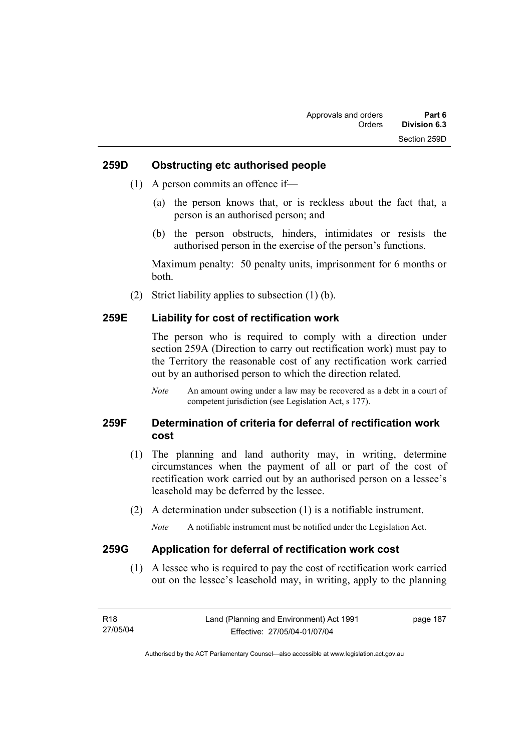### **259D Obstructing etc authorised people**

- (1) A person commits an offence if—
	- (a) the person knows that, or is reckless about the fact that, a person is an authorised person; and
	- (b) the person obstructs, hinders, intimidates or resists the authorised person in the exercise of the person's functions.

Maximum penalty: 50 penalty units, imprisonment for 6 months or both.

(2) Strict liability applies to subsection (1) (b).

### **259E Liability for cost of rectification work**

The person who is required to comply with a direction under section 259A (Direction to carry out rectification work) must pay to the Territory the reasonable cost of any rectification work carried out by an authorised person to which the direction related.

*Note* An amount owing under a law may be recovered as a debt in a court of competent jurisdiction (see Legislation Act, s 177).

## **259F Determination of criteria for deferral of rectification work cost**

- (1) The planning and land authority may, in writing, determine circumstances when the payment of all or part of the cost of rectification work carried out by an authorised person on a lessee's leasehold may be deferred by the lessee.
- (2) A determination under subsection (1) is a notifiable instrument.

*Note* A notifiable instrument must be notified under the Legislation Act.

### **259G Application for deferral of rectification work cost**

 (1) A lessee who is required to pay the cost of rectification work carried out on the lessee's leasehold may, in writing, apply to the planning

| R18      | Land (Planning and Environment) Act 1991 | page 187 |
|----------|------------------------------------------|----------|
| 27/05/04 | Effective: 27/05/04-01/07/04             |          |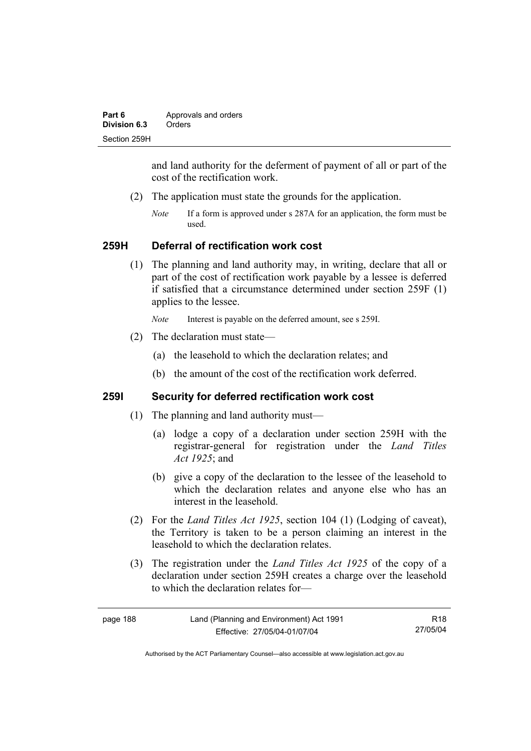| Part 6       | Approvals and orders |  |
|--------------|----------------------|--|
| Division 6.3 | Orders               |  |
| Section 259H |                      |  |

and land authority for the deferment of payment of all or part of the cost of the rectification work.

- (2) The application must state the grounds for the application.
	- *Note* If a form is approved under s 287A for an application, the form must be used.

#### **259H Deferral of rectification work cost**

 (1) The planning and land authority may, in writing, declare that all or part of the cost of rectification work payable by a lessee is deferred if satisfied that a circumstance determined under section 259F (1) applies to the lessee.

*Note* Interest is payable on the deferred amount, see s 259I.

- (2) The declaration must state—
	- (a) the leasehold to which the declaration relates; and
	- (b) the amount of the cost of the rectification work deferred.

## **259I Security for deferred rectification work cost**

- (1) The planning and land authority must—
	- (a) lodge a copy of a declaration under section 259H with the registrar-general for registration under the *Land Titles Act 1925*; and
	- (b) give a copy of the declaration to the lessee of the leasehold to which the declaration relates and anyone else who has an interest in the leasehold.
- (2) For the *Land Titles Act 1925*, section 104 (1) (Lodging of caveat), the Territory is taken to be a person claiming an interest in the leasehold to which the declaration relates.
- (3) The registration under the *Land Titles Act 1925* of the copy of a declaration under section 259H creates a charge over the leasehold to which the declaration relates for—

| page 188 | Land |
|----------|------|
|          |      |

R18 27/05/04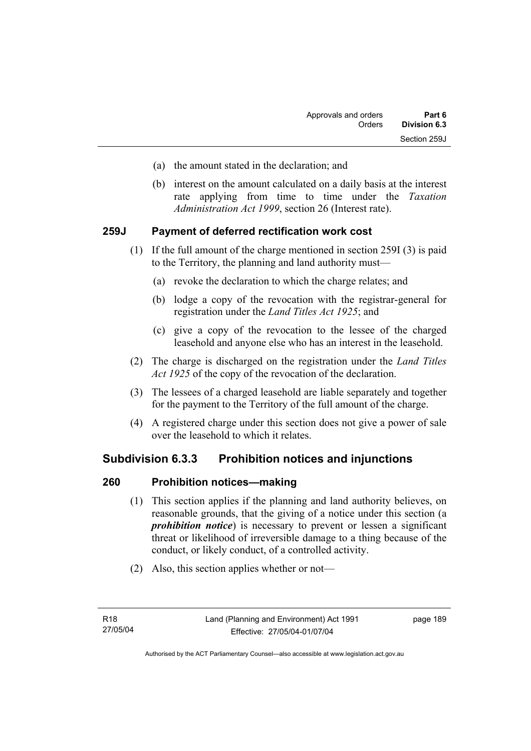- (a) the amount stated in the declaration; and
- (b) interest on the amount calculated on a daily basis at the interest rate applying from time to time under the *Taxation Administration Act 1999*, section 26 (Interest rate).

## **259J Payment of deferred rectification work cost**

- (1) If the full amount of the charge mentioned in section 259I (3) is paid to the Territory, the planning and land authority must—
	- (a) revoke the declaration to which the charge relates; and
	- (b) lodge a copy of the revocation with the registrar-general for registration under the *Land Titles Act 1925*; and
	- (c) give a copy of the revocation to the lessee of the charged leasehold and anyone else who has an interest in the leasehold.
- (2) The charge is discharged on the registration under the *Land Titles Act 1925* of the copy of the revocation of the declaration.
- (3) The lessees of a charged leasehold are liable separately and together for the payment to the Territory of the full amount of the charge.
- (4) A registered charge under this section does not give a power of sale over the leasehold to which it relates.

# **Subdivision 6.3.3 Prohibition notices and injunctions**

### **260 Prohibition notices—making**

- (1) This section applies if the planning and land authority believes, on reasonable grounds, that the giving of a notice under this section (a *prohibition notice*) is necessary to prevent or lessen a significant threat or likelihood of irreversible damage to a thing because of the conduct, or likely conduct, of a controlled activity.
- (2) Also, this section applies whether or not—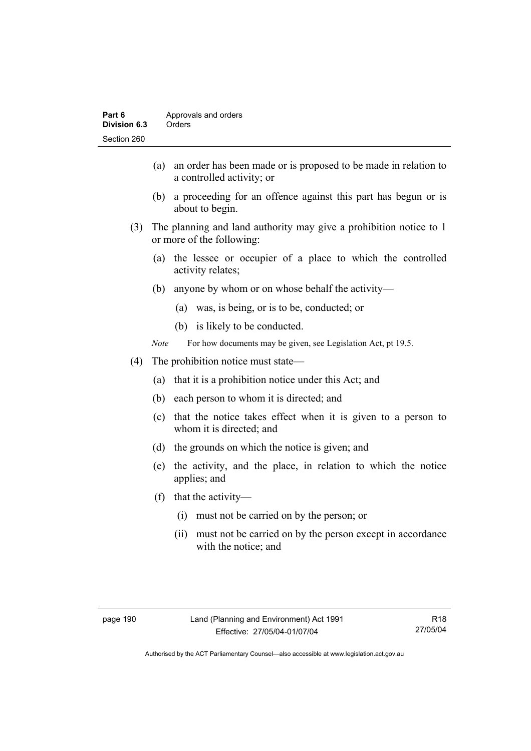- (a) an order has been made or is proposed to be made in relation to a controlled activity; or
- (b) a proceeding for an offence against this part has begun or is about to begin.
- (3) The planning and land authority may give a prohibition notice to 1 or more of the following:
	- (a) the lessee or occupier of a place to which the controlled activity relates;
	- (b) anyone by whom or on whose behalf the activity—
		- (a) was, is being, or is to be, conducted; or
		- (b) is likely to be conducted.
	- *Note* For how documents may be given, see Legislation Act, pt 19.5.
- (4) The prohibition notice must state—
	- (a) that it is a prohibition notice under this Act; and
	- (b) each person to whom it is directed; and
	- (c) that the notice takes effect when it is given to a person to whom it is directed; and
	- (d) the grounds on which the notice is given; and
	- (e) the activity, and the place, in relation to which the notice applies; and
	- (f) that the activity—
		- (i) must not be carried on by the person; or
		- (ii) must not be carried on by the person except in accordance with the notice; and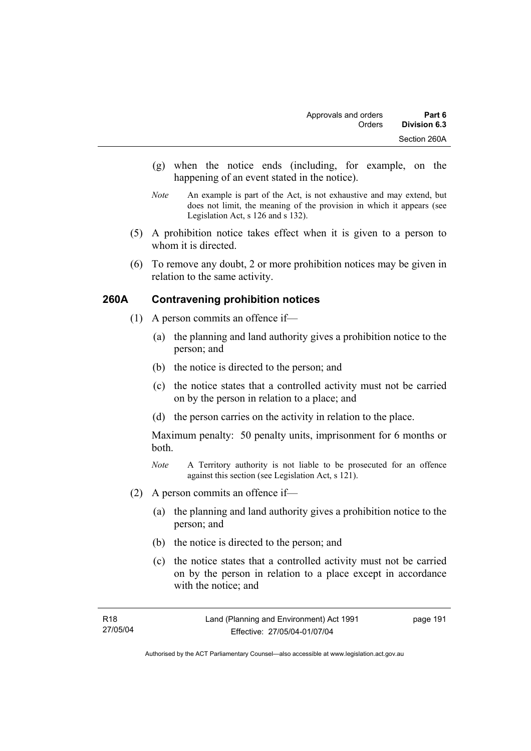- (g) when the notice ends (including, for example, on the happening of an event stated in the notice).
- *Note* An example is part of the Act, is not exhaustive and may extend, but does not limit, the meaning of the provision in which it appears (see Legislation Act, s 126 and s 132).
- (5) A prohibition notice takes effect when it is given to a person to whom it is directed.
- (6) To remove any doubt, 2 or more prohibition notices may be given in relation to the same activity.

# **260A Contravening prohibition notices**

- (1) A person commits an offence if—
	- (a) the planning and land authority gives a prohibition notice to the person; and
	- (b) the notice is directed to the person; and
	- (c) the notice states that a controlled activity must not be carried on by the person in relation to a place; and
	- (d) the person carries on the activity in relation to the place.

Maximum penalty: 50 penalty units, imprisonment for 6 months or both.

- *Note* A Territory authority is not liable to be prosecuted for an offence against this section (see Legislation Act, s 121).
- (2) A person commits an offence if—
	- (a) the planning and land authority gives a prohibition notice to the person; and
	- (b) the notice is directed to the person; and
	- (c) the notice states that a controlled activity must not be carried on by the person in relation to a place except in accordance with the notice; and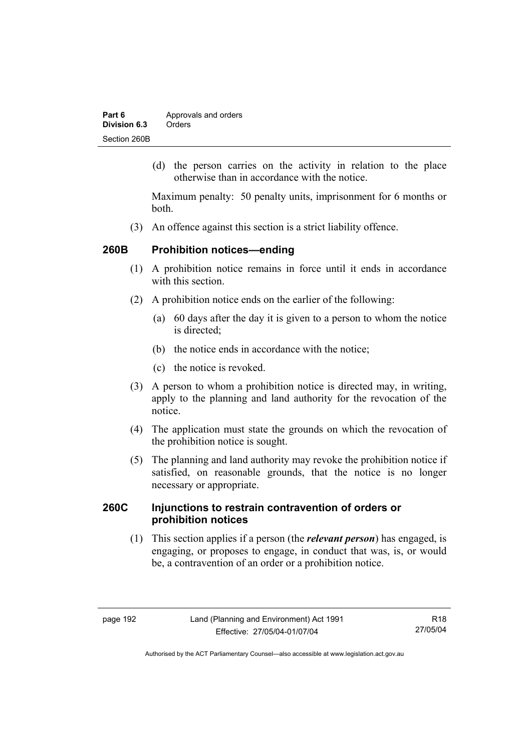| Part 6       | Approvals and orders |  |
|--------------|----------------------|--|
| Division 6.3 | Orders               |  |
| Section 260B |                      |  |

 (d) the person carries on the activity in relation to the place otherwise than in accordance with the notice.

Maximum penalty: 50 penalty units, imprisonment for 6 months or both.

(3) An offence against this section is a strict liability offence.

## **260B Prohibition notices—ending**

- (1) A prohibition notice remains in force until it ends in accordance with this section
- (2) A prohibition notice ends on the earlier of the following:
	- (a) 60 days after the day it is given to a person to whom the notice is directed:
	- (b) the notice ends in accordance with the notice;
	- (c) the notice is revoked.
- (3) A person to whom a prohibition notice is directed may, in writing, apply to the planning and land authority for the revocation of the notice.
- (4) The application must state the grounds on which the revocation of the prohibition notice is sought.
- (5) The planning and land authority may revoke the prohibition notice if satisfied, on reasonable grounds, that the notice is no longer necessary or appropriate.

## **260C Injunctions to restrain contravention of orders or prohibition notices**

 (1) This section applies if a person (the *relevant person*) has engaged, is engaging, or proposes to engage, in conduct that was, is, or would be, a contravention of an order or a prohibition notice.

R18 27/05/04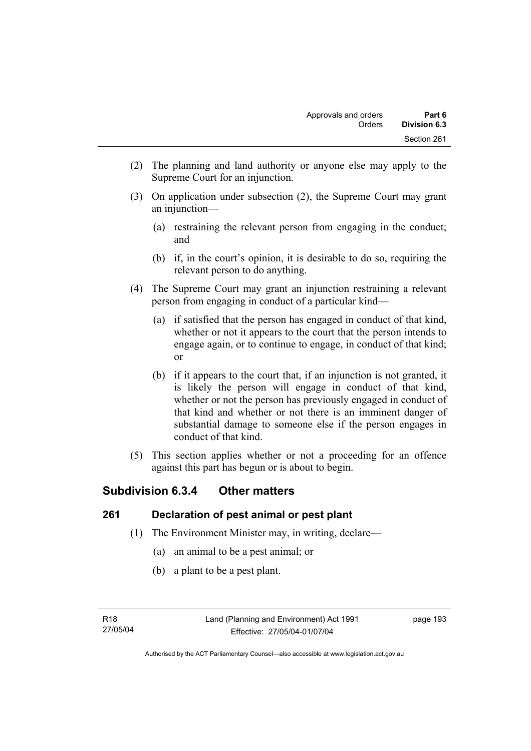- (2) The planning and land authority or anyone else may apply to the Supreme Court for an injunction.
- (3) On application under subsection (2), the Supreme Court may grant an injunction—
	- (a) restraining the relevant person from engaging in the conduct; and
	- (b) if, in the court's opinion, it is desirable to do so, requiring the relevant person to do anything.
- (4) The Supreme Court may grant an injunction restraining a relevant person from engaging in conduct of a particular kind—
	- (a) if satisfied that the person has engaged in conduct of that kind, whether or not it appears to the court that the person intends to engage again, or to continue to engage, in conduct of that kind; or
	- (b) if it appears to the court that, if an injunction is not granted, it is likely the person will engage in conduct of that kind, whether or not the person has previously engaged in conduct of that kind and whether or not there is an imminent danger of substantial damage to someone else if the person engages in conduct of that kind.
- (5) This section applies whether or not a proceeding for an offence against this part has begun or is about to begin.

# **Subdivision 6.3.4 Other matters**

# **261 Declaration of pest animal or pest plant**

- (1) The Environment Minister may, in writing, declare—
	- (a) an animal to be a pest animal; or
	- (b) a plant to be a pest plant.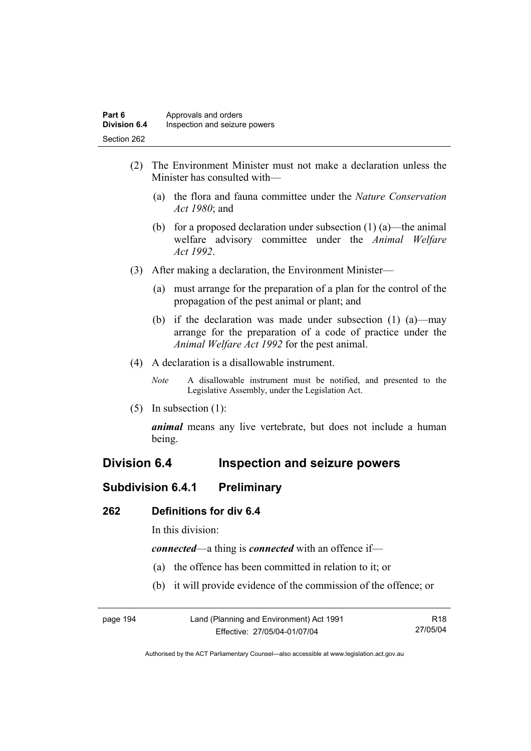- (2) The Environment Minister must not make a declaration unless the Minister has consulted with—
	- (a) the flora and fauna committee under the *Nature Conservation Act 1980*; and
	- (b) for a proposed declaration under subsection  $(1)$  (a)—the animal welfare advisory committee under the *Animal Welfare Act 1992*.
- (3) After making a declaration, the Environment Minister—
	- (a) must arrange for the preparation of a plan for the control of the propagation of the pest animal or plant; and
	- (b) if the declaration was made under subsection (1) (a)—may arrange for the preparation of a code of practice under the *Animal Welfare Act 1992* for the pest animal.
- (4) A declaration is a disallowable instrument.
	- *Note* A disallowable instrument must be notified, and presented to the Legislative Assembly, under the Legislation Act.
- (5) In subsection (1):

*animal* means any live vertebrate, but does not include a human being.

# **Division 6.4 Inspection and seizure powers**

# **Subdivision 6.4.1 Preliminary**

### **262 Definitions for div 6.4**

In this division:

*connected*—a thing is *connected* with an offence if—

- (a) the offence has been committed in relation to it; or
- (b) it will provide evidence of the commission of the offence; or

| page 194 | Land (Planning and Environment) Act 1991 | R18      |
|----------|------------------------------------------|----------|
|          | Effective: 27/05/04-01/07/04             | 27/05/04 |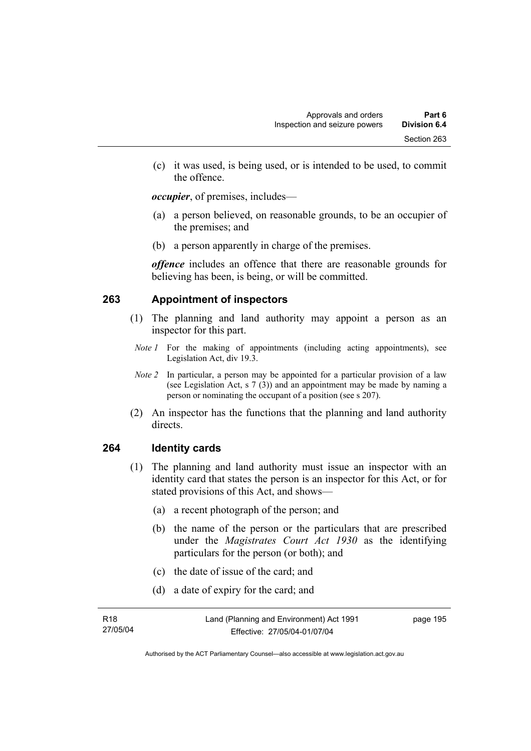(c) it was used, is being used, or is intended to be used, to commit the offence.

*occupier*, of premises, includes—

- (a) a person believed, on reasonable grounds, to be an occupier of the premises; and
- (b) a person apparently in charge of the premises.

*offence* includes an offence that there are reasonable grounds for believing has been, is being, or will be committed.

# **263 Appointment of inspectors**

- (1) The planning and land authority may appoint a person as an inspector for this part.
- *Note 1* For the making of appointments (including acting appointments), see Legislation Act, div 19.3.
- *Note 2* In particular, a person may be appointed for a particular provision of a law (see Legislation Act, s 7 (3)) and an appointment may be made by naming a person or nominating the occupant of a position (see s 207).
- (2) An inspector has the functions that the planning and land authority directs.

### **264 Identity cards**

- (1) The planning and land authority must issue an inspector with an identity card that states the person is an inspector for this Act, or for stated provisions of this Act, and shows—
	- (a) a recent photograph of the person; and
	- (b) the name of the person or the particulars that are prescribed under the *Magistrates Court Act 1930* as the identifying particulars for the person (or both); and
	- (c) the date of issue of the card; and
	- (d) a date of expiry for the card; and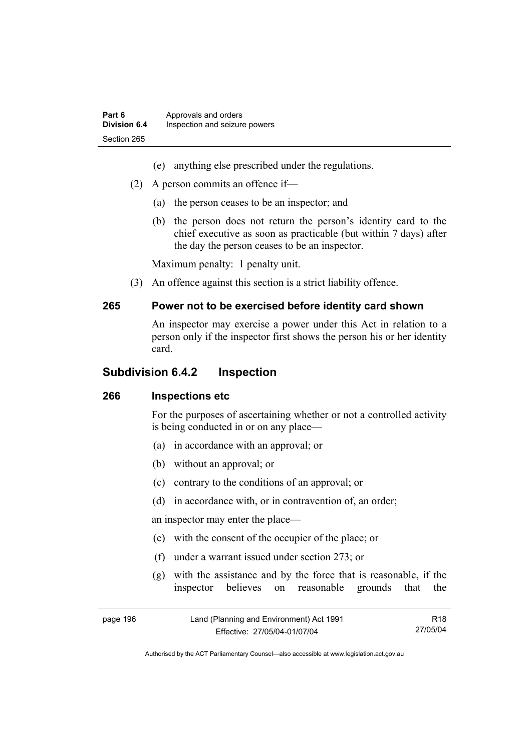- (e) anything else prescribed under the regulations.
- (2) A person commits an offence if—
	- (a) the person ceases to be an inspector; and
	- (b) the person does not return the person's identity card to the chief executive as soon as practicable (but within 7 days) after the day the person ceases to be an inspector.

Maximum penalty: 1 penalty unit.

(3) An offence against this section is a strict liability offence.

#### **265 Power not to be exercised before identity card shown**

An inspector may exercise a power under this Act in relation to a person only if the inspector first shows the person his or her identity card.

### **Subdivision 6.4.2 Inspection**

### **266 Inspections etc**

For the purposes of ascertaining whether or not a controlled activity is being conducted in or on any place—

- (a) in accordance with an approval; or
- (b) without an approval; or
- (c) contrary to the conditions of an approval; or
- (d) in accordance with, or in contravention of, an order;

an inspector may enter the place—

- (e) with the consent of the occupier of the place; or
- (f) under a warrant issued under section 273; or
- (g) with the assistance and by the force that is reasonable, if the inspector believes on reasonable grounds that the

| page 196 | Land (Planning and Environment) Act 1991 | R18      |
|----------|------------------------------------------|----------|
|          | Effective: 27/05/04-01/07/04             | 27/05/04 |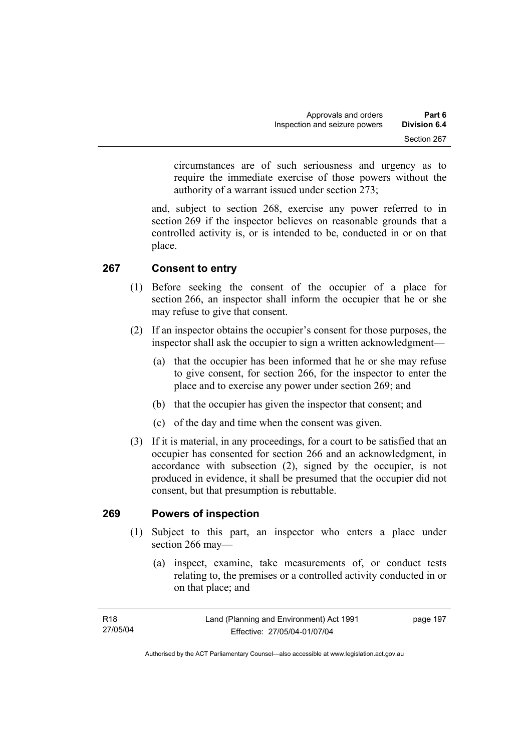circumstances are of such seriousness and urgency as to require the immediate exercise of those powers without the authority of a warrant issued under section 273;

and, subject to section 268, exercise any power referred to in section 269 if the inspector believes on reasonable grounds that a controlled activity is, or is intended to be, conducted in or on that place.

# **267 Consent to entry**

- (1) Before seeking the consent of the occupier of a place for section 266, an inspector shall inform the occupier that he or she may refuse to give that consent.
- (2) If an inspector obtains the occupier's consent for those purposes, the inspector shall ask the occupier to sign a written acknowledgment—
	- (a) that the occupier has been informed that he or she may refuse to give consent, for section 266, for the inspector to enter the place and to exercise any power under section 269; and
	- (b) that the occupier has given the inspector that consent; and
	- (c) of the day and time when the consent was given.
- (3) If it is material, in any proceedings, for a court to be satisfied that an occupier has consented for section 266 and an acknowledgment, in accordance with subsection (2), signed by the occupier, is not produced in evidence, it shall be presumed that the occupier did not consent, but that presumption is rebuttable.

### **269 Powers of inspection**

- (1) Subject to this part, an inspector who enters a place under section 266 may—
	- (a) inspect, examine, take measurements of, or conduct tests relating to, the premises or a controlled activity conducted in or on that place; and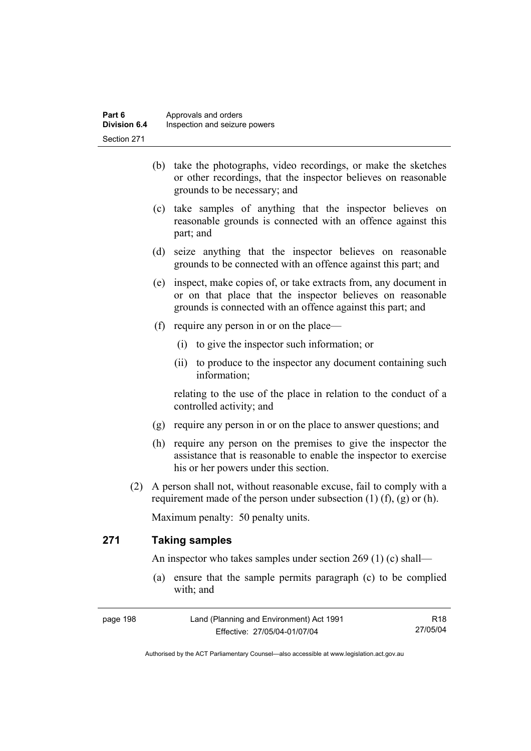- (b) take the photographs, video recordings, or make the sketches or other recordings, that the inspector believes on reasonable grounds to be necessary; and
- (c) take samples of anything that the inspector believes on reasonable grounds is connected with an offence against this part; and
- (d) seize anything that the inspector believes on reasonable grounds to be connected with an offence against this part; and
- (e) inspect, make copies of, or take extracts from, any document in or on that place that the inspector believes on reasonable grounds is connected with an offence against this part; and
- (f) require any person in or on the place—
	- (i) to give the inspector such information; or
	- (ii) to produce to the inspector any document containing such information;

relating to the use of the place in relation to the conduct of a controlled activity; and

- (g) require any person in or on the place to answer questions; and
- (h) require any person on the premises to give the inspector the assistance that is reasonable to enable the inspector to exercise his or her powers under this section.
- (2) A person shall not, without reasonable excuse, fail to comply with a requirement made of the person under subsection  $(1)$   $(f)$ ,  $(g)$  or  $(h)$ .

Maximum penalty: 50 penalty units.

# **271 Taking samples**

An inspector who takes samples under section 269 (1) (c) shall—

 (a) ensure that the sample permits paragraph (c) to be complied with; and

| page 198 | Land (Planning and Environment) Act 1991 | R18      |
|----------|------------------------------------------|----------|
|          | Effective: 27/05/04-01/07/04             | 27/05/04 |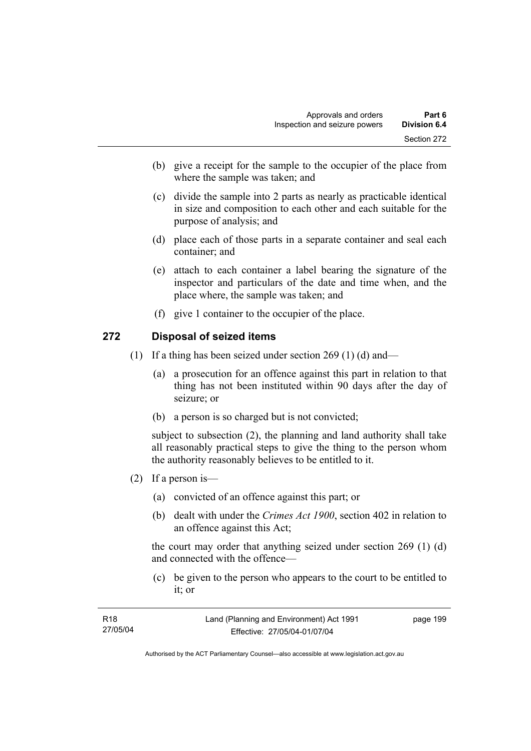- (b) give a receipt for the sample to the occupier of the place from where the sample was taken; and
- (c) divide the sample into 2 parts as nearly as practicable identical in size and composition to each other and each suitable for the purpose of analysis; and
- (d) place each of those parts in a separate container and seal each container; and
- (e) attach to each container a label bearing the signature of the inspector and particulars of the date and time when, and the place where, the sample was taken; and
- (f) give 1 container to the occupier of the place.

### **272 Disposal of seized items**

- (1) If a thing has been seized under section 269 (1) (d) and—
	- (a) a prosecution for an offence against this part in relation to that thing has not been instituted within 90 days after the day of seizure; or
	- (b) a person is so charged but is not convicted;

subject to subsection (2), the planning and land authority shall take all reasonably practical steps to give the thing to the person whom the authority reasonably believes to be entitled to it.

- (2) If a person is—
	- (a) convicted of an offence against this part; or
	- (b) dealt with under the *Crimes Act 1900*, section 402 in relation to an offence against this Act;

the court may order that anything seized under section 269 (1) (d) and connected with the offence—

 (c) be given to the person who appears to the court to be entitled to it; or

| R18      | Land (Planning and Environment) Act 1991 | page 199 |
|----------|------------------------------------------|----------|
| 27/05/04 | Effective: 27/05/04-01/07/04             |          |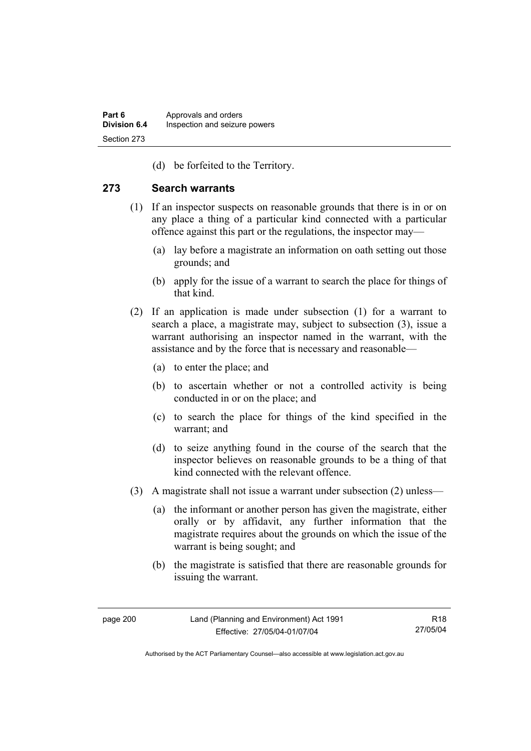(d) be forfeited to the Territory.

### **273 Search warrants**

- (1) If an inspector suspects on reasonable grounds that there is in or on any place a thing of a particular kind connected with a particular offence against this part or the regulations, the inspector may—
	- (a) lay before a magistrate an information on oath setting out those grounds; and
	- (b) apply for the issue of a warrant to search the place for things of that kind.
- (2) If an application is made under subsection (1) for a warrant to search a place, a magistrate may, subject to subsection (3), issue a warrant authorising an inspector named in the warrant, with the assistance and by the force that is necessary and reasonable—
	- (a) to enter the place; and
	- (b) to ascertain whether or not a controlled activity is being conducted in or on the place; and
	- (c) to search the place for things of the kind specified in the warrant; and
	- (d) to seize anything found in the course of the search that the inspector believes on reasonable grounds to be a thing of that kind connected with the relevant offence.
- (3) A magistrate shall not issue a warrant under subsection (2) unless—
	- (a) the informant or another person has given the magistrate, either orally or by affidavit, any further information that the magistrate requires about the grounds on which the issue of the warrant is being sought; and
	- (b) the magistrate is satisfied that there are reasonable grounds for issuing the warrant.

R18 27/05/04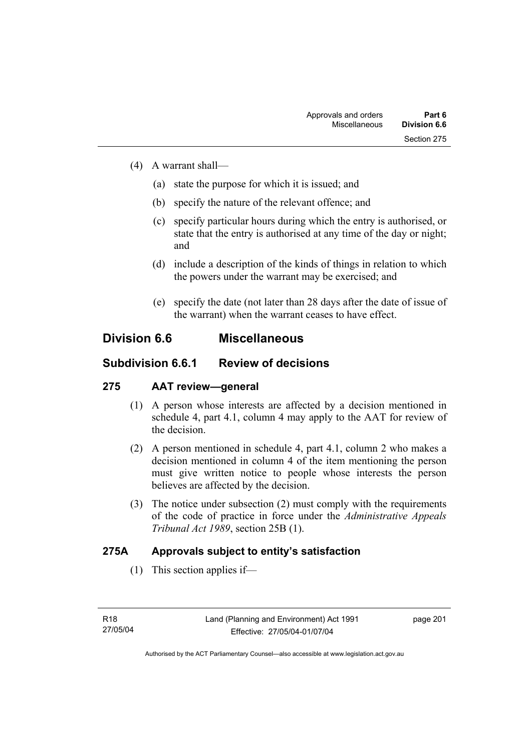- (4) A warrant shall—
	- (a) state the purpose for which it is issued; and
	- (b) specify the nature of the relevant offence; and
	- (c) specify particular hours during which the entry is authorised, or state that the entry is authorised at any time of the day or night; and
	- (d) include a description of the kinds of things in relation to which the powers under the warrant may be exercised; and
	- (e) specify the date (not later than 28 days after the date of issue of the warrant) when the warrant ceases to have effect.

## **Division 6.6 Miscellaneous**

## **Subdivision 6.6.1 Review of decisions**

## **275 AAT review—general**

- (1) A person whose interests are affected by a decision mentioned in schedule 4, part 4.1, column 4 may apply to the AAT for review of the decision.
- (2) A person mentioned in schedule 4, part 4.1, column 2 who makes a decision mentioned in column 4 of the item mentioning the person must give written notice to people whose interests the person believes are affected by the decision.
- (3) The notice under subsection (2) must comply with the requirements of the code of practice in force under the *Administrative Appeals Tribunal Act 1989*, section 25B (1).

## **275A Approvals subject to entity's satisfaction**

(1) This section applies if—

page 201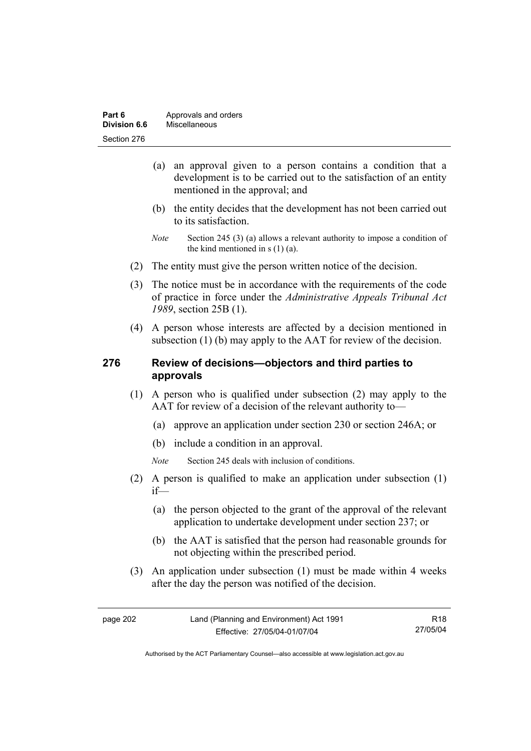| Part 6       | Approvals and orders |
|--------------|----------------------|
| Division 6.6 | Miscellaneous        |
| Section 276  |                      |

- (a) an approval given to a person contains a condition that a development is to be carried out to the satisfaction of an entity mentioned in the approval; and
- (b) the entity decides that the development has not been carried out to its satisfaction.
- *Note* Section 245 (3) (a) allows a relevant authority to impose a condition of the kind mentioned in s (1) (a).
- (2) The entity must give the person written notice of the decision.
- (3) The notice must be in accordance with the requirements of the code of practice in force under the *Administrative Appeals Tribunal Act 1989*, section 25B (1).
- (4) A person whose interests are affected by a decision mentioned in subsection (1) (b) may apply to the AAT for review of the decision.

### **276 Review of decisions—objectors and third parties to approvals**

- (1) A person who is qualified under subsection (2) may apply to the AAT for review of a decision of the relevant authority to—
	- (a) approve an application under section 230 or section 246A; or
	- (b) include a condition in an approval.
	- *Note* Section 245 deals with inclusion of conditions.
- (2) A person is qualified to make an application under subsection (1) if—
	- (a) the person objected to the grant of the approval of the relevant application to undertake development under section 237; or
	- (b) the AAT is satisfied that the person had reasonable grounds for not objecting within the prescribed period.
- (3) An application under subsection (1) must be made within 4 weeks after the day the person was notified of the decision.

R18 27/05/04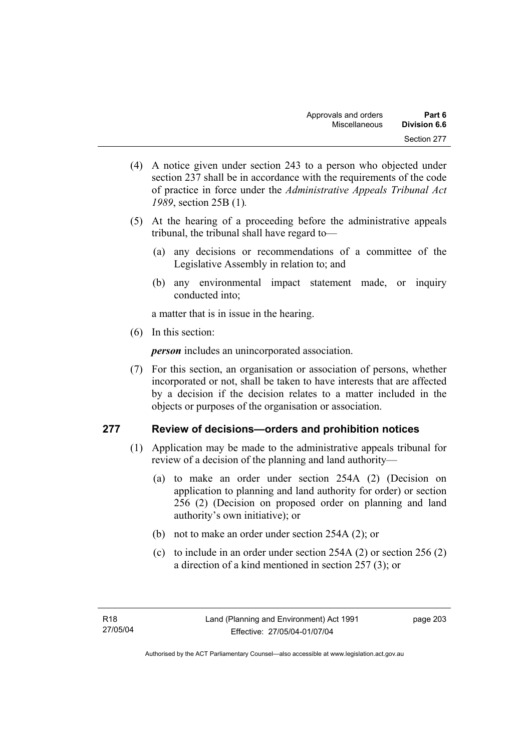- (4) A notice given under section 243 to a person who objected under section 237 shall be in accordance with the requirements of the code of practice in force under the *Administrative Appeals Tribunal Act 1989*, section 25B (1)*.*
- (5) At the hearing of a proceeding before the administrative appeals tribunal, the tribunal shall have regard to—
	- (a) any decisions or recommendations of a committee of the Legislative Assembly in relation to; and
	- (b) any environmental impact statement made, or inquiry conducted into;

a matter that is in issue in the hearing.

(6) In this section:

*person* includes an unincorporated association.

 (7) For this section, an organisation or association of persons, whether incorporated or not, shall be taken to have interests that are affected by a decision if the decision relates to a matter included in the objects or purposes of the organisation or association.

## **277 Review of decisions—orders and prohibition notices**

- (1) Application may be made to the administrative appeals tribunal for review of a decision of the planning and land authority—
	- (a) to make an order under section 254A (2) (Decision on application to planning and land authority for order) or section 256 (2) (Decision on proposed order on planning and land authority's own initiative); or
	- (b) not to make an order under section 254A (2); or
	- (c) to include in an order under section 254A (2) or section 256 (2) a direction of a kind mentioned in section 257 (3); or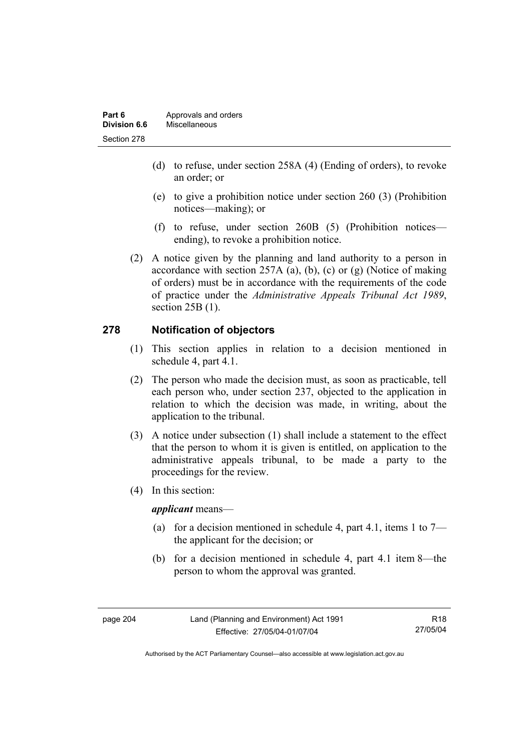| Part 6       | Approvals and orders |
|--------------|----------------------|
| Division 6.6 | Miscellaneous        |
| Section 278  |                      |

- (d) to refuse, under section 258A (4) (Ending of orders), to revoke an order; or
- (e) to give a prohibition notice under section 260 (3) (Prohibition notices—making); or
- (f) to refuse, under section 260B (5) (Prohibition notices ending), to revoke a prohibition notice.
- (2) A notice given by the planning and land authority to a person in accordance with section 257A (a), (b), (c) or  $(g)$  (Notice of making of orders) must be in accordance with the requirements of the code of practice under the *Administrative Appeals Tribunal Act 1989*, section 25B (1).

## **278 Notification of objectors**

- (1) This section applies in relation to a decision mentioned in schedule 4, part 4.1.
- (2) The person who made the decision must, as soon as practicable, tell each person who, under section 237, objected to the application in relation to which the decision was made, in writing, about the application to the tribunal.
- (3) A notice under subsection (1) shall include a statement to the effect that the person to whom it is given is entitled, on application to the administrative appeals tribunal, to be made a party to the proceedings for the review.
- (4) In this section:

*applicant* means—

- (a) for a decision mentioned in schedule 4, part 4.1, items 1 to  $7$ the applicant for the decision; or
- (b) for a decision mentioned in schedule 4, part 4.1 item 8—the person to whom the approval was granted.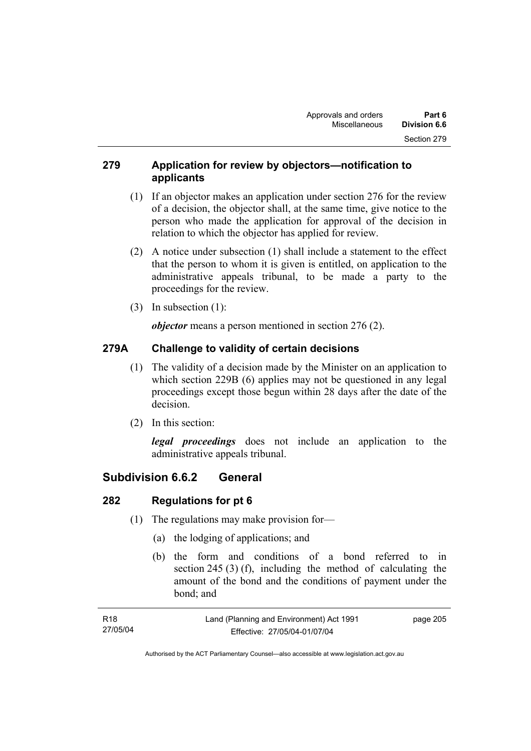## **279 Application for review by objectors—notification to applicants**

- (1) If an objector makes an application under section 276 for the review of a decision, the objector shall, at the same time, give notice to the person who made the application for approval of the decision in relation to which the objector has applied for review.
- (2) A notice under subsection (1) shall include a statement to the effect that the person to whom it is given is entitled, on application to the administrative appeals tribunal, to be made a party to the proceedings for the review.
- (3) In subsection (1):

*objector* means a person mentioned in section 276 (2).

## **279A Challenge to validity of certain decisions**

- (1) The validity of a decision made by the Minister on an application to which section 229B (6) applies may not be questioned in any legal proceedings except those begun within 28 days after the date of the decision.
- (2) In this section:

*legal proceedings* does not include an application to the administrative appeals tribunal.

## **Subdivision 6.6.2 General**

## **282 Regulations for pt 6**

- (1) The regulations may make provision for—
	- (a) the lodging of applications; and
	- (b) the form and conditions of a bond referred to in section 245 (3) (f), including the method of calculating the amount of the bond and the conditions of payment under the bond; and

| R18      | Land (Planning and Environment) Act 1991 | page 205 |
|----------|------------------------------------------|----------|
| 27/05/04 | Effective: 27/05/04-01/07/04             |          |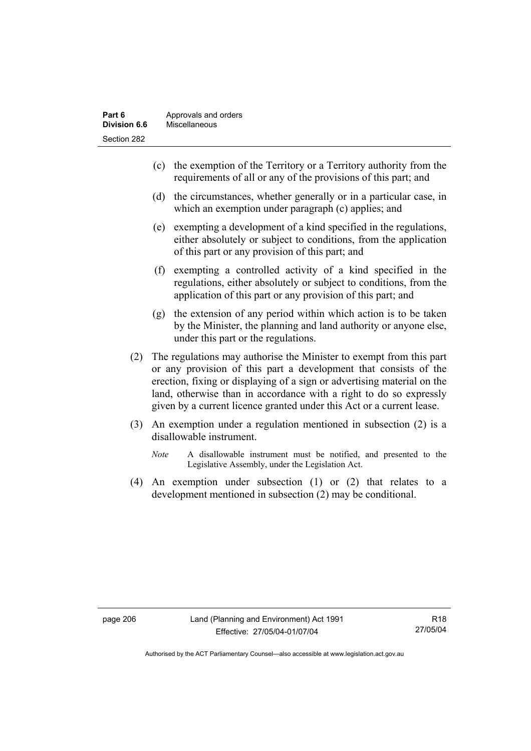- (c) the exemption of the Territory or a Territory authority from the requirements of all or any of the provisions of this part; and
- (d) the circumstances, whether generally or in a particular case, in which an exemption under paragraph (c) applies; and
- (e) exempting a development of a kind specified in the regulations, either absolutely or subject to conditions, from the application of this part or any provision of this part; and
- (f) exempting a controlled activity of a kind specified in the regulations, either absolutely or subject to conditions, from the application of this part or any provision of this part; and
- (g) the extension of any period within which action is to be taken by the Minister, the planning and land authority or anyone else, under this part or the regulations.
- (2) The regulations may authorise the Minister to exempt from this part or any provision of this part a development that consists of the erection, fixing or displaying of a sign or advertising material on the land, otherwise than in accordance with a right to do so expressly given by a current licence granted under this Act or a current lease.
- (3) An exemption under a regulation mentioned in subsection (2) is a disallowable instrument.
	- *Note* A disallowable instrument must be notified, and presented to the Legislative Assembly, under the Legislation Act.
- (4) An exemption under subsection (1) or (2) that relates to a development mentioned in subsection (2) may be conditional.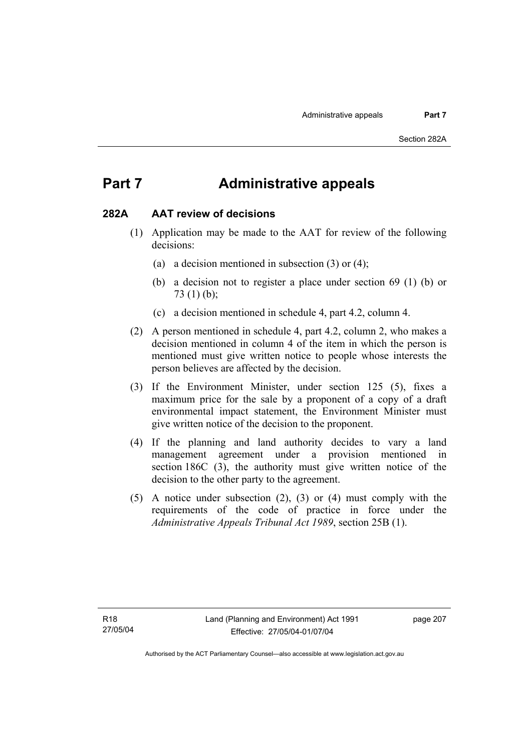## **Part 7 Administrative appeals**

#### **282A AAT review of decisions**

- (1) Application may be made to the AAT for review of the following decisions:
	- (a) a decision mentioned in subsection (3) or (4);
	- (b) a decision not to register a place under section 69 (1) (b) or 73 (1) (b);
	- (c) a decision mentioned in schedule 4, part 4.2, column 4.
- (2) A person mentioned in schedule 4, part 4.2, column 2, who makes a decision mentioned in column 4 of the item in which the person is mentioned must give written notice to people whose interests the person believes are affected by the decision.
- (3) If the Environment Minister, under section 125 (5), fixes a maximum price for the sale by a proponent of a copy of a draft environmental impact statement, the Environment Minister must give written notice of the decision to the proponent.
- (4) If the planning and land authority decides to vary a land management agreement under a provision mentioned in section 186C (3), the authority must give written notice of the decision to the other party to the agreement.
- (5) A notice under subsection (2), (3) or (4) must comply with the requirements of the code of practice in force under the *Administrative Appeals Tribunal Act 1989*, section 25B (1).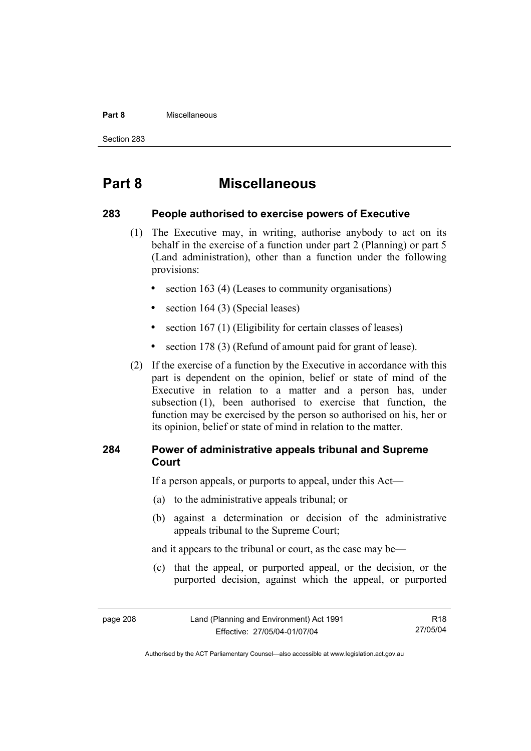#### **Part 8** Miscellaneous

Section 283

## **Part 8 Miscellaneous**

### **283 People authorised to exercise powers of Executive**

- (1) The Executive may, in writing, authorise anybody to act on its behalf in the exercise of a function under part 2 (Planning) or part 5 (Land administration), other than a function under the following provisions:
	- section 163 (4) (Leases to community organisations)
	- section 164 (3) (Special leases)
	- section 167 (1) (Eligibility for certain classes of leases)
	- section 178 (3) (Refund of amount paid for grant of lease).
- (2) If the exercise of a function by the Executive in accordance with this part is dependent on the opinion, belief or state of mind of the Executive in relation to a matter and a person has, under subsection (1), been authorised to exercise that function, the function may be exercised by the person so authorised on his, her or its opinion, belief or state of mind in relation to the matter.

## **284 Power of administrative appeals tribunal and Supreme Court**

If a person appeals, or purports to appeal, under this Act—

- (a) to the administrative appeals tribunal; or
- (b) against a determination or decision of the administrative appeals tribunal to the Supreme Court;

and it appears to the tribunal or court, as the case may be—

 (c) that the appeal, or purported appeal, or the decision, or the purported decision, against which the appeal, or purported

R18 27/05/04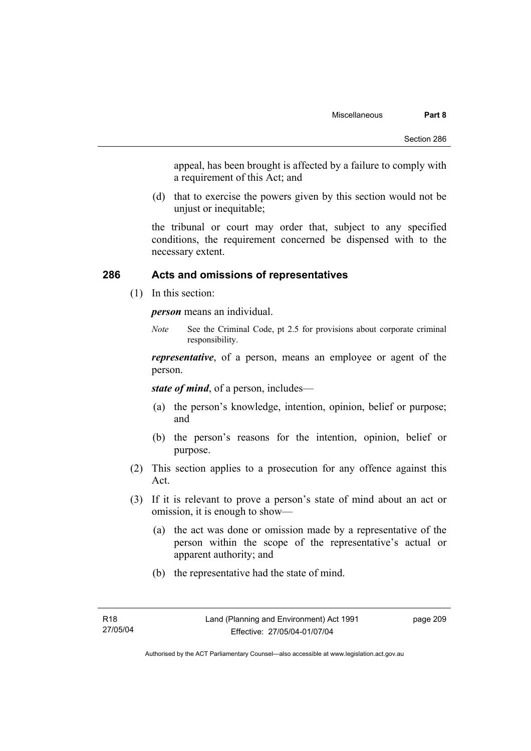appeal, has been brought is affected by a failure to comply with a requirement of this Act; and

 (d) that to exercise the powers given by this section would not be unjust or inequitable;

the tribunal or court may order that, subject to any specified conditions, the requirement concerned be dispensed with to the necessary extent.

### **286 Acts and omissions of representatives**

(1) In this section:

*person* means an individual.

*Note* See the Criminal Code, pt 2.5 for provisions about corporate criminal responsibility.

*representative*, of a person, means an employee or agent of the person.

*state of mind*, of a person, includes—

- (a) the person's knowledge, intention, opinion, belief or purpose; and
- (b) the person's reasons for the intention, opinion, belief or purpose.
- (2) This section applies to a prosecution for any offence against this Act.
- (3) If it is relevant to prove a person's state of mind about an act or omission, it is enough to show—
	- (a) the act was done or omission made by a representative of the person within the scope of the representative's actual or apparent authority; and
	- (b) the representative had the state of mind.

page 209

Authorised by the ACT Parliamentary Counsel—also accessible at www.legislation.act.gov.au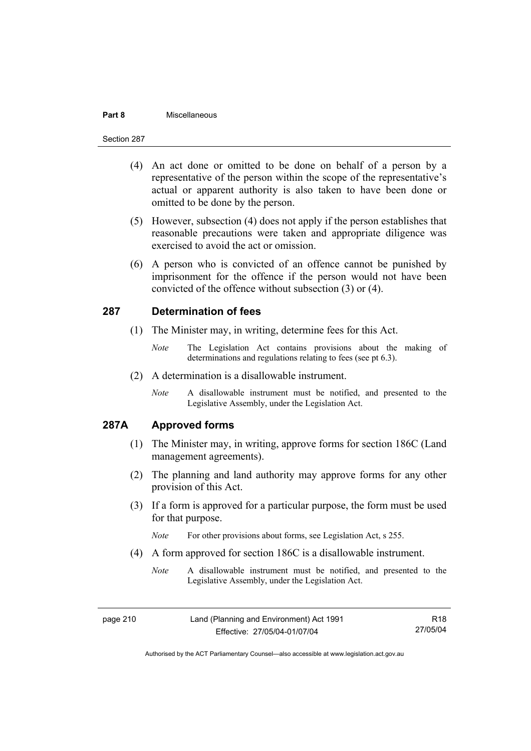#### **Part 8** Miscellaneous

#### Section 287

- (4) An act done or omitted to be done on behalf of a person by a representative of the person within the scope of the representative's actual or apparent authority is also taken to have been done or omitted to be done by the person.
- (5) However, subsection (4) does not apply if the person establishes that reasonable precautions were taken and appropriate diligence was exercised to avoid the act or omission.
- (6) A person who is convicted of an offence cannot be punished by imprisonment for the offence if the person would not have been convicted of the offence without subsection (3) or (4).

### **287 Determination of fees**

- (1) The Minister may, in writing, determine fees for this Act.
	- *Note* The Legislation Act contains provisions about the making of determinations and regulations relating to fees (see pt 6.3).
- (2) A determination is a disallowable instrument.
	- *Note* A disallowable instrument must be notified, and presented to the Legislative Assembly, under the Legislation Act.

## **287A Approved forms**

- (1) The Minister may, in writing, approve forms for section 186C (Land management agreements).
- (2) The planning and land authority may approve forms for any other provision of this Act.
- (3) If a form is approved for a particular purpose, the form must be used for that purpose.

*Note* For other provisions about forms, see Legislation Act, s 255.

- (4) A form approved for section 186C is a disallowable instrument.
	- *Note* A disallowable instrument must be notified, and presented to the Legislative Assembly, under the Legislation Act.

page 210 Land (Planning and Environment) Act 1991 Effective: 27/05/04-01/07/04 R18 27/05/04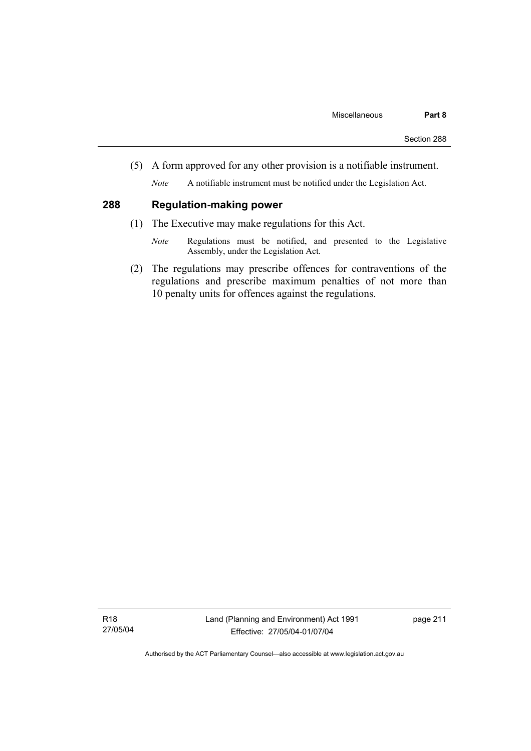(5) A form approved for any other provision is a notifiable instrument.

*Note* A notifiable instrument must be notified under the Legislation Act.

## **288 Regulation-making power**

- (1) The Executive may make regulations for this Act.
	- *Note* Regulations must be notified, and presented to the Legislative Assembly, under the Legislation Act.
- (2) The regulations may prescribe offences for contraventions of the regulations and prescribe maximum penalties of not more than 10 penalty units for offences against the regulations.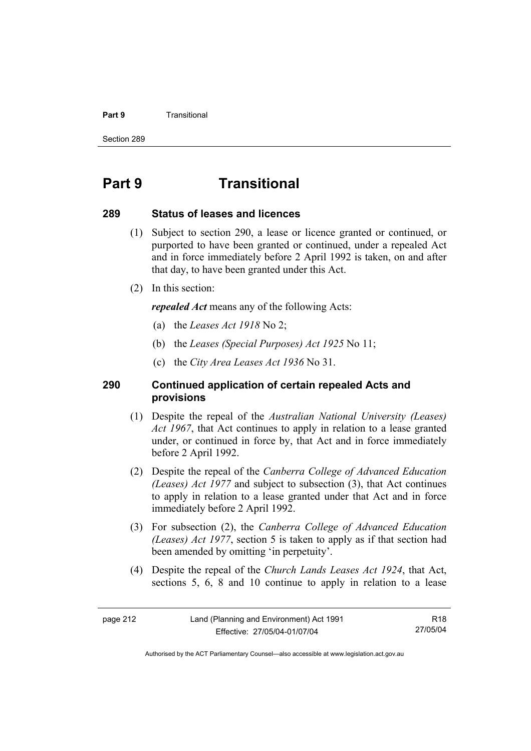#### **Part 9 Transitional**

Section 289

## **Part 9 Transitional**

#### **289 Status of leases and licences**

- (1) Subject to section 290, a lease or licence granted or continued, or purported to have been granted or continued, under a repealed Act and in force immediately before 2 April 1992 is taken, on and after that day, to have been granted under this Act.
- (2) In this section:

*repealed Act* means any of the following Acts:

- (a) the *Leases Act 1918* No 2;
- (b) the *Leases (Special Purposes) Act 1925* No 11;
- (c) the *City Area Leases Act 1936* No 31.

## **290 Continued application of certain repealed Acts and provisions**

- (1) Despite the repeal of the *Australian National University (Leases) Act 1967*, that Act continues to apply in relation to a lease granted under, or continued in force by, that Act and in force immediately before 2 April 1992.
- (2) Despite the repeal of the *Canberra College of Advanced Education (Leases) Act 1977* and subject to subsection (3), that Act continues to apply in relation to a lease granted under that Act and in force immediately before 2 April 1992.
- (3) For subsection (2), the *Canberra College of Advanced Education (Leases) Act 1977*, section 5 is taken to apply as if that section had been amended by omitting 'in perpetuity'.
- (4) Despite the repeal of the *Church Lands Leases Act 1924*, that Act, sections 5, 6, 8 and 10 continue to apply in relation to a lease

R18 27/05/04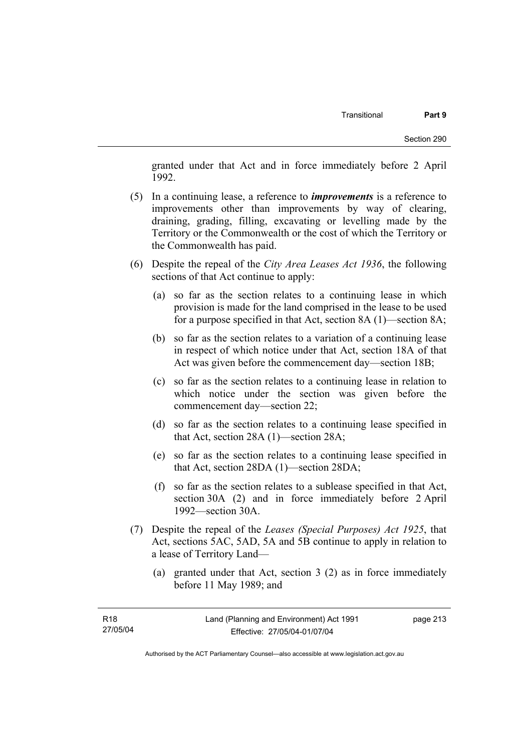granted under that Act and in force immediately before 2 April 1992.

- (5) In a continuing lease, a reference to *improvements* is a reference to improvements other than improvements by way of clearing, draining, grading, filling, excavating or levelling made by the Territory or the Commonwealth or the cost of which the Territory or the Commonwealth has paid.
- (6) Despite the repeal of the *City Area Leases Act 1936*, the following sections of that Act continue to apply:
	- (a) so far as the section relates to a continuing lease in which provision is made for the land comprised in the lease to be used for a purpose specified in that Act, section 8A (1)—section 8A;
	- (b) so far as the section relates to a variation of a continuing lease in respect of which notice under that Act, section 18A of that Act was given before the commencement day—section 18B;
	- (c) so far as the section relates to a continuing lease in relation to which notice under the section was given before the commencement day—section 22;
	- (d) so far as the section relates to a continuing lease specified in that Act, section 28A (1)—section 28A;
	- (e) so far as the section relates to a continuing lease specified in that Act, section 28DA (1)—section 28DA;
	- (f) so far as the section relates to a sublease specified in that Act, section 30A (2) and in force immediately before 2 April 1992—section 30A.
- (7) Despite the repeal of the *Leases (Special Purposes) Act 1925*, that Act, sections 5AC, 5AD, 5A and 5B continue to apply in relation to a lease of Territory Land—
	- (a) granted under that Act, section 3 (2) as in force immediately before 11 May 1989; and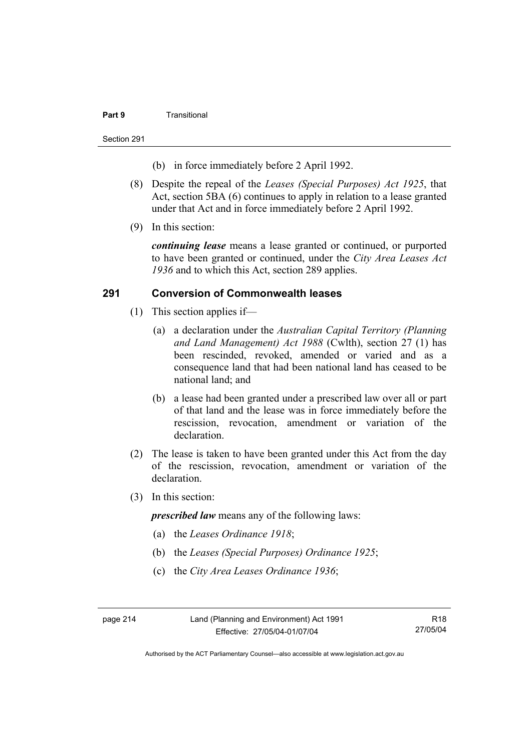#### **Part 9** Transitional

Section 291

- (b) in force immediately before 2 April 1992.
- (8) Despite the repeal of the *Leases (Special Purposes) Act 1925*, that Act, section 5BA (6) continues to apply in relation to a lease granted under that Act and in force immediately before 2 April 1992.
- (9) In this section:

*continuing lease* means a lease granted or continued, or purported to have been granted or continued, under the *City Area Leases Act 1936* and to which this Act, section 289 applies.

## **291 Conversion of Commonwealth leases**

- (1) This section applies if—
	- (a) a declaration under the *Australian Capital Territory (Planning and Land Management) Act 1988* (Cwlth), section 27 (1) has been rescinded, revoked, amended or varied and as a consequence land that had been national land has ceased to be national land; and
	- (b) a lease had been granted under a prescribed law over all or part of that land and the lease was in force immediately before the rescission, revocation, amendment or variation of the declaration.
- (2) The lease is taken to have been granted under this Act from the day of the rescission, revocation, amendment or variation of the declaration.
- (3) In this section:

*prescribed law* means any of the following laws:

- (a) the *Leases Ordinance 1918*;
- (b) the *Leases (Special Purposes) Ordinance 1925*;
- (c) the *City Area Leases Ordinance 1936*;

page 214 Land (Planning and Environment) Act 1991 Effective: 27/05/04-01/07/04

R18 27/05/04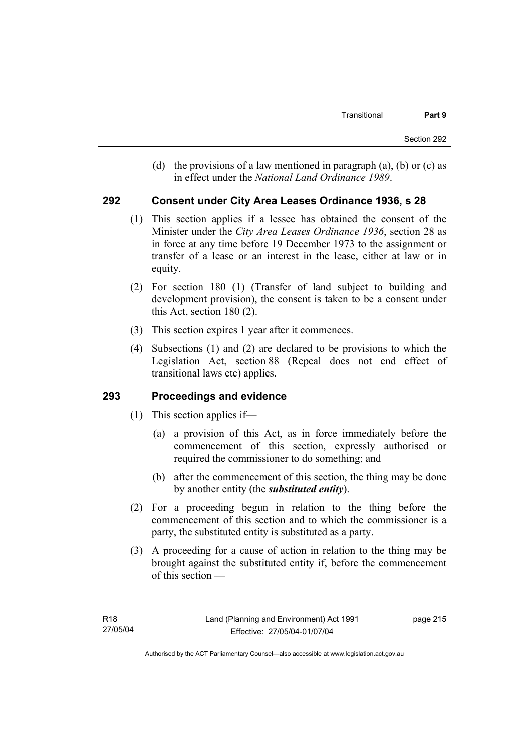(d) the provisions of a law mentioned in paragraph (a), (b) or (c) as in effect under the *National Land Ordinance 1989*.

### **292 Consent under City Area Leases Ordinance 1936, s 28**

- (1) This section applies if a lessee has obtained the consent of the Minister under the *City Area Leases Ordinance 1936*, section 28 as in force at any time before 19 December 1973 to the assignment or transfer of a lease or an interest in the lease, either at law or in equity.
- (2) For section 180 (1) (Transfer of land subject to building and development provision), the consent is taken to be a consent under this Act, section 180 (2).
- (3) This section expires 1 year after it commences.
- (4) Subsections (1) and (2) are declared to be provisions to which the Legislation Act, section 88 (Repeal does not end effect of transitional laws etc) applies.

### **293 Proceedings and evidence**

- (1) This section applies if—
	- (a) a provision of this Act, as in force immediately before the commencement of this section, expressly authorised or required the commissioner to do something; and
	- (b) after the commencement of this section, the thing may be done by another entity (the *substituted entity*).
- (2) For a proceeding begun in relation to the thing before the commencement of this section and to which the commissioner is a party, the substituted entity is substituted as a party.
- (3) A proceeding for a cause of action in relation to the thing may be brought against the substituted entity if, before the commencement of this section —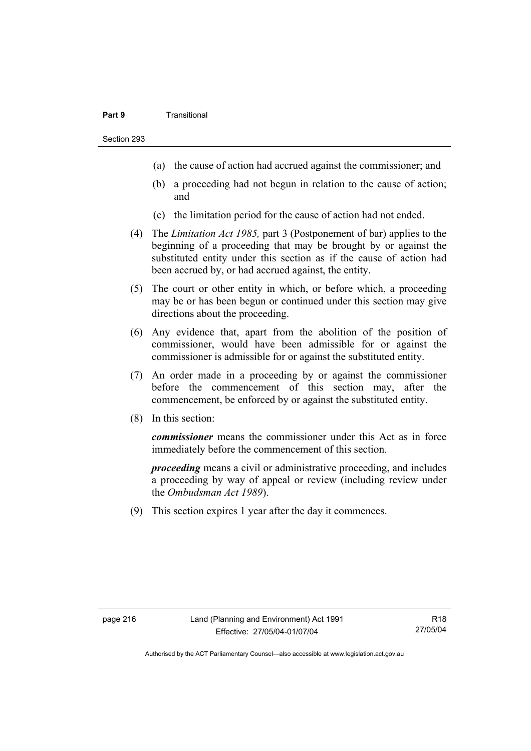#### **Part 9** Transitional

Section 293

- (a) the cause of action had accrued against the commissioner; and
- (b) a proceeding had not begun in relation to the cause of action; and
- (c) the limitation period for the cause of action had not ended.
- (4) The *Limitation Act 1985,* part 3 (Postponement of bar) applies to the beginning of a proceeding that may be brought by or against the substituted entity under this section as if the cause of action had been accrued by, or had accrued against, the entity.
- (5) The court or other entity in which, or before which, a proceeding may be or has been begun or continued under this section may give directions about the proceeding.
- (6) Any evidence that, apart from the abolition of the position of commissioner, would have been admissible for or against the commissioner is admissible for or against the substituted entity.
- (7) An order made in a proceeding by or against the commissioner before the commencement of this section may, after the commencement, be enforced by or against the substituted entity.
- (8) In this section:

*commissioner* means the commissioner under this Act as in force immediately before the commencement of this section.

*proceeding* means a civil or administrative proceeding, and includes a proceeding by way of appeal or review (including review under the *Ombudsman Act 1989*).

(9) This section expires 1 year after the day it commences.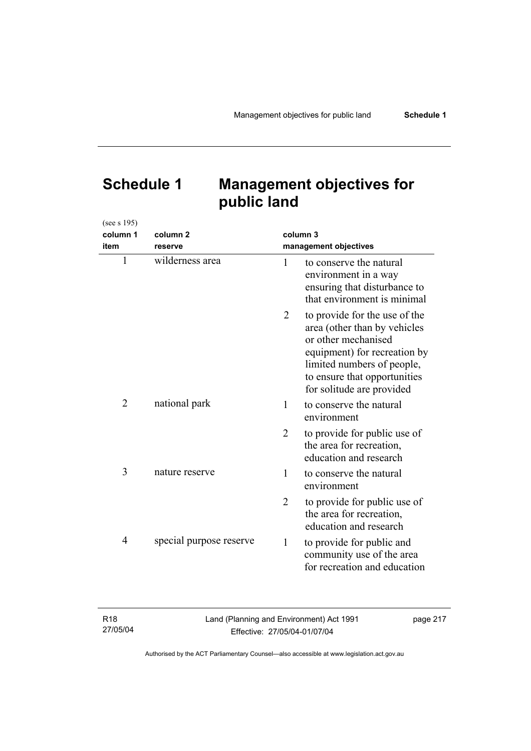# **Schedule 1 Management objectives for public land**

| column 1<br>item | column <sub>2</sub><br>reserve | column 3<br>management objectives |                                                                                                                                                                                                                 |
|------------------|--------------------------------|-----------------------------------|-----------------------------------------------------------------------------------------------------------------------------------------------------------------------------------------------------------------|
| 1                | wilderness area                | 1                                 | to conserve the natural<br>environment in a way<br>ensuring that disturbance to<br>that environment is minimal                                                                                                  |
|                  |                                | 2                                 | to provide for the use of the<br>area (other than by vehicles<br>or other mechanised<br>equipment) for recreation by<br>limited numbers of people,<br>to ensure that opportunities<br>for solitude are provided |
| 2                | national park                  | 1                                 | to conserve the natural<br>environment                                                                                                                                                                          |
|                  |                                | 2                                 | to provide for public use of<br>the area for recreation,<br>education and research                                                                                                                              |
| 3                | nature reserve                 | 1                                 | to conserve the natural<br>environment                                                                                                                                                                          |
|                  |                                | $\overline{2}$                    | to provide for public use of<br>the area for recreation,<br>education and research                                                                                                                              |
| 4                | special purpose reserve        | $\mathbf{1}$                      | to provide for public and<br>community use of the area<br>for recreation and education                                                                                                                          |

R18 27/05/04

(see s 195)

Land (Planning and Environment) Act 1991 Effective: 27/05/04-01/07/04

page 217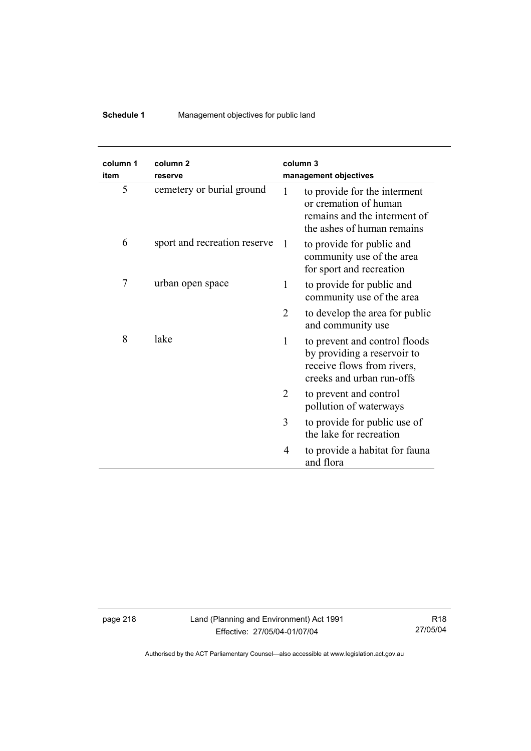## **Schedule 1** Management objectives for public land

| column 1<br>item | column <sub>2</sub><br>reserve |                | column 3<br>management objectives                                                                                       |
|------------------|--------------------------------|----------------|-------------------------------------------------------------------------------------------------------------------------|
| 5                | cemetery or burial ground      | 1              | to provide for the interment<br>or cremation of human<br>remains and the interment of<br>the ashes of human remains     |
| 6                | sport and recreation reserve   | $\overline{1}$ | to provide for public and<br>community use of the area<br>for sport and recreation                                      |
| $\overline{7}$   | urban open space               | 1              | to provide for public and<br>community use of the area                                                                  |
|                  |                                | 2              | to develop the area for public<br>and community use                                                                     |
| 8                | lake                           | $\mathbf{1}$   | to prevent and control floods<br>by providing a reservoir to<br>receive flows from rivers,<br>creeks and urban run-offs |
|                  |                                | 2              | to prevent and control<br>pollution of waterways                                                                        |
|                  |                                | 3              | to provide for public use of<br>the lake for recreation                                                                 |
|                  |                                | 4              | to provide a habitat for fauna<br>and flora                                                                             |

page 218 Land (Planning and Environment) Act 1991 Effective: 27/05/04-01/07/04

R18 27/05/04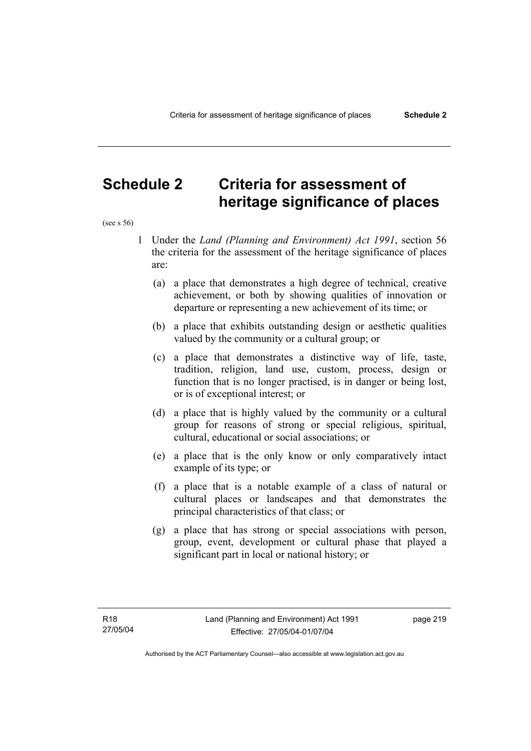## **Schedule 2 Criteria for assessment of heritage significance of places**

(see s 56)

- 1 Under the *Land (Planning and Environment) Act 1991*, section 56 the criteria for the assessment of the heritage significance of places are:
	- (a) a place that demonstrates a high degree of technical, creative achievement, or both by showing qualities of innovation or departure or representing a new achievement of its time; or
	- (b) a place that exhibits outstanding design or aesthetic qualities valued by the community or a cultural group; or
	- (c) a place that demonstrates a distinctive way of life, taste, tradition, religion, land use, custom, process, design or function that is no longer practised, is in danger or being lost, or is of exceptional interest; or
	- (d) a place that is highly valued by the community or a cultural group for reasons of strong or special religious, spiritual, cultural, educational or social associations; or
	- (e) a place that is the only know or only comparatively intact example of its type; or
	- (f) a place that is a notable example of a class of natural or cultural places or landscapes and that demonstrates the principal characteristics of that class; or
	- (g) a place that has strong or special associations with person, group, event, development or cultural phase that played a significant part in local or national history; or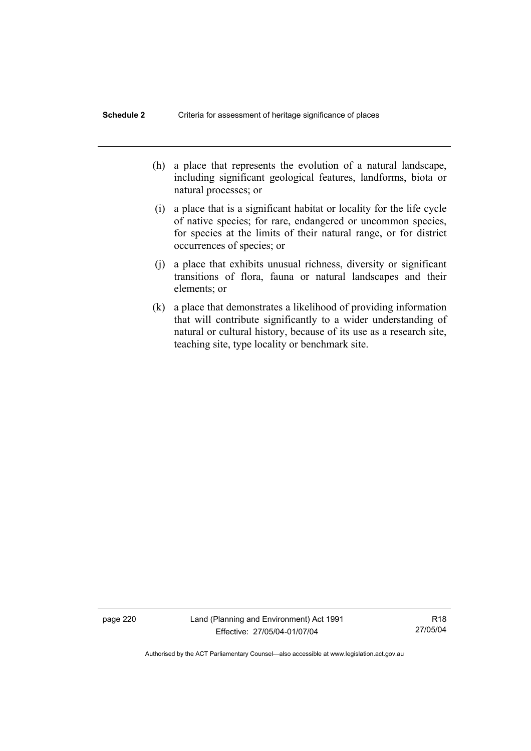- (h) a place that represents the evolution of a natural landscape, including significant geological features, landforms, biota or natural processes; or
- (i) a place that is a significant habitat or locality for the life cycle of native species; for rare, endangered or uncommon species, for species at the limits of their natural range, or for district occurrences of species; or
- (j) a place that exhibits unusual richness, diversity or significant transitions of flora, fauna or natural landscapes and their elements; or
- (k) a place that demonstrates a likelihood of providing information that will contribute significantly to a wider understanding of natural or cultural history, because of its use as a research site, teaching site, type locality or benchmark site.

page 220 Land (Planning and Environment) Act 1991 Effective: 27/05/04-01/07/04

R18 27/05/04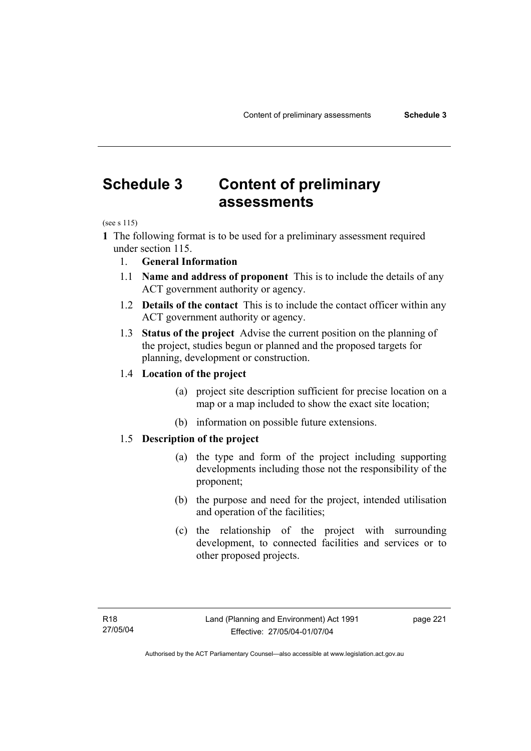## **Schedule 3 Content of preliminary assessments**

(see s 115)

**1** The following format is to be used for a preliminary assessment required under section 115.

- 1. **General Information**
- 1.1 **Name and address of proponent** This is to include the details of any ACT government authority or agency.
- 1.2 **Details of the contact** This is to include the contact officer within any ACT government authority or agency.
- 1.3 **Status of the project** Advise the current position on the planning of the project, studies begun or planned and the proposed targets for planning, development or construction.

### 1.4 **Location of the project**

- (a) project site description sufficient for precise location on a map or a map included to show the exact site location;
- (b) information on possible future extensions.

## 1.5 **Description of the project**

- (a) the type and form of the project including supporting developments including those not the responsibility of the proponent;
- (b) the purpose and need for the project, intended utilisation and operation of the facilities;
- (c) the relationship of the project with surrounding development, to connected facilities and services or to other proposed projects.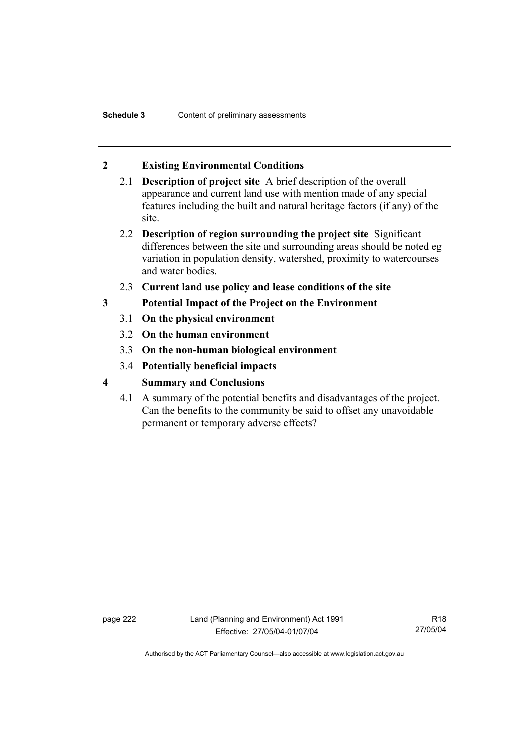## **2 Existing Environmental Conditions**

- 2.1 **Description of project site** A brief description of the overall appearance and current land use with mention made of any special features including the built and natural heritage factors (if any) of the site.
- 2.2 **Description of region surrounding the project site** Significant differences between the site and surrounding areas should be noted eg variation in population density, watershed, proximity to watercourses and water bodies.
- 2.3 **Current land use policy and lease conditions of the site**
- **3 Potential Impact of the Project on the Environment** 
	- 3.1 **On the physical environment**
	- 3.2 **On the human environment**
	- 3.3 **On the non-human biological environment**
	- 3.4 **Potentially beneficial impacts**
- **4 Summary and Conclusions** 
	- 4.1 A summary of the potential benefits and disadvantages of the project. Can the benefits to the community be said to offset any unavoidable permanent or temporary adverse effects?

page 222 Land (Planning and Environment) Act 1991 Effective: 27/05/04-01/07/04

R18 27/05/04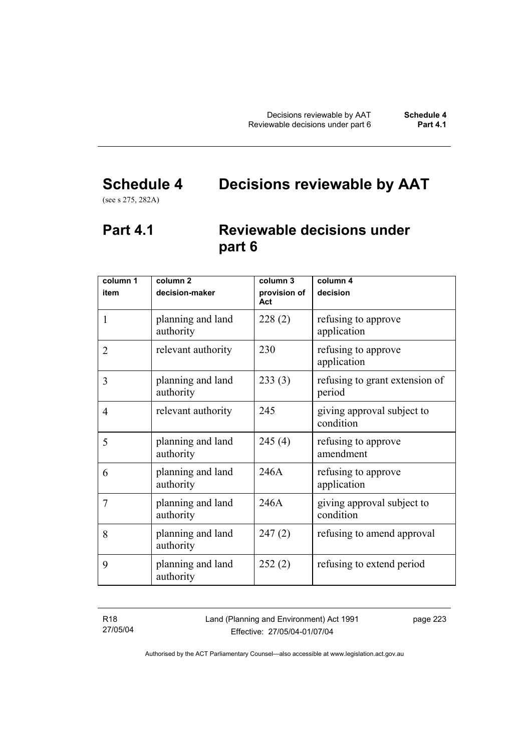# **Schedule 4 Decisions reviewable by AAT**

(see s 275, 282A)

## **Part 4.1 Reviewable decisions under part 6**

| column 1       | column <sub>2</sub>            | column 3            | column $\overline{4}$                    |
|----------------|--------------------------------|---------------------|------------------------------------------|
| item           | decision-maker                 | provision of<br>Act | decision                                 |
| 1              | planning and land<br>authority | 228(2)              | refusing to approve<br>application       |
| $\overline{2}$ | relevant authority             | 230                 | refusing to approve<br>application       |
| 3              | planning and land<br>authority | 233(3)              | refusing to grant extension of<br>period |
| 4              | relevant authority             | 245                 | giving approval subject to<br>condition  |
| 5              | planning and land<br>authority | 245(4)              | refusing to approve<br>amendment         |
| 6              | planning and land<br>authority | 246A                | refusing to approve<br>application       |
| 7              | planning and land<br>authority | 246A                | giving approval subject to<br>condition  |
| 8              | planning and land<br>authority | 247(2)              | refusing to amend approval               |
| 9              | planning and land<br>authority | 252(2)              | refusing to extend period                |

R18 27/05/04 Land (Planning and Environment) Act 1991 Effective: 27/05/04-01/07/04

page 223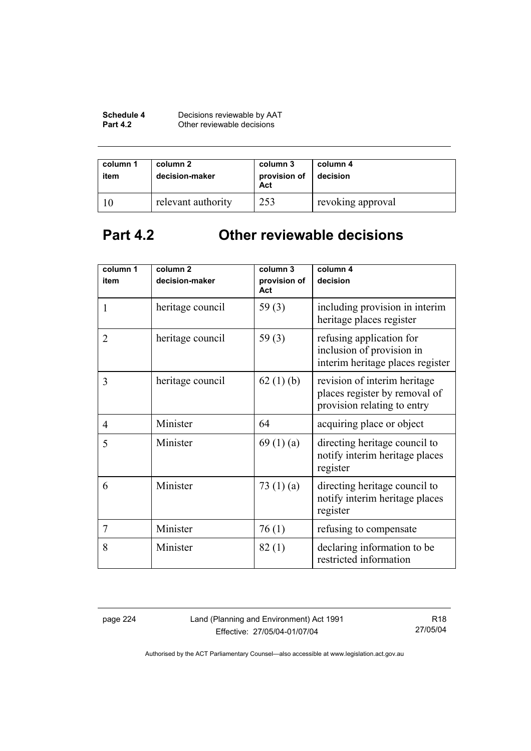| Schedule 4      | Decisions reviewable by AAT |
|-----------------|-----------------------------|
| <b>Part 4.2</b> | Other reviewable decisions  |

| column 1<br>item | column 2<br>decision-maker | column 3<br>provision of<br>Act | column 4<br>decision |
|------------------|----------------------------|---------------------------------|----------------------|
|                  | relevant authority         | 253                             | revoking approval    |

# **Part 4.2 Other reviewable decisions**

| column 1<br>item | column <sub>2</sub><br>decision-maker | column 3<br>provision of | column 4<br>decision                                                                         |
|------------------|---------------------------------------|--------------------------|----------------------------------------------------------------------------------------------|
|                  |                                       | Act                      |                                                                                              |
| 1                | heritage council                      | 59 $(3)$                 | including provision in interim<br>heritage places register                                   |
| $\overline{2}$   | heritage council                      | 59 $(3)$                 | refusing application for<br>inclusion of provision in<br>interim heritage places register    |
| 3                | heritage council                      | 62(1)(b)                 | revision of interim heritage<br>places register by removal of<br>provision relating to entry |
| $\overline{4}$   | Minister                              | 64                       | acquiring place or object                                                                    |
| 5                | Minister                              | 69(1)(a)                 | directing heritage council to<br>notify interim heritage places<br>register                  |
| 6                | Minister                              | 73 $(1)(a)$              | directing heritage council to<br>notify interim heritage places<br>register                  |
| $\overline{7}$   | Minister                              | 76(1)                    | refusing to compensate                                                                       |
| 8                | Minister                              | 82(1)                    | declaring information to be<br>restricted information                                        |

page 224 Land (Planning and Environment) Act 1991 Effective: 27/05/04-01/07/04

R18 27/05/04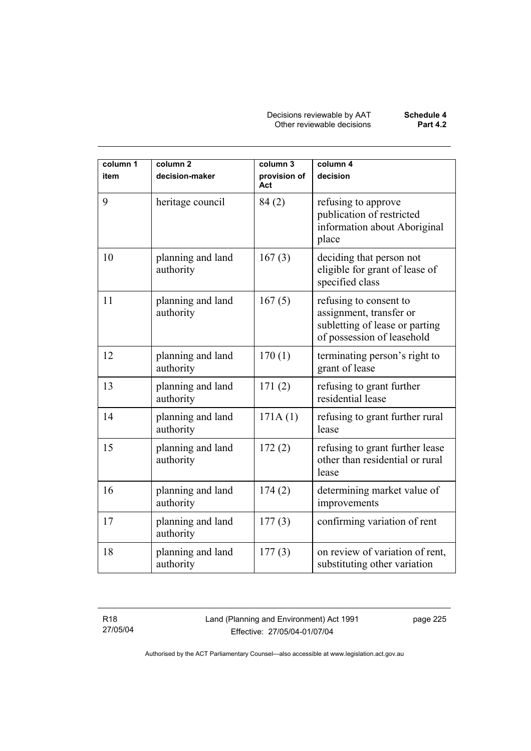Decisions reviewable by AAT **Schedule 4** Other reviewable decisions **Part 4.2** 

| column 1 | column <sub>2</sub>            | column 3            | column 4                                                                                                          |
|----------|--------------------------------|---------------------|-------------------------------------------------------------------------------------------------------------------|
| item     | decision-maker                 | provision of<br>Act | decision                                                                                                          |
| 9        | heritage council               | 84 (2)              | refusing to approve<br>publication of restricted<br>information about Aboriginal<br>place                         |
| 10       | planning and land<br>authority | 167(3)              | deciding that person not<br>eligible for grant of lease of<br>specified class                                     |
| 11       | planning and land<br>authority | 167(5)              | refusing to consent to<br>assignment, transfer or<br>subletting of lease or parting<br>of possession of leasehold |
| 12       | planning and land<br>authority | 170(1)              | terminating person's right to<br>grant of lease                                                                   |
| 13       | planning and land<br>authority | 171(2)              | refusing to grant further<br>residential lease                                                                    |
| 14       | planning and land<br>authority | 171A(1)             | refusing to grant further rural<br>lease                                                                          |
| 15       | planning and land<br>authority | 172(2)              | refusing to grant further lease<br>other than residential or rural<br>lease                                       |
| 16       | planning and land<br>authority | 174(2)              | determining market value of<br>improvements                                                                       |
| 17       | planning and land<br>authority | 177(3)              | confirming variation of rent                                                                                      |
| 18       | planning and land<br>authority | 177(3)              | on review of variation of rent,<br>substituting other variation                                                   |

R18 27/05/04 Land (Planning and Environment) Act 1991 Effective: 27/05/04-01/07/04

page 225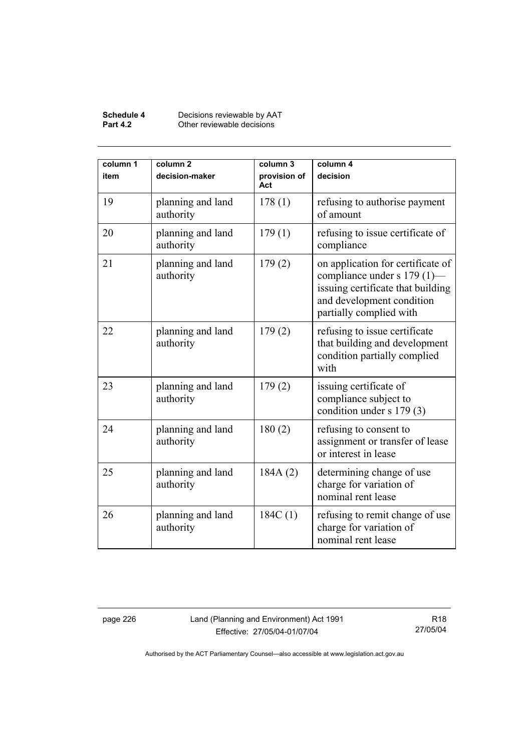#### **Schedule 4** Decisions reviewable by AAT **Part 4.2 Other reviewable decisions**

| column 1<br>item | column <sub>2</sub><br>decision-maker | column 3<br>provision of<br>Act | column 4<br>decision                                                                                                                                          |
|------------------|---------------------------------------|---------------------------------|---------------------------------------------------------------------------------------------------------------------------------------------------------------|
| 19               | planning and land<br>authority        | 178(1)                          | refusing to authorise payment<br>of amount                                                                                                                    |
| 20               | planning and land<br>authority        | 179(1)                          | refusing to issue certificate of<br>compliance                                                                                                                |
| 21               | planning and land<br>authority        | 179(2)                          | on application for certificate of<br>compliance under s 179 (1)—<br>issuing certificate that building<br>and development condition<br>partially complied with |
| 22               | planning and land<br>authority        | 179(2)                          | refusing to issue certificate<br>that building and development<br>condition partially complied<br>with                                                        |
| 23               | planning and land<br>authority        | 179(2)                          | issuing certificate of<br>compliance subject to<br>condition under s 179 (3)                                                                                  |
| 24               | planning and land<br>authority        | 180(2)                          | refusing to consent to<br>assignment or transfer of lease<br>or interest in lease                                                                             |
| 25               | planning and land<br>authority        | 184A(2)                         | determining change of use<br>charge for variation of<br>nominal rent lease                                                                                    |
| 26               | planning and land<br>authority        | 184C(1)                         | refusing to remit change of use<br>charge for variation of<br>nominal rent lease                                                                              |

page 226 Land (Planning and Environment) Act 1991 Effective: 27/05/04-01/07/04

R18 27/05/04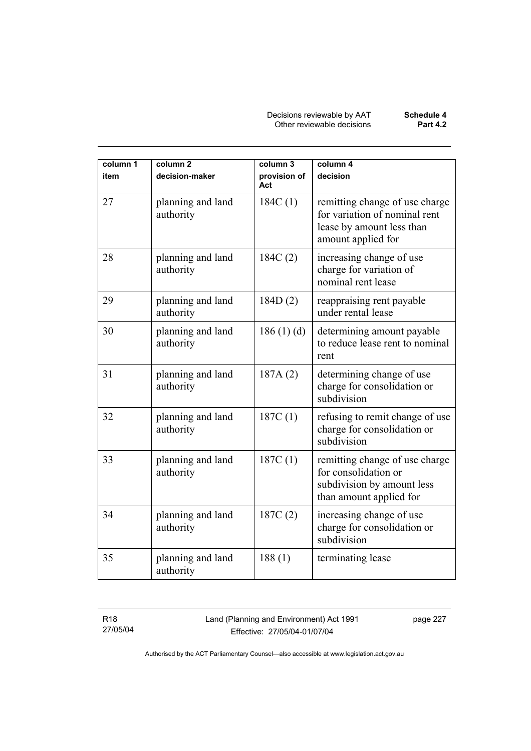Decisions reviewable by AAT **Schedule 4** Other reviewable decisions **Part 4.2** 

| column 1<br>item | column <sub>2</sub><br>decision-maker | column 3<br>provision of<br>Act | column 4<br>decision                                                                                               |
|------------------|---------------------------------------|---------------------------------|--------------------------------------------------------------------------------------------------------------------|
| 27               | planning and land<br>authority        | 184C(1)                         | remitting change of use charge<br>for variation of nominal rent<br>lease by amount less than<br>amount applied for |
| 28               | planning and land<br>authority        | 184C(2)                         | increasing change of use<br>charge for variation of<br>nominal rent lease                                          |
| 29               | planning and land<br>authority        | 184D(2)                         | reappraising rent payable<br>under rental lease                                                                    |
| 30               | planning and land<br>authority        | 186 $(1)(d)$                    | determining amount payable<br>to reduce lease rent to nominal<br>rent                                              |
| 31               | planning and land<br>authority        | 187A(2)                         | determining change of use<br>charge for consolidation or<br>subdivision                                            |
| 32               | planning and land<br>authority        | 187C(1)                         | refusing to remit change of use<br>charge for consolidation or<br>subdivision                                      |
| 33               | planning and land<br>authority        | 187C(1)                         | remitting change of use charge<br>for consolidation or<br>subdivision by amount less<br>than amount applied for    |
| 34               | planning and land<br>authority        | 187C(2)                         | increasing change of use<br>charge for consolidation or<br>subdivision                                             |
| 35               | planning and land<br>authority        | 188(1)                          | terminating lease                                                                                                  |

R18 27/05/04 Land (Planning and Environment) Act 1991 Effective: 27/05/04-01/07/04

page 227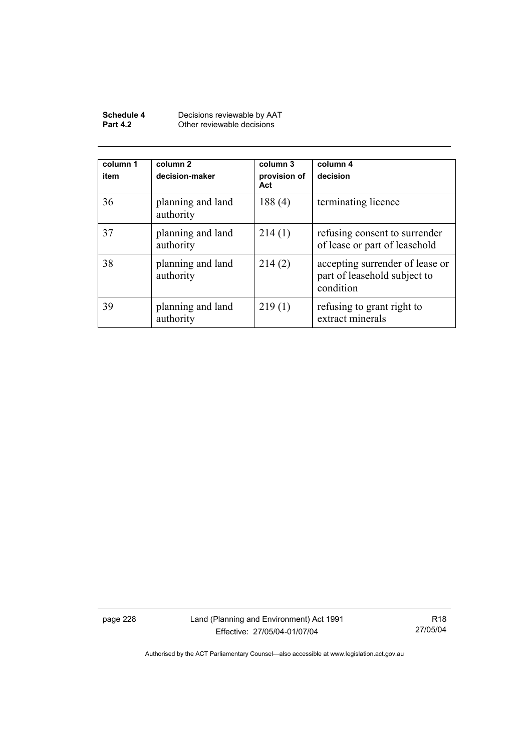| Schedule 4      | Decisions reviewable by AAT |
|-----------------|-----------------------------|
| <b>Part 4.2</b> | Other reviewable decisions  |

| column 1<br>item | column 2<br>decision-maker     | column 3<br>provision of<br>Act | column 4<br>decision                                                         |
|------------------|--------------------------------|---------------------------------|------------------------------------------------------------------------------|
| 36               | planning and land<br>authority | 188(4)                          | terminating licence                                                          |
| 37               | planning and land<br>authority | 214(1)                          | refusing consent to surrender<br>of lease or part of leasehold               |
| 38               | planning and land<br>authority | 214(2)                          | accepting surrender of lease or<br>part of leasehold subject to<br>condition |
| 39               | planning and land<br>authority | 219(1)                          | refusing to grant right to<br>extract minerals                               |

page 228 Land (Planning and Environment) Act 1991 Effective: 27/05/04-01/07/04

R18 27/05/04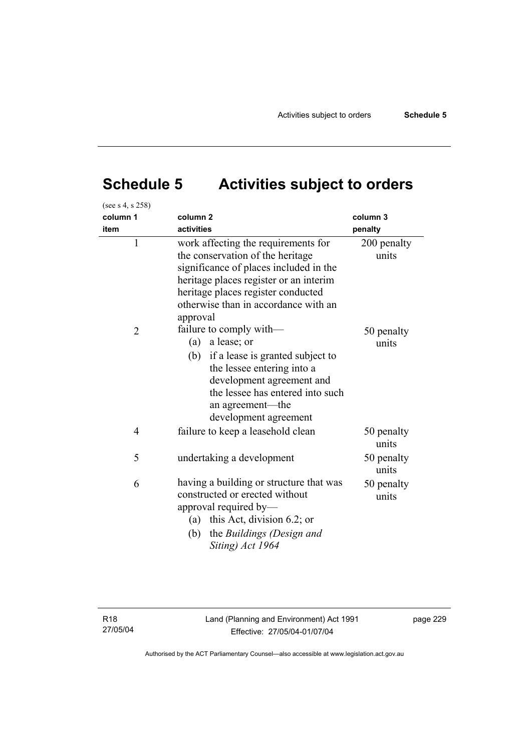# **Schedule 5 Activities subject to orders**

| (see s 4, s 258) |                                                                                                                                                                                                                                                       |                      |  |
|------------------|-------------------------------------------------------------------------------------------------------------------------------------------------------------------------------------------------------------------------------------------------------|----------------------|--|
| column 1         | column <sub>2</sub>                                                                                                                                                                                                                                   | column 3             |  |
| item             | activities                                                                                                                                                                                                                                            | penalty              |  |
| $\mathbf{1}$     | work affecting the requirements for<br>the conservation of the heritage<br>significance of places included in the<br>heritage places register or an interim<br>heritage places register conducted<br>otherwise than in accordance with an<br>approval | 200 penalty<br>units |  |
| $\overline{2}$   | failure to comply with—<br>a lease; or<br>(a)<br>if a lease is granted subject to<br>(b)<br>the lessee entering into a<br>development agreement and<br>the lessee has entered into such<br>an agreement—the<br>development agreement                  | 50 penalty<br>units  |  |
| $\overline{4}$   | failure to keep a leasehold clean                                                                                                                                                                                                                     | 50 penalty<br>units  |  |
| 5                | undertaking a development                                                                                                                                                                                                                             | 50 penalty<br>units  |  |
| 6                | having a building or structure that was<br>constructed or erected without<br>approval required by-<br>(a) this Act, division 6.2; or<br>the Buildings (Design and<br>(b)<br>Siting) Act 1964                                                          | 50 penalty<br>units  |  |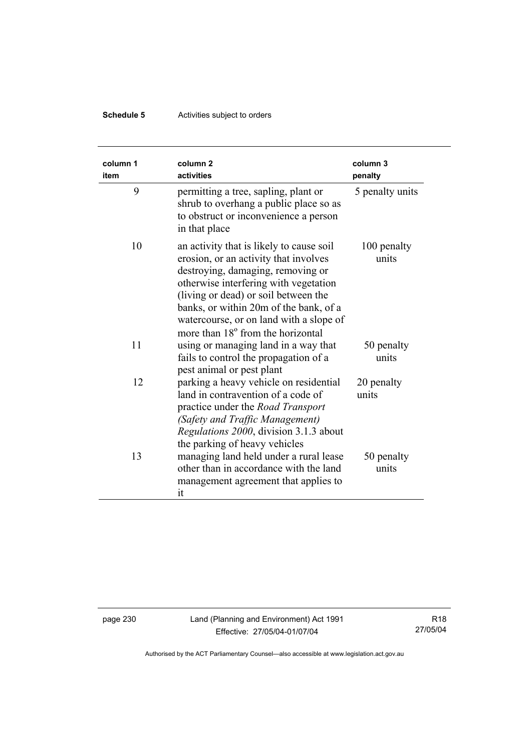## **Schedule 5** Activities subject to orders

| column 1<br>item | column <sub>2</sub><br>activities                                                                                                                                                                                                                                                                                                             | column 3<br>penalty  |
|------------------|-----------------------------------------------------------------------------------------------------------------------------------------------------------------------------------------------------------------------------------------------------------------------------------------------------------------------------------------------|----------------------|
| 9                | permitting a tree, sapling, plant or<br>shrub to overhang a public place so as<br>to obstruct or inconvenience a person<br>in that place                                                                                                                                                                                                      | 5 penalty units      |
| 10               | an activity that is likely to cause soil<br>erosion, or an activity that involves<br>destroying, damaging, removing or<br>otherwise interfering with vegetation<br>(living or dead) or soil between the<br>banks, or within 20m of the bank, of a<br>watercourse, or on land with a slope of<br>more than 18 <sup>°</sup> from the horizontal | 100 penalty<br>units |
| 11               | using or managing land in a way that<br>fails to control the propagation of a<br>pest animal or pest plant                                                                                                                                                                                                                                    | 50 penalty<br>units  |
| 12               | parking a heavy vehicle on residential<br>land in contravention of a code of<br>practice under the <i>Road Transport</i><br>(Safety and Traffic Management)<br>Regulations 2000, division 3.1.3 about<br>the parking of heavy vehicles                                                                                                        | 20 penalty<br>units  |
| 13               | managing land held under a rural lease<br>other than in accordance with the land<br>management agreement that applies to<br>it                                                                                                                                                                                                                | 50 penalty<br>units  |

page 230 Land (Planning and Environment) Act 1991 Effective: 27/05/04-01/07/04

R18 27/05/04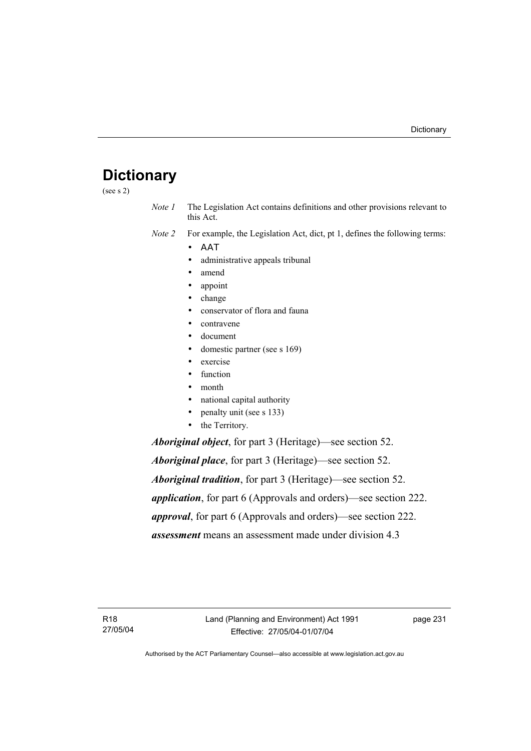## **Dictionary**

(see s 2)

*Note 1* The Legislation Act contains definitions and other provisions relevant to this Act.

*Note 2* For example, the Legislation Act, dict, pt 1, defines the following terms:

- ΑΑΤ
	- administrative appeals tribunal
	- amend
	- appoint
	- change
	- conservator of flora and fauna
	- contravene
	- document
	- domestic partner (see s 169)
	- exercise
	- function
- month
- national capital authority
- penalty unit (see s 133)
- the Territory.

*Aboriginal object*, for part 3 (Heritage)—see section 52.

*Aboriginal place*, for part 3 (Heritage)—see section 52. *Aboriginal tradition*, for part 3 (Heritage)—see section 52. *application*, for part 6 (Approvals and orders)—see section 222. *approval*, for part 6 (Approvals and orders)—see section 222. *assessment* means an assessment made under division 4.3

R18 27/05/04 page 231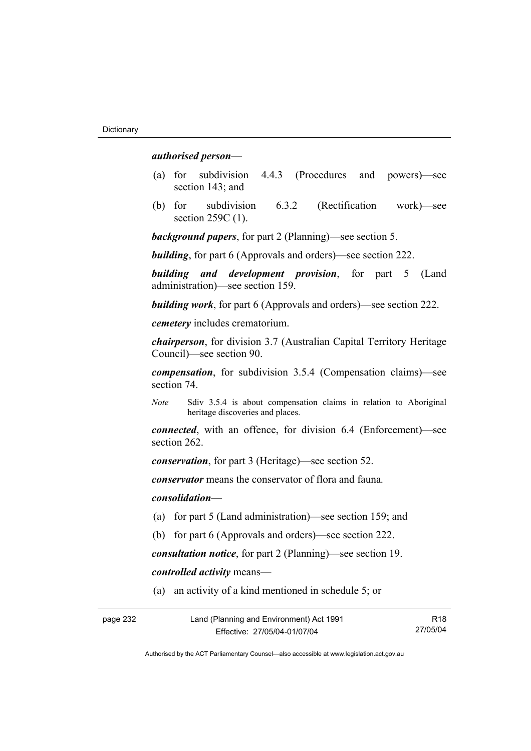#### *authorised person*—

- (a) for subdivision 4.4.3 (Procedures and powers)—see section 143; and
- (b) for subdivision 6.3.2 (Rectification work)—see section 259C (1).

*background papers*, for part 2 (Planning)—see section 5.

*building*, for part 6 (Approvals and orders)—see section 222.

*building and development provision*, for part 5 (Land administration)—see section 159.

*building work*, for part 6 (Approvals and orders)—see section 222.

*cemetery* includes crematorium.

*chairperson*, for division 3.7 (Australian Capital Territory Heritage Council)—see section 90.

*compensation*, for subdivision 3.5.4 (Compensation claims)—see section 74.

*Note* Sdiv 3.5.4 is about compensation claims in relation to Aboriginal heritage discoveries and places.

*connected*, with an offence, for division 6.4 (Enforcement)—see section 262.

*conservation*, for part 3 (Heritage)—see section 52.

*conservator* means the conservator of flora and fauna*.*

*consolidation—*

- (a) for part 5 (Land administration)—see section 159; and
- (b) for part 6 (Approvals and orders)—see section 222.

*consultation notice*, for part 2 (Planning)—see section 19.

*controlled activity* means—

(a) an activity of a kind mentioned in schedule 5; or

| page 232 | Land (Planning and Environment) Act 1991 | R <sub>18</sub> |
|----------|------------------------------------------|-----------------|
|          | Effective: 27/05/04-01/07/04             | 27/05/04        |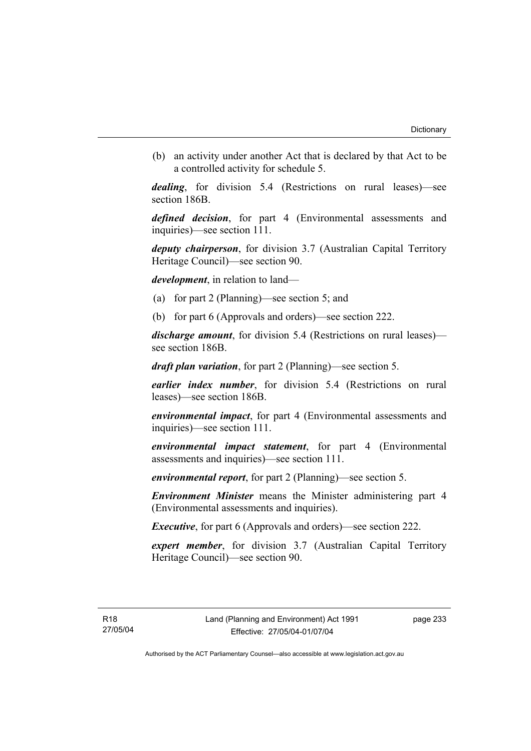(b) an activity under another Act that is declared by that Act to be a controlled activity for schedule 5.

*dealing*, for division 5.4 (Restrictions on rural leases)—see section 186B.

*defined decision*, for part 4 (Environmental assessments and inquiries)—see section 111.

*deputy chairperson*, for division 3.7 (Australian Capital Territory Heritage Council)—see section 90.

*development*, in relation to land—

- (a) for part 2 (Planning)—see section 5; and
- (b) for part 6 (Approvals and orders)—see section 222.

*discharge amount*, for division 5.4 (Restrictions on rural leases) see section 186B.

*draft plan variation*, for part 2 (Planning)—see section 5.

*earlier index number*, for division 5.4 (Restrictions on rural leases)—see section 186B.

*environmental impact*, for part 4 (Environmental assessments and inquiries)—see section 111.

*environmental impact statement*, for part 4 (Environmental assessments and inquiries)—see section 111.

*environmental report*, for part 2 (Planning)—see section 5.

*Environment Minister* means the Minister administering part 4 (Environmental assessments and inquiries).

*Executive*, for part 6 (Approvals and orders)—see section 222.

*expert member*, for division 3.7 (Australian Capital Territory Heritage Council)—see section 90.

page 233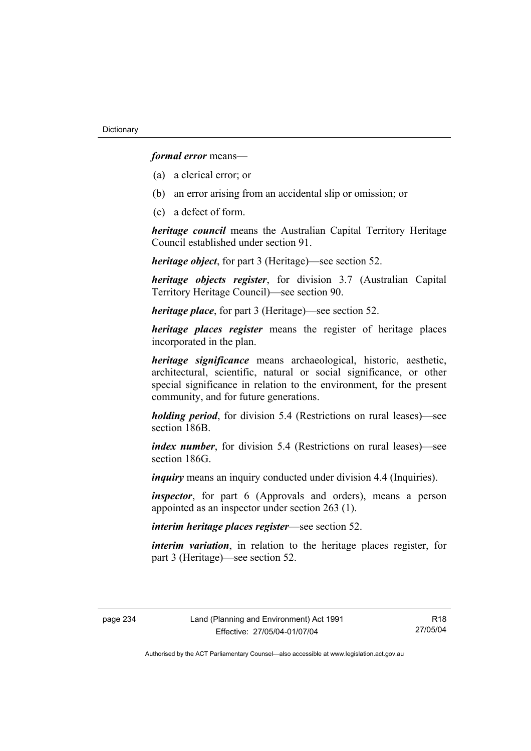*formal error* means—

- (a) a clerical error; or
- (b) an error arising from an accidental slip or omission; or
- (c) a defect of form.

*heritage council* means the Australian Capital Territory Heritage Council established under section 91.

*heritage object*, for part 3 (Heritage)—see section 52.

*heritage objects register*, for division 3.7 (Australian Capital Territory Heritage Council)—see section 90.

*heritage place*, for part 3 (Heritage)—see section 52.

*heritage places register* means the register of heritage places incorporated in the plan.

*heritage significance* means archaeological, historic, aesthetic, architectural, scientific, natural or social significance, or other special significance in relation to the environment, for the present community, and for future generations.

*holding period*, for division 5.4 (Restrictions on rural leases)—see section 186B.

*index number*, for division 5.4 (Restrictions on rural leases)—see section 186G

*inquiry* means an inquiry conducted under division 4.4 (Inquiries).

*inspector*, for part 6 (Approvals and orders), means a person appointed as an inspector under section 263 (1).

*interim heritage places register*—see section 52.

*interim variation*, in relation to the heritage places register, for part 3 (Heritage)—see section 52.

R18 27/05/04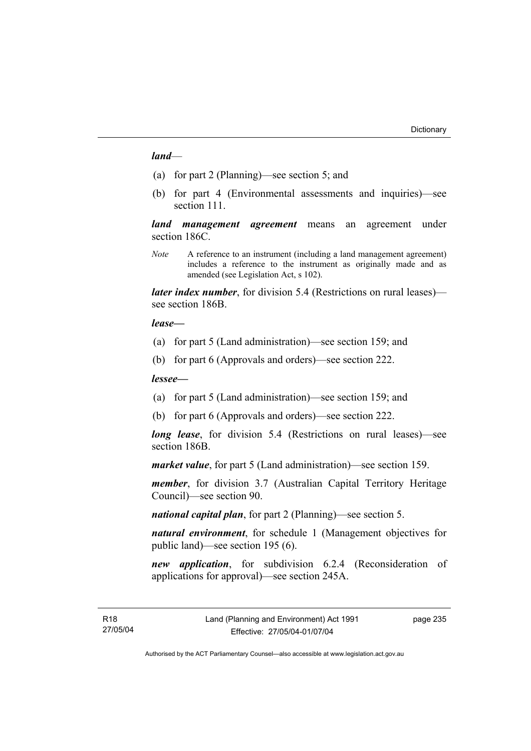#### *land*—

- (a) for part 2 (Planning)—see section 5; and
- (b) for part 4 (Environmental assessments and inquiries)—see section 111.

*land management agreement* means an agreement under section 186C.

*Note* A reference to an instrument (including a land management agreement) includes a reference to the instrument as originally made and as amended (see Legislation Act, s 102).

*later index number*, for division 5.4 (Restrictions on rural leases) see section 186B.

#### *lease—*

- (a) for part 5 (Land administration)—see section 159; and
- (b) for part 6 (Approvals and orders)—see section 222.

#### *lessee—*

- (a) for part 5 (Land administration)—see section 159; and
- (b) for part 6 (Approvals and orders)—see section 222.

*long lease*, for division 5.4 (Restrictions on rural leases)—see section 186B.

*market value*, for part 5 (Land administration)—see section 159.

*member*, for division 3.7 (Australian Capital Territory Heritage Council)—see section 90.

*national capital plan*, for part 2 (Planning)—see section 5.

*natural environment*, for schedule 1 (Management objectives for public land)—see section 195 (6).

*new application*, for subdivision 6.2.4 (Reconsideration of applications for approval)—see section 245A.

page 235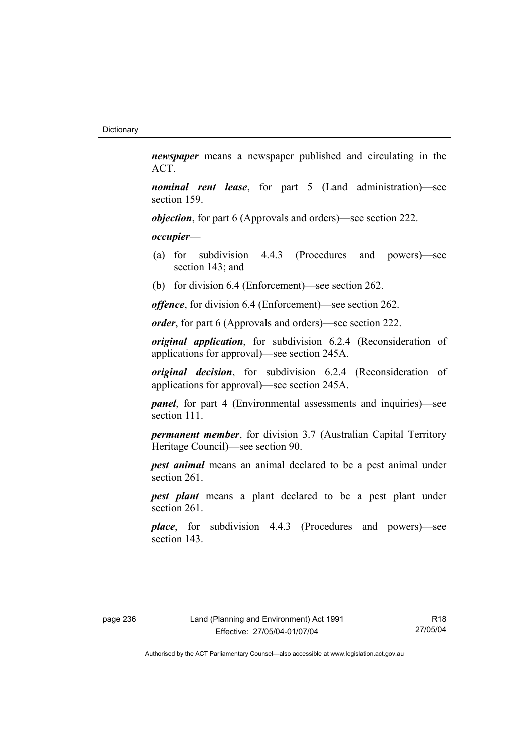*newspaper* means a newspaper published and circulating in the ACT.

*nominal rent lease*, for part 5 (Land administration)—see section 159.

*objection*, for part 6 (Approvals and orders)—see section 222.

*occupier*—

- (a) for subdivision 4.4.3 (Procedures and powers)—see section 143; and
- (b) for division 6.4 (Enforcement)—see section 262.

*offence*, for division 6.4 (Enforcement)—see section 262.

*order*, for part 6 (Approvals and orders)—see section 222.

*original application*, for subdivision 6.2.4 (Reconsideration of applications for approval)—see section 245A.

*original decision*, for subdivision 6.2.4 (Reconsideration of applications for approval)—see section 245A.

*panel*, for part 4 (Environmental assessments and inquiries)—see section 111.

*permanent member*, for division 3.7 (Australian Capital Territory Heritage Council)—see section 90.

*pest animal* means an animal declared to be a pest animal under section 261.

*pest plant* means a plant declared to be a pest plant under section 261.

*place*, for subdivision 4.4.3 (Procedures and powers)—see section 143.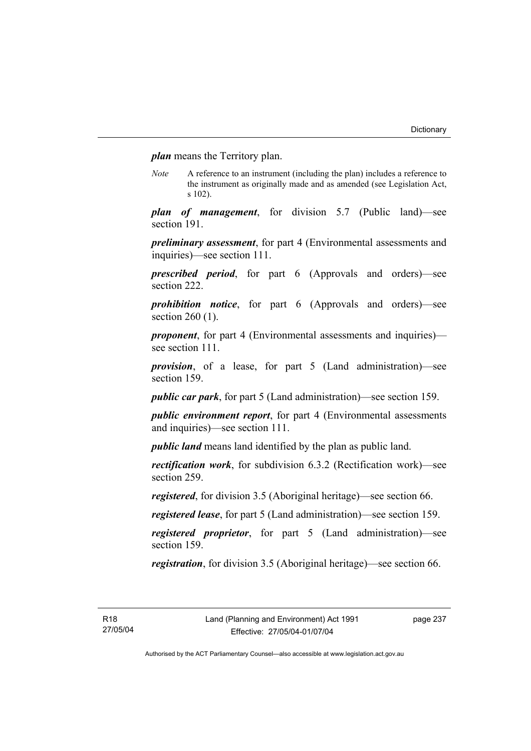*plan* means the Territory plan.

*Note* A reference to an instrument (including the plan) includes a reference to the instrument as originally made and as amended (see Legislation Act, s 102).

*plan of management*, for division 5.7 (Public land)—see section 191.

*preliminary assessment*, for part 4 (Environmental assessments and inquiries)—see section 111.

*prescribed period*, for part 6 (Approvals and orders)—see section 222.

*prohibition notice*, for part 6 (Approvals and orders)—see section 260 (1).

*proponent*, for part 4 (Environmental assessments and inquiries) see section 111.

*provision*, of a lease, for part 5 (Land administration)—see section 159.

*public car park*, for part 5 (Land administration)—see section 159.

*public environment report*, for part 4 (Environmental assessments and inquiries)—see section 111.

*public land* means land identified by the plan as public land.

*rectification work*, for subdivision 6.3.2 (Rectification work)—see section 259.

*registered*, for division 3.5 (Aboriginal heritage)—see section 66.

*registered lease*, for part 5 (Land administration)—see section 159.

*registered proprietor*, for part 5 (Land administration)—see section 159.

*registration*, for division 3.5 (Aboriginal heritage)—see section 66.

page 237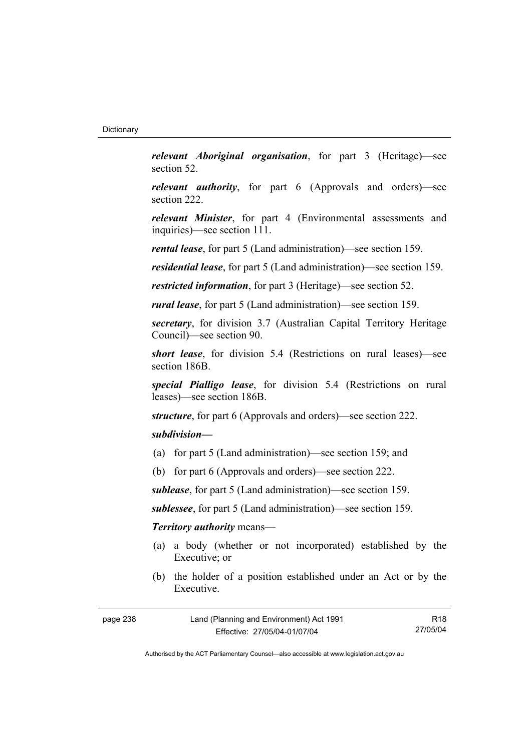*relevant Aboriginal organisation*, for part 3 (Heritage)—see section 52.

*relevant authority*, for part 6 (Approvals and orders)—see section 222.

*relevant Minister*, for part 4 (Environmental assessments and inquiries)—see section 111.

*rental lease*, for part 5 (Land administration)—see section 159.

*residential lease*, for part 5 (Land administration)—see section 159.

*restricted information*, for part 3 (Heritage)—see section 52.

*rural lease*, for part 5 (Land administration)—see section 159.

*secretary*, for division 3.7 (Australian Capital Territory Heritage Council)—see section 90.

*short lease*, for division 5.4 (Restrictions on rural leases)—see section 186B.

*special Pialligo lease*, for division 5.4 (Restrictions on rural leases)—see section 186B.

*structure*, for part 6 (Approvals and orders)—see section 222.

## *subdivision—*

- (a) for part 5 (Land administration)—see section 159; and
- (b) for part 6 (Approvals and orders)—see section 222.

*sublease*, for part 5 (Land administration)—see section 159.

*sublessee*, for part 5 (Land administration)—see section 159.

## *Territory authority* means—

- (a) a body (whether or not incorporated) established by the Executive; or
- (b) the holder of a position established under an Act or by the Executive.

| page 238 | Land (Planning and Environment) Act 1991 | R18      |
|----------|------------------------------------------|----------|
|          | Effective: 27/05/04-01/07/04             | 27/05/04 |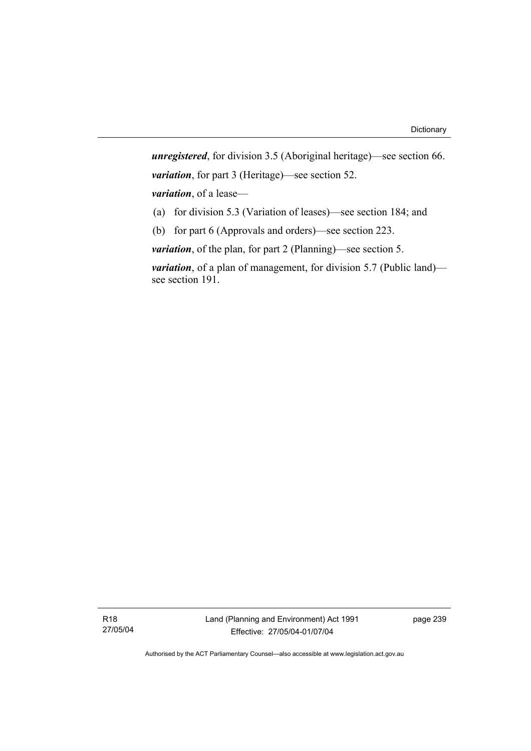*unregistered*, for division 3.5 (Aboriginal heritage)—see section 66. *variation*, for part 3 (Heritage)—see section 52. *variation*, of a lease— (a) for division 5.3 (Variation of leases)—see section 184; and

(b) for part 6 (Approvals and orders)—see section 223.

*variation*, of the plan, for part 2 (Planning)—see section 5.

*variation*, of a plan of management, for division 5.7 (Public land) see section 191.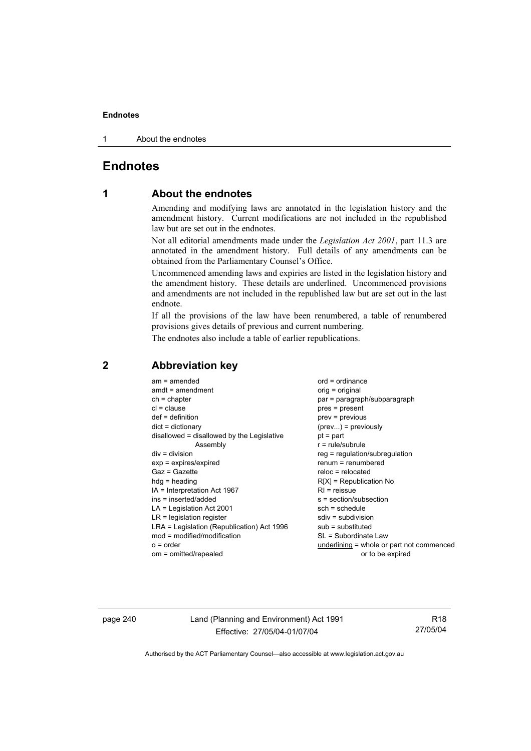1 About the endnotes

## **Endnotes**

## **1 About the endnotes**

Amending and modifying laws are annotated in the legislation history and the amendment history. Current modifications are not included in the republished law but are set out in the endnotes.

Not all editorial amendments made under the *Legislation Act 2001*, part 11.3 are annotated in the amendment history. Full details of any amendments can be obtained from the Parliamentary Counsel's Office.

Uncommenced amending laws and expiries are listed in the legislation history and the amendment history. These details are underlined. Uncommenced provisions and amendments are not included in the republished law but are set out in the last endnote.

If all the provisions of the law have been renumbered, a table of renumbered provisions gives details of previous and current numbering.

The endnotes also include a table of earlier republications.

|                                           | $am = amended$<br>$amdt = amendment$<br>$ch = chapter$<br>$cl = clause$<br>$def = definition$<br>$dict = dictionary$<br>disallowed = disallowed by the Legislative<br>Assembly<br>$div = division$<br>$exp = expires/expired$<br>$Gaz = Gazette$<br>$hda =$ heading<br>IA = Interpretation Act 1967<br>ins = inserted/added<br>$LA =$ Legislation Act 2001<br>$LR =$ legislation register<br>LRA = Legislation (Republication) Act 1996<br>$mod = modified/modification$<br>$o = order$ | $ord = ordinance$<br>orig = original<br>par = paragraph/subparagraph<br>$pres = present$<br>$prev = previous$<br>$(\text{prev})$ = previously<br>$pt = part$<br>$r = rule/subrule$<br>$reg = regulation/subregulation$<br>$renum = renumbered$<br>$reloc = relocated$<br>$R[X]$ = Republication No<br>$RI = reissue$<br>s = section/subsection<br>$sch = schedule$<br>$sdiv = subdivision$<br>$sub =$ substituted<br>SL = Subordinate Law<br>underlining = whole or part not commenced |
|-------------------------------------------|-----------------------------------------------------------------------------------------------------------------------------------------------------------------------------------------------------------------------------------------------------------------------------------------------------------------------------------------------------------------------------------------------------------------------------------------------------------------------------------------|----------------------------------------------------------------------------------------------------------------------------------------------------------------------------------------------------------------------------------------------------------------------------------------------------------------------------------------------------------------------------------------------------------------------------------------------------------------------------------------|
| om = omitted/repealed<br>or to be expired |                                                                                                                                                                                                                                                                                                                                                                                                                                                                                         |                                                                                                                                                                                                                                                                                                                                                                                                                                                                                        |

## **2 Abbreviation key**

page 240 Land (Planning and Environment) Act 1991 Effective: 27/05/04-01/07/04

R18 27/05/04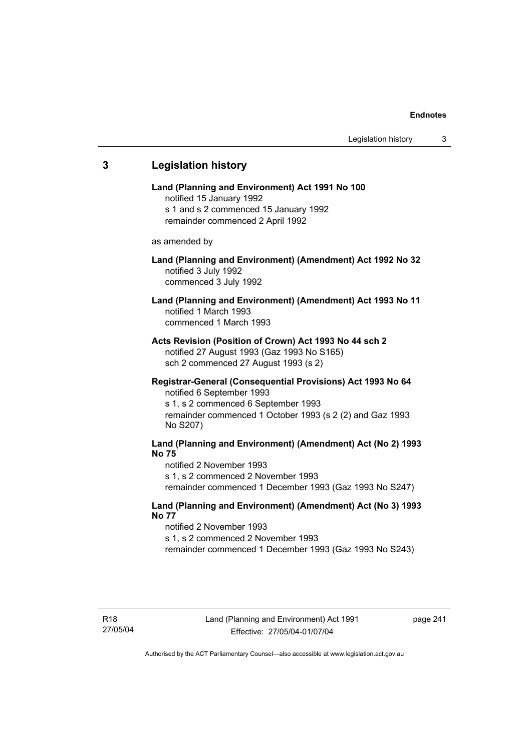## **3 Legislation history Land (Planning and Environment) Act 1991 No 100**  notified 15 January 1992 s 1 and s 2 commenced 15 January 1992 remainder commenced 2 April 1992 as amended by **Land (Planning and Environment) (Amendment) Act 1992 No 32**  notified 3 July 1992 commenced 3 July 1992 **Land (Planning and Environment) (Amendment) Act 1993 No 11**  notified 1 March 1993 commenced 1 March 1993 **Acts Revision (Position of Crown) Act 1993 No 44 sch 2**  notified 27 August 1993 (Gaz 1993 No S165) sch 2 commenced 27 August 1993 (s 2) **Registrar-General (Consequential Provisions) Act 1993 No 64**  notified 6 September 1993 s 1, s 2 commenced 6 September 1993 remainder commenced 1 October 1993 (s 2 (2) and Gaz 1993 No S207) **Land (Planning and Environment) (Amendment) Act (No 2) 1993 No 75**  notified 2 November 1993 s 1, s 2 commenced 2 November 1993 remainder commenced 1 December 1993 (Gaz 1993 No S247) **Land (Planning and Environment) (Amendment) Act (No 3) 1993 No 77**  notified 2 November 1993 s 1, s 2 commenced 2 November 1993 remainder commenced 1 December 1993 (Gaz 1993 No S243)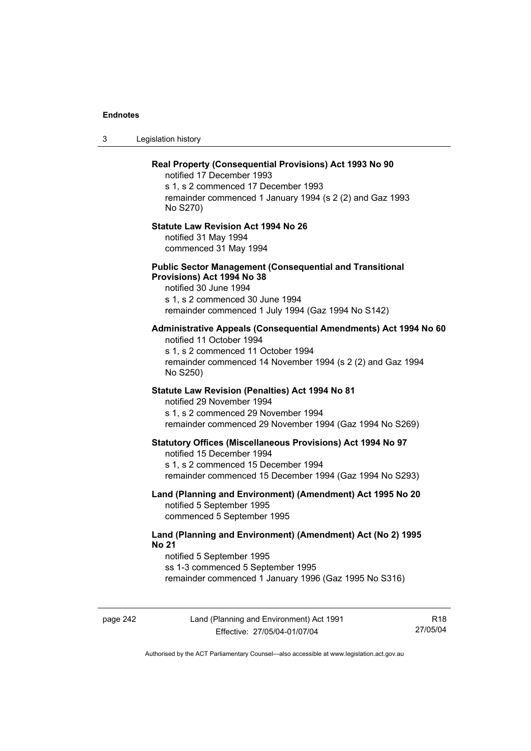3 Legislation history

## **Real Property (Consequential Provisions) Act 1993 No 90**  notified 17 December 1993 s 1, s 2 commenced 17 December 1993 remainder commenced 1 January 1994 (s 2 (2) and Gaz 1993 No S270) **Statute Law Revision Act 1994 No 26**  notified 31 May 1994 commenced 31 May 1994 **Public Sector Management (Consequential and Transitional Provisions) Act 1994 No 38**  notified 30 June 1994 s 1, s 2 commenced 30 June 1994 remainder commenced 1 July 1994 (Gaz 1994 No S142) **Administrative Appeals (Consequential Amendments) Act 1994 No 60**  notified 11 October 1994 s 1, s 2 commenced 11 October 1994 remainder commenced 14 November 1994 (s 2 (2) and Gaz 1994 No S250) **Statute Law Revision (Penalties) Act 1994 No 81**  notified 29 November 1994 s 1, s 2 commenced 29 November 1994 remainder commenced 29 November 1994 (Gaz 1994 No S269) **Statutory Offices (Miscellaneous Provisions) Act 1994 No 97**  notified 15 December 1994 s 1, s 2 commenced 15 December 1994 remainder commenced 15 December 1994 (Gaz 1994 No S293) **Land (Planning and Environment) (Amendment) Act 1995 No 20**  notified 5 September 1995 commenced 5 September 1995 **Land (Planning and Environment) (Amendment) Act (No 2) 1995 No 21**  notified 5 September 1995 ss 1-3 commenced 5 September 1995 remainder commenced 1 January 1996 (Gaz 1995 No S316)

page 242 Land (Planning and Environment) Act 1991 Effective: 27/05/04-01/07/04

R18 27/05/04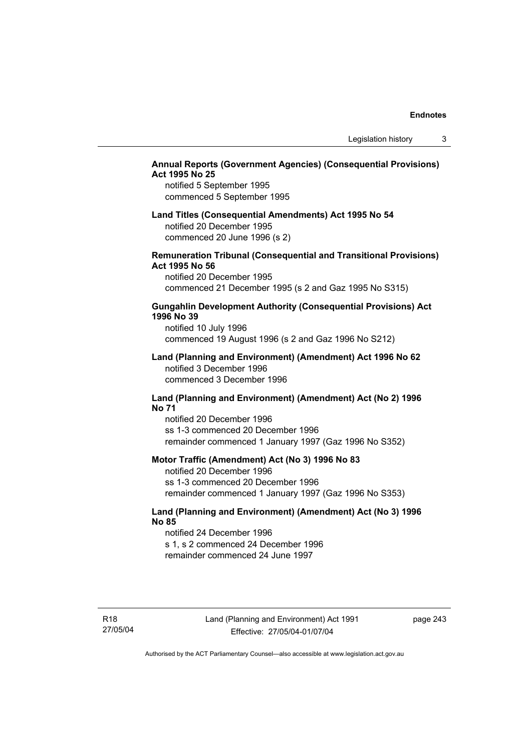## **Annual Reports (Government Agencies) (Consequential Provisions) Act 1995 No 25**

notified 5 September 1995 commenced 5 September 1995

## **Land Titles (Consequential Amendments) Act 1995 No 54**

notified 20 December 1995 commenced 20 June 1996 (s 2)

## **Remuneration Tribunal (Consequential and Transitional Provisions) Act 1995 No 56**

notified 20 December 1995 commenced 21 December 1995 (s 2 and Gaz 1995 No S315)

#### **Gungahlin Development Authority (Consequential Provisions) Act 1996 No 39**

notified 10 July 1996 commenced 19 August 1996 (s 2 and Gaz 1996 No S212)

#### **Land (Planning and Environment) (Amendment) Act 1996 No 62**  notified 3 December 1996 commenced 3 December 1996

#### **Land (Planning and Environment) (Amendment) Act (No 2) 1996 No 71**

notified 20 December 1996 ss 1-3 commenced 20 December 1996 remainder commenced 1 January 1997 (Gaz 1996 No S352)

## **Motor Traffic (Amendment) Act (No 3) 1996 No 83**

notified 20 December 1996 ss 1-3 commenced 20 December 1996 remainder commenced 1 January 1997 (Gaz 1996 No S353)

## **Land (Planning and Environment) (Amendment) Act (No 3) 1996 No 85**

notified 24 December 1996 s 1, s 2 commenced 24 December 1996 remainder commenced 24 June 1997

R18 27/05/04 page 243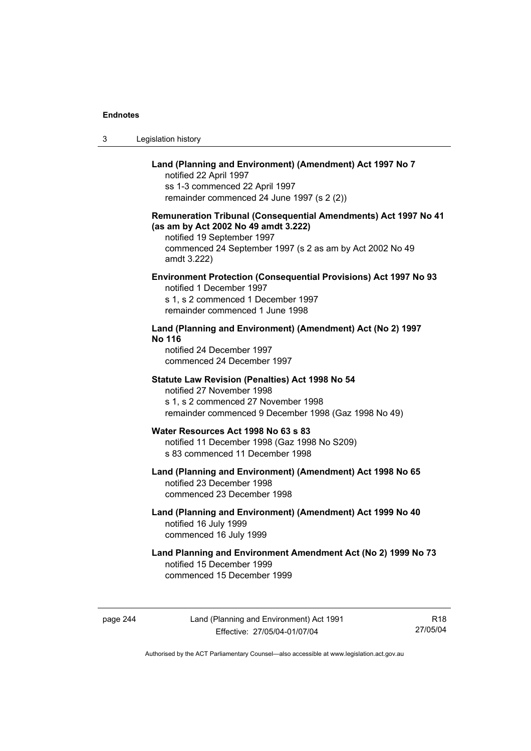| Legislation history<br>3 |  |
|--------------------------|--|
|--------------------------|--|

## **Land (Planning and Environment) (Amendment) Act 1997 No 7**

notified 22 April 1997 ss 1-3 commenced 22 April 1997 remainder commenced 24 June 1997 (s 2 (2))

## **Remuneration Tribunal (Consequential Amendments) Act 1997 No 41 (as am by Act 2002 No 49 amdt 3.222)**

notified 19 September 1997 commenced 24 September 1997 (s 2 as am by Act 2002 No 49 amdt 3.222)

## **Environment Protection (Consequential Provisions) Act 1997 No 93**

notified 1 December 1997 s 1, s 2 commenced 1 December 1997 remainder commenced 1 June 1998

## **Land (Planning and Environment) (Amendment) Act (No 2) 1997 No 116**

notified 24 December 1997 commenced 24 December 1997

#### **Statute Law Revision (Penalties) Act 1998 No 54**

notified 27 November 1998 s 1, s 2 commenced 27 November 1998 remainder commenced 9 December 1998 (Gaz 1998 No 49)

## **Water Resources Act 1998 No 63 s 83**

notified 11 December 1998 (Gaz 1998 No S209) s 83 commenced 11 December 1998

#### **Land (Planning and Environment) (Amendment) Act 1998 No 65**  notified 23 December 1998 commenced 23 December 1998

## **Land (Planning and Environment) (Amendment) Act 1999 No 40**  notified 16 July 1999 commenced 16 July 1999

## **Land Planning and Environment Amendment Act (No 2) 1999 No 73**  notified 15 December 1999 commenced 15 December 1999

page 244 Land (Planning and Environment) Act 1991 Effective: 27/05/04-01/07/04

R18 27/05/04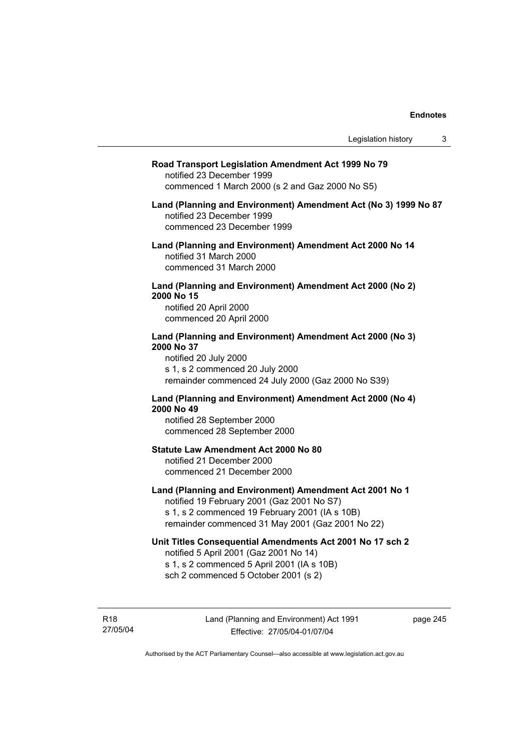#### **Road Transport Legislation Amendment Act 1999 No 79**

notified 23 December 1999 commenced 1 March 2000 (s 2 and Gaz 2000 No S5)

#### **Land (Planning and Environment) Amendment Act (No 3) 1999 No 87**  notified 23 December 1999 commenced 23 December 1999

**Land (Planning and Environment) Amendment Act 2000 No 14**  notified 31 March 2000 commenced 31 March 2000

#### **Land (Planning and Environment) Amendment Act 2000 (No 2) 2000 No 15**  notified 20 April 2000

commenced 20 April 2000

#### **Land (Planning and Environment) Amendment Act 2000 (No 3) 2000 No 37**  notified 20 July 2000

s 1, s 2 commenced 20 July 2000 remainder commenced 24 July 2000 (Gaz 2000 No S39)

## **Land (Planning and Environment) Amendment Act 2000 (No 4) 2000 No 49**

notified 28 September 2000 commenced 28 September 2000

#### **Statute Law Amendment Act 2000 No 80**

notified 21 December 2000 commenced 21 December 2000

## **Land (Planning and Environment) Amendment Act 2001 No 1**

notified 19 February 2001 (Gaz 2001 No S7) s 1, s 2 commenced 19 February 2001 (IA s 10B) remainder commenced 31 May 2001 (Gaz 2001 No 22)

## **Unit Titles Consequential Amendments Act 2001 No 17 sch 2**

notified 5 April 2001 (Gaz 2001 No 14) s 1, s 2 commenced 5 April 2001 (IA s 10B) sch 2 commenced 5 October 2001 (s 2)

R18 27/05/04 page 245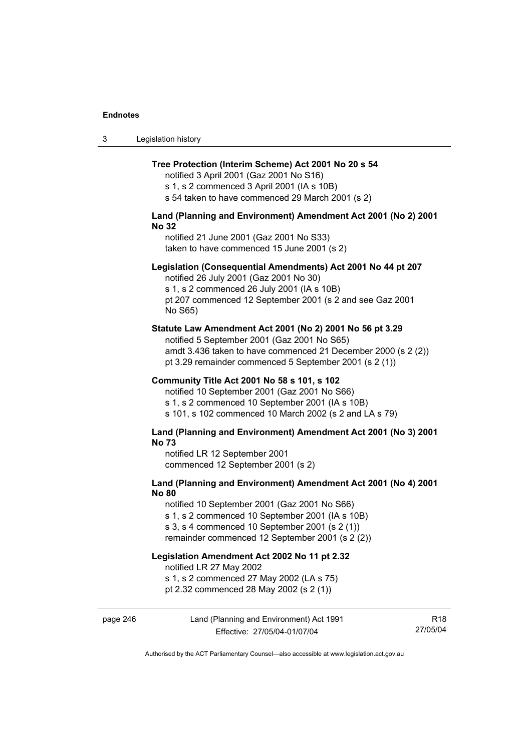| -3 | Legislation history |  |
|----|---------------------|--|
|----|---------------------|--|

#### **Tree Protection (Interim Scheme) Act 2001 No 20 s 54**

notified 3 April 2001 (Gaz 2001 No S16) s 1, s 2 commenced 3 April 2001 (IA s 10B)

s 54 taken to have commenced 29 March 2001 (s 2)

## **Land (Planning and Environment) Amendment Act 2001 (No 2) 2001 No 32**

notified 21 June 2001 (Gaz 2001 No S33) taken to have commenced 15 June 2001 (s 2)

#### **Legislation (Consequential Amendments) Act 2001 No 44 pt 207**

notified 26 July 2001 (Gaz 2001 No 30) s 1, s 2 commenced 26 July 2001 (IA s 10B) pt 207 commenced 12 September 2001 (s 2 and see Gaz 2001 No S65)

#### **Statute Law Amendment Act 2001 (No 2) 2001 No 56 pt 3.29**

notified 5 September 2001 (Gaz 2001 No S65) amdt 3.436 taken to have commenced 21 December 2000 (s 2 (2)) pt 3.29 remainder commenced 5 September 2001 (s 2 (1))

#### **Community Title Act 2001 No 58 s 101, s 102**

notified 10 September 2001 (Gaz 2001 No S66) s 1, s 2 commenced 10 September 2001 (IA s 10B) s 101, s 102 commenced 10 March 2002 (s 2 and LA s 79)

#### **Land (Planning and Environment) Amendment Act 2001 (No 3) 2001 No 73**

notified LR 12 September 2001 commenced 12 September 2001 (s 2)

## **Land (Planning and Environment) Amendment Act 2001 (No 4) 2001 No 80**

notified 10 September 2001 (Gaz 2001 No S66) s 1, s 2 commenced 10 September 2001 (IA s 10B) s 3, s 4 commenced 10 September 2001 (s 2 (1))

remainder commenced 12 September 2001 (s 2 (2))

## **Legislation Amendment Act 2002 No 11 pt 2.32**

notified LR 27 May 2002

s 1, s 2 commenced 27 May 2002 (LA s 75)

pt 2.32 commenced 28 May 2002 (s 2 (1))

## page 246 Land (Planning and Environment) Act 1991 Effective: 27/05/04-01/07/04

R18 27/05/04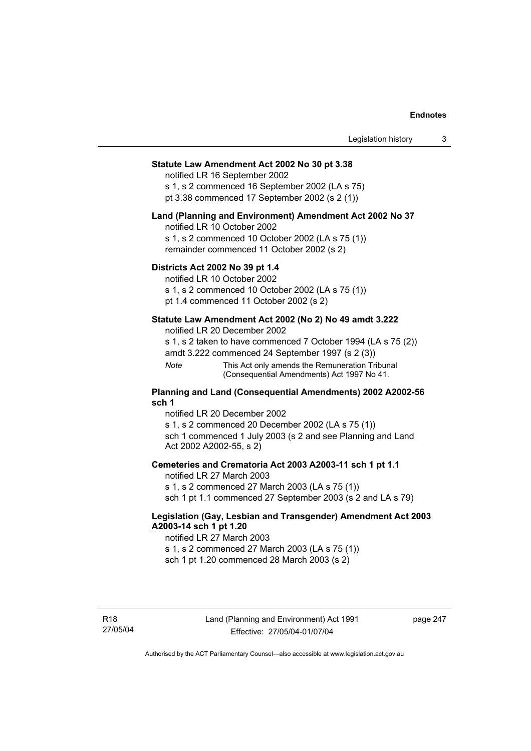## **Statute Law Amendment Act 2002 No 30 pt 3.38**

notified LR 16 September 2002

s 1, s 2 commenced 16 September 2002 (LA s 75) pt 3.38 commenced 17 September 2002 (s 2 (1))

#### **Land (Planning and Environment) Amendment Act 2002 No 37**

notified LR 10 October 2002

s 1, s 2 commenced 10 October 2002 (LA s 75 (1)) remainder commenced 11 October 2002 (s 2)

#### **Districts Act 2002 No 39 pt 1.4**

notified LR 10 October 2002

s 1, s 2 commenced 10 October 2002 (LA s 75 (1))

pt 1.4 commenced 11 October 2002 (s 2)

### **Statute Law Amendment Act 2002 (No 2) No 49 amdt 3.222**

notified LR 20 December 2002

s 1, s 2 taken to have commenced 7 October 1994 (LA s 75 (2))

amdt 3.222 commenced 24 September 1997 (s 2 (3))

*Note* This Act only amends the Remuneration Tribunal (Consequential Amendments) Act 1997 No 41.

#### **Planning and Land (Consequential Amendments) 2002 A2002-56 sch 1**

notified LR 20 December 2002 s 1, s 2 commenced 20 December 2002 (LA s 75 (1)) sch 1 commenced 1 July 2003 (s 2 and see Planning and Land Act 2002 A2002-55, s 2)

#### **Cemeteries and Crematoria Act 2003 A2003-11 sch 1 pt 1.1**

notified LR 27 March 2003 s 1, s 2 commenced 27 March 2003 (LA s 75 (1)) sch 1 pt 1.1 commenced 27 September 2003 (s 2 and LA s 79)

## **Legislation (Gay, Lesbian and Transgender) Amendment Act 2003 A2003-14 sch 1 pt 1.20**

notified LR 27 March 2003 s 1, s 2 commenced 27 March 2003 (LA s 75 (1)) sch 1 pt 1.20 commenced 28 March 2003 (s 2)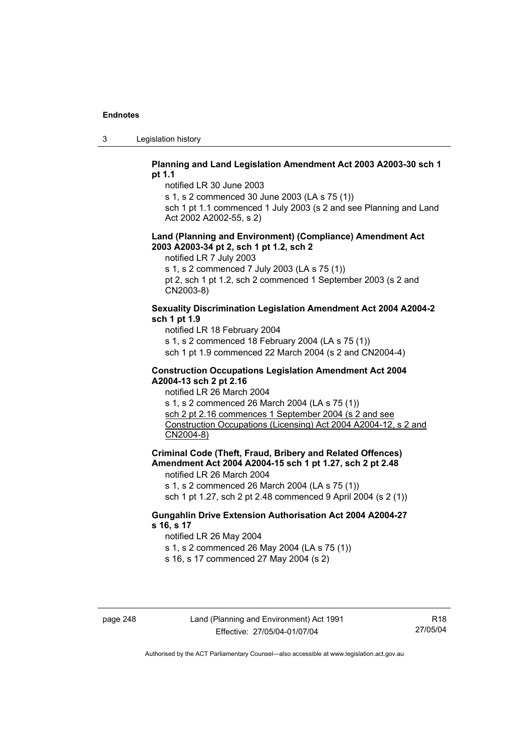3 Legislation history

### **Planning and Land Legislation Amendment Act 2003 A2003-30 sch 1 pt 1.1**

notified LR 30 June 2003

s 1, s 2 commenced 30 June 2003 (LA s 75 (1))

sch 1 pt 1.1 commenced 1 July 2003 (s 2 and see Planning and Land Act 2002 A2002-55, s 2)

#### **Land (Planning and Environment) (Compliance) Amendment Act 2003 A2003-34 pt 2, sch 1 pt 1.2, sch 2**

notified LR 7 July 2003

s 1, s 2 commenced 7 July 2003 (LA s 75 (1))

pt 2, sch 1 pt 1.2, sch 2 commenced 1 September 2003 (s 2 and CN2003-8)

## **Sexuality Discrimination Legislation Amendment Act 2004 A2004-2 sch 1 pt 1.9**

notified LR 18 February 2004

s 1, s 2 commenced 18 February 2004 (LA s 75 (1))

sch 1 pt 1.9 commenced 22 March 2004 (s 2 and CN2004-4)

#### **Construction Occupations Legislation Amendment Act 2004 A2004-13 sch 2 pt 2.16**

notified LR 26 March 2004

s 1, s 2 commenced 26 March 2004 (LA s 75 (1)) sch 2 pt 2.16 commences 1 September 2004 (s 2 and see Construction Occupations (Licensing) Act 2004 A2004-12, s 2 and CN2004-8)

**Criminal Code (Theft, Fraud, Bribery and Related Offences) Amendment Act 2004 A2004-15 sch 1 pt 1.27, sch 2 pt 2.48** 

notified LR 26 March 2004

s 1, s 2 commenced 26 March 2004 (LA s 75 (1))

sch 1 pt 1.27, sch 2 pt 2.48 commenced 9 April 2004 (s 2 (1))

## **Gungahlin Drive Extension Authorisation Act 2004 A2004-27 s 16, s 17**

notified LR 26 May 2004

s 1, s 2 commenced 26 May 2004 (LA s 75 (1))

s 16, s 17 commenced 27 May 2004 (s 2)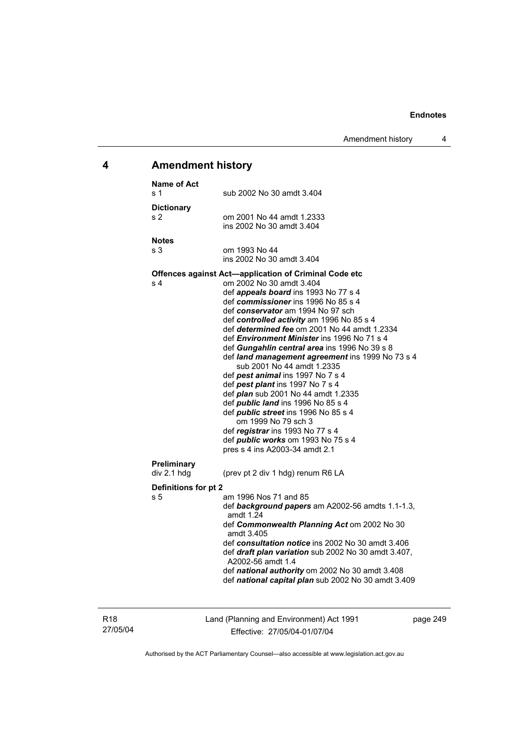# **4 Amendment history**

| <b>Name of Act</b><br>s 1   | sub 2002 No 30 amdt 3.404                                                                                                                                                                                                                                                                                                                                                                                                                                                                                                                                                                                                                                                                                                                                                                                                                                       |
|-----------------------------|-----------------------------------------------------------------------------------------------------------------------------------------------------------------------------------------------------------------------------------------------------------------------------------------------------------------------------------------------------------------------------------------------------------------------------------------------------------------------------------------------------------------------------------------------------------------------------------------------------------------------------------------------------------------------------------------------------------------------------------------------------------------------------------------------------------------------------------------------------------------|
| <b>Dictionary</b><br>s 2    | om 2001 No 44 amdt 1.2333<br>ins 2002 No 30 amdt 3.404                                                                                                                                                                                                                                                                                                                                                                                                                                                                                                                                                                                                                                                                                                                                                                                                          |
| <b>Notes</b><br>s 3         | om 1993 No 44<br>ins 2002 No 30 amdt 3.404                                                                                                                                                                                                                                                                                                                                                                                                                                                                                                                                                                                                                                                                                                                                                                                                                      |
| s 4                         | Offences against Act-application of Criminal Code etc<br>om 2002 No 30 amdt 3.404<br>def <i>appeals board</i> ins 1993 No 77 s 4<br>def commissioner ins 1996 No 85 s 4<br>def conservator am 1994 No 97 sch<br>def controlled activity am 1996 No 85 s 4<br>def determined fee om 2001 No 44 amdt 1.2334<br>def <i>Environment Minister</i> ins 1996 No 71 s 4<br>def Gungahlin central area ins 1996 No 39 s 8<br>def land management agreement ins 1999 No 73 s 4<br>sub 2001 No 44 amdt 1.2335<br>def pest animal ins 1997 No 7 s 4<br>def pest plant ins 1997 No 7 s 4<br>def <i>plan</i> sub 2001 No 44 amdt 1.2335<br>def <i>public land</i> ins 1996 No 85 s 4<br>def <i>public</i> street ins 1996 No 85 s 4<br>om 1999 No 79 sch 3<br>def registrar ins 1993 No 77 s 4<br>def <i>public</i> works om 1993 No 75 s 4<br>pres s 4 ins A2003-34 amdt 2.1 |
| Preliminary<br>div 2.1 hdg  | (prev pt 2 div 1 hdg) renum R6 LA                                                                                                                                                                                                                                                                                                                                                                                                                                                                                                                                                                                                                                                                                                                                                                                                                               |
| Definitions for pt 2<br>s 5 | am 1996 Nos 71 and 85<br>def background papers am A2002-56 amdts 1.1-1.3,<br>amdt 1.24<br>def Commonwealth Planning Act om 2002 No 30<br>amdt 3.405<br>def consultation notice ins 2002 No 30 amdt 3.406<br>def draft plan variation sub 2002 No 30 amdt 3.407,<br>A2002-56 amdt 1.4<br>def national authority om 2002 No 30 amdt 3.408<br>def national capital plan sub 2002 No 30 amdt 3.409                                                                                                                                                                                                                                                                                                                                                                                                                                                                  |

R18 27/05/04 Land (Planning and Environment) Act 1991 Effective: 27/05/04-01/07/04

page 249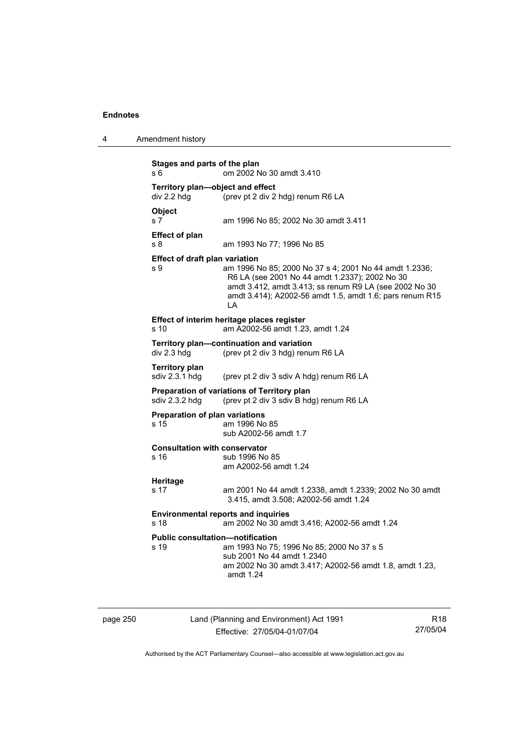| 4 | Amendment history |
|---|-------------------|
|---|-------------------|

```
Stages and parts of the plan 
s 6 om 2002 No 30 amdt 3.410 
Territory plan—object and effect 
div 2.2 hdg (prev pt 2 div 2 hdg) renum R6 LA 
Object 
s 7 am 1996 No 85; 2002 No 30 amdt 3.411 
Effect of plan 
s 8 am 1993 No 77; 1996 No 85 
Effect of draft plan variation 
s 9 am 1996 No 85; 2000 No 37 s 4; 2001 No 44 amdt 1.2336; 
                  R6 LA (see 2001 No 44 amdt 1.2337); 2002 No 30 
                  amdt 3.412, amdt 3.413; ss renum R9 LA (see 2002 No 30 
                  amdt 3.414); A2002-56 amdt 1.5, amdt 1.6; pars renum R15 
                  LA 
Effect of interim heritage places register 
s 10 am A2002-56 amdt 1.23, amdt 1.24 
Territory plan—continuation and variation 
div 2.3 hdg (prev pt 2 div 3 hdg) renum R6 LA 
Territory plan 
                 (prev pt 2 div 3 sdiv A hdg) renum R6 LA
Preparation of variations of Territory plan 
sdiv 2.3.2 hdg (prev pt 2 div 3 sdiv B hdg) renum R6 LA 
Preparation of plan variations 
s 15 am 1996 No 85 
                  sub A2002-56 amdt 1.7 
Consultation with conservator 
s 16 sub 1996 No 85
                  am A2002-56 amdt 1.24 
Heritage 
s 17 am 2001 No 44 amdt 1.2338, amdt 1.2339; 2002 No 30 amdt 
                  3.415, amdt 3.508; A2002-56 amdt 1.24 
Environmental reports and inquiries 
s 18 am 2002 No 30 amdt 3.416; A2002-56 amdt 1.24 
Public consultation—notification 
s 19 am 1993 No 75; 1996 No 85; 2000 No 37 s 5 
                  sub 2001 No 44 amdt 1.2340 
                  am 2002 No 30 amdt 3.417; A2002-56 amdt 1.8, amdt 1.23, 
                  amdt 1.24
```

|  | page 250 |  |
|--|----------|--|
|  |          |  |

Land (Planning and Environment) Act 1991 Effective: 27/05/04-01/07/04

R18 27/05/04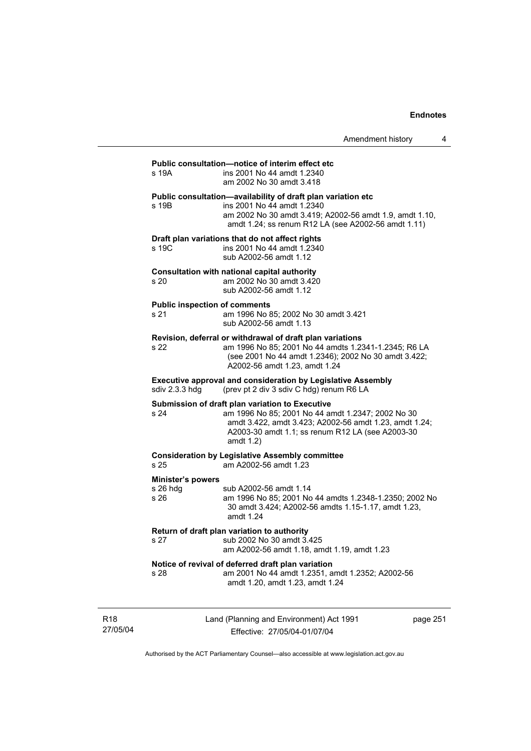| s 19A                                        | Public consultation-notice of interim effect etc<br>ins 2001 No 44 amdt 1.2340<br>am 2002 No 30 amdt 3.418                                                                                                                      |
|----------------------------------------------|---------------------------------------------------------------------------------------------------------------------------------------------------------------------------------------------------------------------------------|
| s 19 <sub>B</sub>                            | Public consultation-availability of draft plan variation etc<br>ins 2001 No 44 amdt 1.2340<br>am 2002 No 30 amdt 3.419; A2002-56 amdt 1.9, amdt 1.10,<br>amdt 1.24; ss renum R12 LA (see A2002-56 amdt 1.11)                    |
| s 19C                                        | Draft plan variations that do not affect rights<br>ins 2001 No 44 amdt 1.2340<br>sub A2002-56 amdt 1.12                                                                                                                         |
| s 20                                         | Consultation with national capital authority<br>am 2002 No 30 amdt 3.420<br>sub A2002-56 amdt 1.12                                                                                                                              |
| <b>Public inspection of comments</b><br>s 21 | am 1996 No 85; 2002 No 30 amdt 3.421<br>sub A2002-56 amdt 1.13                                                                                                                                                                  |
| s 22                                         | Revision, deferral or withdrawal of draft plan variations<br>am 1996 No 85; 2001 No 44 amdts 1.2341-1.2345; R6 LA<br>(see 2001 No 44 amdt 1.2346); 2002 No 30 amdt 3.422;<br>A2002-56 amdt 1.23, amdt 1.24                      |
| sdiv 2.3.3 hdg                               | <b>Executive approval and consideration by Legislative Assembly</b><br>(prev pt 2 div 3 sdiv C hdg) renum R6 LA                                                                                                                 |
| s 24                                         | Submission of draft plan variation to Executive<br>am 1996 No 85; 2001 No 44 amdt 1.2347; 2002 No 30<br>amdt 3.422, amdt 3.423; A2002-56 amdt 1.23, amdt 1.24;<br>A2003-30 amdt 1.1; ss renum R12 LA (see A2003-30<br>amdt 1.2) |
| s 25                                         | <b>Consideration by Legislative Assembly committee</b><br>am A2002-56 amdt 1.23                                                                                                                                                 |
| <b>Minister's powers</b><br>s 26 hdg<br>s 26 | sub A2002-56 amdt 1.14<br>am 1996 No 85; 2001 No 44 amdts 1.2348-1.2350; 2002 No<br>30 amdt 3.424; A2002-56 amdts 1.15-1.17, amdt 1.23,<br>amdt 1.24                                                                            |
| s 27                                         | Return of draft plan variation to authority<br>sub 2002 No 30 amdt 3.425<br>am A2002-56 amdt 1.18, amdt 1.19, amdt 1.23                                                                                                         |
| s 28                                         | Notice of revival of deferred draft plan variation<br>am 2001 No 44 amdt 1.2351, amdt 1.2352; A2002-56<br>amdt 1.20, amdt 1.23, amdt 1.24                                                                                       |

R18 27/05/04 Land (Planning and Environment) Act 1991 Effective: 27/05/04-01/07/04

page 251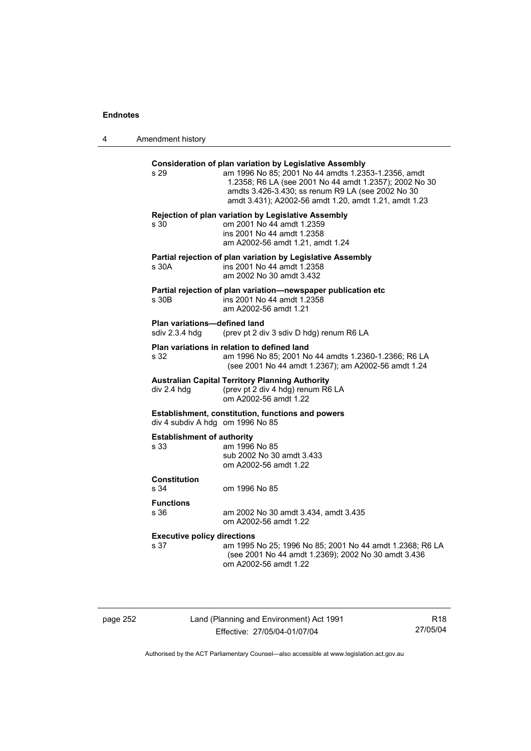4 Amendment history

| s 29                                                  | <b>Consideration of plan variation by Legislative Assembly</b><br>am 1996 No 85; 2001 No 44 amdts 1.2353-1.2356, amdt<br>1.2358; R6 LA (see 2001 No 44 amdt 1.2357); 2002 No 30<br>amdts 3.426-3.430; ss renum R9 LA (see 2002 No 30<br>amdt 3.431); A2002-56 amdt 1.20, amdt 1.21, amdt 1.23 |
|-------------------------------------------------------|-----------------------------------------------------------------------------------------------------------------------------------------------------------------------------------------------------------------------------------------------------------------------------------------------|
| s 30                                                  | Rejection of plan variation by Legislative Assembly<br>om 2001 No 44 amdt 1.2359<br>ins 2001 No 44 amdt 1.2358<br>am A2002-56 amdt 1.21, amdt 1.24                                                                                                                                            |
| s 30A                                                 | Partial rejection of plan variation by Legislative Assembly<br>ins 2001 No 44 amdt 1.2358<br>am 2002 No 30 amdt 3.432                                                                                                                                                                         |
| s 30B                                                 | Partial rejection of plan variation-newspaper publication etc<br>ins 2001 No 44 amdt 1.2358<br>am A2002-56 amdt 1.21                                                                                                                                                                          |
| <b>Plan variations-defined land</b><br>sdiv 2.3.4 hdg | (prev pt 2 div 3 sdiv D hdg) renum R6 LA                                                                                                                                                                                                                                                      |
| s 32                                                  | Plan variations in relation to defined land<br>am 1996 No 85; 2001 No 44 amdts 1.2360-1.2366; R6 LA<br>(see 2001 No 44 amdt 1.2367); am A2002-56 amdt 1.24                                                                                                                                    |
| div 2.4 hdg                                           | <b>Australian Capital Territory Planning Authority</b><br>(prev pt 2 div 4 hdg) renum R6 LA<br>om A2002-56 amdt 1.22                                                                                                                                                                          |
| div 4 subdiv A hdg om 1996 No 85                      | Establishment, constitution, functions and powers                                                                                                                                                                                                                                             |
| <b>Establishment of authority</b><br>s 33             | am 1996 No 85<br>sub 2002 No 30 amdt 3.433<br>om A2002-56 amdt 1.22                                                                                                                                                                                                                           |
| <b>Constitution</b><br>s 34                           | om 1996 No 85                                                                                                                                                                                                                                                                                 |
| <b>Functions</b><br>s 36                              | am 2002 No 30 amdt 3.434, amdt 3.435<br>om A2002-56 amdt 1.22                                                                                                                                                                                                                                 |
| <b>Executive policy directions</b><br>s 37            | am 1995 No 25; 1996 No 85; 2001 No 44 amdt 1.2368; R6 LA<br>(see 2001 No 44 amdt 1.2369); 2002 No 30 amdt 3.436<br>om A2002-56 amdt 1.22                                                                                                                                                      |

page 252 Land (Planning and Environment) Act 1991 Effective: 27/05/04-01/07/04

R18 27/05/04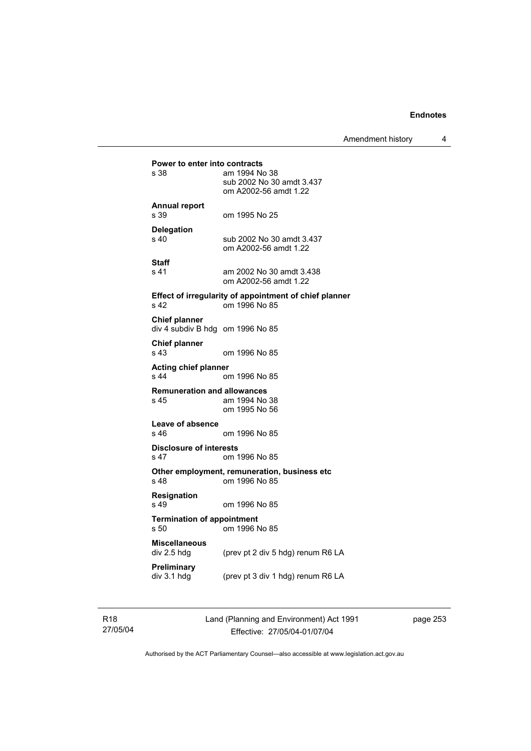Amendment history 4

```
Power to enter into contracts<br>s 38 am 1994 No
                am 1994 No 38
                 sub 2002 No 30 amdt 3.437 
                 om A2002-56 amdt 1.22 
Annual report 
s 39 om 1995 No 25 
Delegation 
s 40 sub 2002 No 30 amdt 3.437
                 om A2002-56 amdt 1.22 
Staff 
s 41 am 2002 No 30 amdt 3.438 
                 om A2002-56 amdt 1.22 
Effect of irregularity of appointment of chief planner 
s 42 om 1996 No 85 
Chief planner 
div 4 subdiv B hdg om 1996 No 85 
Chief planner 
s 43 om 1996 No 85 
Acting chief planner 
                om 1996 No 85
Remuneration and allowances 
s 45 am 1994 No 38 
                 om 1995 No 56 
Leave of absence 
                om 1996 No 85
Disclosure of interests 
s 47 om 1996 No 85 
Other employment, remuneration, business etc 
s 48 om 1996 No 85 
Resignation 
s 49 om 1996 No 85 
Termination of appointment 
s 50 om 1996 No 85 
Miscellaneous 
                (prev pt 2 div 5 hdg) renum R6 LA
Preliminary 
                (prev pt 3 div 1 hdg) renum R6 LA
```
page 253

R18 27/05/04

Authorised by the ACT Parliamentary Counsel—also accessible at www.legislation.act.gov.au

Land (Planning and Environment) Act 1991 Effective: 27/05/04-01/07/04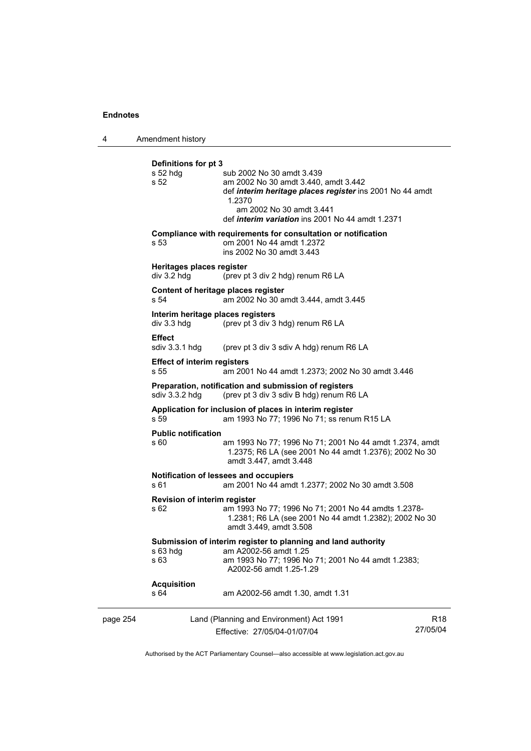4 Amendment history

|          | Definitions for pt 3<br>$s52$ hdg<br>s 52          | sub 2002 No 30 amdt 3.439<br>am 2002 No 30 amdt 3.440, amdt 3.442<br>def <i>interim heritage places register</i> ins 2001 No 44 amdt<br>1.2370<br>am 2002 No 30 amdt 3.441<br>def <i>interim variation</i> ins 2001 No 44 amdt 1.2371 |                             |
|----------|----------------------------------------------------|---------------------------------------------------------------------------------------------------------------------------------------------------------------------------------------------------------------------------------------|-----------------------------|
|          | s 53                                               | Compliance with requirements for consultation or notification<br>om 2001 No 44 amdt 1.2372<br>ins 2002 No 30 amdt 3.443                                                                                                               |                             |
|          | Heritages places register<br>div 3.2 hdg           | (prev pt 3 div 2 hdg) renum R6 LA                                                                                                                                                                                                     |                             |
|          | Content of heritage places register<br>s 54        | am 2002 No 30 amdt 3.444, amdt 3.445                                                                                                                                                                                                  |                             |
|          | Interim heritage places registers<br>$div$ 3.3 hdg | (prev pt 3 div 3 hdg) renum R6 LA                                                                                                                                                                                                     |                             |
|          | <b>Effect</b><br>sdiv 3.3.1 hdg                    | (prev pt 3 div 3 sdiv A hdg) renum R6 LA                                                                                                                                                                                              |                             |
|          | <b>Effect of interim registers</b><br>s 55         | am 2001 No 44 amdt 1.2373; 2002 No 30 amdt 3.446                                                                                                                                                                                      |                             |
|          | sdiv 3.3.2 hdg                                     | Preparation, notification and submission of registers<br>(prev pt 3 div 3 sdiv B hdg) renum R6 LA                                                                                                                                     |                             |
|          | s 59                                               | Application for inclusion of places in interim register<br>am 1993 No 77; 1996 No 71; ss renum R15 LA                                                                                                                                 |                             |
|          | <b>Public notification</b><br>s 60                 | am 1993 No 77; 1996 No 71; 2001 No 44 amdt 1.2374, amdt<br>1.2375; R6 LA (see 2001 No 44 amdt 1.2376); 2002 No 30<br>amdt 3.447, amdt 3.448                                                                                           |                             |
|          | s 61                                               | Notification of lessees and occupiers<br>am 2001 No 44 amdt 1.2377; 2002 No 30 amdt 3.508                                                                                                                                             |                             |
|          | <b>Revision of interim register</b><br>s 62        | am 1993 No 77; 1996 No 71; 2001 No 44 amdts 1.2378-<br>1.2381; R6 LA (see 2001 No 44 amdt 1.2382); 2002 No 30<br>amdt 3.449, amdt 3.508                                                                                               |                             |
|          | s 63 hdg<br>s 63                                   | Submission of interim register to planning and land authority<br>am A2002-56 amdt 1.25<br>am 1993 No 77; 1996 No 71; 2001 No 44 amdt 1.2383;<br>A2002-56 amdt 1.25-1.29                                                               |                             |
|          | <b>Acquisition</b><br>s 64                         | am A2002-56 amdt 1.30, amdt 1.31                                                                                                                                                                                                      |                             |
| page 254 |                                                    | Land (Planning and Environment) Act 1991<br>Effective: 27/05/04-01/07/04                                                                                                                                                              | R <sub>18</sub><br>27/05/04 |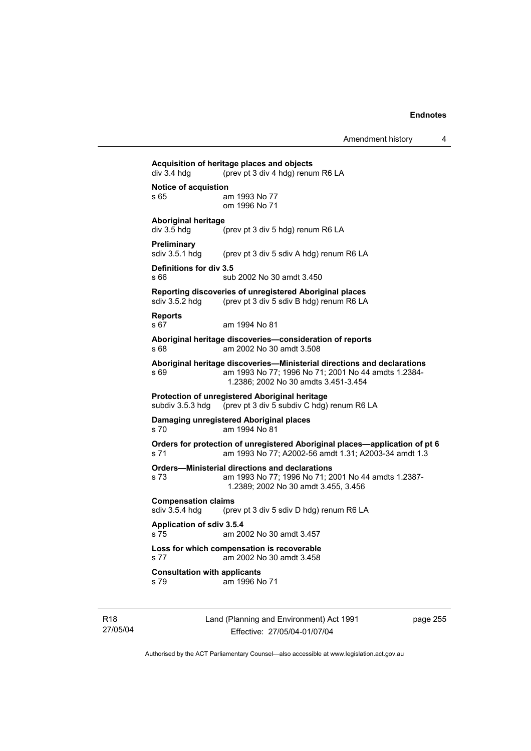| div 3.4 hdg                                  | (prev pt 3 div 4 hdg) renum R6 LA                                                            |
|----------------------------------------------|----------------------------------------------------------------------------------------------|
| <b>Notice of acquistion</b><br>s 65          | am 1993 No 77                                                                                |
|                                              | om 1996 No 71                                                                                |
| <b>Aboriginal heritage</b>                   |                                                                                              |
| div 3.5 hdg                                  | (prev pt 3 div 5 hdg) renum R6 LA                                                            |
| Preliminary                                  |                                                                                              |
| sdiv 3.5.1 hdg                               | (prev pt 3 div 5 sdiv A hdg) renum R6 LA                                                     |
| Definitions for div 3.5                      |                                                                                              |
| s 66                                         | sub 2002 No 30 amdt 3.450                                                                    |
|                                              | Reporting discoveries of unregistered Aboriginal places                                      |
| sdiv 3.5.2 hdg                               | (prev pt 3 div 5 sdiv B hdg) renum R6 LA                                                     |
| <b>Reports</b><br>s 67                       | am 1994 No 81                                                                                |
|                                              |                                                                                              |
| s 68                                         | Aboriginal heritage discoveries-consideration of reports<br>am 2002 No 30 amdt 3.508         |
|                                              | Aboriginal heritage discoveries-Ministerial directions and declarations                      |
| s69                                          | am 1993 No 77; 1996 No 71; 2001 No 44 amdts 1.2384-                                          |
|                                              | 1.2386: 2002 No 30 amdts 3.451-3.454                                                         |
| subdiv 3.5.3 hdg                             | Protection of unregistered Aboriginal heritage<br>(prev pt 3 div 5 subdiv C hdg) renum R6 LA |
|                                              |                                                                                              |
| s <sub>70</sub>                              | Damaging unregistered Aboriginal places<br>am 1994 No 81                                     |
|                                              | Orders for protection of unregistered Aboriginal places—application of pt 6                  |
| s 71                                         | am 1993 No 77; A2002-56 amdt 1.31; A2003-34 amdt 1.3                                         |
|                                              | <b>Orders-Ministerial directions and declarations</b>                                        |
| s 73                                         | am 1993 No 77; 1996 No 71; 2001 No 44 amdts 1.2387-                                          |
|                                              | 1.2389; 2002 No 30 amdt 3.455, 3.456                                                         |
| <b>Compensation claims</b><br>sdiv 3.5.4 hdg | (prev pt 3 div 5 sdiv D hdg) renum R6 LA                                                     |
|                                              |                                                                                              |
| Application of sdiv 3.5.4<br>s 75            | am 2002 No 30 amdt 3.457                                                                     |
|                                              | Loss for which compensation is recoverable                                                   |
| s 77                                         | am 2002 No 30 amdt 3.458                                                                     |
| <b>Consultation with applicants</b>          |                                                                                              |
| s 79                                         | am 1996 No 71                                                                                |

R18 27/05/04 Land (Planning and Environment) Act 1991 Effective: 27/05/04-01/07/04

page 255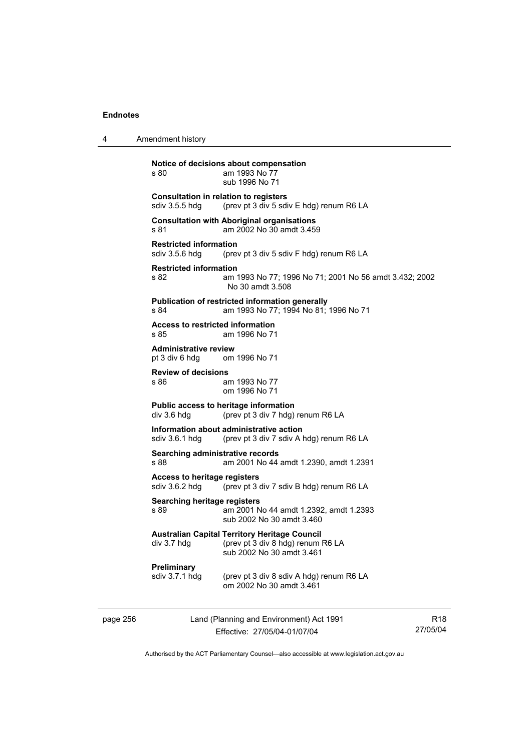| 4        | Amendment history                                              |                                                                                                                        |   |
|----------|----------------------------------------------------------------|------------------------------------------------------------------------------------------------------------------------|---|
|          | s 80                                                           | Notice of decisions about compensation<br>am 1993 No 77<br>sub 1996 No 71                                              |   |
|          | <b>Consultation in relation to registers</b><br>sdiv 3.5.5 hdg | (prev pt 3 div 5 sdiv E hdg) renum R6 LA                                                                               |   |
|          | s 81                                                           | <b>Consultation with Aboriginal organisations</b><br>am 2002 No 30 amdt 3.459                                          |   |
|          | <b>Restricted information</b><br>sdiv $3.5.6$ hdg              | (prev pt 3 div 5 sdiv F hdg) renum R6 LA                                                                               |   |
|          | <b>Restricted information</b><br>s 82                          | am 1993 No 77; 1996 No 71; 2001 No 56 amdt 3.432; 2002<br>No 30 amdt 3.508                                             |   |
|          | s 84                                                           | <b>Publication of restricted information generally</b><br>am 1993 No 77; 1994 No 81; 1996 No 71                        |   |
|          | Access to restricted information<br>s 85                       | am 1996 No 71                                                                                                          |   |
|          | <b>Administrative review</b><br>pt 3 div 6 hdg                 | om 1996 No 71                                                                                                          |   |
|          | <b>Review of decisions</b><br>s 86                             | am 1993 No 77<br>om 1996 No 71                                                                                         |   |
|          | div 3.6 hdg                                                    | Public access to heritage information<br>(prev pt 3 div 7 hdg) renum R6 LA                                             |   |
|          | sdiv $3.6.1$ hdg                                               | Information about administrative action<br>(prev pt 3 div 7 sdiv A hdg) renum R6 LA                                    |   |
|          | Searching administrative records<br>s 88                       | am 2001 No 44 amdt 1.2390, amdt 1.2391                                                                                 |   |
|          | <b>Access to heritage registers</b><br>sdiv 3.6.2 hdg          | (prev pt 3 div 7 sdiv B hdg) renum R6 LA                                                                               |   |
|          | Searching heritage registers<br>s 89                           | am 2001 No 44 amdt 1.2392, amdt 1.2393<br>sub 2002 No 30 amdt 3.460                                                    |   |
|          | div 3.7 hdg                                                    | <b>Australian Capital Territory Heritage Council</b><br>(prev pt 3 div 8 hdg) renum R6 LA<br>sub 2002 No 30 amdt 3.461 |   |
|          | Preliminary<br>sdiv 3.7.1 hdg                                  | (prev pt 3 div 8 sdiv A hdg) renum R6 LA<br>om 2002 No 30 amdt 3.461                                                   |   |
| page 256 |                                                                | Land (Planning and Environment) Act 1991                                                                               | R |

Effective: 27/05/04-01/07/04

R18 27/05/04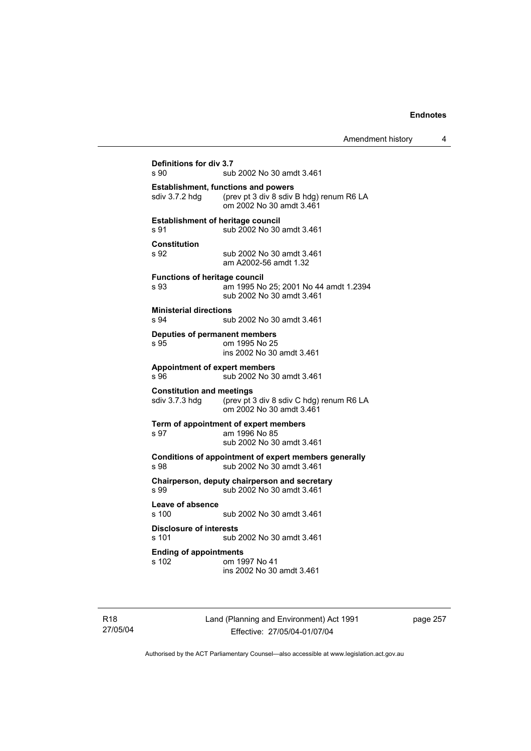```
Definitions for div 3.7 
                 sub 2002 No 30 amdt 3.461
Establishment, functions and powers 
sdiv 3.7.2 hdg (prev pt 3 div 8 sdiv B hdg) renum R6 LA
                  om 2002 No 30 amdt 3.461 
Establishment of heritage council 
s 91 sub 2002 No 30 amdt 3.461 
Constitution 
s 92 sub 2002 No 30 amdt 3.461 
                  am A2002-56 amdt 1.32 
Functions of heritage council<br>s 93 am 1995 No
                 am 1995 No 25; 2001 No 44 amdt 1.2394
                  sub 2002 No 30 amdt 3.461 
Ministerial directions 
s 94 sub 2002 No 30 amdt 3.461 
Deputies of permanent members 
s 95 om 1995 No 25 
                  ins 2002 No 30 amdt 3.461 
Appointment of expert members 
                 sub 2002 No 30 amdt 3.461
Constitution and meetings 
sdiv 3.7.3 hdg (prev pt 3 div 8 sdiv C hdg) renum R6 LA 
                  om 2002 No 30 amdt 3.461 
Term of appointment of expert members 
                 am 1996 No 85
                  sub 2002 No 30 amdt 3.461 
Conditions of appointment of expert members generally 
s 98 sub 2002 No 30 amdt 3.461 
Chairperson, deputy chairperson and secretary 
s 99 sub 2002 No 30 amdt 3.461 
Leave of absence 
                 sub 2002 No 30 amdt 3.461
Disclosure of interests 
s 101 sub 2002 No 30 amdt 3.461 
Ending of appointments 
                 om 1997 No 41
                  ins 2002 No 30 amdt 3.461
```
R18 27/05/04 Land (Planning and Environment) Act 1991 Effective: 27/05/04-01/07/04

page 257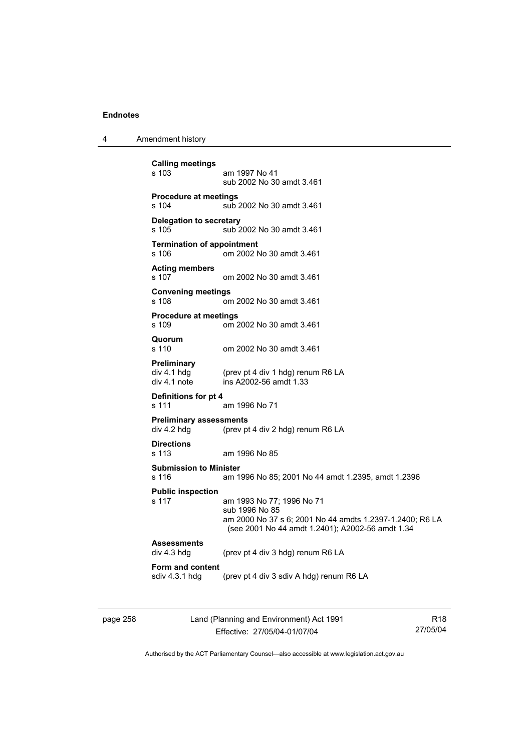4 Amendment history

```
Calling meetings 
                 am 1997 No 41
                  sub 2002 No 30 amdt 3.461 
Procedure at meetings 
s 104 sub 2002 No 30 amdt 3.461 
Delegation to secretary 
s 105 sub 2002 No 30 amdt 3.461 
Termination of appointment 
s 106 om 2002 No 30 amdt 3.461 
Acting members 
s 107 om 2002 No 30 amdt 3.461 
Convening meetings 
s 108 om 2002 No 30 amdt 3.461 
Procedure at meetings 
s 109 om 2002 No 30 amdt 3.461 
Quorum 
                 om 2002 No 30 amdt 3.461
Preliminary 
div 4.1 hdg (prev pt 4 div 1 hdg) renum R6 LA<br>div 4.1 note ins A2002-56 amdt 1.33
                 ins A2002-56 amdt 1.33
Definitions for pt 4 
s 111 am 1996 No 71 
Preliminary assessments 
div 4.2 hdg (prev pt 4 div 2 hdg) renum R6 LA 
Directions 
                 am 1996 No 85
Submission to Minister 
s 116 am 1996 No 85; 2001 No 44 amdt 1.2395, amdt 1.2396 
Public inspection 
s 117 am 1993 No 77; 1996 No 71 
                  sub 1996 No 85 
                  am 2000 No 37 s 6; 2001 No 44 amdts 1.2397-1.2400; R6 LA 
                  (see 2001 No 44 amdt 1.2401); A2002-56 amdt 1.34 
Assessments 
                 (prev pt 4 div 3 hdg) renum R6 LA
Form and content 
                 (prev pt 4 div 3 sdiv A hdg) renum R6 LA
```

| page 258 |  |
|----------|--|
|----------|--|

page 258 Land (Planning and Environment) Act 1991 Effective: 27/05/04-01/07/04

R18 27/05/04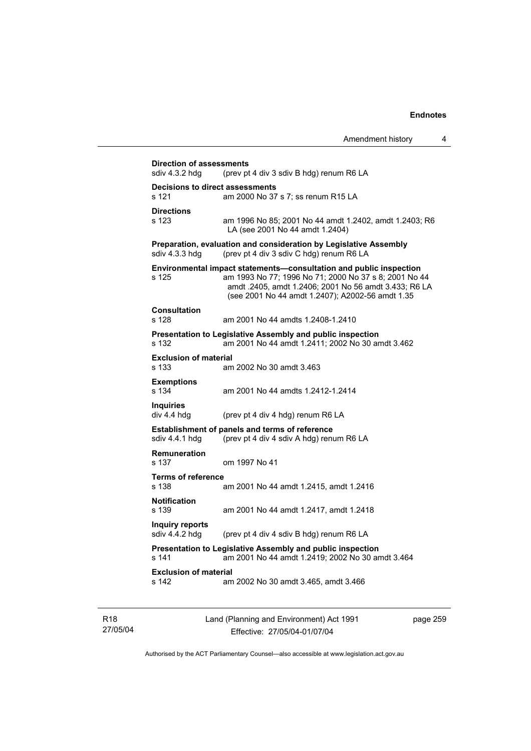|                                                     | Amendment history | 4 |
|-----------------------------------------------------|-------------------|---|
| sments<br>(prev pt 4 div 3 sdiv B hdg) renum R6 LA  |                   |   |
| t assessments<br>am 2000 No 37 s 7; ss renum R15 LA |                   |   |

**Decisions to direct assessments**  s 121 am 2000 No 37 s 7; ss re **Directions**  am 1996 No 85; 2001 No 44 amdt 1.2402, amdt 1.2403; R6 LA (see 2001 No 44 amdt 1.2404) **Preparation, evaluation and consideration by Legislative Assembly**  sdiv 4.3.3 hdg (prev pt 4 div 3 sdiv C hdg) renum R6 LA **Environmental impact statements—consultation and public inspection**  s 125 am 1993 No 77; 1996 No 71; 2000 No 37 s 8; 2001 No 44 amdt .2405, amdt 1.2406; 2001 No 56 amdt 3.433; R6 LA (see 2001 No 44 amdt 1.2407); A2002-56 amdt 1.35 **Consultation**  s 128 am 2001 No 44 amdts 1.2408-1.2410 **Presentation to Legislative Assembly and public inspection**  s 132 am 2001 No 44 amdt 1.2411; 2002 No 30 amdt 3.462 **Exclusion of material**  s 133 am 2002 No 30 amdt 3.463 **Exemptions**  s 134 am 2001 No 44 amdts 1.2412-1.2414 **Inquiries**  div 4.4 hdg (prev pt 4 div 4 hdg) renum R6 LA **Establishment of panels and terms of reference**  sdiv 4.4.1 hdg (prev pt 4 div 4 sdiv A hdg) renum R6 LA **Remuneration**  s 137 om 1997 No 41 **Terms of reference**  s 138 am 2001 No 44 amdt 1.2415, amdt 1.2416 **Notification**  s 139 am 2001 No 44 amdt 1.2417, amdt 1.2418 **Inquiry reports**  (prev pt 4 div 4 sdiv B hdg) renum R6 LA **Presentation to Legislative Assembly and public inspection**  s 141 am 2001 No 44 amdt 1.2419; 2002 No 30 amdt 3.464 **Exclusion of material**<br>s 142 am s 142 am 2002 No 30 amdt 3.465, amdt 3.466

**Direction of assessments**<br>sdiv 4.3.2 hdg (prev pt

| R18      |
|----------|
| 27/05/04 |

Land (Planning and Environment) Act 1991 Effective: 27/05/04-01/07/04

page 259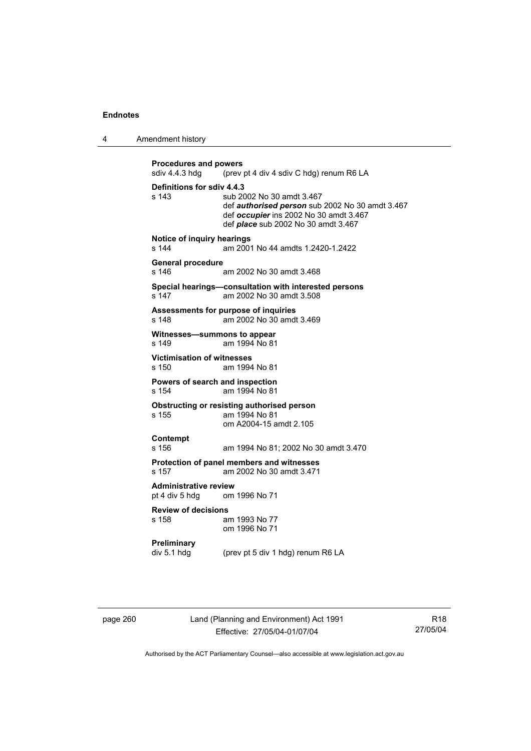4 Amendment history

```
Procedures and powers<br>sdiv 4.4.3 hdg (prev
                 (prev pt 4 div 4 sdiv C hdg) renum R6 LA
Definitions for sdiv 4.4.3 
s 143 sub 2002 No 30 amdt 3.467 
                  def authorised person sub 2002 No 30 amdt 3.467 
                  def occupier ins 2002 No 30 amdt 3.467 
                  def place sub 2002 No 30 amdt 3.467 
Notice of inquiry hearings<br>s 144 am 200
                 am 2001 No 44 amdts 1.2420-1.2422
General procedure 
s 146 am 2002 No 30 amdt 3.468 
Special hearings—consultation with interested persons 
                 am 2002 No 30 amdt 3.508
Assessments for purpose of inquiries 
s 148 am 2002 No 30 amdt 3.469 
Witnesses—summons to appear 
s 149 am 1994 No 81 
Victimisation of witnesses 
s 150 am 1994 No 81 
Powers of search and inspection 
s 154 am 1994 No 81 
Obstructing or resisting authorised person 
s 155 am 1994 No 81 
                  om A2004-15 amdt 2.105 
Contempt 
s 156 am 1994 No 81; 2002 No 30 amdt 3.470 
Protection of panel members and witnesses 
s 157 am 2002 No 30 amdt 3.471 
Administrative review 
pt 4 div 5 hdg om 1996 No 71 
Review of decisions 
s 158 am 1993 No 77 
                  om 1996 No 71 
Preliminary 
div 5.1 hdg (prev pt 5 div 1 hdg) renum R6 LA
```
page 260 Land (Planning and Environment) Act 1991 Effective: 27/05/04-01/07/04

R18 27/05/04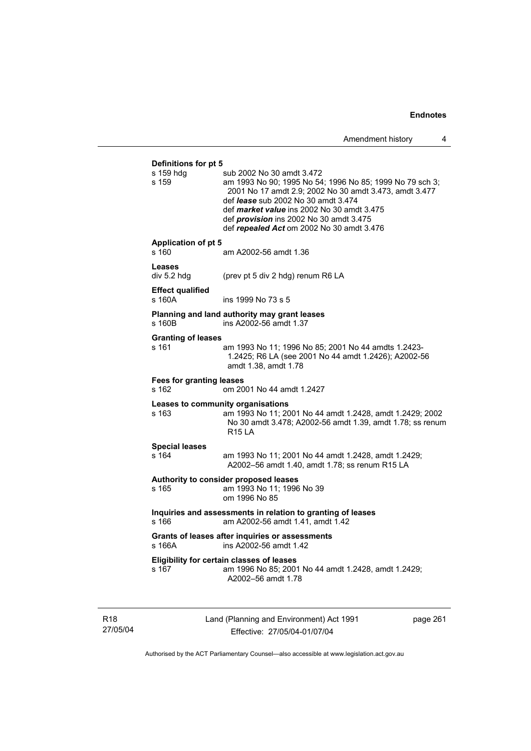**Definitions for pt 5**  sub 2002 No 30 amdt 3.472 s 159 am 1993 No 90; 1995 No 54; 1996 No 85; 1999 No 79 sch 3; 2001 No 17 amdt 2.9; 2002 No 30 amdt 3.473, amdt 3.477 def *lease* sub 2002 No 30 amdt 3.474 def *market value* ins 2002 No 30 amdt 3.475 def *provision* ins 2002 No 30 amdt 3.475 def *repealed Act* om 2002 No 30 amdt 3.476 **Application of pt 5**  s 160 am A2002-56 amdt 1.36 **Leases**  div 5.2 hdg (prev pt 5 div 2 hdg) renum R6 LA **Effect qualified**  s 160A ins 1999 No 73 s 5 **Planning and land authority may grant leases**  s 160B ins A2002-56 amdt 1.37 **Granting of leases**  s 161 am 1993 No 11; 1996 No 85; 2001 No 44 amdts 1.2423- 1.2425; R6 LA (see 2001 No 44 amdt 1.2426); A2002-56 amdt 1.38, amdt 1.78 **Fees for granting leases**  s 162 om 2001 No 44 amdt 1.2427 **Leases to community organisations**  s 163 am 1993 No 11; 2001 No 44 amdt 1.2428, amdt 1.2429; 2002 No 30 amdt 3.478; A2002-56 amdt 1.39, amdt 1.78; ss renum R15 LA **Special leases**  am 1993 No 11; 2001 No 44 amdt 1.2428, amdt 1.2429; A2002–56 amdt 1.40, amdt 1.78; ss renum R15 LA **Authority to consider proposed leases**  s 165 am 1993 No 11; 1996 No 39 om 1996 No 85 **Inquiries and assessments in relation to granting of leases**  s 166 am A2002-56 amdt 1.41, amdt 1.42 **Grants of leases after inquiries or assessments**  s 166A ins A2002-56 amdt 1.42 **Eligibility for certain classes of leases**  s 167 am 1996 No 85; 2001 No 44 amdt 1.2428, amdt 1.2429; A2002–56 amdt 1.78

R18 27/05/04 Land (Planning and Environment) Act 1991 Effective: 27/05/04-01/07/04

page 261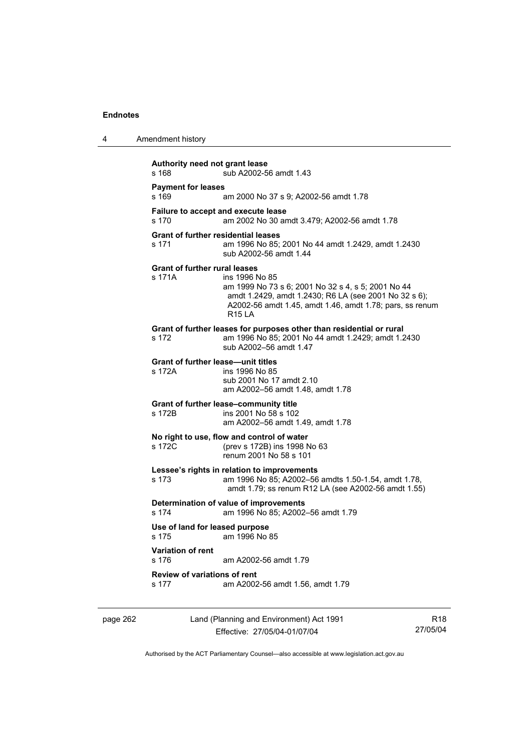| 4 | Amendment history                                   |                                                                                                                                                                                                                 |
|---|-----------------------------------------------------|-----------------------------------------------------------------------------------------------------------------------------------------------------------------------------------------------------------------|
|   | Authority need not grant lease<br>s 168             | sub A2002-56 amdt 1.43                                                                                                                                                                                          |
|   | <b>Payment for leases</b><br>s 169                  | am 2000 No 37 s 9; A2002-56 amdt 1.78                                                                                                                                                                           |
|   | Failure to accept and execute lease<br>s 170        | am 2002 No 30 amdt 3.479; A2002-56 amdt 1.78                                                                                                                                                                    |
|   | <b>Grant of further residential leases</b><br>s 171 | am 1996 No 85; 2001 No 44 amdt 1.2429, amdt 1.2430<br>sub A2002-56 amdt 1.44                                                                                                                                    |
|   | <b>Grant of further rural leases</b><br>s 171A      | ins 1996 No 85<br>am 1999 No 73 s 6; 2001 No 32 s 4, s 5; 2001 No 44<br>amdt 1.2429, amdt 1.2430; R6 LA (see 2001 No 32 s 6);<br>A2002-56 amdt 1.45, amdt 1.46, amdt 1.78; pars, ss renum<br>R <sub>15</sub> LA |
|   | s 172                                               | Grant of further leases for purposes other than residential or rural<br>am 1996 No 85; 2001 No 44 amdt 1.2429; amdt 1.2430<br>sub A2002-56 amdt 1.47                                                            |
|   | <b>Grant of further lease-unit titles</b><br>s 172A | ins 1996 No 85<br>sub 2001 No 17 amdt 2.10<br>am A2002-56 amdt 1.48, amdt 1.78                                                                                                                                  |
|   | s 172B                                              | Grant of further lease-community title<br>ins 2001 No 58 s 102<br>am A2002-56 amdt 1.49, amdt 1.78                                                                                                              |
|   | s 172C                                              | No right to use, flow and control of water<br>(prev s 172B) ins 1998 No 63<br>renum 2001 No 58 s 101                                                                                                            |
|   | s 173                                               | Lessee's rights in relation to improvements<br>am 1996 No 85; A2002-56 amdts 1.50-1.54, amdt 1.78,<br>amdt 1.79; ss renum R12 LA (see A2002-56 amdt 1.55)                                                       |
|   | s 174                                               | Determination of value of improvements<br>am 1996 No 85; A2002-56 amdt 1.79                                                                                                                                     |
|   | Use of land for leased purpose<br>s 175             | am 1996 No 85                                                                                                                                                                                                   |
|   | Variation of rent<br>s 176                          | am A2002-56 amdt 1.79                                                                                                                                                                                           |
|   | <b>Review of variations of rent</b><br>s 177        | am A2002-56 amdt 1.56, amdt 1.79                                                                                                                                                                                |
|   |                                                     |                                                                                                                                                                                                                 |

page 262 Land (Planning and Environment) Act 1991 Effective: 27/05/04-01/07/04

R18 27/05/04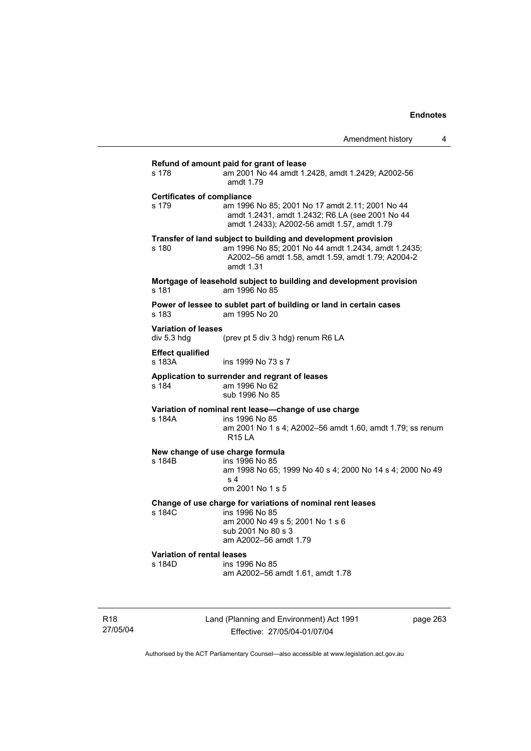## **Refund of amount paid for grant of lease**

| s 178                                       | Refution of amount paid for grant of lease<br>am 2001 No 44 amdt 1.2428, amdt 1.2429; A2002-56<br>amdt 1.79                                                                             |
|---------------------------------------------|-----------------------------------------------------------------------------------------------------------------------------------------------------------------------------------------|
| <b>Certificates of compliance</b><br>s 179  | am 1996 No 85; 2001 No 17 amdt 2.11; 2001 No 44<br>amdt 1.2431, amdt 1.2432; R6 LA (see 2001 No 44<br>amdt 1.2433); A2002-56 amdt 1.57, amdt 1.79                                       |
| s 180                                       | Transfer of land subject to building and development provision<br>am 1996 No 85; 2001 No 44 amdt 1.2434, amdt 1.2435;<br>A2002-56 amdt 1.58, amdt 1.59, amdt 1.79; A2004-2<br>amdt 1.31 |
| s 181                                       | Mortgage of leasehold subject to building and development provision<br>am 1996 No 85                                                                                                    |
| s 183                                       | Power of lessee to sublet part of building or land in certain cases<br>am 1995 No 20                                                                                                    |
| <b>Variation of leases</b><br>div 5.3 hdg   | (prev pt 5 div 3 hdg) renum R6 LA                                                                                                                                                       |
| <b>Effect qualified</b><br>s 183A           | ins 1999 No 73 s 7                                                                                                                                                                      |
| s 184                                       | Application to surrender and regrant of leases<br>am 1996 No 62<br>sub 1996 No 85                                                                                                       |
| s 184A                                      | Variation of nominal rent lease-change of use charge<br>ins 1996 No 85<br>am 2001 No 1 s 4; A2002-56 amdt 1.60, amdt 1.79; ss renum<br><b>R15 LA</b>                                    |
| s 184B                                      | New change of use charge formula<br>ins 1996 No 85<br>am 1998 No 65; 1999 No 40 s 4; 2000 No 14 s 4; 2000 No 49<br>s 4<br>om 2001 No 1 s 5                                              |
| s 184C                                      | Change of use charge for variations of nominal rent leases<br>ins 1996 No 85<br>am 2000 No 49 s 5; 2001 No 1 s 6<br>sub 2001 No 80 s 3<br>am A2002-56 amdt 1.79                         |
| <b>Variation of rental leases</b><br>s 184D | ins 1996 No 85<br>am A2002-56 amdt 1.61, amdt 1.78                                                                                                                                      |
|                                             |                                                                                                                                                                                         |

R18 27/05/04 Land (Planning and Environment) Act 1991 Effective: 27/05/04-01/07/04

page 263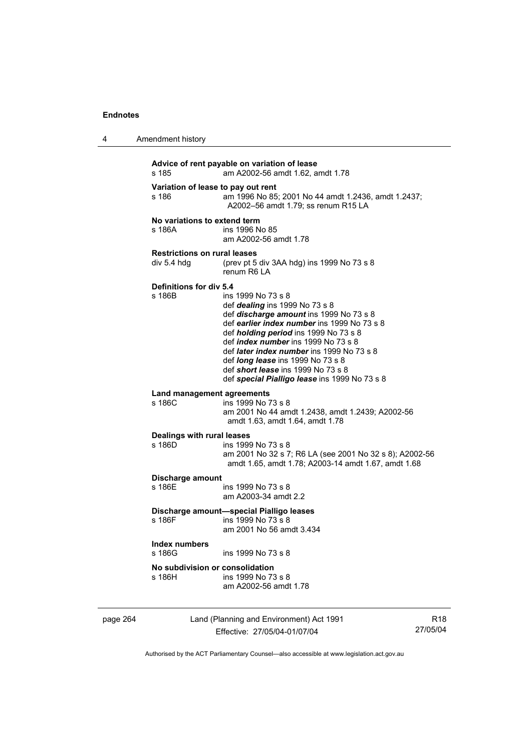4 Amendment history

| s 185                                              | Advice of rent payable on variation of lease<br>am A2002-56 amdt 1.62, amdt 1.78                                                                                                                                                                                                                                                                                                                                                    |
|----------------------------------------------------|-------------------------------------------------------------------------------------------------------------------------------------------------------------------------------------------------------------------------------------------------------------------------------------------------------------------------------------------------------------------------------------------------------------------------------------|
| Variation of lease to pay out rent<br>s 186        | am 1996 No 85; 2001 No 44 amdt 1.2436, amdt 1.2437;<br>A2002-56 amdt 1.79; ss renum R15 LA                                                                                                                                                                                                                                                                                                                                          |
| No variations to extend term<br>s 186A             | ins 1996 No 85<br>am A2002-56 amdt 1.78                                                                                                                                                                                                                                                                                                                                                                                             |
| <b>Restrictions on rural leases</b><br>div 5.4 hdg | (prev pt 5 div 3AA hdg) ins 1999 No 73 s 8<br>renum R6   A                                                                                                                                                                                                                                                                                                                                                                          |
| Definitions for div 5.4<br>s 186B                  | ins 1999 No 73 s 8<br>def dealing ins 1999 No 73 s 8<br>def discharge amount ins 1999 No 73 s 8<br>def earlier index number ins 1999 No 73 s 8<br>def <i>holding period</i> ins 1999 No 73 s 8<br>def <i>index number</i> ins 1999 No 73 s 8<br>def <i>later index number</i> ins 1999 No 73 s 8<br>def <i>long lease</i> ins 1999 No 73 s 8<br>def short lease ins 1999 No 73 s 8<br>def special Pialligo lease ins 1999 No 73 s 8 |
| Land management agreements<br>s 186C               | ins 1999 No 73 s 8<br>am 2001 No 44 amdt 1.2438, amdt 1.2439; A2002-56<br>amdt 1.63, amdt 1.64, amdt 1.78                                                                                                                                                                                                                                                                                                                           |
| Dealings with rural leases<br>s 186D               | ins 1999 No 73 s 8<br>am 2001 No 32 s 7; R6 LA (see 2001 No 32 s 8); A2002-56<br>amdt 1.65, amdt 1.78; A2003-14 amdt 1.67, amdt 1.68                                                                                                                                                                                                                                                                                                |
| Discharge amount<br>s 186E                         | ins 1999 No 73 s 8<br>am A2003-34 amdt 2.2                                                                                                                                                                                                                                                                                                                                                                                          |
| s 186F                                             | Discharge amount-special Pialligo leases<br>ins 1999 No 73 s 8<br>am 2001 No 56 amdt 3.434                                                                                                                                                                                                                                                                                                                                          |
| Index numbers<br>s 186G                            | ins 1999 No 73 s 8                                                                                                                                                                                                                                                                                                                                                                                                                  |
| No subdivision or consolidation<br>s 186H          | ins 1999 No 73 s 8<br>am A2002-56 amdt 1.78                                                                                                                                                                                                                                                                                                                                                                                         |
|                                                    |                                                                                                                                                                                                                                                                                                                                                                                                                                     |

page 264 Land (Planning and Environment) Act 1991 Effective: 27/05/04-01/07/04

R18 27/05/04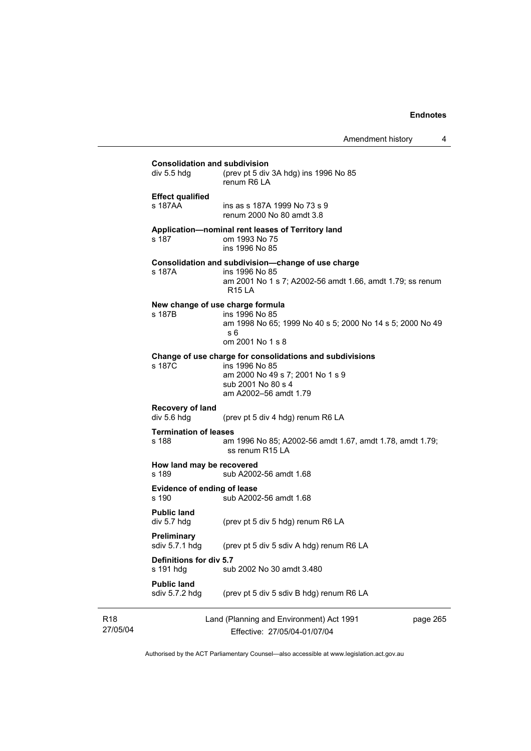Amendment history 4

**Consolidation and subdivision**<br>div 5.5 hdg (prev pt 5 div (prev pt 5 div 3A hdg) ins 1996 No  $85$  renum R6 LA **Effect qualified**  ins as s 187A 1999 No 73 s 9 renum 2000 No 80 amdt 3.8 **Application—nominal rent leases of Territory land**  s 187 om 1993 No 75 ins 1996 No 85 **Consolidation and subdivision—change of use charge**  s 187A ins 1996 No 85 am 2001 No 1 s 7; A2002-56 amdt 1.66, amdt 1.79; ss renum R15 LA **New change of use charge formula**  s 187B ins 1996 No 85 am 1998 No 65; 1999 No 40 s 5; 2000 No 14 s 5; 2000 No 49 s 6 om 2001 No 1 s 8 **Change of use charge for consolidations and subdivisions**  ins 1996 No 85 am 2000 No 49 s 7; 2001 No 1 s 9 sub 2001 No 80 s 4 am A2002–56 amdt 1.79 **Recovery of land**  div 5.6 hdg (prev pt 5 div 4 hdg) renum R6 LA **Termination of leases**  s 188 am 1996 No 85; A2002-56 amdt 1.67, amdt 1.78, amdt 1.79; ss renum R15 LA **How land may be recovered**<br>s 189 sub A2002 sub A2002-56 amdt 1.68 **Evidence of ending of lease**  s 190 sub A2002-56 amdt 1.68 **Public land**<br>div 5.7 hdg (prev pt 5 div 5 hdg) renum R6 LA **Preliminary**  sdiv 5.7.1 hdg (prev pt 5 div 5 sdiv A hdg) renum R6 LA **Definitions for div 5.7**  s 191 hdg sub 2002 No 30 amdt 3.480 **Public land**  sdiv 5.7.2 hdg (prev pt 5 div 5 sdiv B hdg) renum R6 LA

R18 27/05/04 Land (Planning and Environment) Act 1991 Effective: 27/05/04-01/07/04

page 265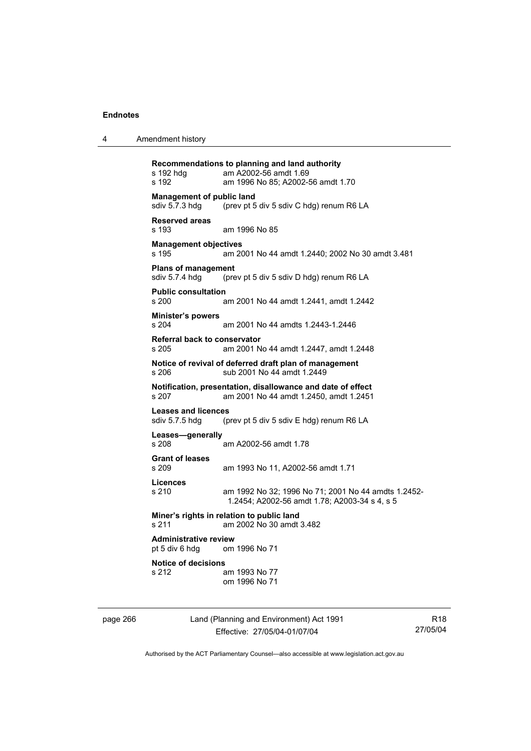4 Amendment history

**Recommendations to planning and land authority**  s 192 hdg am A2002-56 amdt 1.69 s 192 am 1996 No 85; A2002-56 amdt 1.70 **Management of public land<br>sdiv 5.7.3 hdg** (prev pt 5 (prev pt 5 div 5 sdiv C hdg) renum R6 LA **Reserved areas**  s 193 am 1996 No 85 **Management objectives**  s 195 am 2001 No 44 amdt 1.2440; 2002 No 30 amdt 3.481 **Plans of management**  sdiv 5.7.4 hdg (prev pt 5 div 5 sdiv D hdg) renum R6 LA **Public consultation**  s 200 am 2001 No 44 amdt 1.2441, amdt 1.2442 **Minister's powers**  s 204 am 2001 No 44 amdts 1.2443-1.2446 **Referral back to conservator**  s 205 am 2001 No 44 amdt 1.2447, amdt 1.2448 **Notice of revival of deferred draft plan of management**  s 206 sub 2001 No 44 amdt 1.2449 **Notification, presentation, disallowance and date of effect**  s 207 am 2001 No 44 amdt 1.2450, amdt 1.2451 **Leases and licences**  sdiv 5.7.5 hdg (prev pt 5 div 5 sdiv E hdg) renum R6 LA **Leases—generally**  am A2002-56 amdt 1.78 **Grant of leases**  s 209 am 1993 No 11, A2002-56 amdt 1.71 **Licences**  s 210 am 1992 No 32; 1996 No 71; 2001 No 44 amdts 1.2452- 1.2454; A2002-56 amdt 1.78; A2003-34 s 4, s 5 **Miner's rights in relation to public land**  s 211 am 2002 No 30 amdt 3.482 **Administrative review**  pt 5 div 6 hdg om 1996 No 71 **Notice of decisions**  s 212 am 1993 No 77 om 1996 No 71

page 266 Land (Planning and Environment) Act 1991 Effective: 27/05/04-01/07/04

R18 27/05/04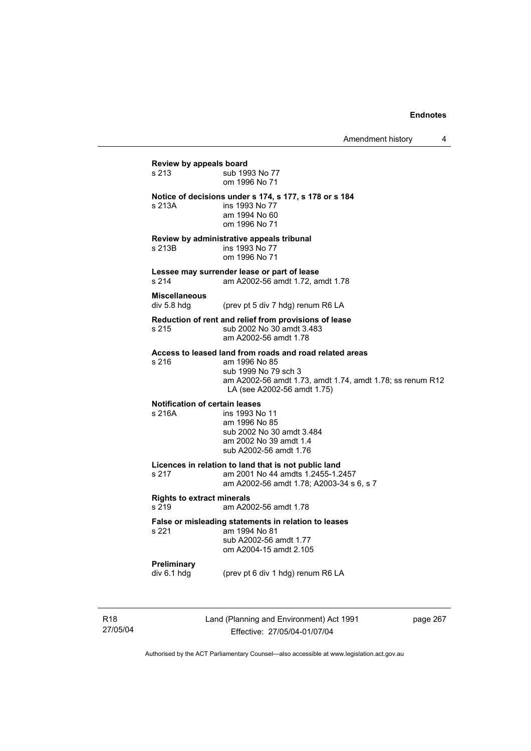## **Review by appeals board**  s 213 **Sub** 1993 No 77 om 1996 No 71 **Notice of decisions under s 174, s 177, s 178 or s 184**  s 213A **ins 1993** No 77 am 1994 No 60 om 1996 No 71 **Review by administrative appeals tribunal**  s 213B **ins 1993** No 77 om 1996 No 71 **Lessee may surrender lease or part of lease**  s 214 am A2002-56 amdt 1.72, amdt 1.78 **Miscellaneous**  div 5.8 hdg (prev pt 5 div 7 hdg) renum R6 LA **Reduction of rent and relief from provisions of lease**  s 215 sub 2002 No 30 amdt 3.483 am A2002-56 amdt 1.78 **Access to leased land from roads and road related areas**  s 216 am 1996 No 85 sub 1999 No 79 sch 3 am A2002-56 amdt 1.73, amdt 1.74, amdt 1.78; ss renum R12 LA (see A2002-56 amdt 1.75) **Notification of certain leases**  s 216A ins 1993 No 11 am 1996 No 85 sub 2002 No 30 amdt 3.484 am 2002 No 39 amdt 1.4 sub A2002-56 amdt 1.76 **Licences in relation to land that is not public land**  am 2001 No 44 amdts 1.2455-1.2457 am A2002-56 amdt 1.78; A2003-34 s 6, s 7 **Rights to extract minerals**  s 219 am A2002-56 amdt 1.78 **False or misleading statements in relation to leases**  am 1994 No 81 sub A2002-56 amdt 1.77 om A2004-15 amdt 2.105 **Preliminary**  div 6.1 hdg (prev pt 6 div 1 hdg) renum R6 LA

R18 27/05/04 Land (Planning and Environment) Act 1991 Effective: 27/05/04-01/07/04

page 267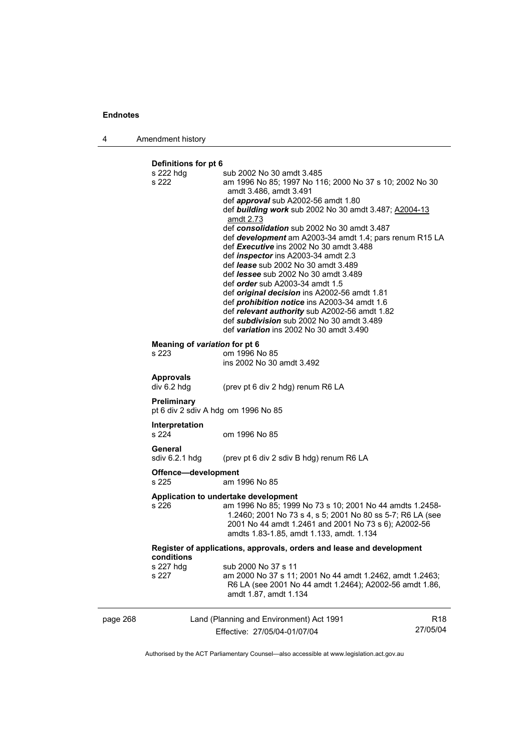page 268

| 4 | Amendment history |
|---|-------------------|
|   |                   |

## **Definitions for pt 6**

| s 222 hdg<br>s 222                     | sub 2002 No 30 amdt 3.485<br>am 1996 No 85; 1997 No 116; 2000 No 37 s 10; 2002 No 30<br>amdt 3.486, amdt 3.491<br>def <i>approval</i> sub A2002-56 amdt 1.80<br>def building work sub 2002 No 30 amdt 3.487; A2004-13<br>amdt 2.73<br>def consolidation sub 2002 No 30 amdt 3.487<br>def development am A2003-34 amdt 1.4; pars renum R15 LA<br>def Executive ins 2002 No 30 amdt 3.488<br>def <i>inspector</i> ins A2003-34 amdt 2.3<br>def lease sub 2002 No 30 amdt 3.489 |                             |
|----------------------------------------|------------------------------------------------------------------------------------------------------------------------------------------------------------------------------------------------------------------------------------------------------------------------------------------------------------------------------------------------------------------------------------------------------------------------------------------------------------------------------|-----------------------------|
|                                        | def <i>lessee</i> sub 2002 No 30 amdt 3.489<br>def <i>order</i> sub A2003-34 amdt 1.5<br>def <i>original decision</i> ins A2002-56 amdt 1.81<br>def prohibition notice ins A2003-34 amdt 1.6<br>def relevant authority sub A2002-56 amdt 1.82<br>def subdivision sub 2002 No 30 amdt 3.489<br>def variation ins 2002 No 30 amdt 3.490                                                                                                                                        |                             |
| Meaning of variation for pt 6<br>s 223 | om 1996 No 85<br>ins 2002 No 30 amdt 3.492                                                                                                                                                                                                                                                                                                                                                                                                                                   |                             |
| <b>Approvals</b><br>div 6.2 hdg        | (prev pt 6 div 2 hdg) renum R6 LA                                                                                                                                                                                                                                                                                                                                                                                                                                            |                             |
| Preliminary                            | pt 6 div 2 sdiv A hdg om 1996 No 85                                                                                                                                                                                                                                                                                                                                                                                                                                          |                             |
| Interpretation<br>s 224                | om 1996 No 85                                                                                                                                                                                                                                                                                                                                                                                                                                                                |                             |
| General<br>sdiv 6.2.1 hdg              | (prev pt 6 div 2 sdiv B hdg) renum R6 LA                                                                                                                                                                                                                                                                                                                                                                                                                                     |                             |
| Offence-development<br>s 225           | am 1996 No 85                                                                                                                                                                                                                                                                                                                                                                                                                                                                |                             |
| s 226                                  | Application to undertake development<br>am 1996 No 85; 1999 No 73 s 10; 2001 No 44 amdts 1.2458-<br>1.2460; 2001 No 73 s 4, s 5; 2001 No 80 ss 5-7; R6 LA (see<br>2001 No 44 amdt 1.2461 and 2001 No 73 s 6); A2002-56<br>amdts 1.83-1.85, amdt 1.133, amdt. 1.134                                                                                                                                                                                                           |                             |
| conditions                             | Register of applications, approvals, orders and lease and development                                                                                                                                                                                                                                                                                                                                                                                                        |                             |
| s 227 hdg<br>s 227                     | sub 2000 No 37 s 11<br>am 2000 No 37 s 11; 2001 No 44 amdt 1.2462, amdt 1.2463;<br>R6 LA (see 2001 No 44 amdt 1.2464); A2002-56 amdt 1.86,<br>amdt 1.87, amdt 1.134                                                                                                                                                                                                                                                                                                          |                             |
|                                        | Land (Planning and Environment) Act 1991<br>Effective: 27/05/04-01/07/04                                                                                                                                                                                                                                                                                                                                                                                                     | R <sub>18</sub><br>27/05/04 |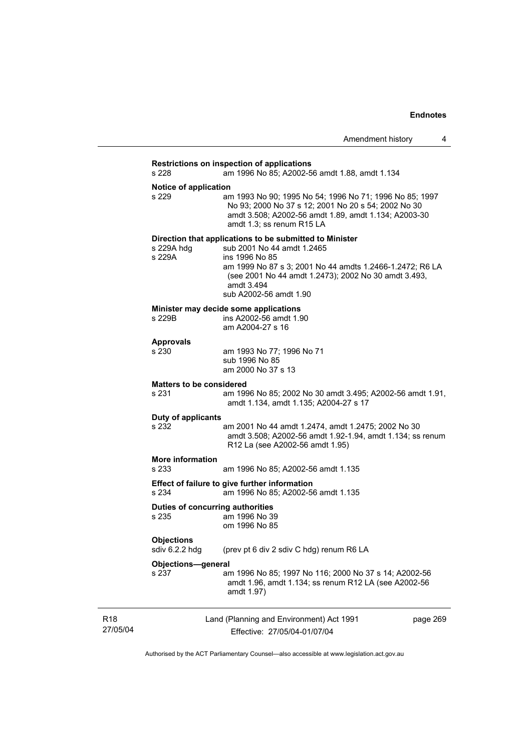## Land (Planning and Environment) Act 1991 Effective: 27/05/04-01/07/04 page 269 **Restrictions on inspection of applications**  s 228 am 1996 No 85; A2002-56 amdt 1.88, amdt 1.134 **Notice of application**<br>s 229 an am 1993 No 90; 1995 No 54; 1996 No 71; 1996 No 85; 1997 No 93; 2000 No 37 s 12; 2001 No 20 s 54; 2002 No 30 amdt 3.508; A2002-56 amdt 1.89, amdt 1.134; A2003-30 amdt 1.3; ss renum R15 LA **Direction that applications to be submitted to Minister**  s 229A hdg sub 2001 No 44 amdt 1.2465 s 229A ins 1996 No 85 am 1999 No 87 s 3; 2001 No 44 amdts 1.2466-1.2472; R6 LA (see 2001 No 44 amdt 1.2473); 2002 No 30 amdt 3.493, amdt 3.494 sub A2002-56 amdt 1.90 **Minister may decide some applications**<br>s 229B ins A2002-56 amdt 1.9 ins A2002-56 amdt 1.90 am A2004-27 s 16 **Approvals**  s 230 am 1993 No 77; 1996 No 71 sub 1996 No 85 am 2000 No 37 s 13 **Matters to be considered**  s 231 am 1996 No 85; 2002 No 30 amdt 3.495; A2002-56 amdt 1.91, amdt 1.134, amdt 1.135; A2004-27 s 17 **Duty of applicants**  am 2001 No 44 amdt 1.2474, amdt 1.2475; 2002 No 30 amdt 3.508; A2002-56 amdt 1.92-1.94, amdt 1.134; ss renum R12 La (see A2002-56 amdt 1.95) **More information**  s 233 am 1996 No 85; A2002-56 amdt 1.135 **Effect of failure to give further information**  s 234 am 1996 No 85; A2002-56 amdt 1.135 **Duties of concurring authorities**  s 235 am 1996 No 39 om 1996 No 85 **Objections**  sdiv 6.2.2 hdg (prev pt 6 div 2 sdiv C hdg) renum R6 LA **Objections—general**  s 237 am 1996 No 85; 1997 No 116; 2000 No 37 s 14; A2002-56 amdt 1.96, amdt 1.134; ss renum R12 LA (see A2002-56 amdt 1.97)

27/05/04

R18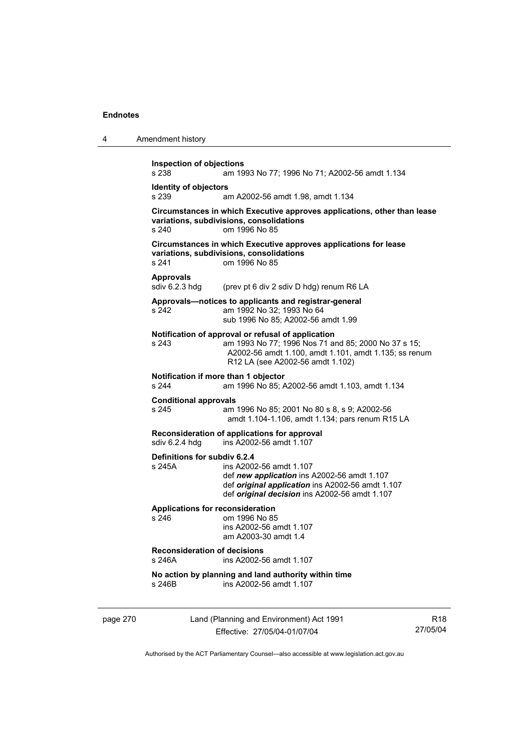| 4        | Amendment history                                                                                                                                                                                                     |
|----------|-----------------------------------------------------------------------------------------------------------------------------------------------------------------------------------------------------------------------|
|          | <b>Inspection of objections</b><br>s 238<br>am 1993 No 77; 1996 No 71; A2002-56 amdt 1.134                                                                                                                            |
|          | <b>Identity of objectors</b><br>s 239<br>am A2002-56 amdt 1.98, amdt 1.134                                                                                                                                            |
|          | Circumstances in which Executive approves applications, other than lease<br>variations, subdivisions, consolidations<br>s 240<br>om 1996 No 85                                                                        |
|          | Circumstances in which Executive approves applications for lease<br>variations, subdivisions, consolidations<br>s 241<br>om 1996 No 85                                                                                |
|          | <b>Approvals</b><br>sdiv 6.2.3 hdg<br>(prev pt 6 div 2 sdiv D hdg) renum R6 LA                                                                                                                                        |
|          | Approvals—notices to applicants and registrar-general<br>am 1992 No 32; 1993 No 64<br>s 242<br>sub 1996 No 85; A2002-56 amdt 1.99                                                                                     |
|          | Notification of approval or refusal of application<br>s 243<br>am 1993 No 77; 1996 Nos 71 and 85; 2000 No 37 s 15;<br>A2002-56 amdt 1.100, amdt 1.101, amdt 1.135; ss renum<br>R12 LA (see A2002-56 amdt 1.102)       |
|          | Notification if more than 1 objector<br>s 244<br>am 1996 No 85; A2002-56 amdt 1.103, amdt 1.134                                                                                                                       |
|          | <b>Conditional approvals</b><br>s 245<br>am 1996 No 85; 2001 No 80 s 8, s 9; A2002-56<br>amdt 1.104-1.106, amdt 1.134; pars renum R15 LA                                                                              |
|          | Reconsideration of applications for approval<br>sdiv 6.2.4 hdg<br>ins A2002-56 amdt 1.107                                                                                                                             |
|          | Definitions for subdiv 6.2.4<br>s 245A<br>ins A2002-56 amdt 1.107<br>def new application ins A2002-56 amdt 1.107<br>def original application ins A2002-56 amdt 1.107<br>def original decision ins A2002-56 amdt 1.107 |
|          | <b>Applications for reconsideration</b><br>s 246<br>om 1996 No 85<br>ins A2002-56 amdt 1.107<br>am A2003-30 amdt 1.4                                                                                                  |
|          | <b>Reconsideration of decisions</b><br>s 246A<br>ins A2002-56 amdt 1.107                                                                                                                                              |
|          | No action by planning and land authority within time<br>ins A2002-56 amdt 1.107<br>s 246B                                                                                                                             |
| page 270 | Land (Planning and Environment) Act 1991<br>R <sub>18</sub><br>27/05/04<br>Effective: 27/05/04-01/07/04                                                                                                               |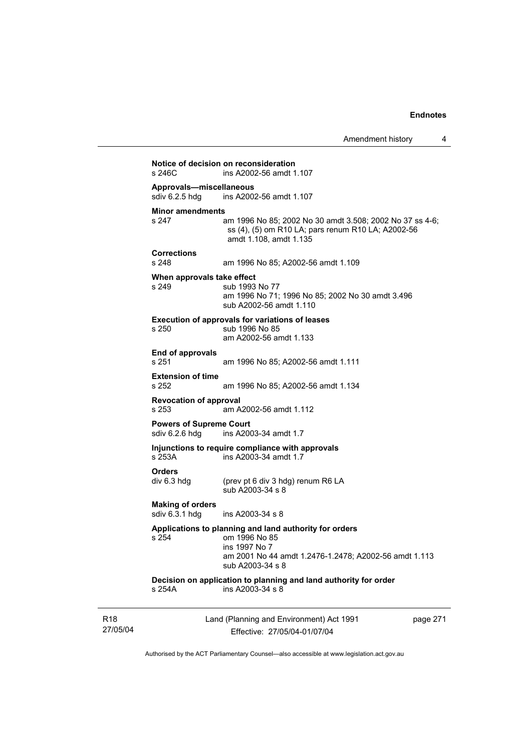| $s$ 246 $C$                                      | Notice of decision on reconsideration<br>ins A2002-56 amdt 1.107                                                                                                      |
|--------------------------------------------------|-----------------------------------------------------------------------------------------------------------------------------------------------------------------------|
| Approvals-miscellaneous<br>sdiv 6.2.5 hdg        | ins A2002-56 amdt 1.107                                                                                                                                               |
| <b>Minor amendments</b><br>s 247                 | am 1996 No 85; 2002 No 30 amdt 3.508; 2002 No 37 ss 4-6;<br>ss (4), (5) om R10 LA; pars renum R10 LA; A2002-56<br>amdt 1.108, amdt 1.135                              |
| <b>Corrections</b><br>s 248                      | am 1996 No 85; A2002-56 amdt 1.109                                                                                                                                    |
| When approvals take effect<br>s 249              | sub 1993 No 77<br>am 1996 No 71; 1996 No 85; 2002 No 30 amdt 3.496<br>sub A2002-56 amdt 1.110                                                                         |
| s 250                                            | <b>Execution of approvals for variations of leases</b><br>sub 1996 No 85<br>am A2002-56 amdt 1.133                                                                    |
| <b>End of approvals</b><br>s 251                 | am 1996 No 85; A2002-56 amdt 1.111                                                                                                                                    |
| <b>Extension of time</b><br>s 252                | am 1996 No 85; A2002-56 amdt 1.134                                                                                                                                    |
| <b>Revocation of approval</b><br>s 253           | am A2002-56 amdt 1.112                                                                                                                                                |
| <b>Powers of Supreme Court</b><br>sdiv 6.2.6 hdg | ins A2003-34 amdt 1.7                                                                                                                                                 |
| s 253A                                           | Injunctions to require compliance with approvals<br>ins A2003-34 amdt 1.7                                                                                             |
| <b>Orders</b><br>div 6.3 hdg                     | (prev pt 6 div 3 hdg) renum R6 LA<br>sub A2003-34 s 8                                                                                                                 |
| <b>Making of orders</b><br>sdiv 6.3.1 hdg        | ins A2003-34 s 8                                                                                                                                                      |
| s 254                                            | Applications to planning and land authority for orders<br>om 1996 No 85<br>ins 1997 No 7<br>am 2001 No 44 amdt 1.2476-1.2478; A2002-56 amdt 1.113<br>sub A2003-34 s 8 |
| s 254A                                           | Decision on application to planning and land authority for order<br>ins A2003-34 s 8                                                                                  |

R18 27/05/04 Land (Planning and Environment) Act 1991 Effective: 27/05/04-01/07/04

page 271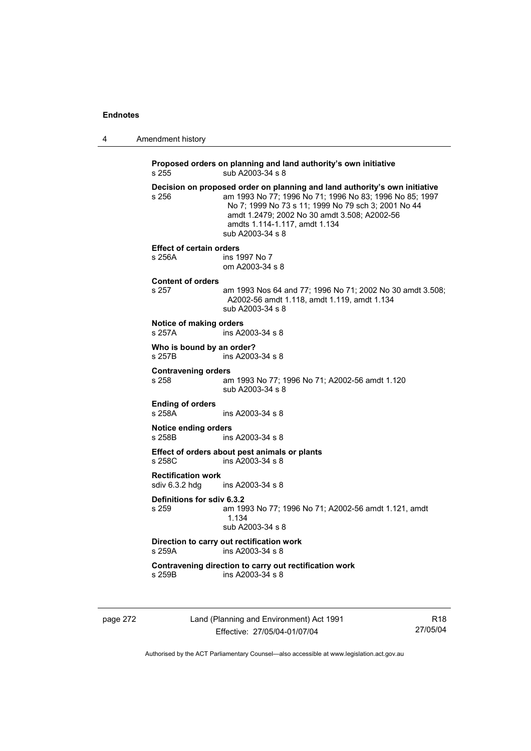|  | Amendment history |
|--|-------------------|
|--|-------------------|

**Proposed orders on planning and land authority's own initiative**  s 255 sub A2003-34 s 8 **Decision on proposed order on planning and land authority's own initiative**  s 256 am 1993 No 77; 1996 No 71; 1996 No 83; 1996 No 85; 1997 No 7; 1999 No 73 s 11; 1999 No 79 sch 3; 2001 No 44 amdt 1.2479; 2002 No 30 amdt 3.508; A2002-56 amdts 1.114-1.117, amdt 1.134 sub A2003-34 s 8 **Effect of certain orders**  s 256A ins 1997 No 7 om A2003-34 s 8 **Content of orders**  am 1993 Nos 64 and 77; 1996 No 71; 2002 No 30 amdt 3.508; A2002-56 amdt 1.118, amdt 1.119, amdt 1.134 sub A2003-34 s 8 **Notice of making orders**  s 257A ins A2003-34 s 8 **Who is bound by an order?**<br>s 257B ins A2003 ins A2003-34 s 8 **Contravening orders**  s 258 am 1993 No 77; 1996 No 71; A2002-56 amdt 1.120 sub A2003-34 s 8 **Ending of orders**  s 258A ins A2003-34 s 8 **Notice ending orders**  s 258B ins A2003-34 s 8 **Effect of orders about pest animals or plants**  s 258C ins A2003-34 s 8 **Rectification work**   $ins$  A2003-34 s 8 **Definitions for sdiv 6.3.2**  s 259 am 1993 No 77; 1996 No 71; A2002-56 amdt 1.121, amdt 1.134 sub A2003-34 s 8 **Direction to carry out rectification work**  s 259A ins A2003-34 s 8 **Contravening direction to carry out rectification work**  s 259B ins A2003-34 s 8

page 272 Land (Planning and Environment) Act 1991 Effective: 27/05/04-01/07/04

R18 27/05/04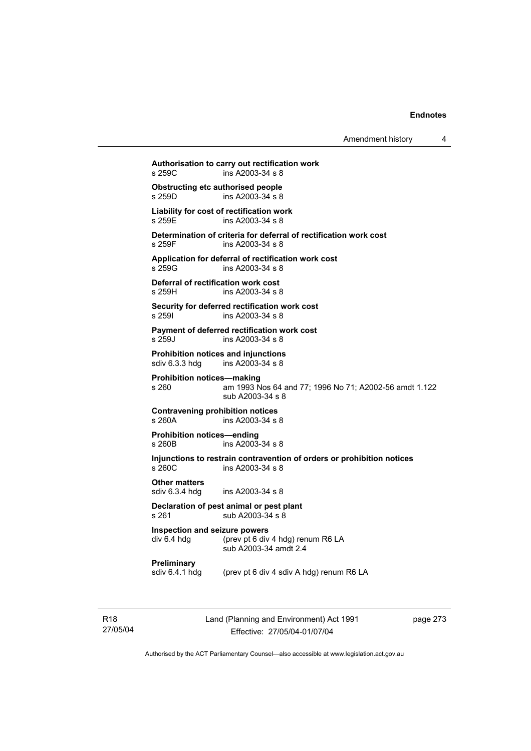Amendment history 4

**Authorisation to carry out rectification work**  s 259C ins A2003-34 s 8 **Obstructing etc authorised people**<br>s 259D ins A2003-34 s 8  $ins A2003-34 s 8$ **Liability for cost of rectification work**  s 259E ins A2003-34 s 8 **Determination of criteria for deferral of rectification work cost**  s 259F ins A2003-34 s 8 **Application for deferral of rectification work cost**  ins A2003-34 s 8 **Deferral of rectification work cost**  s 259H ins A2003-34 s 8 **Security for deferred rectification work cost**  s 259I ins A2003-34 s 8 **Payment of deferred rectification work cost**  s 259J ins A2003-34 s 8 **Prohibition notices and injunctions**  sdiv 6.3.3 hdg ins A2003-34 s 8 **Prohibition notices—making**  s 260 am 1993 Nos 64 and 77; 1996 No 71; A2002-56 amdt 1.122 sub A2003-34 s 8 **Contravening prohibition notices**  s 260A ins A2003-34 s 8 **Prohibition notices—ending**   $ins A2003 - 34 s 8$ **Injunctions to restrain contravention of orders or prohibition notices**  s 260C ins A2003-34 s 8 **Other matters**  sdiv 6.3.4 hdg ins A2003-34 s 8

#### **Declaration of pest animal or pest plant**  s 261 sub A2003-34 s 8

**Inspection and seizure powers**  div 6.4 hdg (prev pt 6 div 4 hdg) renum R6 LA sub A2003-34 amdt 2.4

**Preliminary** 

sdiv 6.4.1 hdg (prev pt 6 div 4 sdiv A hdg) renum R6 LA

R18 27/05/04 Land (Planning and Environment) Act 1991 Effective: 27/05/04-01/07/04

page 273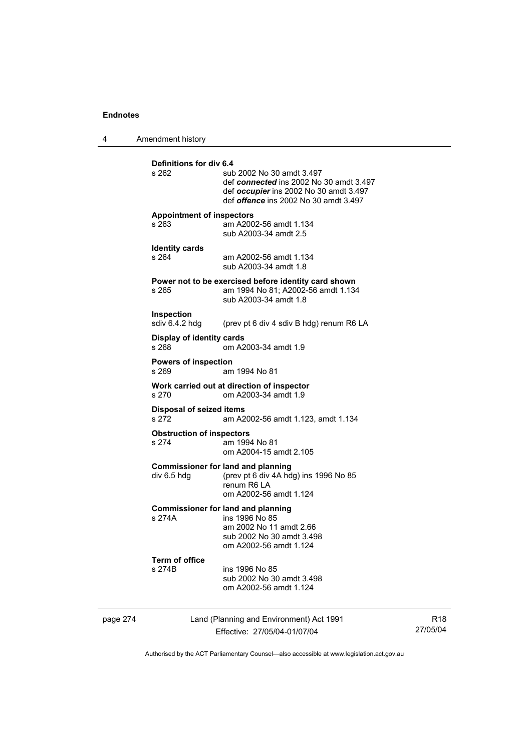4 Amendment history

|                                                                                      | <b>Definitions for div 6.4</b><br>s 262                                                      | sub 2002 No 30 amdt 3.497<br>def connected ins 2002 No 30 amdt 3.497<br>def occupier ins 2002 No 30 amdt 3.497<br>def offence ins 2002 No 30 amdt 3.497 |  |  |
|--------------------------------------------------------------------------------------|----------------------------------------------------------------------------------------------|---------------------------------------------------------------------------------------------------------------------------------------------------------|--|--|
|                                                                                      | <b>Appointment of inspectors</b><br>s 263<br>am A2002-56 amdt 1.134<br>sub A2003-34 amdt 2.5 |                                                                                                                                                         |  |  |
|                                                                                      | <b>Identity cards</b><br>s 264                                                               | am A2002-56 amdt 1.134<br>sub A2003-34 amdt 1.8                                                                                                         |  |  |
|                                                                                      | s 265                                                                                        | Power not to be exercised before identity card shown<br>am 1994 No 81; A2002-56 amdt 1.134<br>sub A2003-34 amdt 1.8                                     |  |  |
|                                                                                      | Inspection<br>sdiv 6.4.2 hdg                                                                 | (prev pt 6 div 4 sdiv B hdg) renum R6 LA                                                                                                                |  |  |
|                                                                                      | Display of identity cards<br>s 268                                                           | om A2003-34 amdt 1.9                                                                                                                                    |  |  |
|                                                                                      | <b>Powers of inspection</b><br>s 269                                                         | am 1994 No 81                                                                                                                                           |  |  |
|                                                                                      | Work carried out at direction of inspector<br>om A2003-34 amdt 1.9<br>s 270                  |                                                                                                                                                         |  |  |
|                                                                                      | <b>Disposal of seized items</b><br>s 272<br>am A2002-56 amdt 1.123, amdt 1.134               |                                                                                                                                                         |  |  |
| <b>Obstruction of inspectors</b><br>s 274<br>am 1994 No 81<br>om A2004-15 amdt 2.105 |                                                                                              |                                                                                                                                                         |  |  |
|                                                                                      | div 6.5 hdg                                                                                  | <b>Commissioner for land and planning</b><br>(prev pt 6 div 4A hdg) ins 1996 No 85<br>renum R6 LA<br>om A2002-56 amdt 1.124                             |  |  |
|                                                                                      | s 274A                                                                                       | <b>Commissioner for land and planning</b><br>ins 1996 No 85<br>am 2002 No 11 amdt 2.66<br>sub 2002 No 30 amdt 3.498<br>om A2002-56 amdt 1.124           |  |  |
|                                                                                      | <b>Term of office</b><br>s 274B                                                              | ins 1996 No 85<br>sub 2002 No 30 amdt 3.498<br>om A2002-56 amdt 1.124                                                                                   |  |  |
| page 274                                                                             |                                                                                              | Land (Planning and Environment) Act 1991<br>Effective: 27/05/04-01/07/04                                                                                |  |  |

R18 27/05/04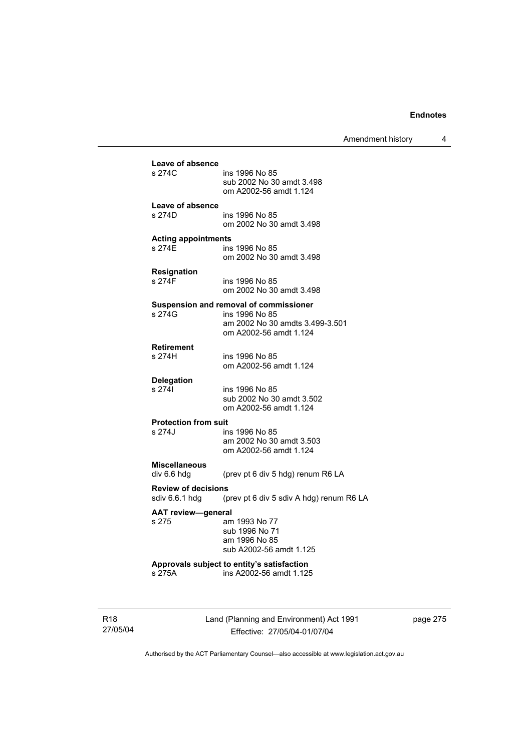Amendment history 4

| Leave of absence                          |                                                                       |
|-------------------------------------------|-----------------------------------------------------------------------|
| s 274C                                    | ins 1996 No 85                                                        |
|                                           | sub 2002 No 30 amdt 3.498<br>om A2002-56 amdt 1.124                   |
| Leave of absence                          |                                                                       |
| s 274D                                    | ins 1996 No 85<br>om 2002 No 30 amdt 3.498                            |
| <b>Acting appointments</b>                |                                                                       |
| s 274E                                    | ins 1996 No 85                                                        |
|                                           | om 2002 No 30 amdt 3.498                                              |
| <b>Resignation</b><br>s 274F              | ins 1996 No 85                                                        |
|                                           | om 2002 No 30 amdt 3.498                                              |
|                                           | Suspension and removal of commissioner                                |
| s 274G                                    | ins 1996 No 85<br>am 2002 No 30 amdts 3.499-3.501                     |
|                                           | om A2002-56 amdt 1.124                                                |
| <b>Retirement</b><br>s 274H               |                                                                       |
|                                           | ins 1996 No 85<br>om A2002-56 amdt 1.124                              |
| <b>Delegation</b>                         |                                                                       |
| s 2741                                    | ins 1996 No 85<br>sub 2002 No 30 amdt 3.502                           |
|                                           | om A2002-56 amdt 1.124                                                |
| <b>Protection from suit</b>               |                                                                       |
| s 274J                                    | ins 1996 No 85<br>am 2002 No 30 amdt 3.503                            |
|                                           | om A2002-56 amdt 1.124                                                |
| <b>Miscellaneous</b>                      |                                                                       |
| div 6.6 hdg<br><b>Review of decisions</b> | (prev pt 6 div 5 hdg) renum R6 LA                                     |
| sdiv 6.6.1 hdg                            | (prev pt 6 div 5 sdiv A hdg) renum R6 LA                              |
| <b>AAT review-general</b>                 |                                                                       |
| s 275                                     | am 1993 No 77<br>sub 1996 No 71                                       |
|                                           | am 1996 No 85                                                         |
|                                           | sub A2002-56 amdt 1.125                                               |
| s 275A                                    | Approvals subject to entity's satisfaction<br>ins A2002-56 amdt 1.125 |
|                                           |                                                                       |
|                                           |                                                                       |
|                                           | Land (Planning and Environment) Act 1991                              |
|                                           | Effective: 27/05/04-01/07/04                                          |

page 275

Authorised by the ACT Parliamentary Counsel—also accessible at www.legislation.act.gov.au

R18 27/05/04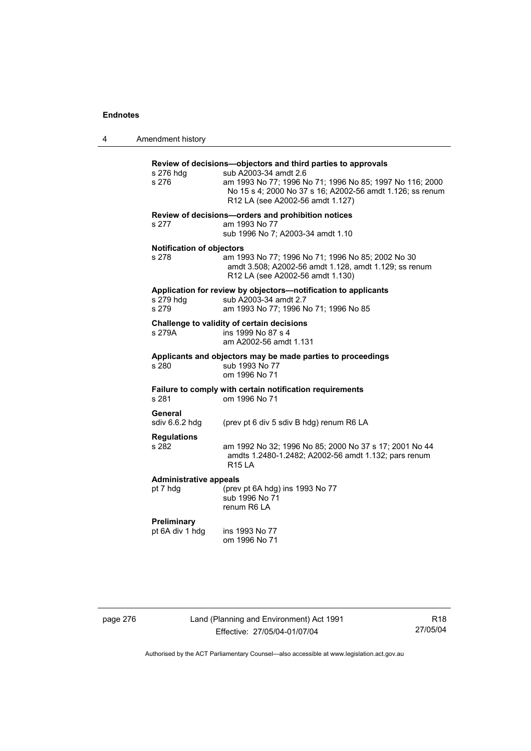4 Amendment history

| Amendment history                         |                                                                                                                                                                                                                                                    |
|-------------------------------------------|----------------------------------------------------------------------------------------------------------------------------------------------------------------------------------------------------------------------------------------------------|
| s 276 hdg<br>s 276                        | Review of decisions-objectors and third parties to approvals<br>sub A2003-34 amdt 2.6<br>am 1993 No 77; 1996 No 71; 1996 No 85; 1997 No 116; 2000<br>No 15 s 4; 2000 No 37 s 16; A2002-56 amdt 1.126; ss renum<br>R12 LA (see A2002-56 amdt 1.127) |
| s 277                                     | Review of decisions-orders and prohibition notices<br>am 1993 No 77<br>sub 1996 No 7; A2003-34 amdt 1.10                                                                                                                                           |
| <b>Notification of objectors</b><br>s 278 | am 1993 No 77; 1996 No 71; 1996 No 85; 2002 No 30<br>amdt 3.508; A2002-56 amdt 1.128, amdt 1.129; ss renum<br>R12 LA (see A2002-56 amdt 1.130)                                                                                                     |
| s 279 hdg<br>s 279                        | Application for review by objectors-notification to applicants<br>sub A2003-34 amdt 2.7<br>am 1993 No 77; 1996 No 71; 1996 No 85                                                                                                                   |
| s 279A                                    | Challenge to validity of certain decisions<br>ins 1999 No 87 s 4<br>am A2002-56 amdt 1.131                                                                                                                                                         |
| s 280                                     | Applicants and objectors may be made parties to proceedings<br>sub 1993 No 77<br>om 1996 No 71                                                                                                                                                     |
| s 281                                     | Failure to comply with certain notification requirements<br>om 1996 No 71                                                                                                                                                                          |
| General<br>sdiv 6.6.2 hdg                 | (prev pt 6 div 5 sdiv B hdg) renum R6 LA                                                                                                                                                                                                           |
| <b>Regulations</b><br>s 282               | am 1992 No 32; 1996 No 85; 2000 No 37 s 17; 2001 No 44<br>amdts 1.2480-1.2482; A2002-56 amdt 1.132; pars renum<br><b>R15 LA</b>                                                                                                                    |
| <b>Administrative appeals</b><br>pt 7 hdg | (prev pt 6A hdg) ins 1993 No 77<br>sub 1996 No 71<br>renum R6 LA                                                                                                                                                                                   |
| Preliminary<br>pt 6A div 1 hdg            | ins 1993 No 77<br>om 1996 No 71                                                                                                                                                                                                                    |
|                                           |                                                                                                                                                                                                                                                    |

page 276 Land (Planning and Environment) Act 1991 Effective: 27/05/04-01/07/04

R18 27/05/04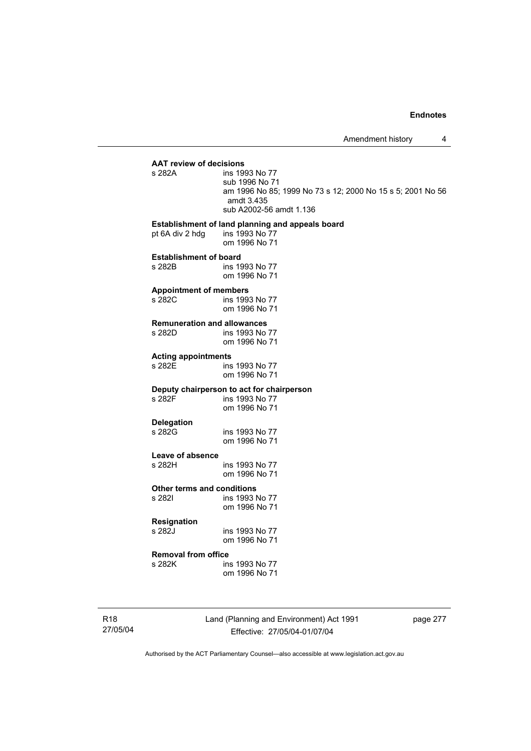# **AAT review of decisions**

ins 1993 No 77 sub 1996 No 71 am 1996 No 85; 1999 No 73 s 12; 2000 No 15 s 5; 2001 No 56 amdt 3.435 sub A2002-56 amdt 1.136

#### **Establishment of land planning and appeals board**

pt 6A div 2 hdg ins 1993 No 77 om 1996 No 71

# **Establishment of board**<br>s 282B ins 19

ins 1993 No 77 om 1996 No 71

#### **Appointment of members**

s 282C ins 1993 No 77 om 1996 No 71

#### **Remuneration and allowances**

| s 282D | ins 1993 No 77 |
|--------|----------------|
|        | om 1996 No 71  |

# **Acting appointments**

ins 1993 No 77 om 1996 No 71

# **Deputy chairperson to act for chairperson**

ins 1993 No 77 om 1996 No 71

**Delegation**  ins 1993 No 77 om 1996 No 71

**Leave of absence**  ins 1993 No 77 om 1996 No 71

#### **Other terms and conditions**

s 282I ins 1993 No 77 om 1996 No 71

# **Resignation**

ins 1993 No 77 om 1996 No 71

# **Removal from office**

ins 1993 No 77 om 1996 No 71

R18 27/05/04 Land (Planning and Environment) Act 1991 Effective: 27/05/04-01/07/04

page 277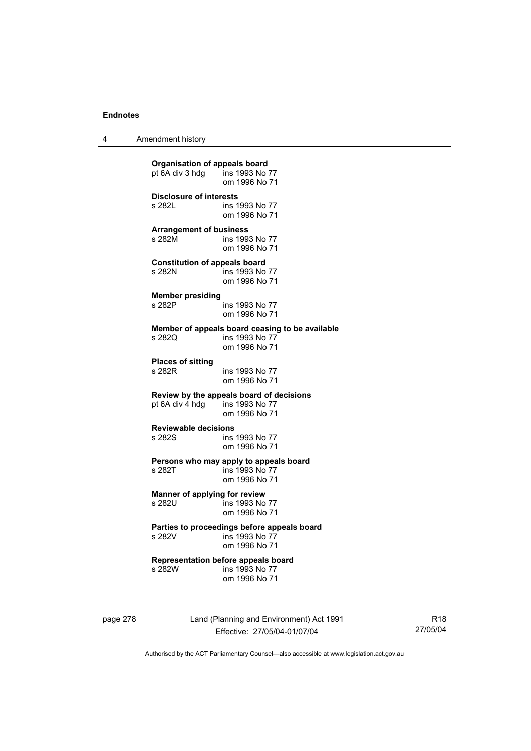4 Amendment history

**Organisation of appeals board**<br>
pt 6A div 3 hdg ins 1993 No 77  $pt\overline{6}A$  div 3 hdg om 1996 No 71 **Disclosure of interests**  ins 1993 No 77 om 1996 No 71 **Arrangement of business**  s 282M ins 1993 No 77 om 1996 No 71 **Constitution of appeals board**  s 282N ins 1993 No 77 om 1996 No 71 **Member presiding**  s 282P ins 1993 No 77 om 1996 No 71 **Member of appeals board ceasing to be available**  ins 1993 No 77 om 1996 No 71 **Places of sitting**  s 282R ins 1993 No 77 om 1996 No 71 **Review by the appeals board of decisions**  pt 6A div 4 hdg om 1996 No 71 **Reviewable decisions**  ins 1993 No 77 om 1996 No 71 **Persons who may apply to appeals board**  s 282T ins 1993 No 77 om 1996 No 71 **Manner of applying for review**  ins 1993 No 77 om 1996 No 71 **Parties to proceedings before appeals board**  ins 1993 No 77 om 1996 No 71 **Representation before appeals board**  ins 1993 No 77 om 1996 No 71

page 278 Land (Planning and Environment) Act 1991 Effective: 27/05/04-01/07/04

R18 27/05/04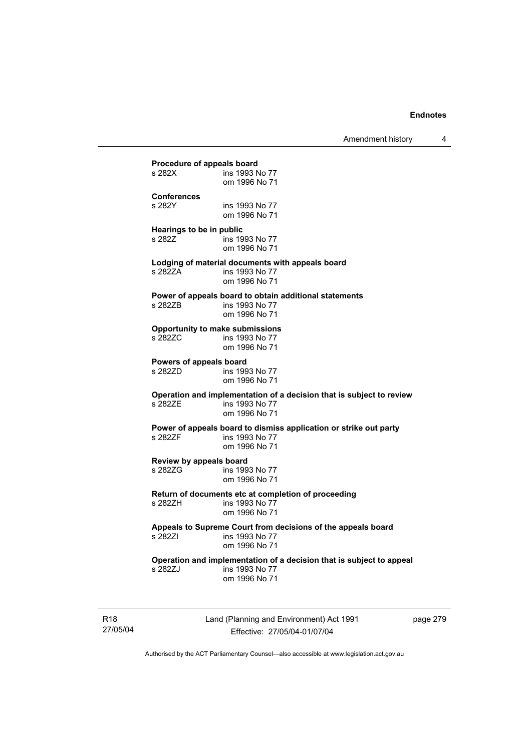**Procedure of appeals board**<br>s 282X **ins 1993** N ins 1993 No 77 om 1996 No 71 **Conferences**  ins 1993 No 77 om 1996 No 71 **Hearings to be in public**  s 282Z **ins 1993** No 77 om 1996 No 71 **Lodging of material documents with appeals board**  ins 1993 No 77 om 1996 No 71 **Power of appeals board to obtain additional statements**  s 282ZB ins 1993 No 77 om 1996 No 71 **Opportunity to make submissions**  ins 1993 No 77 om 1996 No 71 **Powers of appeals board**  s 282ZD ins 1993 No 77 om 1996 No 71 **Operation and implementation of a decision that is subject to review**  ins 1993 No 77 om 1996 No 71 **Power of appeals board to dismiss application or strike out party**  ins 1993 No 77 om 1996 No 71 **Review by appeals board**  s 282ZG ins 1993 No 77 om 1996 No 71 **Return of documents etc at completion of proceeding**  ins 1993 No 77 om 1996 No 71 **Appeals to Supreme Court from decisions of the appeals board**  ins 1993 No 77 om 1996 No 71 **Operation and implementation of a decision that is subject to appeal**  ins 1993 No 77 om 1996 No 71

R18 27/05/04 Land (Planning and Environment) Act 1991 Effective: 27/05/04-01/07/04

page 279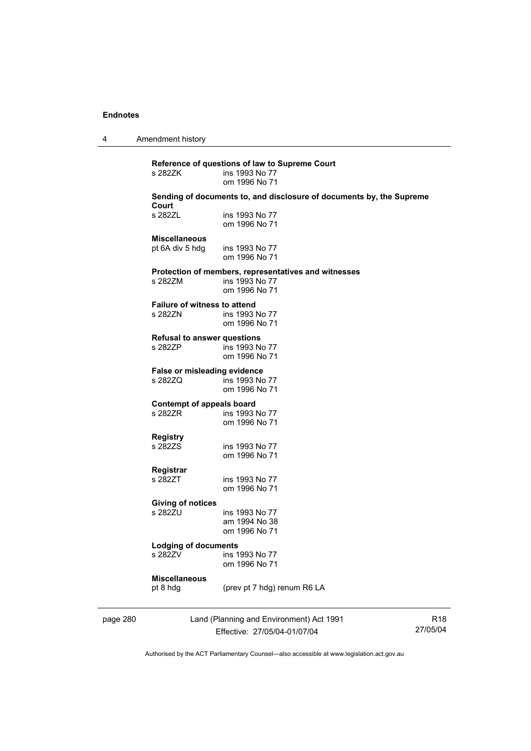4 Amendment history

|          | s 282ZK                                        | Reference of questions of law to Supreme Court<br>ins 1993 No 77                        |                 |
|----------|------------------------------------------------|-----------------------------------------------------------------------------------------|-----------------|
|          |                                                | om 1996 No 71                                                                           |                 |
|          | Court                                          | Sending of documents to, and disclosure of documents by, the Supreme                    |                 |
|          | s 282ZL                                        | ins 1993 No 77<br>om 1996 No 71                                                         |                 |
|          | <b>Miscellaneous</b>                           |                                                                                         |                 |
|          | pt 6A div 5 hdg                                | ins 1993 No 77<br>om 1996 No 71                                                         |                 |
|          | s 282ZM                                        | Protection of members, representatives and witnesses<br>ins 1993 No 77<br>om 1996 No 71 |                 |
|          | <b>Failure of witness to attend</b><br>s 282ZN | ins 1993 No 77<br>om 1996 No 71                                                         |                 |
|          | <b>Refusal to answer questions</b><br>s 282ZP  | ins 1993 No 77<br>om 1996 No 71                                                         |                 |
|          | False or misleading evidence<br>s 282ZQ        | ins 1993 No 77<br>om 1996 No 71                                                         |                 |
|          | Contempt of appeals board<br>s 282ZR           | ins 1993 No 77<br>om 1996 No 71                                                         |                 |
|          | <b>Registry</b><br>s 282ZS                     | ins 1993 No 77<br>om 1996 No 71                                                         |                 |
|          | Registrar<br>s 282ZT                           | ins 1993 No 77<br>om 1996 No 71                                                         |                 |
|          | <b>Giving of notices</b><br>s 282ZU            | ins 1993 No 77                                                                          |                 |
|          |                                                | am 1994 No 38<br>om 1996 No 71                                                          |                 |
|          | <b>Lodging of documents</b>                    |                                                                                         |                 |
|          | s 282ZV                                        | ins 1993 No 77<br>om 1996 No 71                                                         |                 |
|          | <b>Miscellaneous</b><br>pt 8 hdg               | (prev pt 7 hdg) renum R6 LA                                                             |                 |
| page 280 |                                                | Land (Planning and Environment) Act 1991                                                | R <sub>18</sub> |

Effective: 27/05/04-01/07/04

27/05/04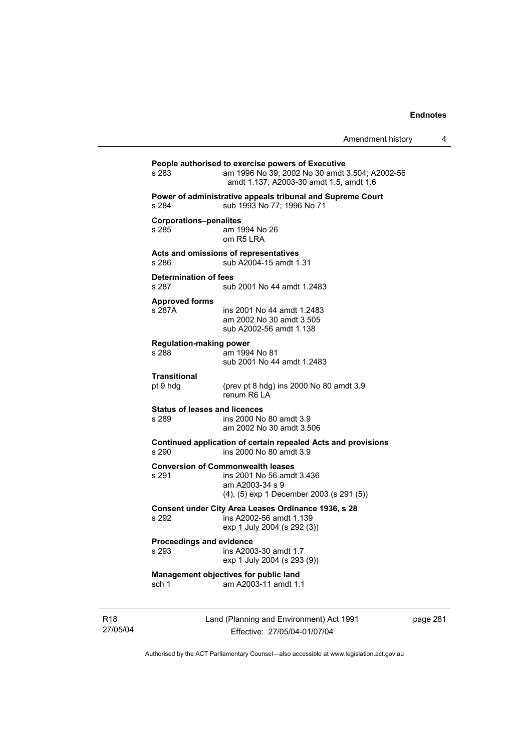| s 283                                         | People authorised to exercise powers of Executive<br>am 1996 No 39; 2002 No 30 amdt 3.504; A2002-56<br>amdt 1.137; A2003-30 amdt 1.5, amdt 1.6 |
|-----------------------------------------------|------------------------------------------------------------------------------------------------------------------------------------------------|
| s 284                                         | Power of administrative appeals tribunal and Supreme Court<br>sub 1993 No 77; 1996 No 71                                                       |
| <b>Corporations-penalites</b><br>s 285        | am 1994 No 26<br>om R5 LRA                                                                                                                     |
| s 286                                         | Acts and omissions of representatives<br>sub A2004-15 amdt 1.31                                                                                |
| <b>Determination of fees</b><br>s 287         | sub 2001 No 44 amdt 1.2483                                                                                                                     |
| <b>Approved forms</b><br>s 287A               | ins 2001 No 44 amdt 1.2483<br>am 2002 No 30 amdt 3.505<br>sub A2002-56 amdt 1.138                                                              |
| <b>Regulation-making power</b><br>s 288       | am 1994 No 81<br>sub 2001 No 44 amdt 1.2483                                                                                                    |
| Transitional<br>pt 9 hdg                      | (prev pt 8 hdg) ins 2000 No 80 amdt 3.9<br>renum R6   A                                                                                        |
| <b>Status of leases and licences</b><br>s 289 | ins 2000 No 80 amdt 3.9<br>am 2002 No 30 amdt 3.506                                                                                            |
| s 290                                         | Continued application of certain repealed Acts and provisions<br>ins 2000 No 80 amdt 3.9                                                       |
| s 291                                         | <b>Conversion of Commonwealth leases</b><br>ins 2001 No 56 amdt 3.436<br>am A2003-34 s 9<br>(4), (5) exp 1 December 2003 (s 291 (5))           |
| s 292                                         | Consent under City Area Leases Ordinance 1936, s 28<br>ins A2002-56 amdt 1.139<br>$\frac{exp(1)}{exp(2004)}$ (s 292 (3))                       |
| <b>Proceedings and evidence</b><br>s 293      | ins A2003-30 amdt 1.7<br>exp 1 July 2004 (s 293 (9))                                                                                           |
|                                               |                                                                                                                                                |

R18 27/05/04

Effective: 27/05/04-01/07/04

page 281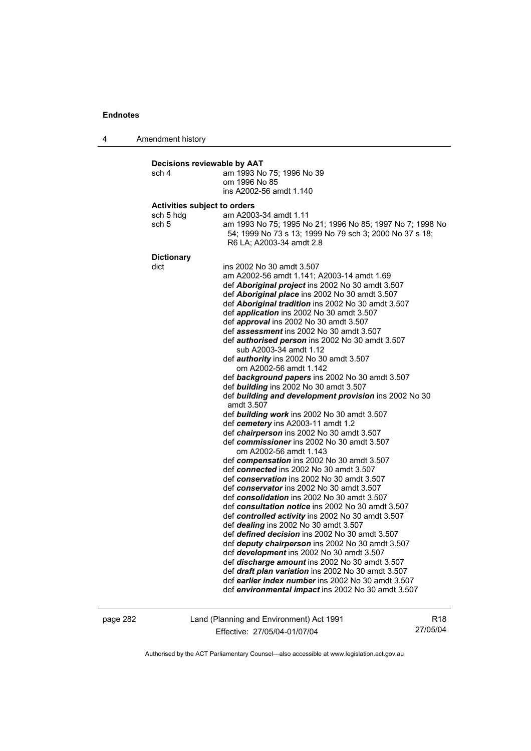4 Amendment history **Decisions reviewable by AAT**  sch 4 am 1993 No 75; 1996 No 39 om 1996 No 85 ins A2002-56 amdt 1.140 **Activities subject to orders**  sch 5 hdg am A2003-34 amdt 1.11 sch 5 am 1993 No 75; 1995 No 21; 1996 No 85; 1997 No 7; 1998 No 54; 1999 No 73 s 13; 1999 No 79 sch 3; 2000 No 37 s 18; R6 LA; A2003-34 amdt 2.8 **Dictionary**  dict ins 2002 No 30 amdt 3.507 am A2002-56 amdt 1.141; A2003-14 amdt 1.69 def *Aboriginal project* ins 2002 No 30 amdt 3.507 def *Aboriginal place* ins 2002 No 30 amdt 3.507 def *Aboriginal tradition* ins 2002 No 30 amdt 3.507 def *application* ins 2002 No 30 amdt 3.507 def *approval* ins 2002 No 30 amdt 3.507 def *assessment* ins 2002 No 30 amdt 3.507 def *authorised person* ins 2002 No 30 amdt 3.507 sub A2003-34 amdt 1.12 def *authority* ins 2002 No 30 amdt 3.507 om A2002-56 amdt 1.142 def *background papers* ins 2002 No 30 amdt 3.507 def *building* ins 2002 No 30 amdt 3.507 def *building and development provision* ins 2002 No 30 amdt 3.507 def *building work* ins 2002 No 30 amdt 3.507 def *cemetery* ins A2003-11 amdt 1.2 def *chairperson* ins 2002 No 30 amdt 3.507 def *commissioner* ins 2002 No 30 amdt 3.507 om A2002-56 amdt 1.143 def *compensation* ins 2002 No 30 amdt 3.507 def *connected* ins 2002 No 30 amdt 3.507 def *conservation* ins 2002 No 30 amdt 3.507 def *conservator* ins 2002 No 30 amdt 3.507 def *consolidation* ins 2002 No 30 amdt 3.507 def *consultation notice* ins 2002 No 30 amdt 3.507 def *controlled activity* ins 2002 No 30 amdt 3.507 def *dealing* ins 2002 No 30 amdt 3.507 def *defined decision* ins 2002 No 30 amdt 3.507 def *deputy chairperson* ins 2002 No 30 amdt 3.507 def *development* ins 2002 No 30 amdt 3.507 def *discharge amount* ins 2002 No 30 amdt 3.507 def *draft plan variation* ins 2002 No 30 amdt 3.507 def *earlier index number* ins 2002 No 30 amdt 3.507 def *environmental impact* ins 2002 No 30 amdt 3.507

page 282 Land (Planning and Environment) Act 1991 Effective: 27/05/04-01/07/04

R18 27/05/04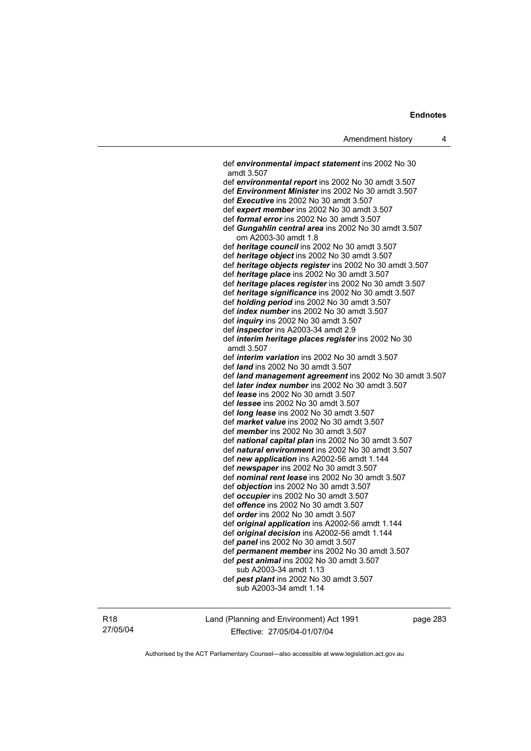def *environmental impact statement* ins 2002 No 30 amdt 3.507 def *environmental report* ins 2002 No 30 amdt 3.507 def *Environment Minister* ins 2002 No 30 amdt 3.507 def *Executive* ins 2002 No 30 amdt 3.507 def *expert member* ins 2002 No 30 amdt 3.507 def *formal error* ins 2002 No 30 amdt 3.507 def *Gungahlin central area* ins 2002 No 30 amdt 3.507 om A2003-30 amdt 1.8 def *heritage council* ins 2002 No 30 amdt 3.507 def *heritage object* ins 2002 No 30 amdt 3.507 def *heritage objects register* ins 2002 No 30 amdt 3.507 def *heritage place* ins 2002 No 30 amdt 3.507 def *heritage places register* ins 2002 No 30 amdt 3.507 def *heritage significance* ins 2002 No 30 amdt 3.507 def *holding period* ins 2002 No 30 amdt 3.507 def *index number* ins 2002 No 30 amdt 3.507 def *inquiry* ins 2002 No 30 amdt 3.507 def *inspector* ins A2003-34 amdt 2.9 def *interim heritage places register* ins 2002 No 30 amdt 3.507 def *interim variation* ins 2002 No 30 amdt 3.507 def *land* ins 2002 No 30 amdt 3.507 def *land management agreement* ins 2002 No 30 amdt 3.507 def *later index number* ins 2002 No 30 amdt 3.507 def *lease* ins 2002 No 30 amdt 3.507 def *lessee* ins 2002 No 30 amdt 3.507 def *long lease* ins 2002 No 30 amdt 3.507 def *market value* ins 2002 No 30 amdt 3.507 def *member* ins 2002 No 30 amdt 3.507 def *national capital plan* ins 2002 No 30 amdt 3.507 def *natural environment* ins 2002 No 30 amdt 3.507 def *new application* ins A2002-56 amdt 1.144 def *newspaper* ins 2002 No 30 amdt 3.507 def *nominal rent lease* ins 2002 No 30 amdt 3.507 def *objection* ins 2002 No 30 amdt 3.507 def *occupier* ins 2002 No 30 amdt 3.507 def *offence* ins 2002 No 30 amdt 3.507 def *order* ins 2002 No 30 amdt 3.507 def *original application* ins A2002-56 amdt 1.144 def *original decision* ins A2002-56 amdt 1.144 def *panel* ins 2002 No 30 amdt 3.507 def *permanent member* ins 2002 No 30 amdt 3.507 def *pest animal* ins 2002 No 30 amdt 3.507 sub A2003-34 amdt 1.13 def *pest plant* ins 2002 No 30 amdt 3.507 sub A2003-34 amdt 1.14

R18 27/05/04 Land (Planning and Environment) Act 1991 Effective: 27/05/04-01/07/04

page 283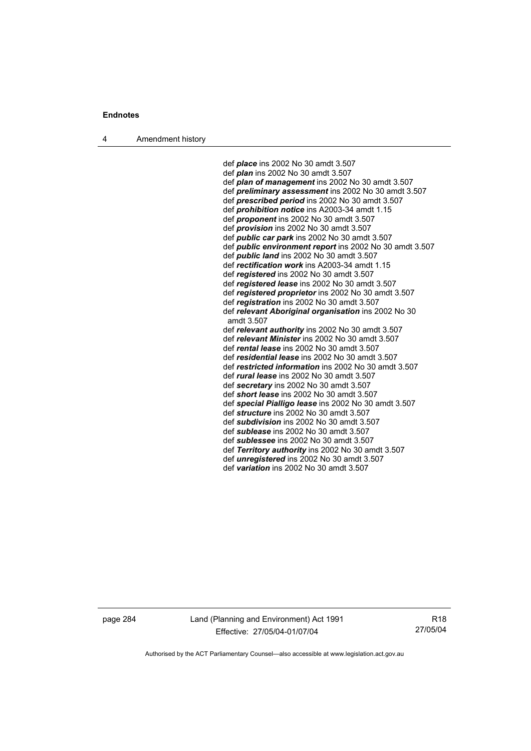4 Amendment history

 def *place* ins 2002 No 30 amdt 3.507 def *plan* ins 2002 No 30 amdt 3.507 def *plan of management* ins 2002 No 30 amdt 3.507 def *preliminary assessment* ins 2002 No 30 amdt 3.507 def *prescribed period* ins 2002 No 30 amdt 3.507 def *prohibition notice* ins A2003-34 amdt 1.15 def *proponent* ins 2002 No 30 amdt 3.507 def *provision* ins 2002 No 30 amdt 3.507 def *public car park* ins 2002 No 30 amdt 3.507 def *public environment report* ins 2002 No 30 amdt 3.507 def *public land* ins 2002 No 30 amdt 3.507 def *rectification work* ins A2003-34 amdt 1.15 def *registered* ins 2002 No 30 amdt 3.507 def *registered lease* ins 2002 No 30 amdt 3.507 def *registered proprietor* ins 2002 No 30 amdt 3.507 def *registration* ins 2002 No 30 amdt 3.507 def *relevant Aboriginal organisation* ins 2002 No 30 amdt 3.507 def *relevant authority* ins 2002 No 30 amdt 3.507 def *relevant Minister* ins 2002 No 30 amdt 3.507 def *rental lease* ins 2002 No 30 amdt 3.507 def *residential lease* ins 2002 No 30 amdt 3.507 def *restricted information* ins 2002 No 30 amdt 3.507 def *rural lease* ins 2002 No 30 amdt 3.507 def *secretary* ins 2002 No 30 amdt 3.507 def *short lease* ins 2002 No 30 amdt 3.507 def *special Pialligo lease* ins 2002 No 30 amdt 3.507 def *structure* ins 2002 No 30 amdt 3.507 def *subdivision* ins 2002 No 30 amdt 3.507 def *sublease* ins 2002 No 30 amdt 3.507 def *sublessee* ins 2002 No 30 amdt 3.507 def *Territory authority* ins 2002 No 30 amdt 3.507 def *unregistered* ins 2002 No 30 amdt 3.507 def *variation* ins 2002 No 30 amdt 3.507

page 284 Land (Planning and Environment) Act 1991 Effective: 27/05/04-01/07/04

R18 27/05/04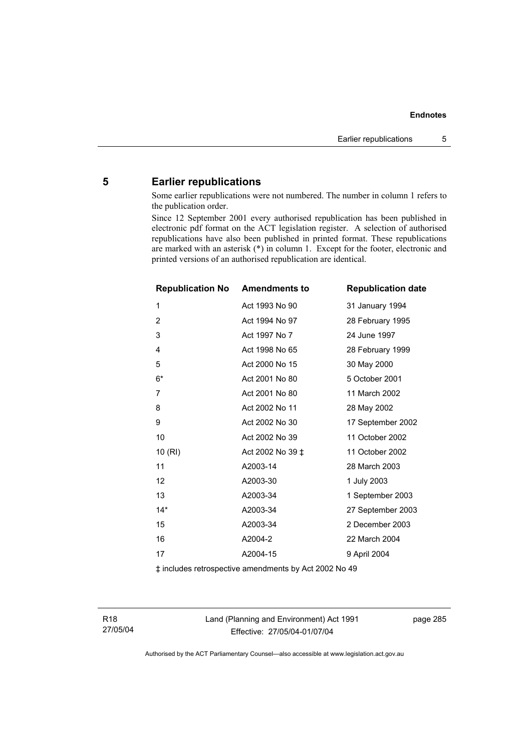## **5 Earlier republications**

Some earlier republications were not numbered. The number in column 1 refers to the publication order.

Since 12 September 2001 every authorised republication has been published in electronic pdf format on the ACT legislation register. A selection of authorised republications have also been published in printed format. These republications are marked with an asterisk (\*) in column 1. Except for the footer, electronic and printed versions of an authorised republication are identical.

| <b>Republication No Amendments to</b> |                  | <b>Republication date</b> |
|---------------------------------------|------------------|---------------------------|
| 1                                     | Act 1993 No 90   | 31 January 1994           |
| $\overline{2}$                        | Act 1994 No 97   | 28 February 1995          |
| 3                                     | Act 1997 No 7    | 24 June 1997              |
| 4                                     | Act 1998 No 65   | 28 February 1999          |
| 5                                     | Act 2000 No 15   | 30 May 2000               |
| $6*$                                  | Act 2001 No 80   | 5 October 2001            |
| 7                                     | Act 2001 No 80   | 11 March 2002             |
| 8                                     | Act 2002 No 11   | 28 May 2002               |
| 9                                     | Act 2002 No 30   | 17 September 2002         |
| 10                                    | Act 2002 No 39   | 11 October 2002           |
| 10(RI)                                | Act 2002 No 39 ‡ | 11 October 2002           |
| 11                                    | A2003-14         | 28 March 2003             |
| 12                                    | A2003-30         | 1 July 2003               |
| 13                                    | A2003-34         | 1 September 2003          |
| $14*$                                 | A2003-34         | 27 September 2003         |
| 15                                    | A2003-34         | 2 December 2003           |
| 16                                    | A2004-2          | 22 March 2004             |
| 17                                    | A2004-15         | 9 April 2004              |
|                                       |                  |                           |

‡ includes retrospective amendments by Act 2002 No 49

R18 27/05/04 Land (Planning and Environment) Act 1991 Effective: 27/05/04-01/07/04

page 285